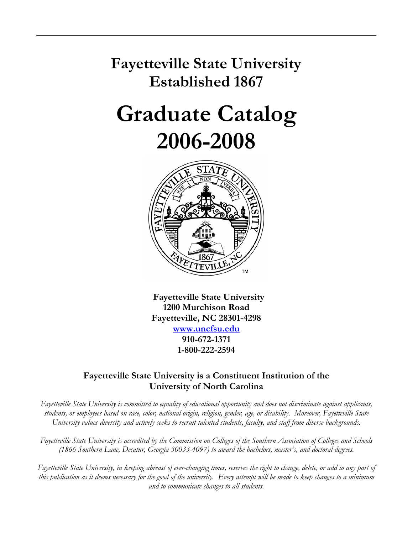## **Fayetteville State University Established 1867**

# **Graduate Catalog 2006-2008**



**Fayetteville State University 1200 Murchison Road Fayetteville, NC 28301-4298 [www.uncfsu.edu](http://www.uncfsu.edu/) 910-672-1371 1-800-222-2594** 

## **Fayetteville State University is a Constituent Institution of the University of North Carolina**

*Fayetteville State University is committed to equality of educational opportunity and does not discriminate against applicants, students, or employees based on race, color, national origin, religion, gender, age, or disability. Moreover, Fayetteville State University values diversity and actively seeks to recruit talented students, faculty, and staff from diverse backgrounds.* 

*Fayetteville State University is accredited by the Commission on Colleges of the Southern Association of Colleges and Schools (1866 Southern Lane, Decatur, Georgia 30033-4097) to award the bachelors, master's, and doctoral degrees.* 

*Fayetteville State University, in keeping abreast of ever-changing times, reserves the right to change, delete, or add to any part of this publication as it deems necessary for the good of the university. Every attempt will be made to keep changes to a minimum and to communicate changes to all students*.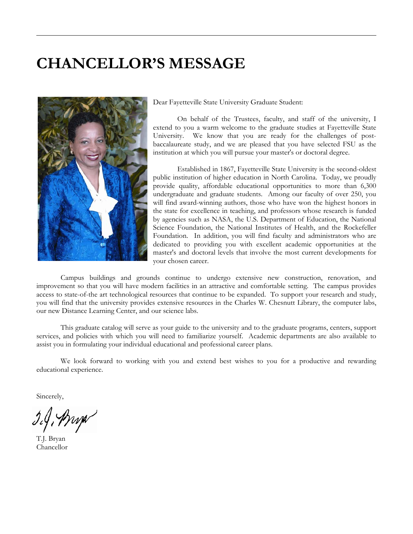## **CHANCELLOR'S MESSAGE**



Dear Fayetteville State University Graduate Student:

On behalf of the Trustees, faculty, and staff of the university, I extend to you a warm welcome to the graduate studies at Fayetteville State University. We know that you are ready for the challenges of postbaccalaureate study, and we are pleased that you have selected FSU as the institution at which you will pursue your master's or doctoral degree.

Established in 1867, Fayetteville State University is the second-oldest public institution of higher education in North Carolina. Today, we proudly provide quality, affordable educational opportunities to more than 6,300 undergraduate and graduate students. Among our faculty of over 250, you will find award-winning authors, those who have won the highest honors in the state for excellence in teaching, and professors whose research is funded by agencies such as NASA, the U.S. Department of Education, the National Science Foundation, the National Institutes of Health, and the Rockefeller Foundation. In addition, you will find faculty and administrators who are dedicated to providing you with excellent academic opportunities at the master's and doctoral levels that involve the most current developments for your chosen career.

Campus buildings and grounds continue to undergo extensive new construction, renovation, and improvement so that you will have modern facilities in an attractive and comfortable setting. The campus provides access to state-of-the art technological resources that continue to be expanded. To support your research and study, you will find that the university provides extensive resources in the Charles W. Chesnutt Library, the computer labs, our new Distance Learning Center, and our science labs.

This graduate catalog will serve as your guide to the university and to the graduate programs, centers, support services, and policies with which you will need to familiarize yourself. Academic departments are also available to assist you in formulating your individual educational and professional career plans.

We look forward to working with you and extend best wishes to you for a productive and rewarding educational experience.

Sincerely,

I.J. Arma

T.J. Bryan Chancellor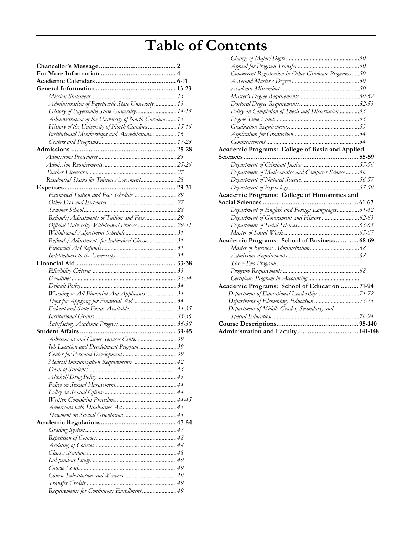## **Table of Contents**

| Administration of Fayetteville State University 13     |  |
|--------------------------------------------------------|--|
| History of Fayetteville State University 14-15         |  |
| Administration of the University of North Carolina  15 |  |
| History of the University of North Carolina  15-16     |  |
| Institutional Memberships and Accreditations 16        |  |
|                                                        |  |
|                                                        |  |
|                                                        |  |
|                                                        |  |
|                                                        |  |
| Residential Status for Tuition Assessment28            |  |
|                                                        |  |
|                                                        |  |
|                                                        |  |
|                                                        |  |
|                                                        |  |
| Refunds   Adjustments of Tuition and Fees29            |  |
| Official University Withdrawal Process  29-31          |  |
|                                                        |  |
| Refunds / Adjustments for Individual Classes 31        |  |
|                                                        |  |
|                                                        |  |
|                                                        |  |
|                                                        |  |
|                                                        |  |
|                                                        |  |
| Warning to All Financial Aid Applicants 34             |  |
| Steps for Applying for Financial Aid 34                |  |
| Federal and State Funds Available 34-35                |  |
|                                                        |  |
|                                                        |  |
| <b>Student Affairs </b>                                |  |
| Advisement and Career Services Center 39               |  |
|                                                        |  |
| Job Location and Development Program  39               |  |
|                                                        |  |
| Medical Immunization Requirements  42                  |  |
|                                                        |  |
|                                                        |  |
|                                                        |  |
|                                                        |  |
|                                                        |  |
|                                                        |  |
|                                                        |  |
|                                                        |  |
|                                                        |  |
|                                                        |  |
|                                                        |  |
|                                                        |  |
|                                                        |  |
|                                                        |  |
|                                                        |  |
|                                                        |  |
| Requirements for Continuous Enrollment 49              |  |

| Concurrent Registration in Other Graduate Programs50 |  |
|------------------------------------------------------|--|
|                                                      |  |
|                                                      |  |
|                                                      |  |
|                                                      |  |
| Policy on Completion of Thesis and Dissertation53    |  |
|                                                      |  |
|                                                      |  |
|                                                      |  |
|                                                      |  |
| Academic Programs: College of Basic and Applied      |  |
| Sciences                                             |  |
|                                                      |  |
| Department of Mathematics and Computer Science 56    |  |
|                                                      |  |
|                                                      |  |
| Academic Programs: College of Humanities and         |  |
|                                                      |  |
| Department of English and Foreign Languages61-62     |  |
| Department of Government and History 62-63           |  |
|                                                      |  |
|                                                      |  |
| Academic Programs: School of Business  68-69         |  |
|                                                      |  |
|                                                      |  |
|                                                      |  |
|                                                      |  |
|                                                      |  |
| Academic Programs: School of Education  71-94        |  |
| Department of Educational Leadership 71-72           |  |
| Department of Elementary Education 73-75             |  |
| Department of Middle Grades, Secondary, and          |  |
|                                                      |  |
|                                                      |  |
|                                                      |  |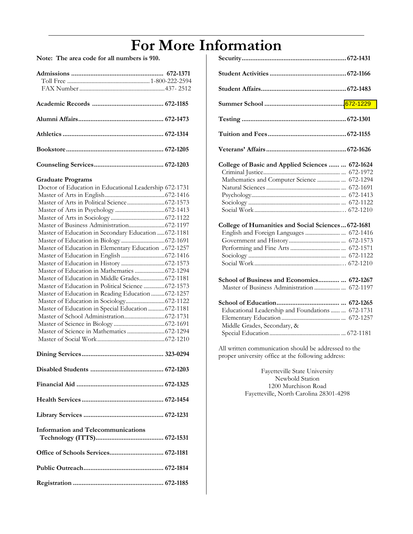## **For More Information**

**Note: The area code for all numbers is 910.** 

### **Graduate Programs**

| Doctor of Education in Educational Leadership 672-1731 |  |
|--------------------------------------------------------|--|
|                                                        |  |
|                                                        |  |
|                                                        |  |
|                                                        |  |
|                                                        |  |
| Master of Education in Secondary Education  672-1181   |  |
|                                                        |  |
| Master of Education in Elementary Education 672-1257   |  |
|                                                        |  |
|                                                        |  |
| Master of Education in Mathematics  672-1294           |  |
| Master of Education in Middle Grades 672-1181          |  |
| Master of Education in Political Science  672-1573     |  |
| Master of Education in Reading Education  672-1257     |  |
|                                                        |  |
| Master of Education in Special Education  672-1181     |  |
|                                                        |  |
|                                                        |  |
|                                                        |  |
|                                                        |  |
|                                                        |  |
|                                                        |  |
|                                                        |  |
|                                                        |  |
|                                                        |  |
|                                                        |  |
| <b>Information and Telecommunications</b>              |  |
|                                                        |  |
|                                                        |  |

| College of Basic and Applied Sciences   672-1624<br>Mathematics and Computer Science  672-1294<br>672-1413<br>672-1122<br>College of Humanities and Social Sciences 672-1681 |
|------------------------------------------------------------------------------------------------------------------------------------------------------------------------------|
| School of Business and Economics  672-1267<br>Educational Leadership and Foundations   672-1731                                                                              |
| Middle Grades, Secondary, &                                                                                                                                                  |

All written communication should be addressed to the proper university office at the following address:

> Fayetteville State University Newbold Station 1200 Murchison Road Fayetteville, North Carolina 28301-4298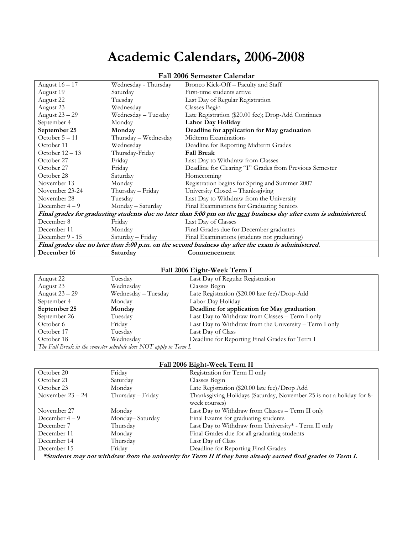## **Academic Calendars, 2006-2008**

| December 16                                                                                                         | Saturday             | Commencement                                            |
|---------------------------------------------------------------------------------------------------------------------|----------------------|---------------------------------------------------------|
| Final grades due no later than 5:00 p.m. on the second business day after the exam is administered.                 |                      |                                                         |
| December 9 - 15                                                                                                     | Saturday – Friday    | Final Examinations (students not graduating)            |
| December 11                                                                                                         | Monday               | Final Grades due for December graduates                 |
| December 8                                                                                                          | Friday               | Last Day of Classes                                     |
| Final grades for graduating students due no later than 5:00 pm on the next business day after exam is administered. |                      |                                                         |
| December $4-9$                                                                                                      | Monday - Saturday    | Final Examinations for Graduating Seniors               |
| November 28                                                                                                         | Tuesday              | Last Day to Withdraw from the University                |
| November 23-24                                                                                                      | Thursday - Friday    | University Closed - Thanksgiving                        |
| November 13                                                                                                         | Monday               | Registration begins for Spring and Summer 2007          |
| October 28                                                                                                          | Saturday             | Homecoming                                              |
| October 27                                                                                                          | Friday               | Deadline for Clearing "I" Grades from Previous Semester |
| October 27                                                                                                          | Friday               | Last Day to Withdraw from Classes                       |
| October $12-13$                                                                                                     | Thursday-Friday      | <b>Fall Break</b>                                       |
| October 11                                                                                                          | Wednesday            | Deadline for Reporting Midterm Grades                   |
| October $5-11$                                                                                                      | Thursday - Wednesday | Midterm Examinations                                    |
| September 25                                                                                                        | Monday               | Deadline for application for May graduation             |
| September 4                                                                                                         | Monday               | Labor Day Holiday                                       |
| August 23 - 29                                                                                                      | Wednesday - Tuesday  | Late Registration (\$20.00 fee); Drop-Add Continues     |
| August 23                                                                                                           | Wednesday            | Classes Begin                                           |
| August 22                                                                                                           | Tuesday              | Last Day of Regular Registration                        |
| August 19                                                                                                           | Saturday             | First-time students arrive                              |
| August $16 - 17$                                                                                                    | Wednesday - Thursday | Bronco Kick-Off - Faculty and Staff                     |

## **Fall 2006 Semester Calendar**

### **Fall 2006 Eight-Week Term I**

| August 22        | Tuesdav                                                           | Last Day of Regular Registration                       |
|------------------|-------------------------------------------------------------------|--------------------------------------------------------|
| August 23        | Wednesday                                                         | Classes Begin                                          |
| August $23 - 29$ | Wednesday - Tuesday                                               | Late Registration (\$20.00 late fee)/Drop-Add          |
| September 4      | Monday                                                            | Labor Day Holiday                                      |
| September 25     | Monday                                                            | Deadline for application for May graduation            |
| September 26     | Tuesday                                                           | Last Day to Withdraw from Classes - Term I only        |
| October 6        | Fridav                                                            | Last Day to Withdraw from the University – Term I only |
| October 17       | Tuesdav                                                           | Last Day of Class                                      |
| October 18       | Wednesdav                                                         | Deadline for Reporting Final Grades for Term I         |
|                  | The Fall Break in the semester schedule does NOT apply to Term I. |                                                        |

### **Fall 2006 Eight-Week Term II**

| October 20                                                                                                     | Friday            | っ<br>Registration for Term II only                                   |
|----------------------------------------------------------------------------------------------------------------|-------------------|----------------------------------------------------------------------|
| October 21                                                                                                     | Saturday          | Classes Begin                                                        |
| October 23                                                                                                     | Monday            | Late Registration (\$20.00 late fee)/Drop Add                        |
| November $23 - 24$                                                                                             | Thursday – Friday | Thanksgiving Holidays (Saturday, November 25 is not a holiday for 8- |
|                                                                                                                |                   | week courses)                                                        |
| November 27                                                                                                    | Monday            | Last Day to Withdraw from Classes - Term II only                     |
| December $4-9$                                                                                                 | Monday-Saturday   | Final Exams for graduating students                                  |
| December 7                                                                                                     | Thursday          | Last Day to Withdraw from University* - Term II only                 |
| December 11                                                                                                    | Monday            | Final Grades due for all graduating students                         |
| December 14                                                                                                    | Thursday          | Last Day of Class                                                    |
| December 15                                                                                                    | Friday            | Deadline for Reporting Final Grades                                  |
| *Students may not withdraw from the university for Term II if they have already earned final grades in Term I. |                   |                                                                      |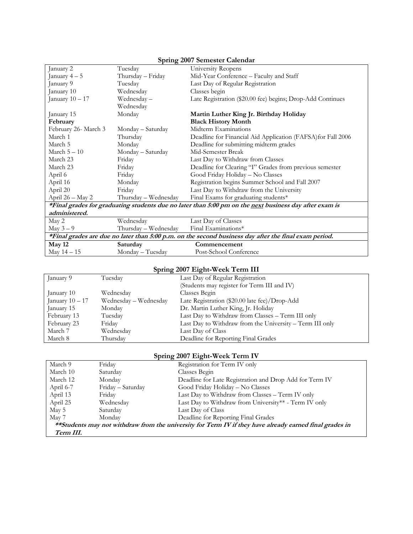#### January 2 Tuesday University Reopens January 4 – 5 Thursday – Friday Mid-Year Conference – Faculty and Staff January 9 Tuesday Last Day of Regular Registration January 10 Wednesday Classes begin January 10 – 17 Wednesday – Wednesday Late Registration (\$20.00 fee) begins; Drop-Add Continues January 15 Monday **Martin Luther King Jr. Birthday Holiday February Black History Month**  February 26- March 3 Monday – Saturday Midterm Examinations March 1 Thursday Deadline for Financial Aid Application (FAFSA)for Fall 2006 March 5 Monday Monday Deadline for submitting midterm grades March 5 – 10 Monday – Saturday Mid-Semester Break March 23 Friday Last Day to Withdraw from Classes March 23 Friday Deadline for Clearing "I" Grades from previous semester April 6 Friday Good Friday Holiday – No Classes April 16 Monday Registration begins Summer School and Fall 2007 April 20 Friday Friday Last Day to Withdraw from the University April 26 – May 2 Thursday – Wednesday Final Exams for graduating students\* **\*Final grades for graduating students due no later than 5:00 pm on the next business day after exam is administered.**  May 2 Wednesday Last Day of Classes May 3 – 9 Thursday – Wednesday Final Examinations\* **\*Final grades are due no later than 5:00 p.m. on the second business day after the final exam period. May 12 Saturday Commencement**<br>May 14 – 15 **Monday** – Tuesday **Post-School Confe** Post-School Conference

| Spring 2007 Eight-Week Term III |                       |                                                          |  |
|---------------------------------|-----------------------|----------------------------------------------------------|--|
| January 9                       | Tuesday               | Last Day of Regular Registration                         |  |
|                                 |                       | (Students may register for Term III and IV)              |  |
| January 10                      | Wednesday             | Classes Begin                                            |  |
| January $10-17$                 | Wednesday – Wednesday | Late Registration (\$20.00 late fee)/Drop-Add            |  |
| January 15                      | Monday                | Dr. Martin Luther King, Jr. Holiday                      |  |
| February 13                     | Tuesday               | Last Day to Withdraw from Classes - Term III only        |  |
| February 23                     | Friday                | Last Day to Withdraw from the University – Term III only |  |
| March 7                         | Wednesday             | Last Day of Class                                        |  |
| March 8                         | Thursdav              | Deadline for Reporting Final Grades                      |  |

### **Spring 2007 Eight-Week Term IV**

|                                                                                                         |                   | ∽                                                       |
|---------------------------------------------------------------------------------------------------------|-------------------|---------------------------------------------------------|
| March 9                                                                                                 | Friday            | Registration for Term IV only                           |
| March 10                                                                                                | Saturday          | Classes Begin                                           |
| March 12                                                                                                | Monday            | Deadline for Late Registration and Drop Add for Term IV |
| April 6-7                                                                                               | Friday – Saturday | Good Friday Holiday - No Classes                        |
| April 13                                                                                                | Friday            | Last Day to Withdraw from Classes - Term IV only        |
| April 25                                                                                                | Wednesday         | Last Day to Withdraw from University** - Term IV only   |
| May 5                                                                                                   | Saturday          | Last Day of Class                                       |
| May 7                                                                                                   | Monday            | Deadline for Reporting Final Grades                     |
| **Students may not withdraw from the university for Term IV if they have already earned final grades in |                   |                                                         |
| Term III.                                                                                               |                   |                                                         |

#### **Spring 2007 Semester Calendar**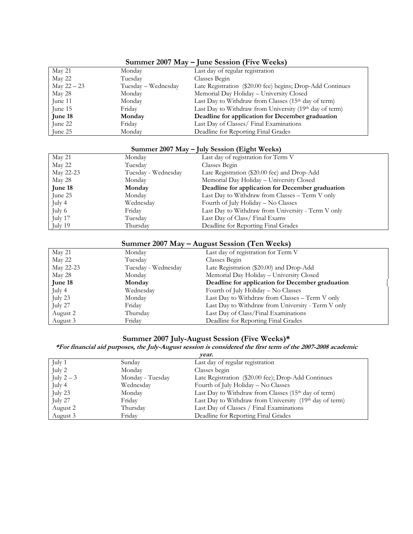|               | $O$ <i>diminer</i> 2007 <i>with</i> | $\mu$ anc ocssion (1 ive weeks)                            |
|---------------|-------------------------------------|------------------------------------------------------------|
| May 21        | Monday                              | Last day of regular registration                           |
| May 22        | Tuesdav                             | Classes Begin                                              |
| $May 22 - 23$ | Tuesday – Wednesday                 | Late Registration (\$20.00 fee) begins; Drop-Add Continues |
| May 28        | Monday                              | Memorial Day Holiday - University Closed                   |
| June 11       | Monday                              | Last Day to Withdraw from Classes $(15th$ day of term)     |
| June 15       | Friday                              | Last Day to Withdraw from University (19th day of term)    |
| June 18       | Monday                              | Deadline for application for December graduation           |
| June 22       | Friday                              | Last Day of Classes/ Final Examinations                    |
| June 25       | Monday                              | Deadline for Reporting Final Grades                        |

## **Summer 2007 May – June Session (Five Weeks)**

## **Summer 2007 May – July Session (Eight Weeks)**

| May 21         | Monday              | Last day of registration for Term V                |
|----------------|---------------------|----------------------------------------------------|
| May 22         | Tuesday             | Classes Begin                                      |
| May 22-23      | Tuesday - Wednesday | Late Registration (\$20.00 fee) and Drop-Add       |
| May 28         | Monday              | Memorial Day Holiday - University Closed           |
| <b>June 18</b> | Monday              | Deadline for application for December graduation   |
| June 25        | Monday              | Last Day to Withdraw from Classes – Term V only    |
| July 4         | Wednesday           | Fourth of July Holiday – No Classes                |
| July 6         | Friday              | Last Day to Withdraw from University - Term V only |
| July 17        | Tuesday             | Last Day of Class/ Final Exams                     |
| July 19        | Thursdav            | Deadline for Reporting Final Grades                |

### **Summer 2007 May – August Session (Ten Weeks)**

| May 21    | Monday              | Last day of registration for Term V                |
|-----------|---------------------|----------------------------------------------------|
| May 22    | Tuesdav             | Classes Begin                                      |
| May 22-23 | Tuesday - Wednesday | Late Registration (\$20.00) and Drop-Add           |
| May 28    | Monday              | Memorial Day Holiday - University Closed           |
| June 18   | Monday              | Deadline for application for December graduation   |
| July 4    | Wednesday           | Fourth of July Holiday – No Classes                |
| July 23   | Monday              | Last Day to Withdraw from Classes - Term V only    |
| July 27   | Fridav              | Last Day to Withdraw from University - Term V only |
| August 2  | Thursday            | Last Day of Class/Final Examinations               |
| August 3  | Fridav              | Deadline for Reporting Final Grades                |

## **Summer 2007 July-August Session (Five Weeks)\***

## **\*For financial aid purposes, the July-August session is considered the first term of the 2007-2008 academic**

| vear.      |                  |                                                                  |
|------------|------------------|------------------------------------------------------------------|
| July 1     | Sunday           | Last day of regular registration                                 |
| July 2     | Monday           | Classes begin                                                    |
| July $2-3$ | Monday - Tuesday | Late Registration (\$20.00 fee); Drop-Add Continues              |
| July 4     | Wednesday        | Fourth of July Holiday - No Classes                              |
| July 23    | Monday           | Last Day to Withdraw from Classes (15 <sup>th</sup> day of term) |
| July 27    | Friday           | Last Day to Withdraw from University (19th day of term)          |
| August 2   | Thursday         | Last Day of Classes / Final Examinations                         |
| August 3   | Fridav           | Deadline for Reporting Final Grades                              |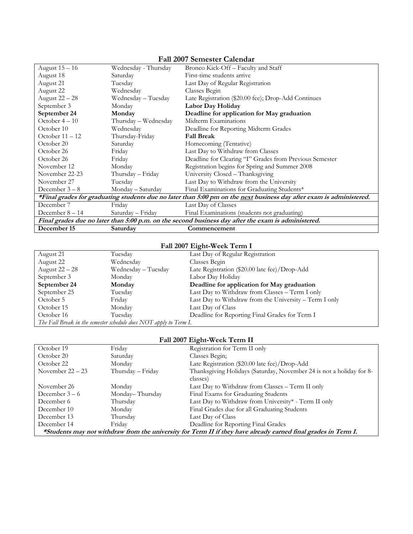|                                                                                                                      |                      | т ан доот оснисяся станения                                                                         |
|----------------------------------------------------------------------------------------------------------------------|----------------------|-----------------------------------------------------------------------------------------------------|
| August 15 – 16                                                                                                       | Wednesday - Thursday | Bronco Kick-Off - Faculty and Staff                                                                 |
| August 18                                                                                                            | Saturday             | First-time students arrive                                                                          |
| August 21                                                                                                            | Tuesday              | Last Day of Regular Registration                                                                    |
| August 22                                                                                                            | Wednesday            | Classes Begin                                                                                       |
| August 22 - 28                                                                                                       | Wednesday - Tuesday  | Late Registration (\$20.00 fee); Drop-Add Continues                                                 |
| September 3                                                                                                          | Monday               | Labor Day Holiday                                                                                   |
| September 24                                                                                                         | Monday               | Deadline for application for May graduation                                                         |
| October $4-10$                                                                                                       | Thursday - Wednesday | Midterm Examinations                                                                                |
| October 10                                                                                                           | Wednesday            | Deadline for Reporting Midterm Grades                                                               |
| October $11 - 12$                                                                                                    | Thursday-Friday      | <b>Fall Break</b>                                                                                   |
| October 20                                                                                                           | Saturday             | Homecoming (Tentative)                                                                              |
| October 26                                                                                                           | Friday               | Last Day to Withdraw from Classes                                                                   |
| October 26                                                                                                           | Friday               | Deadline for Clearing "I" Grades from Previous Semester                                             |
| November 12                                                                                                          | Monday               | Registration begins for Spring and Summer 2008                                                      |
| November 22-23                                                                                                       | Thursday - Friday    | University Closed - Thanksgiving                                                                    |
| November 27                                                                                                          | Tuesday              | Last Day to Withdraw from the University                                                            |
| December $3-8$                                                                                                       | Monday – Saturday    | Final Examinations for Graduating Students*                                                         |
| *Final grades for graduating students due no later than 5:00 pm on the next business day after exam is administered. |                      |                                                                                                     |
| December 7                                                                                                           | Friday               | Last Day of Classes                                                                                 |
| December 8 - 14                                                                                                      | Saturday – Friday    | Final Examinations (students not graduating)                                                        |
|                                                                                                                      |                      | Final grades due no later than 5:00 p.m. on the second business day after the exam is administered. |
| December 15                                                                                                          | Saturday             | Commencement                                                                                        |

## **Fall 2007 Semester Calendar**

## **Fall 2007 Eight-Week Term I**

| T an 2007 Eight Week Tenn I |                                                                       |                                                        |
|-----------------------------|-----------------------------------------------------------------------|--------------------------------------------------------|
| August 21                   | Tuesday                                                               | Last Day of Regular Registration                       |
| August 22                   | Wednesday                                                             | Classes Begin                                          |
| August $22 - 28$            | Wednesday - Tuesday                                                   | Late Registration (\$20.00 late fee)/Drop-Add          |
| September 3                 | Monday                                                                | Labor Day Holiday                                      |
| September 24                | Monday                                                                | Deadline for application for May graduation            |
| September 25                | Tuesday                                                               | Last Day to Withdraw from Classes - Term I only        |
| October 5                   | Fridav                                                                | Last Day to Withdraw from the University - Term I only |
| October 15                  | Monday                                                                | Last Day of Class                                      |
| October 16                  | Tuesday                                                               | Deadline for Reporting Final Grades for Term I         |
|                             | The Fall Break in the semester schedule does $NOT$ apply to Term $I.$ |                                                        |

### **Fall 2007 Eight-Week Term II**

| October 19                                                                                                     | Friday            | Registration for Term II only                                        |
|----------------------------------------------------------------------------------------------------------------|-------------------|----------------------------------------------------------------------|
| October 20                                                                                                     | Saturday          | Classes Begin;                                                       |
| October 22                                                                                                     | Monday            | Late Registration (\$20.00 late fee)/Drop-Add                        |
| November $22 - 23$                                                                                             | Thursday – Friday | Thanksgiving Holidays (Saturday, November 24 is not a holiday for 8- |
|                                                                                                                |                   | classes)                                                             |
| November 26                                                                                                    | Monday            | Last Day to Withdraw from Classes – Term II only                     |
| December $3-6$                                                                                                 | Monday-Thursday   | Final Exams for Graduating Students                                  |
| December 6                                                                                                     | Thursday          | Last Day to Withdraw from University* - Term II only                 |
| December 10                                                                                                    | Monday            | Final Grades due for all Graduating Students                         |
| December 13                                                                                                    | Thursday          | Last Day of Class                                                    |
| December 14                                                                                                    | Friday            | Deadline for Reporting Final Grades                                  |
| *Students may not withdraw from the university for Term II if they have already earned final grades in Term I. |                   |                                                                      |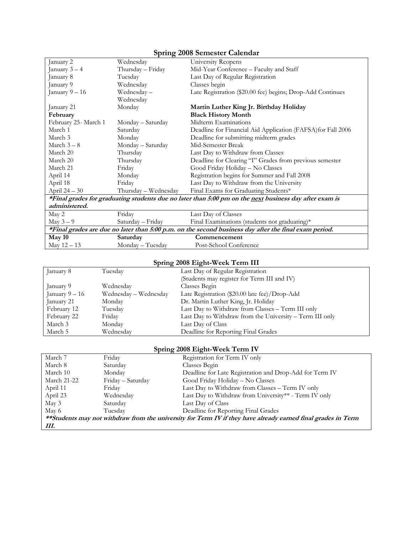| <b>Spring 2008 Semester Calendar</b>                                                                   |                      |                                                              |  |
|--------------------------------------------------------------------------------------------------------|----------------------|--------------------------------------------------------------|--|
| January 2                                                                                              | Wednesday            | University Reopens                                           |  |
| January $3 - 4$                                                                                        | Thursday - Friday    | Mid-Year Conference - Faculty and Staff                      |  |
| January 8                                                                                              | Tuesday              | Last Day of Regular Registration                             |  |
| January 9                                                                                              | Wednesday            | Classes begin                                                |  |
| January 9 - 16                                                                                         | Wednesday -          | Late Registration (\$20.00 fee) begins; Drop-Add Continues   |  |
|                                                                                                        | Wednesday            |                                                              |  |
| January 21                                                                                             | Monday               | Martin Luther King Jr. Birthday Holiday                      |  |
| February                                                                                               |                      | <b>Black History Month</b>                                   |  |
| February 25- March 1                                                                                   | Monday - Saturday    | Midterm Examinations                                         |  |
| March 1                                                                                                | Saturday             | Deadline for Financial Aid Application (FAFSA) for Fall 2006 |  |
| March 3                                                                                                | Monday               | Deadline for submitting midterm grades                       |  |
| March $3-8$                                                                                            | Monday - Saturday    | Mid-Semester Break                                           |  |
| March 20                                                                                               | Thursday             | Last Day to Withdraw from Classes                            |  |
| March 20                                                                                               | Thursday             | Deadline for Clearing "I" Grades from previous semester      |  |
| March 21                                                                                               | Friday               | Good Friday Holiday - No Classes                             |  |
| April 14                                                                                               | Monday               | Registration begins for Summer and Fall 2008                 |  |
| April 18                                                                                               | Friday               | Last Day to Withdraw from the University                     |  |
| April $24 - 30$                                                                                        | Thursday - Wednesday | Final Exams for Graduating Students*                         |  |
| *Final grades for graduating students due no later than 5:00 pm on the next business day after exam is |                      |                                                              |  |
| administered.                                                                                          |                      |                                                              |  |
| May 2                                                                                                  | Friday               | Last Day of Classes                                          |  |
| May $3-9$                                                                                              | Saturday - Friday    | Final Examinations (students not graduating)*                |  |
| *Final grades are due no later than 5:00 p.m. on the second business day after the final exam period.  |                      |                                                              |  |
| May 10                                                                                                 | Saturday             | Commencement                                                 |  |
| May 12 - 13                                                                                            | Monday - Tuesday     | Post-School Conference                                       |  |

## **Spring 2008 Eight-Week Term III**

| January 8      | Tuesday               | Last Day of Regular Registration                         |
|----------------|-----------------------|----------------------------------------------------------|
|                |                       | (Students may register for Term III and IV)              |
| January 9      | Wednesday             | Classes Begin                                            |
| January $9-16$ | Wednesday – Wednesday | Late Registration (\$20.00 late fee)/Drop-Add            |
| January 21     | Monday                | Dr. Martin Luther King, Jr. Holiday                      |
| February 12    | Tuesday               | Last Day to Withdraw from Classes – Term III only        |
| February 22    | Friday                | Last Day to Withdraw from the University – Term III only |
| March 3        | Monday                | Last Day of Class                                        |
| March 5        | Wednesdav             | Deadline for Reporting Final Grades                      |

## **Spring 2008 Eight-Week Term IV**

|                                                                                                              |                   | -                                                       |
|--------------------------------------------------------------------------------------------------------------|-------------------|---------------------------------------------------------|
| March 7                                                                                                      | Fridav            | Registration for Term IV only                           |
| March 8                                                                                                      | Saturday          | Classes Begin                                           |
| March 10                                                                                                     | Monday            | Deadline for Late Registration and Drop-Add for Term IV |
| March 21-22                                                                                                  | Friday – Saturday | Good Friday Holiday - No Classes                        |
| April 11                                                                                                     | Friday            | Last Day to Withdraw from Classes - Term IV only        |
| April 23                                                                                                     | Wednesday         | Last Day to Withdraw from University** - Term IV only   |
| May 3                                                                                                        | Saturday          | Last Day of Class                                       |
| May 6                                                                                                        | Tuesday           | Deadline for Reporting Final Grades                     |
| **Students may not withdraw from the university for Term IV if they have already earned final grades in Term |                   |                                                         |
| III.                                                                                                         |                   |                                                         |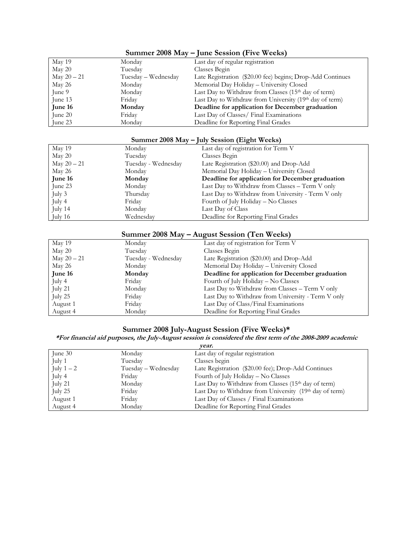| Summer 2008 May – June Session (Five Weeks) |                     |                                                                     |
|---------------------------------------------|---------------------|---------------------------------------------------------------------|
| May 19                                      | Monday              | Last day of regular registration                                    |
| May 20                                      | Tuesdav             | Classes Begin                                                       |
| $May 20 - 21$                               | Tuesday – Wednesday | Late Registration (\$20.00 fee) begins; Drop-Add Continues          |
| May 26                                      | Monday              | Memorial Day Holiday - University Closed                            |
| June 9                                      | Monday              | Last Day to Withdraw from Classes $(15th$ day of term)              |
| June 13                                     | Friday              | Last Day to Withdraw from University (19 <sup>th</sup> day of term) |
| <b>June 16</b>                              | Monday              | Deadline for application for December graduation                    |
| $\vert$ June 20                             | Fridav              | Last Day of Classes/ Final Examinations                             |
| $\vert$ June 23                             | Mondav              | Deadline for Reporting Final Grades                                 |

| Summer 2008 May - July Session (Eight Weeks) |                     |                                                    |
|----------------------------------------------|---------------------|----------------------------------------------------|
| May 19                                       | Monday              | Last day of registration for Term V                |
| May $20$                                     | Tuesdav             | Classes Begin                                      |
| May $20 - 21$                                | Tuesday - Wednesday | Late Registration (\$20.00) and Drop-Add           |
| May 26                                       | Monday              | Memorial Day Holiday - University Closed           |
| June 16                                      | Monday              | Deadline for application for December graduation   |
| June 23                                      | Monday              | Last Day to Withdraw from Classes - Term V only    |
| July 3                                       | Thursday            | Last Day to Withdraw from University - Term V only |
| July 4                                       | Friday              | Fourth of July Holiday – No Classes                |
| July 14                                      | Monday              | Last Day of Class                                  |
| July $16$                                    | Wednesdav           | Deadline for Reporting Final Grades                |

## **Summer 2008 May – August Session (Ten Weeks)**

| May 19        | Monday              | Last day of registration for Term V                |
|---------------|---------------------|----------------------------------------------------|
| May $20$      | Tuesdav             | Classes Begin                                      |
| May $20 - 21$ | Tuesday - Wednesday | Late Registration (\$20.00) and Drop-Add           |
| May 26        | Monday              | Memorial Day Holiday - University Closed           |
| June 16       | Monday              | Deadline for application for December graduation   |
| July 4        | Friday              | Fourth of July Holiday – No Classes                |
| July 21       | Monday              | Last Day to Withdraw from Classes – Term V only    |
| July 25       | Friday              | Last Day to Withdraw from University - Term V only |
| August 1      | Friday              | Last Day of Class/Final Examinations               |
| August 4      | Monday              | Deadline for Reporting Final Grades                |

## **Summer 2008 July-August Session (Five Weeks)\***

**\*For financial aid purposes, the July-August session is considered the first term of the 2008-2009 academic** 

| vear.      |                     |                                                                  |
|------------|---------------------|------------------------------------------------------------------|
| June $30$  | Monday              | Last day of regular registration                                 |
| July 1     | Tuesday             | Classes begin                                                    |
| July $1-2$ | Tuesday – Wednesday | Late Registration (\$20.00 fee); Drop-Add Continues              |
| July 4     | Friday              | Fourth of July Holiday - No Classes                              |
| July 21    | Monday              | Last Day to Withdraw from Classes (15 <sup>th</sup> day of term) |
| July 25    | Friday              | Last Day to Withdraw from University (19th day of term)          |
| August 1   | Friday              | Last Day of Classes / Final Examinations                         |
| August 4   | Monday              | Deadline for Reporting Final Grades                              |

### **Summer 2008 May – June Session (Five Weeks)**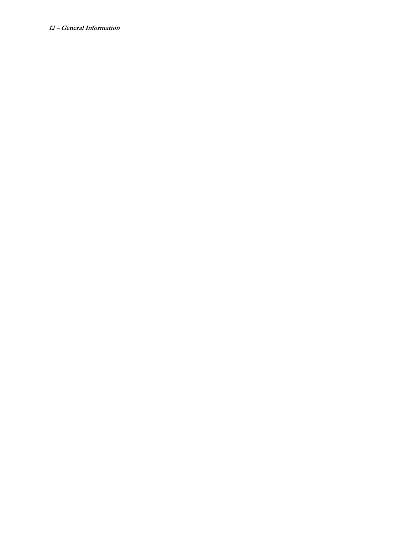### **12 – General Information**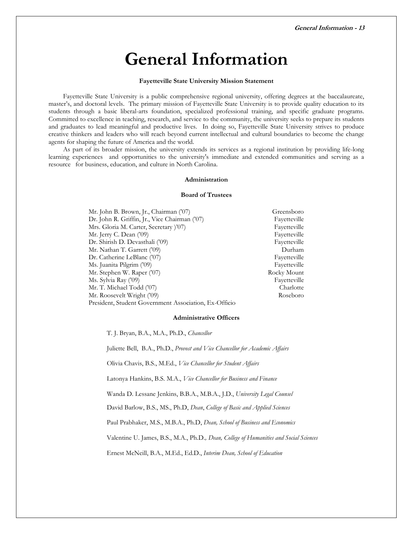## **General Information**

#### **Fayetteville State University Mission Statement**

 Fayetteville State University is a public comprehensive regional university, offering degrees at the baccalaureate, master's, and doctoral levels. The primary mission of Fayetteville State University is to provide quality education to its students through a basic liberal-arts foundation, specialized professional training, and specific graduate programs. Committed to excellence in teaching, research, and service to the community, the university seeks to prepare its students and graduates to lead meaningful and productive lives. In doing so, Fayetteville State University strives to produce creative thinkers and leaders who will reach beyond current intellectual and cultural boundaries to become the change agents for shaping the future of America and the world.

As part of its broader mission, the university extends its services as a regional institution by providing life-long learning experiences and opportunities to the university's immediate and extended communities and serving as a resource for business, education, and culture in North Carolina.

#### **Administration**

#### **Board of Trustees**

| Mr. John B. Brown, Jr., Chairman ('07)                | Greensboro   |
|-------------------------------------------------------|--------------|
| Dr. John R. Griffin, Jr., Vice Chairman ('07)         | Fayetteville |
| Mrs. Gloria M. Carter, Secretary '07)                 | Fayetteville |
| Mr. Jerry C. Dean ('09)                               | Fayetteville |
| Dr. Shirish D. Devasthali ('09)                       | Fayetteville |
| Mr. Nathan T. Garrett ('09)                           | Durham       |
| Dr. Catherine LeBlanc ('07)                           | Fayetteville |
| Ms. Juanita Pilgrim ('09)                             | Fayetteville |
| Mr. Stephen W. Raper ('07)                            | Rocky Mount  |
| Ms. Sylvia Ray ('09)                                  | Fayetteville |
| Mr. T. Michael Todd ('07)                             | Charlotte    |
| Mr. Roosevelt Wright ('09)                            | Roseboro     |
| President, Student Government Association, Ex-Officio |              |

#### **Administrative Officers**

T. J. Bryan, B.A., M.A., Ph.D., *Chancellor* 

Juliette Bell, B.A., Ph.D., *Provost and Vice Chancellor for Academic Affairs* 

Olivia Chavis, B.S., M.Ed., *Vice Chancellor for Student Affairs* 

Latonya Hankins, B.S. M.A., *Vice Chancellor for Business and Finance* 

Wanda D. Lessane Jenkins, B.B.A., M.B.A., J.D., *University Legal Counsel* 

David Barlow, B.S., MS., Ph.D, *Dean*, *College of Basic and Applied Sciences*

Paul Prabhaker, M.S., M.B.A., Ph.D, *Dean, School of Business and Economics* 

Valentine U. James, B.S., M.A., Ph.D.*, Dean, College of Humanities and Social Sciences* 

Ernest McNeill, B.A., M.Ed., Ed.D., *Interim Dean, School of Education*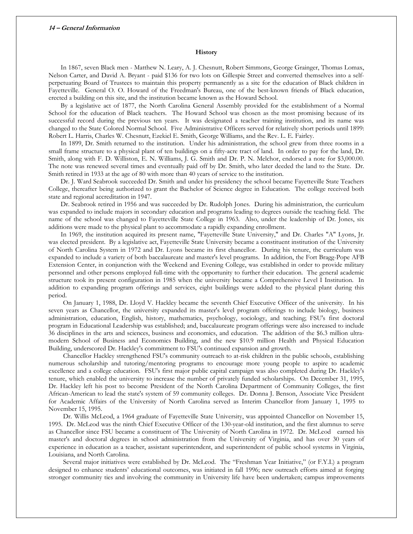#### **14 – General Information**

#### **History**

 In 1867, seven Black men - Matthew N. Leary, A. J. Chesnutt, Robert Simmons, George Grainger, Thomas Lomax, Nelson Carter, and David A. Bryant - paid \$136 for two lots on Gillespie Street and converted themselves into a selfperpetuating Board of Trustees to maintain this property permanently as a site for the education of Black children in Fayetteville. General O. O. Howard of the Freedman's Bureau, one of the best-known friends of Black education, erected a building on this site, and the institution became known as the Howard School.

 By a legislative act of 1877, the North Carolina General Assembly provided for the establishment of a Normal School for the education of Black teachers. The Howard School was chosen as the most promising because of its successful record during the previous ten years. It was designated a teacher training institution, and its name was changed to the State Colored Normal School. Five Administrative Officers served for relatively short periods until 1899: Robert L. Harris, Charles W. Chesnutt, Ezekiel E. Smith, George Williams, and the Rev. L. E. Fairley.

 In 1899, Dr. Smith returned to the institution. Under his administration, the school grew from three rooms in a small frame structure to a physical plant of ten buildings on a fifty-acre tract of land. In order to pay for the land, Dr. Smith, along with F. D. Williston, E. N. Williams, J. G. Smith and Dr. P. N. Melchor, endorsed a note for \$3,000.00. The note was renewed several times and eventually paid off by Dr. Smith, who later deeded the land to the State. Dr. Smith retired in 1933 at the age of 80 with more than 40 years of service to the institution.

 Dr. J. Ward Seabrook succeeded Dr. Smith and under his presidency the school became Fayetteville State Teachers College, thereafter being authorized to grant the Bachelor of Science degree in Education. The college received both state and regional accreditation in 1947.

 Dr. Seabrook retired in 1956 and was succeeded by Dr. Rudolph Jones. During his administration, the curriculum was expanded to include majors in secondary education and programs leading to degrees outside the teaching field. The name of the school was changed to Fayetteville State College in 1963. Also, under the leadership of Dr. Jones, six additions were made to the physical plant to accommodate a rapidly expanding enrollment.

 In 1969, the institution acquired its present name, "Fayetteville State University," and Dr. Charles "A" Lyons, Jr. was elected president. By a legislative act, Fayetteville State University became a constituent institution of the University of North Carolina System in 1972 and Dr. Lyons became its first chancellor. During his tenure, the curriculum was expanded to include a variety of both baccalaureate and master's level programs. In addition, the Fort Bragg-Pope AFB Extension Center, in conjunction with the Weekend and Evening College, was established in order to provide military personnel and other persons employed full-time with the opportunity to further their education. The general academic structure took its present configuration in 1985 when the university became a Comprehensive Level I Institution. In addition to expanding program offerings and services, eight buildings were added to the physical plant during this period.

 On January 1, 1988, Dr. Lloyd V. Hackley became the seventh Chief Executive Officer of the university. In his seven years as Chancellor, the university expanded its master's level program offerings to include biology, business administration, education, English, history, mathematics, psychology, sociology, and teaching; FSU's first doctoral program in Educational Leadership was established; and, baccalaureate program offerings were also increased to include 36 disciplines in the arts and sciences, business and economics, and education. The addition of the \$6.3 million ultramodern School of Business and Economics Building, and the new \$10.9 million Health and Physical Education Building, underscored Dr. Hackley's commitment to FSU's continued expansion and growth.

 Chancellor Hackley strengthened FSU's community outreach to at-risk children in the public schools, establishing numerous scholarship and tutoring/mentoring programs to encourage more young people to aspire to academic excellence and a college education. FSU's first major public capital campaign was also completed during Dr. Hackley's tenure, which enabled the university to increase the number of privately funded scholarships. On December 31, 1995, Dr. Hackley left his post to become President of the North Carolina Department of Community Colleges, the first African-American to lead the state's system of 59 community colleges. Dr. Donna J. Benson, Associate Vice President for Academic Affairs of the University of North Carolina served as Interim Chancellor from January 1, 1995 to November 15, 1995.

 Dr. Willis McLeod, a 1964 graduate of Fayetteville State University, was appointed Chancellor on November 15, 1995. Dr. McLeod was the ninth Chief Executive Officer of the 130-year-old institution, and the first alumnus to serve as Chancellor since FSU became a constituent of The University of North Carolina in 1972. Dr. McLeod earned his master's and doctoral degrees in school administration from the University of Virginia, and has over 30 years of experience in education as a teacher, assistant superintendent, and superintendent of public school systems in Virginia, Louisiana, and North Carolina.

 Several major initiatives were established by Dr. McLeod. The "Freshman Year Initiative," (or F.Y.I.) a program designed to enhance students' educational outcomes, was initiated in fall 1996; new outreach efforts aimed at forging stronger community ties and involving the community in University life have been undertaken; campus improvements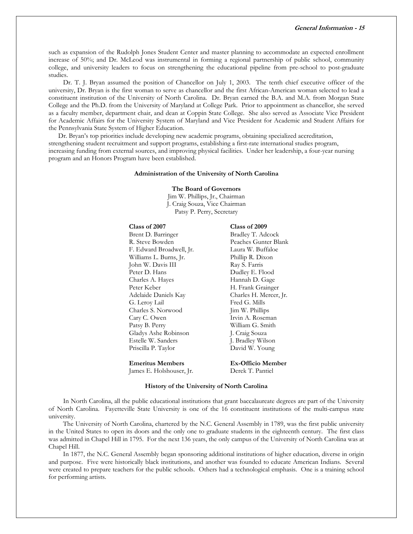such as expansion of the Rudolph Jones Student Center and master planning to accommodate an expected enrollment increase of 50%; and Dr. McLeod was instrumental in forming a regional partnership of public school, community college, and university leaders to focus on strengthening the educational pipeline from pre-school to post-graduate studies.

 Dr. T. J. Bryan assumed the position of Chancellor on July 1, 2003. The tenth chief executive officer of the university, Dr. Bryan is the first woman to serve as chancellor and the first African-American woman selected to lead a constituent institution of the University of North Carolina. Dr. Bryan earned the B.A. and M.A. from Morgan State College and the Ph.D. from the University of Maryland at College Park. Prior to appointment as chancellor, she served as a faculty member, department chair, and dean at Coppin State College. She also served as Associate Vice President for Academic Affairs for the University System of Maryland and Vice President for Academic and Student Affairs for the Pennsylvania State System of Higher Education.

Dr. Bryan's top priorities include developing new academic programs, obtaining specialized accreditation, strengthening student recruitment and support programs, establishing a first-rate international studies program, increasing funding from external sources, and improving physical facilities. Under her leadership, a four-year nursing program and an Honors Program have been established.

#### **Administration of the University of North Carolina**

#### **The Board of Governors**

Jim W. Phillips, Jr., Chairman J. Craig Souza, Vice Chairman Patsy P. Perry, Secretary

#### **Class of 2007 Class of 2009**

Brent D. Barringer Bradley T. Adcock R. Steve Bowden Peaches Gunter Blank F. Edward Broadwell, Jr. Laura W. Buffaloe Williams L. Burns, Jr. Phillip R. Dixon John W. Davis III Ray S. Farris Peter D. Hans Dudley E. Flood Charles A. Hayes Hannah D. Gage Peter Keber H. Frank Grainger Adelaide Daniels Kay Charles H. Mercer, Jr. G. Leroy Lail Fred G. Mills Charles S. Norwood Jim W. Phillips Cary C. Owen Irvin A. Roseman Patsy B. Perry William G. Smith Gladys Ashe Robinson J. Craig Souza Estelle W. Sanders J. Bradley Wilson Priscilla P. Taylor David W. Young

**Emeritus Members Ex-Officio Member**  James E. Holshouser, Jr. Derek T. Pantiel

#### **History of the University of North Carolina**

In North Carolina, all the public educational institutions that grant baccalaureate degrees are part of the University of North Carolina. Fayetteville State University is one of the 16 constituent institutions of the multi-campus state university.

 The University of North Carolina, chartered by the N.C. General Assembly in 1789, was the first public university in the United States to open its doors and the only one to graduate students in the eighteenth century. The first class was admitted in Chapel Hill in 1795. For the next 136 years, the only campus of the University of North Carolina was at Chapel Hill.

 In 1877, the N.C. General Assembly began sponsoring additional institutions of higher education, diverse in origin and purpose. Five were historically black institutions, and another was founded to educate American Indians. Several were created to prepare teachers for the public schools. Others had a technological emphasis. One is a training school for performing artists.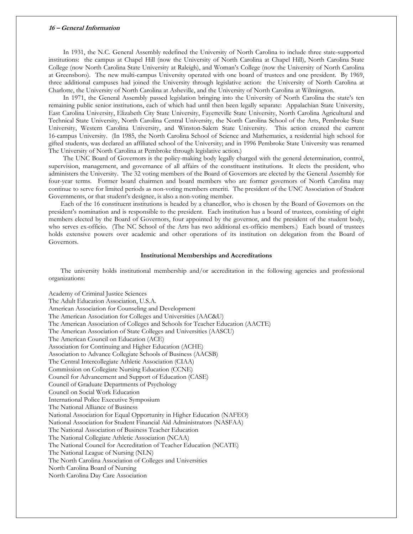#### **16 – General Information**

 In 1931, the N.C. General Assembly redefined the University of North Carolina to include three state-supported institutions: the campus at Chapel Hill (now the University of North Carolina at Chapel Hill), North Carolina State College (now North Carolina State University at Raleigh), and Woman's College (now the University of North Carolina at Greensboro). The new multi-campus University operated with one board of trustees and one president. By 1969, three additional campuses had joined the University through legislative action: the University of North Carolina at Charlotte, the University of North Carolina at Asheville, and the University of North Carolina at Wilmington.

 In 1971, the General Assembly passed legislation bringing into the University of North Carolina the state's ten remaining public senior institutions, each of which had until then been legally separate: Appalachian State University, East Carolina University, Elizabeth City State University, Fayetteville State University, North Carolina Agricultural and Technical State University, North Carolina Central University, the North Carolina School of the Arts, Pembroke State University, Western Carolina University, and Winston-Salem State University. This action created the current 16-campus University. (In 1985, the North Carolina School of Science and Mathematics, a residential high school for gifted students, was declared an affiliated school of the University; and in 1996 Pembroke State University was renamed The University of North Carolina at Pembroke through legislative action.)

 The UNC Board of Governors is the policy-making body legally charged with the general determination, control, supervision, management, and governance of all affairs of the constituent institutions. It elects the president, who administers the University. The 32 voting members of the Board of Governors are elected by the General Assembly for four-year terms. Former board chairmen and board members who are former governors of North Carolina may continue to serve for limited periods as non-voting members emeriti. The president of the UNC Association of Student Governments, or that student's designee, is also a non-voting member.

Each of the 16 constituent institutions is headed by a chancellor, who is chosen by the Board of Governors on the president's nomination and is responsible to the president. Each institution has a board of trustees, consisting of eight members elected by the Board of Governors, four appointed by the governor, and the president of the student body, who serves ex-officio. (The NC School of the Arts has two additional ex-officio members.) Each board of trustees holds extensive powers over academic and other operations of its institution on delegation from the Board of Governors.

#### **Institutional Memberships and Accreditations**

 The university holds institutional membership and/or accreditation in the following agencies and professional organizations:

Academy of Criminal Justice Sciences The Adult Education Association, U.S.A. American Association for Counseling and Development The American Association for Colleges and Universities (AAC&U) The American Association of Colleges and Schools for Teacher Education (AACTE) The American Association of State Colleges and Universities (AASCU) The American Council on Education (ACE) Association for Continuing and Higher Education (ACHE) Association to Advance Collegiate Schools of Business (AACSB) The Central Intercollegiate Athletic Association (CIAA) Commission on Collegiate Nursing Education (CCNE) Council for Advancement and Support of Education (CASE) Council of Graduate Departments of Psychology Council on Social Work Education International Police Executive Symposium The National Alliance of Business National Association for Equal Opportunity in Higher Education (NAFEO) National Association for Student Financial Aid Administrators (NASFAA) The National Association of Business Teacher Education The National Collegiate Athletic Association (NCAA) The National Council for Accreditation of Teacher Education (NCATE) The National League of Nursing (NLN) The North Carolina Association of Colleges and Universities North Carolina Board of Nursing North Carolina Day Care Association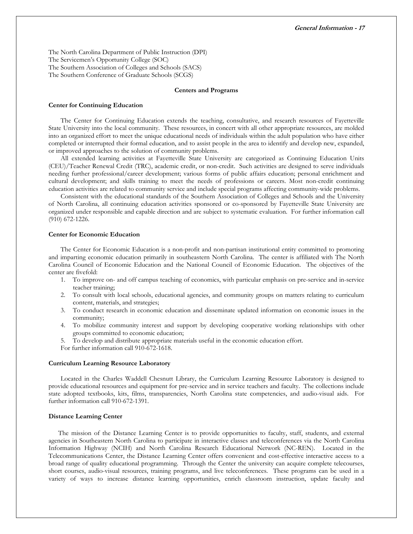The North Carolina Department of Public Instruction (DPI) The Servicemen's Opportunity College (SOC) The Southern Association of Colleges and Schools (SACS) The Southern Conference of Graduate Schools (SCGS)

#### **Centers and Programs**

#### **Center for Continuing Education**

 The Center for Continuing Education extends the teaching, consultative, and research resources of Fayetteville State University into the local community. These resources, in concert with all other appropriate resources, are molded into an organized effort to meet the unique educational needs of individuals within the adult population who have either completed or interrupted their formal education, and to assist people in the area to identify and develop new, expanded, or improved approaches to the solution of community problems.

 All extended learning activities at Fayetteville State University are categorized as Continuing Education Units (CEU)/Teacher Renewal Credit (TRC), academic credit, or non-credit. Such activities are designed to serve individuals needing further professional/career development; various forms of public affairs education; personal enrichment and cultural development; and skills training to meet the needs of professions or careers. Most non-credit continuing education activities are related to community service and include special programs affecting community-wide problems.

 Consistent with the educational standards of the Southern Association of Colleges and Schools and the University of North Carolina, all continuing education activities sponsored or co-sponsored by Fayetteville State University are organized under responsible and capable direction and are subject to systematic evaluation. For further information call (910) 672-1226.

#### **Center for Economic Education**

 The Center for Economic Education is a non-profit and non-partisan institutional entity committed to promoting and imparting economic education primarily in southeastern North Carolina. The center is affiliated with The North Carolina Council of Economic Education and the National Council of Economic Education. The objectives of the center are fivefold:

- 1. To improve on- and off campus teaching of economics, with particular emphasis on pre-service and in-service teacher training;
- 2. To consult with local schools, educational agencies, and community groups on matters relating to curriculum content, materials, and strategies;
- 3. To conduct research in economic education and disseminate updated information on economic issues in the community;
- 4. To mobilize community interest and support by developing cooperative working relationships with other groups committed to economic education;
- 5. To develop and distribute appropriate materials useful in the economic education effort.

For further information call 910-672-1618.

#### **Curriculum Learning Resource Laboratory**

 Located in the Charles Waddell Chesnutt Library, the Curriculum Learning Resource Laboratory is designed to provide educational resources and equipment for pre-service and in service teachers and faculty. The collections include state adopted textbooks, kits, films, transparencies, North Carolina state competencies, and audio-visual aids. For further information call 910-672-1391.

#### **Distance Learning Center**

The mission of the Distance Learning Center is to provide opportunities to faculty, staff, students, and external agencies in Southeastern North Carolina to participate in interactive classes and teleconferences via the North Carolina Information Highway (NCIH) and North Carolina Research Educational Network (NC-REN). Located in the Telecommunications Center, the Distance Learning Center offers convenient and cost-effective interactive access to a broad range of quality educational programming. Through the Center the university can acquire complete telecourses, short courses, audio-visual resources, training programs, and live teleconferences. These programs can be used in a variety of ways to increase distance learning opportunities, enrich classroom instruction, update faculty and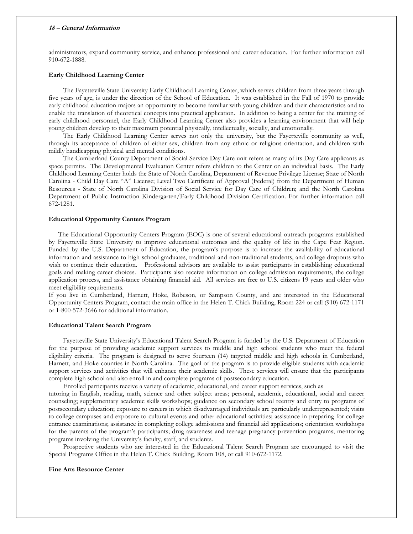#### **18 – General Information**

administrators, expand community service, and enhance professional and career education. For further information call 910-672-1888.

#### **Early Childhood Learning Center**

 The Fayetteville State University Early Childhood Learning Center, which serves children from three years through five years of age, is under the direction of the School of Education. It was established in the Fall of 1970 to provide early childhood education majors an opportunity to become familiar with young children and their characteristics and to enable the translation of theoretical concepts into practical application. In addition to being a center for the training of early childhood personnel, the Early Childhood Learning Center also provides a learning environment that will help young children develop to their maximum potential physically, intellectually, socially, and emotionally.

 The Early Childhood Learning Center serves not only the university, but the Fayetteville community as well, through its acceptance of children of either sex, children from any ethnic or religious orientation, and children with mildly handicapping physical and mental conditions.

 The Cumberland County Department of Social Service Day Care unit refers as many of its Day Care applicants as space permits. The Developmental Evaluation Center refers children to the Center on an individual basis. The Early Childhood Learning Center holds the State of North Carolina, Department of Revenue Privilege License; State of North Carolina - Child Day Care "A" License; Level Two Certificate of Approval (Federal) from the Department of Human Resources - State of North Carolina Division of Social Service for Day Care of Children; and the North Carolina Department of Public Instruction Kindergarten/Early Childhood Division Certification. For further information call 672-1281.

#### **Educational Opportunity Centers Program**

The Educational Opportunity Centers Program (EOC) is one of several educational outreach programs established by Fayetteville State University to improve educational outcomes and the quality of life in the Cape Fear Region. Funded by the U.S. Department of Education, the program's purpose is to increase the availability of educational information and assistance to high school graduates, traditional and non-traditional students, and college dropouts who wish to continue their education. Professional advisors are available to assist participants in establishing educational goals and making career choices. Participants also receive information on college admission requirements, the college application process, and assistance obtaining financial aid. All services are free to U.S. citizens 19 years and older who meet eligibility requirements.

If you live in Cumberland, Harnett, Hoke, Robeson, or Sampson County, and are interested in the Educational Opportunity Centers Program, contact the main office in the Helen T. Chick Building, Room 224 or call (910) 672-1171 or 1-800-572-3646 for additional information.

#### **Educational Talent Search Program**

 Fayetteville State University's Educational Talent Search Program is funded by the U.S. Department of Education for the purpose of providing academic support services to middle and high school students who meet the federal eligibility criteria. The program is designed to serve fourteen (14) targeted middle and high schools in Cumberland, Harnett, and Hoke counties in North Carolina. The goal of the program is to provide eligible students with academic support services and activities that will enhance their academic skills. These services will ensure that the participants complete high school and also enroll in and complete programs of postsecondary education.

 Enrolled participants receive a variety of academic, educational, and career support services, such as tutoring in English, reading, math, science and other subject areas; personal, academic, educational, social and career counseling; supplementary academic skills workshops; guidance on secondary school reentry and entry to programs of postsecondary education; exposure to careers in which disadvantaged individuals are particularly underrepresented; visits to college campuses and exposure to cultural events and other educational activities; assistance in preparing for college entrance examinations; assistance in completing college admissions and financial aid applications; orientation workshops for the parents of the program's participants; drug awareness and teenage pregnancy prevention programs; mentoring programs involving the University's faculty, staff, and students.

 Prospective students who are interested in the Educational Talent Search Program are encouraged to visit the Special Programs Office in the Helen T. Chick Building, Room 108, or call 910-672-1172.

#### **Fine Arts Resource Center**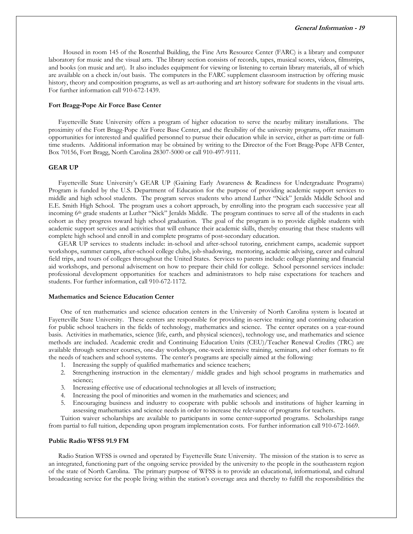Housed in room 145 of the Rosenthal Building, the Fine Arts Resource Center (FARC) is a library and computer laboratory for music and the visual arts. The library section consists of records, tapes, musical scores, videos, filmstrips, and books (on music and art). It also includes equipment for viewing or listening to certain library materials, all of which are available on a check in/out basis. The computers in the FARC supplement classroom instruction by offering music history, theory and composition programs, as well as art-authoring and art history software for students in the visual arts. For further information call 910-672-1439.

#### **Fort Bragg-Pope Air Force Base Center**

Fayetteville State University offers a program of higher education to serve the nearby military installations. The proximity of the Fort Bragg-Pope Air Force Base Center, and the flexibility of the university programs, offer maximum opportunities for interested and qualified personnel to pursue their education while in service, either as part-time or fulltime students. Additional information may be obtained by writing to the Director of the Fort Bragg-Pope AFB Center, Box 70156, Fort Bragg, North Carolina 28307-5000 or call 910-497-9111.

#### **GEAR UP**

Fayetteville State University's GEAR UP (Gaining Early Awareness & Readiness for Undergraduate Programs) Program is funded by the U.S. Department of Education for the purpose of providing academic support services to middle and high school students. The program serves students who attend Luther "Nick" Jeralds Middle School and E.E. Smith High School. The program uses a cohort approach, by enrolling into the program each successive year all incoming 6<sup>th</sup> grade students at Luther "Nick" Jeralds Middle. The program continues to serve all of the students in each cohort as they progress toward high school graduation. The goal of the program is to provide eligible students with academic support services and activities that will enhance their academic skills, thereby ensuring that these students will complete high school and enroll in and complete programs of post-secondary education.

GEAR UP services to students include: in-school and after-school tutoring, enrichment camps, academic support workshops, summer camps, after-school college clubs, job-shadowing, mentoring, academic advising, career and cultural field trips, and tours of colleges throughout the United States. Services to parents include: college planning and financial aid workshops, and personal advisement on how to prepare their child for college. School personnel services include: professional development opportunities for teachers and administrators to help raise expectations for teachers and students. For further information, call 910-672-1172.

#### **Mathematics and Science Education Center**

 One of ten mathematics and science education centers in the University of North Carolina system is located at Fayetteville State University. These centers are responsible for providing in-service training and continuing education for public school teachers in the fields of technology, mathematics and science. The center operates on a year-round basis. Activities in mathematics, science (life, earth, and physical sciences), technology use, and mathematics and science methods are included. Academic credit and Continuing Education Units (CEU)/Teacher Renewal Credits (TRC) are available through semester courses, one-day workshops, one-week intensive training, seminars, and other formats to fit the needs of teachers and school systems. The center's programs are specially aimed at the following:

- 1. Increasing the supply of qualified mathematics and science teachers;
- 2. Strengthening instruction in the elementary/ middle grades and high school programs in mathematics and science;
- 3. Increasing effective use of educational technologies at all levels of instruction;
- 4. Increasing the pool of minorities and women in the mathematics and sciences; and
- 5. Encouraging business and industry to cooperate with public schools and institutions of higher learning in assessing mathematics and science needs in order to increase the relevance of programs for teachers.

 Tuition waiver scholarships are available to participants in some center-supported programs. Scholarships range from partial to full tuition, depending upon program implementation costs. For further information call 910-672-1669.

#### **Public Radio WFSS 91.9 FM**

Radio Station WFSS is owned and operated by Fayetteville State University. The mission of the station is to serve as an integrated, functioning part of the ongoing service provided by the university to the people in the southeastern region of the state of North Carolina. The primary purpose of WFSS is to provide an educational, informational, and cultural broadcasting service for the people living within the station's coverage area and thereby to fulfill the responsibilities the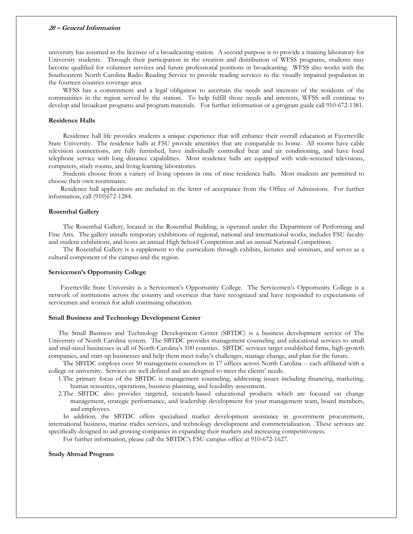#### **20 – General Information**

university has assumed as the licensee of a broadcasting station. A second purpose is to provide a training laboratory for University students. Through their participation in the creation and distribution of WFSS programs, students may become qualified for volunteer services and future professional positions in broadcasting. WFSS also works with the Southeastern North Carolina Radio Reading Service to provide reading services to the visually impaired population in the fourteen counties coverage area.

 WFSS has a commitment and a legal obligation to ascertain the needs and interests of the residents of the communities in the region served by the station. To help fulfill those needs and interests, WFSS will continue to develop and broadcast programs and program materials. For further information or a program guide call 910-672-1381.

#### **Residence Halls**

 Residence hall life provides students a unique experience that will enhance their overall education at Fayetteville State University. The residence halls at FSU provide amenities that are comparable to home. All rooms have cable television connections, are fully furnished, have individually controlled heat and air conditioning, and have local telephone service with long distance capabilities. Most residence halls are equipped with wide-screened televisions, computers, study rooms, and living learning laboratories.

 Students choose from a variety of living options in one of nine residence halls. Most students are permitted to choose their own roommates.

 Residence hall applications are included in the letter of acceptance from the Office of Admissions. For further information, call (910)672-1284.

#### **Rosenthal Gallery**

 The Rosenthal Gallery, located in the Rosenthal Building, is operated under the Department of Performing and Fine Arts. The gallery installs temporary exhibitions of regional, national and international works, includes FSU faculty and student exhibitions, and hosts an annual High School Competition and an annual National Competition.

 The Rosenthal Gallery is a supplement to the curriculum through exhibits, lectures and seminars, and serves as a cultural component of the campus and the region.

#### **Servicemen's Opportunity College**

 Fayetteville State University is a Servicemen's Opportunity College. The Servicemen's Opportunity College is a network of institutions across the country and overseas that have recognized and have responded to expectations of servicemen and women for adult continuing education.

#### **Small Business and Technology Development Center**

The Small Business and Technology Development Center (SBTDC) is a business development service of The University of North Carolina system. The SBTDC provides management counseling and educational services to small and mid-sized businesses in all of North Carolina's 100 counties. SBTDC services target established firms, high-growth companies, and start-up businesses and help them meet today's challenges, manage change, and plan for the future.

 The SBTDC employs over 50 management counselors in 17 offices across North Carolina -- each affiliated with a college or university. Services are well defined and are designed to meet the clients' needs.

- 1.The primary focus of the SBTDC is management counseling, addressing issues including financing, marketing, human resources, operations, business planning, and feasibility assessment.
- 2.The SBTDC also provides targeted, research-based educational products which are focused on change management, strategic performance, and leadership development for your management team, board members, and employees.

 In addition, the SBTDC offers specialized market development assistance in government procurement, international business, marine trades services, and technology development and commercialization. These services are specifically designed to aid growing companies in expanding their markets and increasing competitiveness.

For further information, please call the SBTDC's FSU campus office at 910-672-1627.

#### **Study Abroad Program**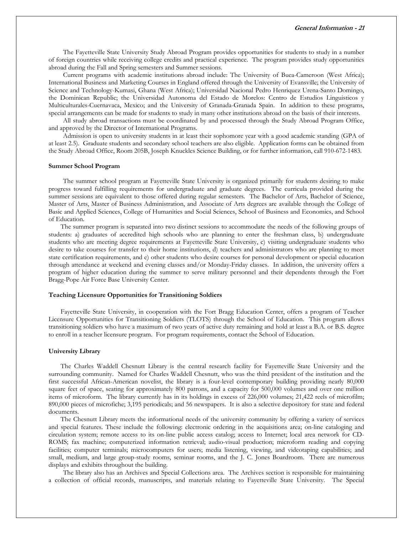The Fayetteville State University Study Abroad Program provides opportunities for students to study in a number of foreign countries while receiving college credits and practical experience. The program provides study opportunities abroad during the Fall and Spring semesters and Summer sessions.

 Current programs with academic institutions abroad include: The University of Buea-Cameroon (West Africa); International Business and Marketing Courses in England offered through the University of Evansville; the University of Science and Technology-Kumasi, Ghana (West Africa); Universidad Nacional Pedro Henriquez Urena-Santo Domingo, the Dominican Republic; the Universidad Autonoma del Estado de Morelos: Centro de Estudios Linguisticos y Multiculturales-Cuernavaca, Mexico; and the University of Granada-Granada Spain. In addition to these programs, special arrangements can be made for students to study in many other institutions abroad on the basis of their interests.

 All study abroad transactions must be coordinated by and processed through the Study Abroad Program Office, and approved by the Director of International Programs.

 Admission is open to university students in at least their sophomore year with a good academic standing (GPA of at least 2.5). Graduate students and secondary school teachers are also eligible. Application forms can be obtained from the Study Abroad Office, Room 205B, Joseph Knuckles Science Building, or for further information, call 910-672-1483.

#### **Summer School Program**

 The summer school program at Fayetteville State University is organized primarily for students desiring to make progress toward fulfilling requirements for undergraduate and graduate degrees. The curricula provided during the summer sessions are equivalent to those offered during regular semesters. The Bachelor of Arts, Bachelor of Science, Master of Arts, Master of Business Administration, and Associate of Arts degrees are available through the College of Basic and Applied Sciences, College of Humanities and Social Sciences, School of Business and Economics, and School of Education.

 The summer program is separated into two distinct sessions to accommodate the needs of the following groups of students: a) graduates of accredited high schools who are planning to enter the freshman class, b) undergraduate students who are meeting degree requirements at Fayetteville State University, c) visiting undergraduate students who desire to take courses for transfer to their home institutions, d) teachers and administrators who are planning to meet state certification requirements, and e) other students who desire courses for personal development or special education through attendance at weekend and evening classes and/or Monday-Friday classes. In addition, the university offers a program of higher education during the summer to serve military personnel and their dependents through the Fort Bragg-Pope Air Force Base University Center.

#### **Teaching Licensure Opportunities for Transitioning Soldiers**

 Fayetteville State University, in cooperation with the Fort Bragg Education Center, offers a program of Teacher Licensure Opportunities for Transitioning Soldiers (TLOTS) through the School of Education. This program allows transitioning soldiers who have a maximum of two years of active duty remaining and hold at least a B.A. or B.S. degree to enroll in a teacher licensure program. For program requirements, contact the School of Education.

#### **University Library**

 The Charles Waddell Chesnutt Library is the central research facility for Fayetteville State University and the surrounding community. Named for Charles Waddell Chesnutt, who was the third president of the institution and the first successful African-American novelist, the library is a four-level contemporary building providing nearly 80,000 square feet of space, seating for approximately 800 patrons, and a capacity for 500,000 volumes and over one million items of microform. The library currently has in its holdings in excess of 226,000 volumes; 21,422 reels of microfilm; 890,000 pieces of microfiche; 3,195 periodicals; and 56 newspapers. It is also a selective depository for state and federal documents.

 The Chesnutt Library meets the informational needs of the university community by offering a variety of services and special features. These include the following: electronic ordering in the acquisitions area; on-line cataloging and circulation system; remote access to its on-line public access catalog; access to Internet; local area network for CD-ROMS; fax machine; computerized information retrieval; audio-visual production; microform reading and copying facilities; computer terminals; microcomputers for users; media listening, viewing, and videotaping capabilities; and small, medium, and large group-study rooms, seminar rooms, and the J. C. Jones Boardroom. There are numerous displays and exhibits throughout the building.

 The library also has an Archives and Special Collections area. The Archives section is responsible for maintaining a collection of official records, manuscripts, and materials relating to Fayetteville State University. The Special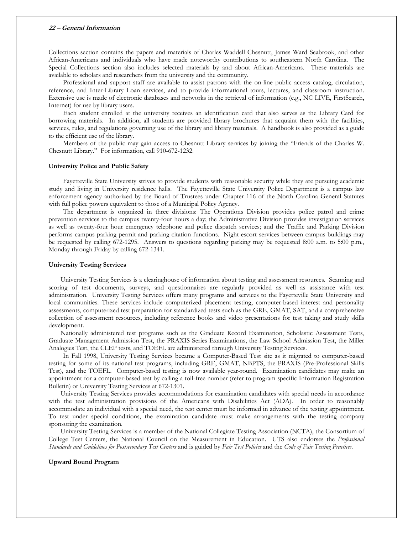#### **22 – General Information**

Collections section contains the papers and materials of Charles Waddell Chesnutt, James Ward Seabrook, and other African-Americans and individuals who have made noteworthy contributions to southeastern North Carolina. The Special Collections section also includes selected materials by and about African-Americans. These materials are available to scholars and researchers from the university and the community.

 Professional and support staff are available to assist patrons with the on-line public access catalog, circulation, reference, and Inter-Library Loan services, and to provide informational tours, lectures, and classroom instruction. Extensive use is made of electronic databases and networks in the retrieval of information (e.g., NC LIVE, FirstSearch, Internet) for use by library users.

 Each student enrolled at the university receives an identification card that also serves as the Library Card for borrowing materials. In addition, all students are provided library brochures that acquaint them with the facilities, services, rules, and regulations governing use of the library and library materials. A handbook is also provided as a guide to the efficient use of the library.

 Members of the public may gain access to Chesnutt Library services by joining the "Friends of the Charles W. Chesnutt Library." For information, call 910-672-1232.

#### **University Police and Public Safety**

 Fayetteville State University strives to provide students with reasonable security while they are pursuing academic study and living in University residence halls. The Fayetteville State University Police Department is a campus law enforcement agency authorized by the Board of Trustees under Chapter 116 of the North Carolina General Statutes with full police powers equivalent to those of a Municipal Policy Agency.

 The department is organized in three divisions: The Operations Division provides police patrol and crime prevention services to the campus twenty-four hours a day; the Administrative Division provides investigation services as well as twenty-four hour emergency telephone and police dispatch services; and the Traffic and Parking Division performs campus parking permit and parking citation functions. Night escort services between campus buildings may be requested by calling 672-1295. Answers to questions regarding parking may be requested 8:00 a.m. to 5:00 p.m., Monday through Friday by calling 672-1341.

#### **University Testing Services**

 University Testing Services is a clearinghouse of information about testing and assessment resources. Scanning and scoring of test documents, surveys, and questionnaires are regularly provided as well as assistance with test administration. University Testing Services offers many programs and services to the Fayetteville State University and local communities. These services include computerized placement testing, computer-based interest and personality assessments, computerized test preparation for standardized tests such as the GRE, GMAT, SAT, and a comprehensive collection of assessment resources, including reference books and video presentations for test taking and study skills development.

 Nationally administered test programs such as the Graduate Record Examination, Scholastic Assessment Tests, Graduate Management Admission Test, the PRAXIS Series Examinations, the Law School Admission Test, the Miller Analogies Test, the CLEP tests, and TOEFL are administered through University Testing Services.

 In Fall 1998, University Testing Services became a Computer-Based Test site as it migrated to computer-based testing for some of its national test programs, including GRE, GMAT, NBPTS, the PRAXIS (Pre-Professional Skills Test), and the TOEFL. Computer-based testing is now available year-round. Examination candidates may make an appointment for a computer-based test by calling a toll-free number (refer to program specific Information Registration Bulletin) or University Testing Services at 672-1301.

 University Testing Services provides accommodations for examination candidates with special needs in accordance with the test administration provisions of the Americans with Disabilities Act (ADA). In order to reasonably accommodate an individual with a special need, the test center must be informed in advance of the testing appointment. To test under special conditions, the examination candidate must make arrangements with the testing company sponsoring the examination.

 University Testing Services is a member of the National Collegiate Testing Association (NCTA), the Consortium of College Test Centers, the National Council on the Measurement in Education. UTS also endorses the *Professional Standards and Guidelines for Postsecondary Test Centers* and is guided by *Fair Test Policies* and the *Code of Fair Testing Practices.* 

#### **Upward Bound Program**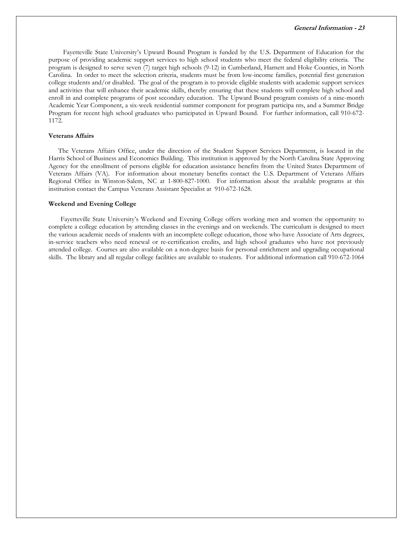Fayetteville State University's Upward Bound Program is funded by the U.S. Department of Education for the purpose of providing academic support services to high school students who meet the federal eligibility criteria. The program is designed to serve seven (7) target high schools (9-12) in Cumberland, Harnett and Hoke Counties, in North Carolina. In order to meet the selection criteria, students must be from low-income families, potential first generation college students and/or disabled. The goal of the program is to provide eligible students with academic support services and activities that will enhance their academic skills, thereby ensuring that these students will complete high school and enroll in and complete programs of post secondary education. The Upward Bound program consists of a nine-month Academic Year Component, a six-week residential summer component for program participa nts, and a Summer Bridge Program for recent high school graduates who participated in Upward Bound.For further information, call 910-672- 1172.

#### **Veterans Affairs**

The Veterans Affairs Office, under the direction of the Student Support Services Department, is located in the Harris School of Business and Economics Building. This institution is approved by the North Carolina State Approving Agency for the enrollment of persons eligible for education assistance benefits from the United States Department of Veterans Affairs (VA). For information about monetary benefits contact the U.S. Department of Veterans Affairs Regional Office in Winston-Salem, NC at 1-800-827-1000. For information about the available programs at this institution contact the Campus Veterans Assistant Specialist at 910-672-1628.

#### **Weekend and Evening College**

 Fayetteville State University's Weekend and Evening College offers working men and women the opportunity to complete a college education by attending classes in the evenings and on weekends. The curriculum is designed to meet the various academic needs of students with an incomplete college education, those who have Associate of Arts degrees, in-service teachers who need renewal or re-certification credits, and high school graduates who have not previously attended college. Courses are also available on a non-degree basis for personal enrichment and upgrading occupational skills. The library and all regular college facilities are available to students. For additional information call 910-672-1064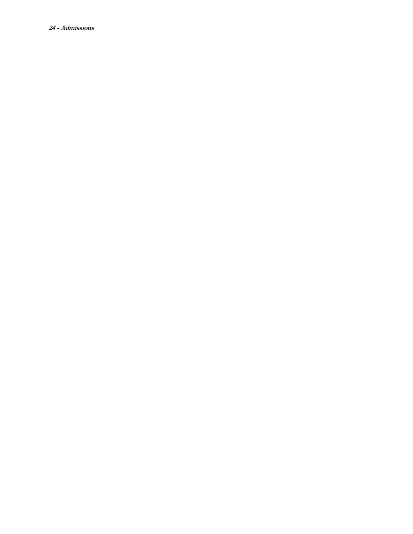**24 - Admissions**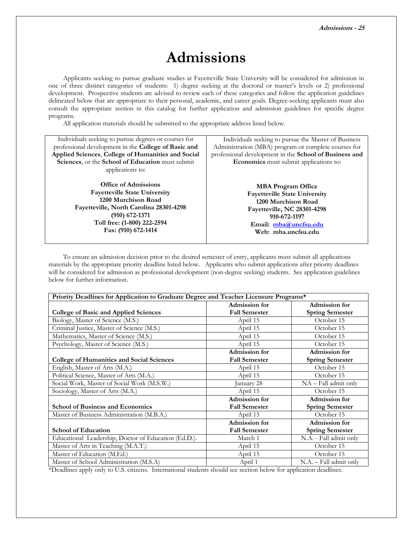## **Admissions**

Applicants seeking to pursue graduate studies at Fayetteville State University will be considered for admission in one of three distinct categories of students: 1) degree seeking at the doctoral or master's levels or 2) professional development. Prospective students are advised to review each of these categories and follow the application guidelines delineated below that are appropriate to their personal, academic, and career goals. Degree-seeking applicants must also consult the appropriate section in this catalog for further application and admission guidelines for specific degree programs.

All application materials should be submitted to the appropriate address listed below.

| Individuals seeking to pursue degrees or courses for                                                                       | Individuals seeking to pursue the Master of Business                                                    |
|----------------------------------------------------------------------------------------------------------------------------|---------------------------------------------------------------------------------------------------------|
| professional development in the College of Basic and                                                                       | Administration (MBA) program or complete courses for                                                    |
| Applied Sciences, College of Humanities and Social<br>Sciences, or the School of Education must submit<br>applications to: | professional development in the School of Business and<br><b>Economics</b> must submit applications to: |
| <b>Office of Admissions</b>                                                                                                | <b>MBA Program Office</b>                                                                               |
| <b>Fayetteville State University</b>                                                                                       | <b>Fayetteville State University</b>                                                                    |
| 1200 Murchison Road                                                                                                        | 1200 Murchison Road                                                                                     |
| Fayetteville, North Carolina 28301-4298                                                                                    | Fayetteville, NC 28301-4298                                                                             |
| $(910)$ 672-1371                                                                                                           | 910-672-1197                                                                                            |
| Toll free: (1-800) 222-2594                                                                                                | Email: mba@uncfsu.edu                                                                                   |
| Fax: (910) 672-1414                                                                                                        | Web: mba.uncfsu.edu                                                                                     |

To ensure an admission decision prior to the desired semester of entry, applicants must submit all applications materials by the appropriate priority deadline listed below. Applicants who submit applications after priority deadlines will be considered for admission as professional development (non-degree seeking) students. See application guidelines below for further information.

| Priority Deadlines for Application to Graduate Degree and Teacher Licensure Programs* |                      |                          |
|---------------------------------------------------------------------------------------|----------------------|--------------------------|
|                                                                                       | Admission for        | <b>Admission</b> for     |
| <b>College of Basic and Applied Sciences</b>                                          | <b>Fall Semester</b> | <b>Spring Semester</b>   |
| Biology, Master of Science (M.S.)                                                     | April 15             | October 15               |
| Criminal Justice, Master of Science (M.S.)                                            | April 15             | October 15               |
| Mathematics, Master of Science (M.S.)                                                 | April 15             | October 15               |
| Psychology, Master of Science (M.S.)                                                  | April 15             | October 15               |
|                                                                                       | <b>Admission</b> for | <b>Admission</b> for     |
| <b>College of Humanities and Social Sciences</b>                                      | <b>Fall Semester</b> | <b>Spring Semester</b>   |
| English, Master of Arts (M.A.)                                                        | April 15             | October 15               |
| Political Science, Master of Arts (M.A.)                                              | April 15             | October 15               |
| Social Work, Master of Social Work (M.S.W.)                                           | January 28           | $NA$ – Fall admit only   |
| Sociology, Master of Arts (M.A.)                                                      | April 15             | October 15               |
|                                                                                       | <b>Admission</b> for | Admission for            |
| <b>School of Business and Economics</b>                                               | <b>Fall Semester</b> | <b>Spring Semester</b>   |
| Master of Business Administration (M.B.A.)                                            | April 15             | October 15               |
|                                                                                       | Admission for        | Admission for            |
| <b>School of Education</b>                                                            | <b>Fall Semester</b> | <b>Spring Semester</b>   |
| Educational Leadership, Doctor of Education (Ed.D.).                                  | March 1              | N.A. - Fall admit only   |
| Master of Arts in Teaching (M.A.T.)                                                   | April 15             | October 15               |
| Master of Education (M.Ed.)                                                           | April 15             | October 15               |
| Master of School Administration (M.S.A)                                               | April 1              | $N.A. - Fall admit only$ |

\*Deadlines apply only to U.S. citizens. International students should see section below for application deadlines.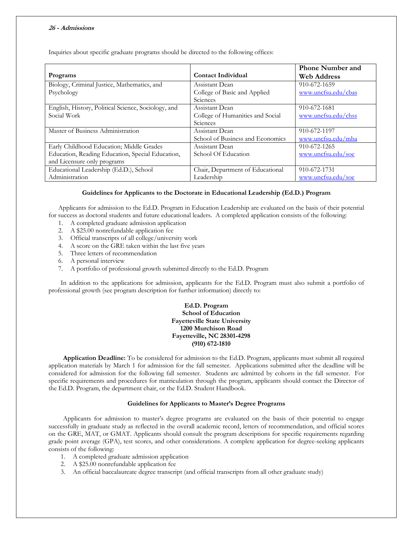#### **26 - Admissions**

|                                                     |                                  | <b>Phone Number and</b> |
|-----------------------------------------------------|----------------------------------|-------------------------|
| Programs                                            | Contact Individual               | <b>Web Address</b>      |
| Biology, Criminal Justice, Mathematics, and         | Assistant Dean                   | 910-672-1659            |
| Psychology                                          | College of Basic and Applied     | www.uncfsu.edu/cbas     |
|                                                     | Sciences                         |                         |
| English, History, Political Science, Sociology, and | Assistant Dean                   | 910-672-1681            |
| Social Work                                         | College of Humanities and Social | www.uncfsu.edu/chss     |
|                                                     | Sciences                         |                         |
| Master of Business Administration                   | Assistant Dean                   | 910-672-1197            |
|                                                     | School of Business and Economics | www.uncfsu.edu/mba      |
| Early Childhood Education; Middle Grades            | Assistant Dean                   | 910-672-1265            |
| Education, Reading Education, Special Education,    | School Of Education              | www.uncfsu.edu/soe      |
| and Licensure only programs                         |                                  |                         |
| Educational Leadership (Ed.D.), School              | Chair, Department of Educational | 910-672-1731            |
| Administration                                      | Leadership                       | www.uncfsu.edu/soe      |

Inquiries about specific graduate programs should be directed to the following offices:

#### **Guidelines for Applicants to the Doctorate in Educational Leadership (Ed.D.) Program**

Applicants for admission to the Ed.D. Program in Education Leadership are evaluated on the basis of their potential for success as doctoral students and future educational leaders. A completed application consists of the following:

- 1. A completed graduate admission application
- 2. A \$25.00 nonrefundable application fee
- 3. Official transcripts of all college/university work
- 4. A score on the GRE taken within the last five years
- 5. Three letters of recommendation
- 6. A personal interview
- 7. A portfolio of professional growth submitted directly to the Ed.D. Program

In addition to the applications for admission, applicants for the Ed.D. Program must also submit a portfolio of professional growth (see program description for further information) directly to:

#### **Ed.D. Program School of Education Fayetteville State University 1200 Murchison Road Fayetteville, NC 28301-4298 (910) 672-1810**

**Application Deadline:** To be considered for admission to the Ed.D. Program, applicants must submit all required application materials by March 1 for admission for the fall semester. Applications submitted after the deadline will be considered for admission for the following fall semester. Students are admitted by cohorts in the fall semester. For specific requirements and procedures for matriculation through the program, applicants should contact the Director of the Ed.D. Program, the department chair, or the Ed.D. Student Handbook.

#### **Guidelines for Applicants to Master's Degree Programs**

 Applicants for admission to master's degree programs are evaluated on the basis of their potential to engage successfully in graduate study as reflected in the overall academic record, letters of recommendation, and official scores on the GRE, MAT, or GMAT. Applicants should consult the program descriptions for specific requirements regarding grade point average (GPA), test scores, and other considerations. A complete application for degree-seeking applicants consists of the following:

- 1. A completed graduate admission application
- 2. A \$25.00 nonrefundable application fee
- 3. An official baccalaureate degree transcript (and official transcripts from all other graduate study)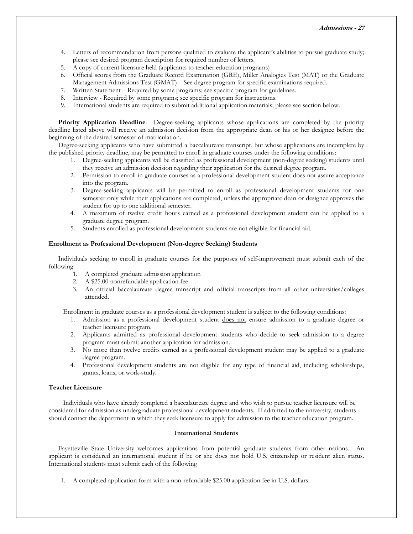- 4. Letters of recommendation from persons qualified to evaluate the applicant's abilities to pursue graduate study; please see desired program description for required number of letters.
- 5. A copy of current licensure held (applicants to teacher education programs)
- 6. Official scores from the Graduate Record Examination (GRE), Miller Analogies Test (MAT) or the Graduate Management Admissions Test (GMAT) – See degree program for specific examinations required.
- 7. Written Statement Required by some programs; see specific program for guidelines.
- 8. Interview Required by some programs; see specific program for instructions.
- 9. International students are required to submit additional application materials; please see section below.

**Priority Application Deadline:** Degree-seeking applicants whose applications are completed by the priority deadline listed above will receive an admission decision from the appropriate dean or his or her designee before the beginning of the desired semester of matriculation.

Degree-seeking applicants who have submitted a baccalaureate transcript, but whose applications are incomplete by the published priority deadline, may be permitted to enroll in graduate courses under the following conditions:

- 1. Degree-seeking applicants will be classified as professional development (non-degree seeking) students until they receive an admission decision regarding their application for the desired degree program.
- 2. Permission to enroll in graduate courses as a professional development student does not assure acceptance into the program.
- 3. Degree-seeking applicants will be permitted to enroll as professional development students for one semester only while their applications are completed, unless the appropriate dean or designee approves the student for up to one additional semester.
- 4. A maximum of twelve credit hours earned as a professional development student can be applied to a graduate degree program.
- 5. Students enrolled as professional development students are not eligible for financial aid.

#### **Enrollment as Professional Development (Non-degree Seeking) Students**

Individuals seeking to enroll in graduate courses for the purposes of self-improvement must submit each of the following:

- 1. A completed graduate admission application
- 2. A \$25.00 nonrefundable application fee
- 3. An official baccalaureate degree transcript and official transcripts from all other universities/colleges attended.

Enrollment in graduate courses as a professional development student is subject to the following conditions:

- 1. Admission as a professional development student does not ensure admission to a graduate degree or teacher licensure program.
- 2. Applicants admitted as professional development students who decide to seek admission to a degree program must submit another application for admission.
- 3. No more than twelve credits earned as a professional development student may be applied to a graduate degree program.
- 4. Professional development students are not eligible for any type of financial aid, including scholarships, grants, loans, or work-study.

#### **Teacher Licensure**

 Individuals who have already completed a baccalaureate degree and who wish to pursue teacher licensure will be considered for admission as undergraduate professional development students. If admitted to the university, students should contact the department in which they seek licensure to apply for admission to the teacher education program.

#### **International Students**

Fayetteville State University welcomes applications from potential graduate students from other nations. An applicant is considered an international student if he or she does not hold U.S. citizenship or resident alien status. International students must submit each of the following

1. A completed application form with a non-refundable \$25.00 application fee in U.S. dollars.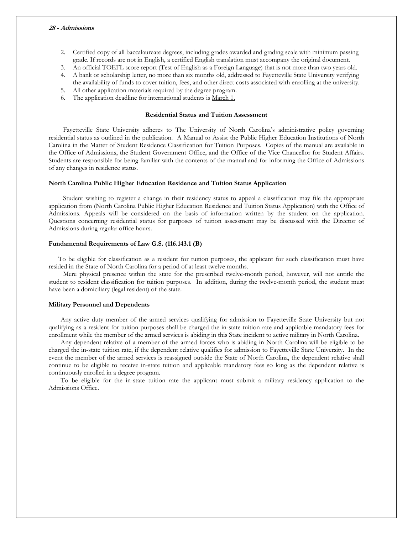#### **28 - Admissions**

- 2. Certified copy of all baccalaureate degrees, including grades awarded and grading scale with minimum passing grade. If records are not in English, a certified English translation must accompany the original document.
- 3. An official TOEFL score report (Test of English as a Foreign Language) that is not more than two years old.
- 4. A bank or scholarship letter, no more than six months old, addressed to Fayetteville State University verifying the availability of funds to cover tuition, fees, and other direct costs associated with enrolling at the university.
- 5. All other application materials required by the degree program.
- 6. The application deadline for international students is March 1.

#### **Residential Status and Tuition Assessment**

 Fayetteville State University adheres to The University of North Carolina's administrative policy governing residential status as outlined in the publication. A Manual to Assist the Public Higher Education Institutions of North Carolina in the Matter of Student Residence Classification for Tuition Purposes. Copies of the manual are available in the Office of Admissions, the Student Government Office, and the Office of the Vice Chancellor for Student Affairs. Students are responsible for being familiar with the contents of the manual and for informing the Office of Admissions of any changes in residence status.

#### **North Carolina Public Higher Education Residence and Tuition Status Application**

 Student wishing to register a change in their residency status to appeal a classification may file the appropriate application from (North Carolina Public Higher Education Residence and Tuition Status Application) with the Office of Admissions. Appeals will be considered on the basis of information written by the student on the application. Questions concerning residential status for purposes of tuition assessment may be discussed with the Director of Admissions during regular office hours.

#### **Fundamental Requirements of Law G.S. (116.143.1 (B)**

To be eligible for classification as a resident for tuition purposes, the applicant for such classification must have resided in the State of North Carolina for a period of at least twelve months.

 Mere physical presence within the state for the prescribed twelve-month period, however, will not entitle the student to resident classification for tuition purposes. In addition, during the twelve-month period, the student must have been a domiciliary (legal resident) of the state.

#### **Military Personnel and Dependents**

 Any active duty member of the armed services qualifying for admission to Fayetteville State University but not qualifying as a resident for tuition purposes shall be charged the in-state tuition rate and applicable mandatory fees for enrollment while the member of the armed services is abiding in this State incident to active military in North Carolina.

 Any dependent relative of a member of the armed forces who is abiding in North Carolina will be eligible to be charged the in-state tuition rate, if the dependent relative qualifies for admission to Fayetteville State University. In the event the member of the armed services is reassigned outside the State of North Carolina, the dependent relative shall continue to be eligible to receive in-state tuition and applicable mandatory fees so long as the dependent relative is continuously enrolled in a degree program.

 To be eligible for the in-state tuition rate the applicant must submit a military residency application to the Admissions Office.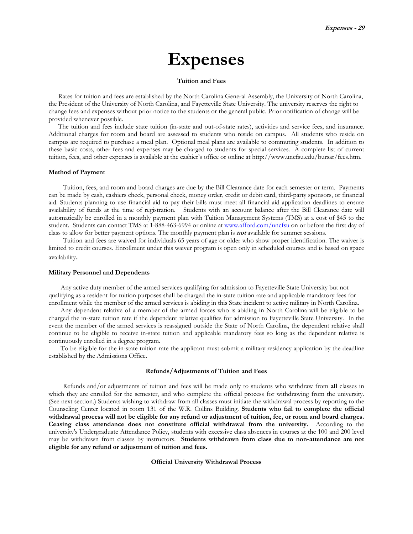## **Expenses**

#### **Tuition and Fees**

Rates for tuition and fees are established by the North Carolina General Assembly, the University of North Carolina, the President of the University of North Carolina, and Fayetteville State University. The university reserves the right to change fees and expenses without prior notice to the students or the general public. Prior notification of change will be provided whenever possible.

The tuition and fees include state tuition (in-state and out-of-state rates), activities and service fees, and insurance. Additional charges for room and board are assessed to students who reside on campus. All students who reside on campus are required to purchase a meal plan. Optional meal plans are available to commuting students. In addition to these basic costs, other fees and expenses may be charged to students for special services. A complete list of current tuition, fees, and other expenses is available at the cashier's office or online at http://www.uncfsu.edu/bursar/fees.htm.

#### **Method of Payment**

Tuition, fees, and room and board charges are due by the Bill Clearance date for each semester or term. Payments can be made by cash, cashiers check, personal check, money order, credit or debit card, third-party sponsors, or financial aid. Students planning to use financial aid to pay their bills must meet all financial aid application deadlines to ensure availability of funds at the time of registration. Students with an account balance after the Bill Clearance date will automatically be enrolled in a monthly payment plan with Tuition Management Systems (TMS) at a cost of \$45 to the student. Students can contact TMS at 1-888-463-6994 or online at [www.afford.com/uncfsu](http://www.afford.com/uncfsu) on or before the first day of class to allow for better payment options. The monthly payment plan is **not** available for summer sessions.

Tuition and fees are waived for individuals 65 years of age or older who show proper identification. The waiver is limited to credit courses. Enrollment under this waiver program is open only in scheduled courses and is based on space availability.

#### **Military Personnel and Dependents**

Any active duty member of the armed services qualifying for admission to Fayetteville State University but not qualifying as a resident for tuition purposes shall be charged the in-state tuition rate and applicable mandatory fees for enrollment while the member of the armed services is abiding in this State incident to active military in North Carolina.

 Any dependent relative of a member of the armed forces who is abiding in North Carolina will be eligible to be charged the in-state tuition rate if the dependent relative qualifies for admission to Fayetteville State University. In the event the member of the armed services is reassigned outside the State of North Carolina, the dependent relative shall continue to be eligible to receive in-state tuition and applicable mandatory fees so long as the dependent relative is continuously enrolled in a degree program.

 To be eligible for the in-state tuition rate the applicant must submit a military residency application by the deadline established by the Admissions Office.

#### **Refunds/Adjustments of Tuition and Fees**

Refunds and/or adjustments of tuition and fees will be made only to students who withdraw from **all** classes in which they are enrolled for the semester, and who complete the official process for withdrawing from the university. (See next section.) Students wishing to withdraw from all classes must initiate the withdrawal process by reporting to the Counseling Center located in room 131 of the W.R. Collins Building. **Students who fail to complete the official withdrawal process will not be eligible for any refund or adjustment of tuition, fee, or room and board charges. Ceasing class attendance does not constitute official withdrawal from the university.** According to the university's Undergraduate Attendance Policy, students with excessive class absences in courses at the 100 and 200 level may be withdrawn from classes by instructors. **Students withdrawn from class due to non-attendance are not eligible for any refund or adjustment of tuition and fees.** 

#### **Official University Withdrawal Process**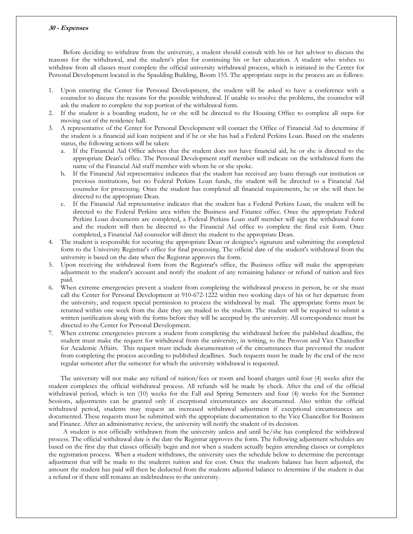#### **30 - Expenses**

Before deciding to withdraw from the university, a student should consult with his or her advisor to discuss the reasons for the withdrawal, and the student's plan for continuing his or her education. A student who wishes to withdraw from all classes must complete the official university withdrawal process, which is initiated in the Center for Personal Development located in the Spaulding Building, Room 155. The appropriate steps in the process are as follows:

- 1. Upon entering the Center for Personal Development, the student will be asked to have a conference with a counselor to discuss the reasons for the possible withdrawal. If unable to resolve the problems, the counselor will ask the student to complete the top portion of the withdrawal form.
- 2. If the student is a boarding student, he or she will be directed to the Housing Office to complete all steps for moving out of the residence hall.
- 3. A representative of the Center for Personal Development will contact the Office of Financial Aid to determine if the student is a financial aid loan recipient and if he or she has had a Federal Perkins Loan. Based on the students status, the following actions will be taken:
	- a. If the Financial Aid Office advises that the student does not have financial aid, he or she is directed to the appropriate Dean's office. The Personal Development staff member will indicate on the withdrawal form the name of the Financial Aid staff member with whom he or she spoke.
	- b. If the Financial Aid representative indicates that the student has received any loans through our institution or previous institutions, but no Federal Perkins Loan funds, the student will be directed to a Financial Aid counselor for processing. Once the student has completed all financial requirements, he or she will then be directed to the appropriate Dean.
	- c. If the Financial Aid representative indicates that the student has a Federal Perkins Loan, the student will be directed to the Federal Perkins area within the Business and Finance office. Once the appropriate Federal Perkins Loan documents are completed, a Federal Perkins Loan staff member will sign the withdrawal form and the student will then be directed to the Financial Aid office to complete the final exit form. Once completed, a Financial Aid counselor will direct the student to the appropriate Dean.
- 4. The student is responsible for securing the appropriate Dean or designee's signature and submitting the completed form to the University Registrar's office for final processing. The official date of the student's withdrawal from the university is based on the date when the Registrar approves the form.
- 5. Upon receiving the withdrawal form from the Registrar's office, the Business office will make the appropriate adjustment to the student's account and notify the student of any remaining balance or refund of tuition and fees paid.
- When extreme emergencies prevent a student from completing the withdrawal process in person, he or she must call the Center for Personal Development at 910-672-1222 within two working days of his or her departure from the university, and request special permission to process the withdrawal by mail. The appropriate forms must be returned within one week from the date they are mailed to the student. The student will be required to submit a written justification along with the forms before they will be accepted by the university. All correspondence must be directed to the Center for Personal Development.
- When extreme emergencies prevent a student from completing the withdrawal before the published deadline, the student must make the request for withdrawal from the university, in writing, to the Provost and Vice Chancellor for Academic Affairs. This request must include documentation of the circumstances that prevented the student from completing the process according to published deadlines. Such requests must be made by the end of the next regular semester after the semester for which the university withdrawal is requested.

The university will not make any refund of tuition/fees or room and board charges until four (4) weeks after the student completes the official withdrawal process. All refunds will be made by check. After the end of the official withdrawal period, which is ten (10) weeks for the Fall and Spring Semesters and four (4) weeks for the Summer Sessions, adjustments can be granted only if exceptional circumstances are documented. Also within the official withdrawal period, students may request an increased withdrawal adjustment if exceptional circumstances are documented. These requests must be submitted with the appropriate documentation to the Vice Chancellor for Business and Finance. After an administrative review, the university will notify the student of its decision.

A student is not officially withdrawn from the university unless and until he/she has completed the withdrawal process. The official withdrawal date is the date the Registrar approves the form. The following adjustment schedules are based on the first day that classes officially begin and not when a student actually begins attending classes or completes the registration process. When a student withdraws, the university uses the schedule below to determine the percentage adjustment that will be made to the students tuition and fee cost. Once the students balance has been adjusted, the amount the student has paid will then be deducted from the students adjusted balance to determine if the student is due a refund or if there still remains an indebtedness to the university.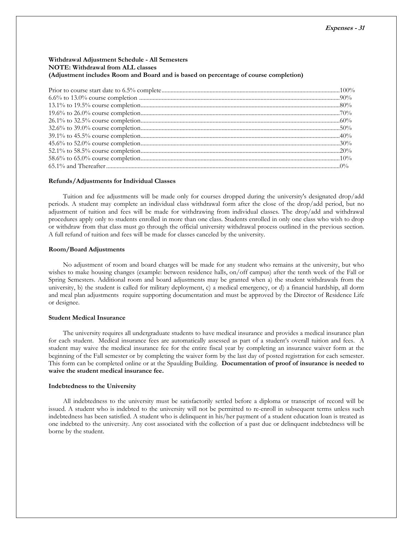#### **Withdrawal Adjustment Schedule - All Semesters NOTE: Withdrawal from ALL classes (Adjustment includes Room and Board and is based on percentage of course completion)**

#### **Refunds/Adjustments for Individual Classes**

Tuition and fee adjustments will be made only for courses dropped during the university's designated drop/add periods. A student may complete an individual class withdrawal form after the close of the drop/add period, but no adjustment of tuition and fees will be made for withdrawing from individual classes. The drop/add and withdrawal procedures apply only to students enrolled in more than one class. Students enrolled in only one class who wish to drop or withdraw from that class must go through the official university withdrawal process outlined in the previous section. A full refund of tuition and fees will be made for classes canceled by the university.

#### **Room/Board Adjustments**

No adjustment of room and board charges will be made for any student who remains at the university, but who wishes to make housing changes (example: between residence halls, on/off campus) after the tenth week of the Fall or Spring Semesters. Additional room and board adjustments may be granted when a) the student withdrawals from the university, b) the student is called for military deployment, c) a medical emergency, or d) a financial hardship, all dorm and meal plan adjustments require supporting documentation and must be approved by the Director of Residence Life or designee.

#### **Student Medical Insurance**

The university requires all undergraduate students to have medical insurance and provides a medical insurance plan for each student. Medical insurance fees are automatically assessed as part of a student's overall tuition and fees. A student may waive the medical insurance fee for the entire fiscal year by completing an insurance waiver form at the beginning of the Fall semester or by completing the waiver form by the last day of posted registration for each semester. This form can be completed online or at the Spaulding Building. **Documentation of proof of insurance is needed to waive the student medical insurance fee.** 

#### **Indebtedness to the University**

All indebtedness to the university must be satisfactorily settled before a diploma or transcript of record will be issued. A student who is indebted to the university will not be permitted to re-enroll in subsequent terms unless such indebtedness has been satisfied. A student who is delinquent in his/her payment of a student education loan is treated as one indebted to the university. Any cost associated with the collection of a past due or delinquent indebtedness will be borne by the student.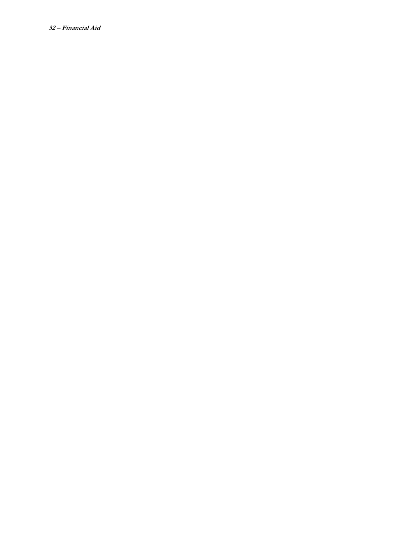**32 – Financial Aid**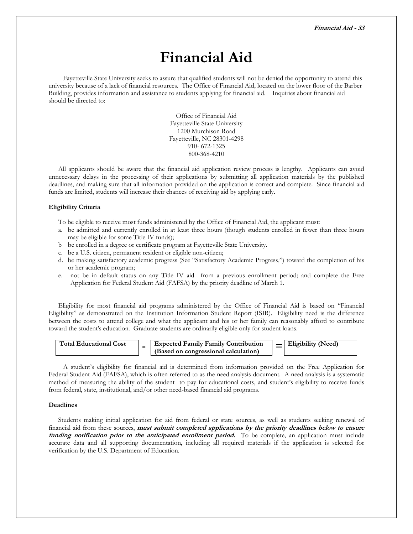## **Financial Aid**

 Fayetteville State University seeks to assure that qualified students will not be denied the opportunity to attend this university because of a lack of financial resources. The Office of Financial Aid, located on the lower floor of the Barber Building, provides information and assistance to students applying for financial aid. Inquiries about financial aid should be directed to:

> Office of Financial Aid Fayetteville State University 1200 Murchison Road Fayetteville, NC 28301-4298 910- 672-1325 800-368-4210

All applicants should be aware that the financial aid application review process is lengthy. Applicants can avoid unnecessary delays in the processing of their applications by submitting all application materials by the published deadlines, and making sure that all information provided on the application is correct and complete. Since financial aid funds are limited, students will increase their chances of receiving aid by applying early.

#### **Eligibility Criteria**

- To be eligible to receive most funds administered by the Office of Financial Aid, the applicant must:
- a. be admitted and currently enrolled in at least three hours (though students enrolled in fewer than three hours may be eligible for some Title IV funds);
- b be enrolled in a degree or certificate program at Fayetteville State University.
- c. be a U.S. citizen, permanent resident or eligible non-citizen;
- d. be making satisfactory academic progress (See "Satisfactory Academic Progress,") toward the completion of his or her academic program;
- e. not be in default status on any Title IV aid from a previous enrollment period; and complete the Free Application for Federal Student Aid (FAFSA) by the priority deadline of March 1.

Eligibility for most financial aid programs administered by the Office of Financial Aid is based on "Financial Eligibility" as demonstrated on the Institution Information Student Report (ISIR). Eligibility need is the difference between the costs to attend college and what the applicant and his or her family can reasonably afford to contribute toward the student's education. Graduate students are ordinarily eligible only for student loans.



A student's eligibility for financial aid is determined from information provided on the Free Application for Federal Student Aid (FAFSA), which is often referred to as the need analysis document. A need analysis is a systematic method of measuring the ability of the student to pay for educational costs, and student's eligibility to receive funds from federal, state, institutional, and/or other need-based financial aid programs.

#### **Deadlines**

Students making initial application for aid from federal or state sources, as well as students seeking renewal of financial aid from these sources, **must submit completed applications by the priority deadlines below to ensure funding notification prior to the anticipated enrollment period.** To be complete, an application must include accurate data and all supporting documentation, including all required materials if the application is selected for verification by the U.S. Department of Education.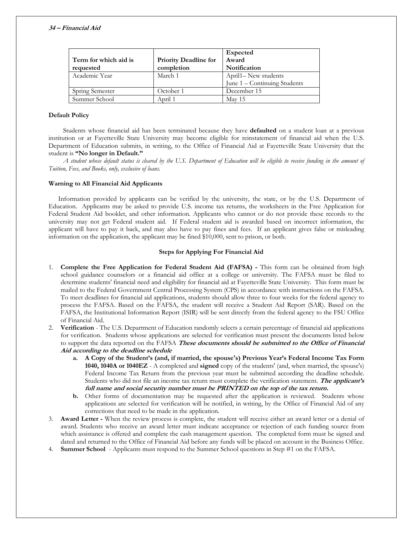#### **34 – Financial Aid**

|                       |                              | Expected                     |
|-----------------------|------------------------------|------------------------------|
| Term for which aid is | <b>Priority Deadline for</b> | Award                        |
| requested             | completion                   | Notification                 |
| Academic Year         | March 1                      | April1– New students         |
|                       |                              | June 1 - Continuing Students |
| Spring Semester       | October 1                    | December 15                  |
| Summer School         | April 1                      | May 15                       |

### **Default Policy**

 Students whose financial aid has been terminated because they have **defaulted** on a student loan at a previous institution or at Fayetteville State University may become eligible for reinstatement of financial aid when the U.S. Department of Education submits, in writing, to the Office of Financial Aid at Fayetteville State University that the student is **"No longer in Default."** 

*A student whose default status is cleared by the U.S. Department of Education will be eligible to receive funding in the amount of Tuition, Fees, and Books, only, exclusive of loans.* 

#### **Warning to All Financial Aid Applicants**

Information provided by applicants can be verified by the university, the state, or by the U.S. Department of Education. Applicants may be asked to provide U.S. income tax returns, the worksheets in the Free Application for Federal Student Aid booklet, and other information. Applicants who cannot or do not provide these records to the university may not get Federal student aid. If Federal student aid is awarded based on incorrect information, the applicant will have to pay it back, and may also have to pay fines and fees. If an applicant gives false or misleading information on the application, the applicant may be fined \$10,000, sent to prison, or both.

#### **Steps for Applying For Financial Aid**

- 1. **Complete the Free Application for Federal Student Aid (FAFSA)** This form can be obtained from high school guidance counselors or a financial aid office at a college or university. The FAFSA must be filed to determine students' financial need and eligibility for financial aid at Fayetteville State University. This form must be mailed to the Federal Government Central Processing System (CPS) in accordance with instructions on the FAFSA. To meet deadlines for financial aid applications, students should allow three to four weeks for the federal agency to process the FAFSA. Based on the FAFSA, the student will receive a Student Aid Report (SAR). Based on the FAFSA, the Institutional Information Report (ISIR) will be sent directly from the federal agency to the FSU Office of Financial Aid.
- 2. **Verification**  The U.S. Department of Education randomly selects a certain percentage of financial aid applications for verification. Students whose applications are selected for verification must present the documents listed below to support the data reported on the FAFSA **These documents should be submitted to the Office of Financial Aid according to the deadline schedule**
	- **a. A Copy of the Student's (and, if married, the spouse's) Previous Year's Federal Income Tax Form 1040, 1040A or 1040EZ** - A completed and **signed** copy of the students' (and, when married, the spouse's) Federal Income Tax Return from the previous year must be submitted according the deadline schedule. Students who did not file an income tax return must complete the verification statement. **The applicant's full name and social security number must be PRINTED on the top of the tax return.**
	- **b.** Other forms of documentation may be requested after the application is reviewed. Students whose applications are selected for verification will be notified, in writing, by the Office of Financial Aid of any corrections that need to be made in the application.
- 3. **Award Letter** When the review process is complete, the student will receive either an award letter or a denial of award. Students who receive an award letter must indicate acceptance or rejection of each funding source from which assistance is offered and complete the cash management question. The completed form must be signed and dated and returned to the Office of Financial Aid before any funds will be placed on account in the Business Office.
- 4. **Summer School**  Applicants must respond to the Summer School questions in Step #1 on the FAFSA.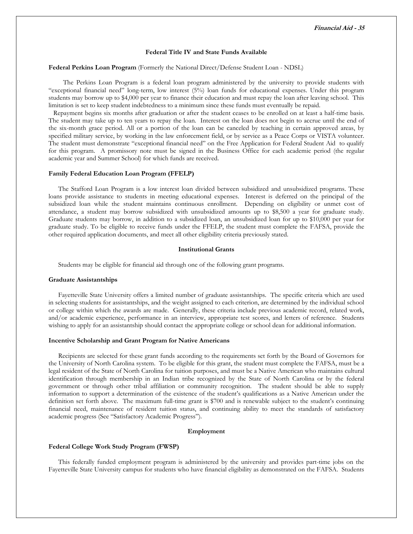#### **Federal Title IV and State Funds Available**

#### **Federal Perkins Loan Program** (Formerly the National Direct/Defense Student Loan - NDSL)

The Perkins Loan Program is a federal loan program administered by the university to provide students with "exceptional financial need" long-term, low interest (5%) loan funds for educational expenses. Under this program students may borrow up to \$4,000 per year to finance their education and must repay the loan after leaving school. This limitation is set to keep student indebtedness to a minimum since these funds must eventually be repaid.

Repayment begins six months after graduation or after the student ceases to be enrolled on at least a half-time basis. The student may take up to ten years to repay the loan. Interest on the loan does not begin to accrue until the end of the six-month grace period. All or a portion of the loan can be canceled by teaching in certain approved areas, by specified military service, by working in the law enforcement field, or by service as a Peace Corps or VISTA volunteer. The student must demonstrate "exceptional financial need" on the Free Application for Federal Student Aid to qualify for this program. A promissory note must be signed in the Business Office for each academic period (the regular academic year and Summer School) for which funds are received.

#### **Family Federal Education Loan Program (FFELP)**

The Stafford Loan Program is a low interest loan divided between subsidized and unsubsidized programs. These loans provide assistance to students in meeting educational expenses. Interest is deferred on the principal of the subsidized loan while the student maintains continuous enrollment. Depending on eligibility or unmet cost of attendance, a student may borrow subsidized with unsubsidized amounts up to \$8,500 a year for graduate study. Graduate students may borrow, in addition to a subsidized loan, an unsubsidized loan for up to \$10,000 per year for graduate study. To be eligible to receive funds under the FFELP, the student must complete the FAFSA, provide the other required application documents, and meet all other eligibility criteria previously stated.

#### **Institutional Grants**

Students may be eligible for financial aid through one of the following grant programs.

#### **Graduate Assistantships**

Fayetteville State University offers a limited number of graduate assistantships. The specific criteria which are used in selecting students for assistantships, and the weight assigned to each criterion, are determined by the individual school or college within which the awards are made. Generally, these criteria include previous academic record, related work, and/or academic experience, performance in an interview, appropriate test scores, and letters of reference. Students wishing to apply for an assistantship should contact the appropriate college or school dean for additional information.

#### **Incentive Scholarship and Grant Program for Native Americans**

Recipients are selected for these grant funds according to the requirements set forth by the Board of Governors for the University of North Carolina system. To be eligible for this grant, the student must complete the FAFSA, must be a legal resident of the State of North Carolina for tuition purposes, and must be a Native American who maintains cultural identification through membership in an Indian tribe recognized by the State of North Carolina or by the federal government or through other tribal affiliation or community recognition. The student should be able to supply information to support a determination of the existence of the student's qualifications as a Native American under the definition set forth above. The maximum full-time grant is \$700 and is renewable subject to the student's continuing financial need, maintenance of resident tuition status, and continuing ability to meet the standards of satisfactory academic progress (See "Satisfactory Academic Progress").

#### **Employment**

#### **Federal College Work Study Program (FWSP)**

This federally funded employment program is administered by the university and provides part-time jobs on the Fayetteville State University campus for students who have financial eligibility as demonstrated on the FAFSA. Students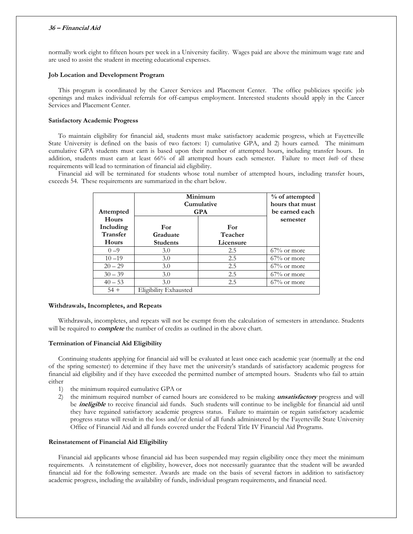#### **36 – Financial Aid**

normally work eight to fifteen hours per week in a University facility. Wages paid are above the minimum wage rate and are used to assist the student in meeting educational expenses.

#### **Job Location and Development Program**

This program is coordinated by the Career Services and Placement Center. The office publicizes specific job openings and makes individual referrals for off-campus employment. Interested students should apply in the Career Services and Placement Center.

#### **Satisfactory Academic Progress**

To maintain eligibility for financial aid, students must make satisfactory academic progress, which at Fayetteville State University is defined on the basis of two factors: 1) cumulative GPA, and 2) hours earned. The minimum cumulative GPA students must earn is based upon their number of attempted hours, including transfer hours. In addition, students must earn at least 66% of all attempted hours each semester. Failure to meet *both* of these requirements will lead to termination of financial aid eligibility.

Financial aid will be terminated for students whose total number of attempted hours, including transfer hours, exceeds 54. These requirements are summarized in the chart below.

|                 | Minimum<br>Cumulative |           | % of attempted<br>hours that must |
|-----------------|-----------------------|-----------|-----------------------------------|
| Attempted       | <b>GPA</b>            |           | be earned each                    |
| <b>Hours</b>    |                       |           | semester                          |
| Including       | For                   | For       |                                   |
| <b>Transfer</b> | Graduate              | Teacher   |                                   |
| Hours           | <b>Students</b>       | Licensure |                                   |
| $0 - 9$         | 3.0                   | 2.5       | $67\%$ or more                    |
| $10 - 19$       | 3.0                   | 2.5       | $67\%$ or more                    |
| $20 - 29$       | 3.0                   | 2.5       | $67\%$ or more                    |
| $30 - 39$       | 3.0                   | 2.5       | $67\%$ or more                    |
| $40 - 53$       | 3.0                   | 2.5       | $67\%$ or more                    |
| $54 +$          | Eligibility Exhausted |           |                                   |

#### **Withdrawals, Incompletes, and Repeats**

Withdrawals, incompletes, and repeats will not be exempt from the calculation of semesters in attendance. Students will be required to **complete** the number of credits as outlined in the above chart.

#### **Termination of Financial Aid Eligibility**

Continuing students applying for financial aid will be evaluated at least once each academic year (normally at the end of the spring semester) to determine if they have met the university's standards of satisfactory academic progress for financial aid eligibility and if they have exceeded the permitted number of attempted hours. Students who fail to attain either

- 1) the minimum required cumulative GPA or
- 2) the minimum required number of earned hours are considered to be making **unsatisfactory** progress and will be **ineligible** to receive financial aid funds. Such students will continue to be ineligible for financial aid until they have regained satisfactory academic progress status. Failure to maintain or regain satisfactory academic progress status will result in the loss and/or denial of all funds administered by the Fayetteville State University Office of Financial Aid and all funds covered under the Federal Title IV Financial Aid Programs.

#### **Reinstatement of Financial Aid Eligibility**

Financial aid applicants whose financial aid has been suspended may regain eligibility once they meet the minimum requirements. A reinstatement of eligibility, however, does not necessarily guarantee that the student will be awarded financial aid for the following semester. Awards are made on the basis of several factors in addition to satisfactory academic progress, including the availability of funds, individual program requirements, and financial need.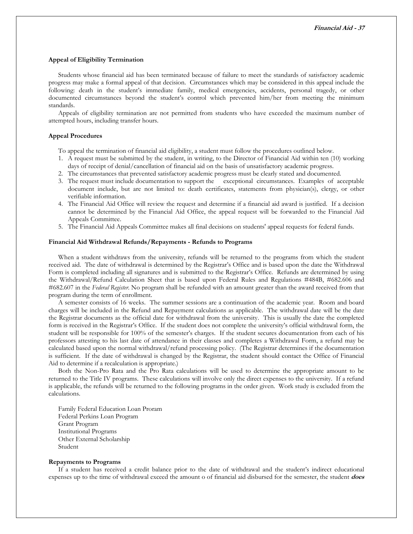#### **Appeal of Eligibility Termination**

Students whose financial aid has been terminated because of failure to meet the standards of satisfactory academic progress may make a formal appeal of that decision. Circumstances which may be considered in this appeal include the following: death in the student's immediate family, medical emergencies, accidents, personal tragedy, or other documented circumstances beyond the student's control which prevented him/her from meeting the minimum standards.

Appeals of eligibility termination are not permitted from students who have exceeded the maximum number of attempted hours, including transfer hours.

#### **Appeal Procedures**

To appeal the termination of financial aid eligibility, a student must follow the procedures outlined below.

- 1. A request must be submitted by the student, in writing, to the Director of Financial Aid within ten (10) working days of receipt of denial/cancellation of financial aid on the basis of unsatisfactory academic progress.
- 2. The circumstances that prevented satisfactory academic progress must be clearly stated and documented.
- 3. The request must include documentation to support the exceptional circumstances. Examples of acceptable document include, but are not limited to: death certificates, statements from physician(s), clergy, or other verifiable information.
- 4. The Financial Aid Office will review the request and determine if a financial aid award is justified. If a decision cannot be determined by the Financial Aid Office, the appeal request will be forwarded to the Financial Aid Appeals Committee.
- 5. The Financial Aid Appeals Committee makes all final decisions on students' appeal requests for federal funds.

## **Financial Aid Withdrawal Refunds/Repayments - Refunds to Programs**

When a student withdraws from the university, refunds will be returned to the programs from which the student received aid. The date of withdrawal is determined by the Registrar's Office and is based upon the date the Withdrawal Form is completed including all signatures and is submitted to the Registrar's Office. Refunds are determined by using the Withdrawal/Refund Calculation Sheet that is based upon Federal Rules and Regulations #484B, #682.606 and #682.607 in the *Federal Register*. No program shall be refunded with an amount greater than the award received from that program during the term of enrollment.

A semester consists of 16 weeks. The summer sessions are a continuation of the academic year. Room and board charges will be included in the Refund and Repayment calculations as applicable. The withdrawal date will be the date the Registrar documents as the official date for withdrawal from the university. This is usually the date the completed form is received in the Registrar's Office. If the student does not complete the university's official withdrawal form, the student will be responsible for 100% of the semester's charges. If the student secures documentation from each of his professors attesting to his last date of attendance in their classes and completes a Withdrawal Form, a refund may be calculated based upon the normal withdrawal/refund processing policy. (The Registrar determines if the documentation is sufficient. If the date of withdrawal is changed by the Registrar, the student should contact the Office of Financial Aid to determine if a recalculation is appropriate.)

Both the Non-Pro Rata and the Pro Rata calculations will be used to determine the appropriate amount to be returned to the Title IV programs. These calculations will involve only the direct expenses to the university. If a refund is applicable, the refunds will be returned to the following programs in the order given. Work study is excluded from the calculations.

Family Federal Education Loan Proram Federal Perkins Loan Program Grant Program Institutional Programs Other External Scholarship Student

#### **Repayments to Programs**

If a student has received a credit balance prior to the date of withdrawal and the student's indirect educational expenses up to the time of withdrawal exceed the amount o of financial aid disbursed for the semester, the student **does**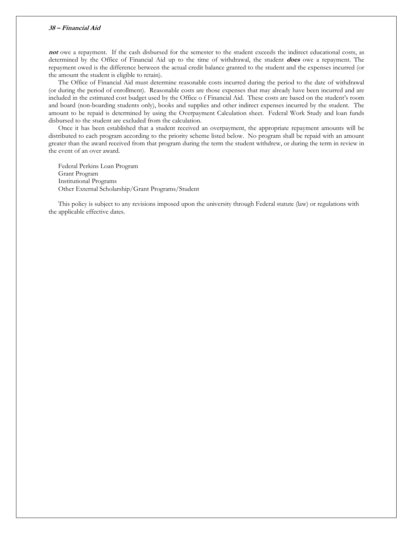#### **38 – Financial Aid**

**not** owe a repayment. If the cash disbursed for the semester to the student exceeds the indirect educational costs, as determined by the Office of Financial Aid up to the time of withdrawal, the student **does** owe a repayment. The repayment owed is the difference between the actual credit balance granted to the student and the expenses incurred (or the amount the student is eligible to retain).

The Office of Financial Aid must determine reasonable costs incurred during the period to the date of withdrawal (or during the period of enrollment). Reasonable costs are those expenses that may already have been incurred and are included in the estimated cost budget used by the Office o f Financial Aid. These costs are based on the student's room and board (non-boarding students only), books and supplies and other indirect expenses incurred by the student. The amount to be repaid is determined by using the Overpayment Calculation sheet. Federal Work Study and loan funds disbursed to the student are excluded from the calculation.

Once it has been established that a student received an overpayment, the appropriate repayment amounts will be distributed to each program according to the priority scheme listed below. No program shall be repaid with an amount greater than the award received from that program during the term the student withdrew, or during the term in review in the event of an over award.

Federal Perkins Loan Program Grant Program Institutional Programs Other External Scholarship/Grant Programs/Student

This policy is subject to any revisions imposed upon the university through Federal statute (law) or regulations with the applicable effective dates.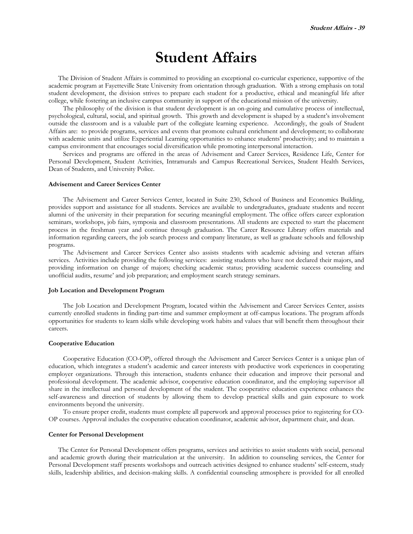# **Student Affairs**

The Division of Student Affairs is committed to providing an exceptional co-curricular experience, supportive of the academic program at Fayetteville State University from orientation through graduation. With a strong emphasis on total student development, the division strives to prepare each student for a productive, ethical and meaningful life after college, while fostering an inclusive campus community in support of the educational mission of the university.

The philosophy of the division is that student development is an on-going and cumulative process of intellectual, psychological, cultural, social, and spiritual growth. This growth and development is shaped by a student's involvement outside the classroom and is a valuable part of the collegiate learning experience. Accordingly, the goals of Student Affairs are: to provide programs, services and events that promote cultural enrichment and development; to collaborate with academic units and utilize Experiential Learning opportunities to enhance students' productivity; and to maintain a campus environment that encourages social diversification while promoting interpersonal interaction.

Services and programs are offered in the areas of Advisement and Career Services, Residence Life, Center for Personal Development, Student Activities, Intramurals and Campus Recreational Services, Student Health Services, Dean of Students, and University Police.

#### **Advisement and Career Services Center**

The Advisement and Career Services Center, located in Suite 230, School of Business and Economics Building, provides support and assistance for all students. Services are available to undergraduates, graduate students and recent alumni of the university in their preparation for securing meaningful employment. The office offers career exploration seminars, workshops, job fairs, symposia and classroom presentations. All students are expected to start the placement process in the freshman year and continue through graduation. The Career Resource Library offers materials and information regarding careers, the job search process and company literature, as well as graduate schools and fellowship programs.

The Advisement and Career Services Center also assists students with academic advising and veteran affairs services. Activities include providing the following services: assisting students who have not declared their majors, and providing information on change of majors; checking academic status; providing academic success counseling and unofficial audits, resume' and job preparation; and employment search strategy seminars.

#### **Job Location and Development Program**

The Job Location and Development Program, located within the Advisement and Career Services Center, assists currently enrolled students in finding part-time and summer employment at off-campus locations. The program affords opportunities for students to learn skills while developing work habits and values that will benefit them throughout their careers.

#### **Cooperative Education**

Cooperative Education (CO-OP), offered through the Advisement and Career Services Center is a unique plan of education, which integrates a student's academic and career interests with productive work experiences in cooperating employer organizations. Through this interaction, students enhance their education and improve their personal and professional development. The academic advisor, cooperative education coordinator, and the employing supervisor all share in the intellectual and personal development of the student. The cooperative education experience enhances the self-awareness and direction of students by allowing them to develop practical skills and gain exposure to work environments beyond the university.

To ensure proper credit, students must complete all paperwork and approval processes prior to registering for CO-OP courses. Approval includes the cooperative education coordinator, academic advisor, department chair, and dean.

#### **Center for Personal Development**

The Center for Personal Development offers programs, services and activities to assist students with social, personal and academic growth during their matriculation at the university. In addition to counseling services, the Center for Personal Development staff presents workshops and outreach activities designed to enhance students' self-esteem, study skills, leadership abilities, and decision-making skills. A confidential counseling atmosphere is provided for all enrolled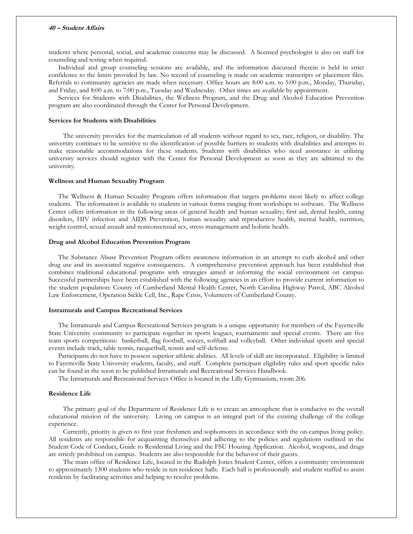#### **40 – Student Affairs**

students where personal, social, and academic concerns may be discussed. A licensed psychologist is also on staff for counseling and testing when required.

Individual and group counseling sessions are available, and the information discussed therein is held in strict confidence to the limits provided by law. No record of counseling is made on academic transcripts or placement files. Referrals to community agencies are made when necessary. Office hours are 8:00 a.m. to 5:00 p.m., Monday, Thursday, and Friday, and 8:00 a.m. to 7:00 p.m., Tuesday and Wednesday. Other times are available by appointment.

Services for Students with Disabilities, the Wellness Program, and the Drug and Alcohol Education Prevention program are also coordinated through the Center for Personal Development.

#### **Services for Students with Disabilities**

The university provides for the matriculation of all students without regard to sex, race, religion, or disability. The university continues to be sensitive to the identification of possible barriers to students with disabilities and attempts to make reasonable accommodations for these students. Students with disabilities who need assistance in utilizing university services should register with the Center for Personal Development as soon as they are admitted to the university.

#### **Wellness and Human Sexuality Program**

The Wellness & Human Sexuality Program offers information that targets problems most likely to affect college students. The information is available to students in various forms ranging from workshops to software. The Wellness Center offers information in the following areas of general health and human sexuality; first aid, dental health, eating disorders, HIV infection and AIDS Prevention, human sexuality and reproductive health, mental health, nutrition, weight control, sexual assault and nonconsensual sex, stress management and holistic health.

## **Drug and Alcohol Education Prevention Program**

The Substance Abuse Prevention Program offers awareness information in an attempt to curb alcohol and other drug use and its associated negative consequences. A comprehensive prevention approach has been established that combines traditional educational programs with strategies aimed at informing the social environment on campus. Successful partnerships have been established with the following agencies in an effort to provide current information to the student population: County of Cumberland Mental Health Center, North Carolina Highway Patrol, ABC Alcohol Law Enforcement, Operation Sickle Cell, Inc., Rape Crisis, Volunteers of Cumberland County.

#### **Intramurals and Campus Recreational Services**

The Intramurals and Campus Recreational Services program is a unique opportunity for members of the Fayetteville State University community to participate together in sports leagues, tournaments and special events. There are five team sports competitions: basketball, flag football, soccer, softball and volleyball. Other individual sports and special events include track, table tennis, racquetball, tennis and self-defense.

Participants do not have to possess superior athletic abilities. All levels of skill are incorporated. Eligibility is limited to Fayetteville State University students, faculty, and staff. Complete participant eligibility rules and sport specific rules can be found in the soon to be published Intramurals and Recreational Services Handbook.

The Intramurals and Recreational Services Office is located in the Lilly Gymnasium, room 206.

#### **Residence Life**

The primary goal of the Department of Residence Life is to create an atmosphere that is conducive to the overall educational mission of the university. Living on campus is an integral part of the existing challenge of the college experience.

Currently, priority is given to first year freshmen and sophomores in accordance with the on-campus living policy. All residents are responsible for acquainting themselves and adhering to the policies and regulations outlined in the Student Code of Conduct, Guide to Residential Living and the FSU Housing Application. Alcohol, weapons, and drugs are strictly prohibited on campus. Students are also responsible for the behavior of their guests.

The main office of Residence Life, located in the Rudolph Jones Student Center, offers a community environment to approximately 1300 students who reside in ten residence halls. Each hall is professionally and student staffed to assist residents by facilitating activities and helping to resolve problems.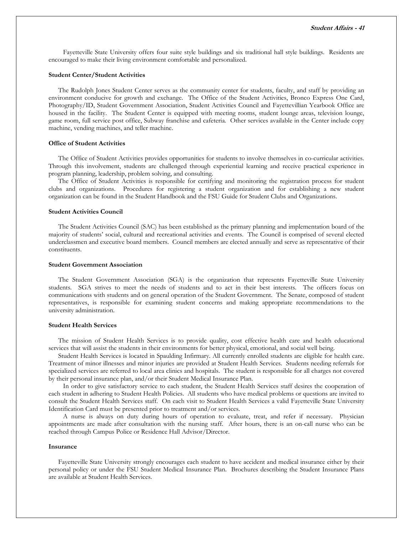Fayetteville State University offers four suite style buildings and six traditional hall style buildings. Residents are encouraged to make their living environment comfortable and personalized.

#### **Student Center/Student Activities**

The Rudolph Jones Student Center serves as the community center for students, faculty, and staff by providing an environment conducive for growth and exchange. The Office of the Student Activities, Bronco Express One Card, Photography/ID, Student Government Association, Student Activities Council and Fayettevillian Yearbook Office are housed in the facility. The Student Center is equipped with meeting rooms, student lounge areas, television lounge, game room, full service post office, Subway franchise and cafeteria. Other services available in the Center include copy machine, vending machines, and teller machine.

#### **Office of Student Activities**

The Office of Student Activities provides opportunities for students to involve themselves in co-curricular activities. Through this involvement, students are challenged through experiential learning and receive practical experience in program planning, leadership, problem solving, and consulting.

The Office of Student Activities is responsible for certifying and monitoring the registration process for student clubs and organizations. Procedures for registering a student organization and for establishing a new student organization can be found in the Student Handbook and the FSU Guide for Student Clubs and Organizations.

#### **Student Activities Council**

The Student Activities Council (SAC) has been established as the primary planning and implementation board of the majority of students' social, cultural and recreational activities and events. The Council is comprised of several elected underclassmen and executive board members. Council members are elected annually and serve as representative of their constituents.

#### **Student Government Association**

The Student Government Association (SGA) is the organization that represents Fayetteville State University students. SGA strives to meet the needs of students and to act in their best interests. The officers focus on communications with students and on general operation of the Student Government. The Senate, composed of student representatives, is responsible for examining student concerns and making appropriate recommendations to the university administration.

#### **Student Health Services**

The mission of Student Health Services is to provide quality, cost effective health care and health educational services that will assist the students in their environments for better physical, emotional, and social well being.

Student Health Services is located in Spaulding Infirmary. All currently enrolled students are eligible for health care. Treatment of minor illnesses and minor injuries are provided at Student Health Services. Students needing referrals for specialized services are referred to local area clinics and hospitals. The student is responsible for all charges not covered by their personal insurance plan, and/or their Student Medical Insurance Plan.

In order to give satisfactory service to each student, the Student Health Services staff desires the cooperation of each student in adhering to Student Health Policies. All students who have medical problems or questions are invited to consult the Student Health Services staff. On each visit to Student Health Services a valid Fayetteville State University Identification Card must be presented prior to treatment and/or services.

 A nurse is always on duty during hours of operation to evaluate, treat, and refer if necessary. Physician appointments are made after consultation with the nursing staff. After hours, there is an on-call nurse who can be reached through Campus Police or Residence Hall Advisor/Director.

#### **Insurance**

Fayetteville State University strongly encourages each student to have accident and medical insurance either by their personal policy or under the FSU Student Medical Insurance Plan. Brochures describing the Student Insurance Plans are available at Student Health Services.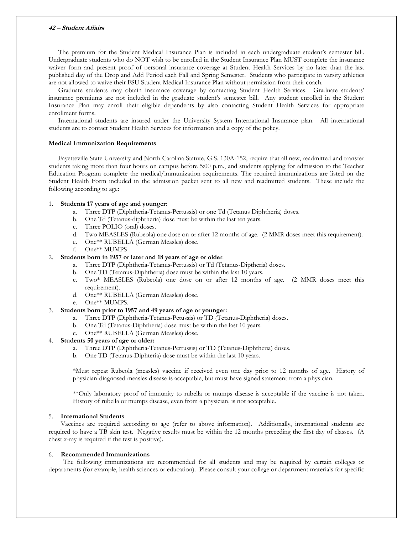#### **42 – Student Affairs**

The premium for the Student Medical Insurance Plan is included in each undergraduate student's semester bill. Undergraduate students who do NOT wish to be enrolled in the Student Insurance Plan MUST complete the insurance waiver form and present proof of personal insurance coverage at Student Health Services by no later than the last published day of the Drop and Add Period each Fall and Spring Semester. Students who participate in varsity athletics are not allowed to waive their FSU Student Medical Insurance Plan without permission from their coach.

Graduate students may obtain insurance coverage by contacting Student Health Services. Graduate students' insurance premiums are not included in the graduate student's semester bill**.** Any student enrolled in the Student Insurance Plan may enroll their eligible dependents by also contacting Student Health Services for appropriate enrollment forms.

International students are insured under the University System International Insurance plan. All international students are to contact Student Health Services for information and a copy of the policy.

## **Medical Immunization Requirements**

Fayetteville State University and North Carolina Statute, G.S. 130A-152, require that all new, readmitted and transfer students taking more than four hours on campus before 5:00 p.m., and students applying for admission to the Teacher Education Program complete the medical/immunization requirements. The required immunizations are listed on the Student Health Form included in the admission packet sent to all new and readmitted students. These include the following according to age:

## 1. **Students 17 years of age and younger**:

- a. Three DTP (Diphtheria-Tetanus-Pertussis) or one Td (Tetanus Diphtheria) doses.
- b. One Td (Tetanus-diphtheria) dose must be within the last ten years.
- c. Three POLIO (oral) doses.
- d. Two MEASLES (Rubeola) one dose on or after 12 months of age. (2 MMR doses meet this requirement).
- e. One\*\* RUBELLA (German Measles) dose.
- f. One\*\* MUMPS

## 2. **Students born in 1957 or later and 18 years of age or older**:

- a. Three DTP (Diphtheria-Tetanus-Pertussis) or Td (Tetanus-Diptheria) doses.
- b. One TD (Tetanus-Diphtheria) dose must be within the last 10 years.
- c. Two\* MEASLES (Rubeola) one dose on or after 12 months of age. (2 MMR doses meet this requirement).
- d. One\*\* RUBELLA (German Measles) dose.
- e. One\*\* MUMPS.

## 3. **Students born prior to 1957 and 49 years of age or younger:**

- a. Three DTP (Diphtheria-Tetanus-Petussis) or TD (Tetanus-Diphtheria) doses.
- b. One Td (Tetanus-Diphtheria) dose must be within the last 10 years.
- c. One\*\* RUBELLA (German Measles) dose.

## 4. **Students 50 years of age or older:**

- a. Three DTP (Diphtheria-Tetanus-Pertussis) or TD (Tetanus-Diphtheria) doses.
- b. One TD (Tetanus-Diphteria) dose must be within the last 10 years.

\*Must repeat Rubeola (measles) vaccine if received even one day prior to 12 months of age. History of physician-diagnosed measles disease is acceptable, but must have signed statement from a physician.

\*\*Only laboratory proof of immunity to rubella or mumps disease is acceptable if the vaccine is not taken. History of rubella or mumps disease, even from a physician, is not acceptable.

## 5. **International Students**

Vaccines are required according to age (refer to above information). Additionally, international students are required to have a TB skin test. Negative results must be within the 12 months preceding the first day of classes. (A chest x-ray is required if the test is positive).

## 6. **Recommended Immunizations**

 The following immunizations are recommended for all students and may be required by certain colleges or departments (for example, health sciences or education). Please consult your college or department materials for specific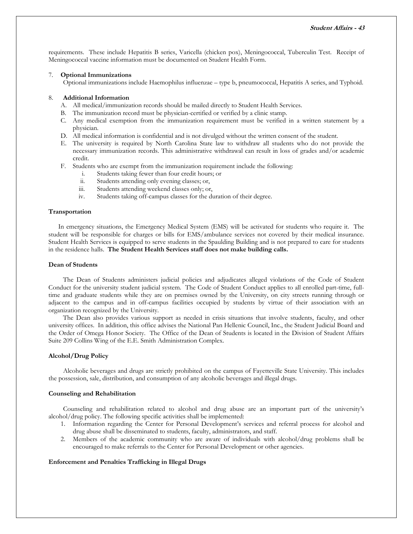requirements. These include Hepatitis B series, Varicella (chicken pox), Meningococcal, Tuberculin Test. Receipt of Meningococcal vaccine information must be documented on Student Health Form.

## 7. **Optional Immunizations**

Optional immunizations include Haemophilus influenzae – type b, pneumococcal, Hepatitis A series, and Typhoid.

#### 8. **Additional Information**

- A. All medical/immunization records should be mailed directly to Student Health Services.
- B. The immunization record must be physician-certified or verified by a clinic stamp.
- C. Any medical exemption from the immunization requirement must be verified in a written statement by a physician.
- D. All medical information is confidential and is not divulged without the written consent of the student.
- E. The university is required by North Carolina State law to withdraw all students who do not provide the necessary immunization records. This administrative withdrawal can result in loss of grades and/or academic credit.
- F. Students who are exempt from the immunization requirement include the following:
	- i. Students taking fewer than four credit hours; or
	- ii. Students attending only evening classes; or,
	- iii. Students attending weekend classes only; or,
	- iv. Students taking off-campus classes for the duration of their degree.

### **Transportation**

In emergency situations, the Emergency Medical System (EMS) will be activated for students who require it. The student will be responsible for charges or bills for EMS/ambulance services not covered by their medical insurance. Student Health Services is equipped to serve students in the Spaulding Building and is not prepared to care for students in the residence halls. **The Student Health Services staff does not make building calls.** 

#### **Dean of Students**

The Dean of Students administers judicial policies and adjudicates alleged violations of the Code of Student Conduct for the university student judicial system. The Code of Student Conduct applies to all enrolled part-time, fulltime and graduate students while they are on premises owned by the University, on city streets running through or adjacent to the campus and in off-campus facilities occupied by students by virtue of their association with an organization recognized by the University.

The Dean also provides various support as needed in crisis situations that involve students, faculty, and other university offices. In addition, this office advises the National Pan Hellenic Council, Inc., the Student Judicial Board and the Order of Omega Honor Society. The Office of the Dean of Students is located in the Division of Student Affairs Suite 209 Collins Wing of the E.E. Smith Administration Complex.

## **Alcohol/Drug Policy**

Alcoholic beverages and drugs are strictly prohibited on the campus of Fayetteville State University. This includes the possession, sale, distribution, and consumption of any alcoholic beverages and illegal drugs.

#### **Counseling and Rehabilitation**

Counseling and rehabilitation related to alcohol and drug abuse are an important part of the university's alcohol/drug policy. The following specific activities shall be implemented:

- 1. Information regarding the Center for Personal Development's services and referral process for alcohol and drug abuse shall be disseminated to students, faculty, administrators, and staff.
- 2. Members of the academic community who are aware of individuals with alcohol/drug problems shall be encouraged to make referrals to the Center for Personal Development or other agencies.

## **Enforcement and Penalties Trafficking in Illegal Drugs**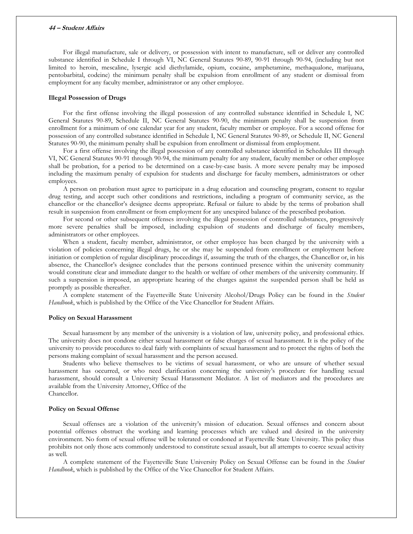#### **44 – Student Affairs**

For illegal manufacture, sale or delivery, or possession with intent to manufacture, sell or deliver any controlled substance identified in Schedule I through VI, NC General Statutes 90-89, 90-91 through 90-94, (including but not limited to heroin, mescaline, lysergic acid diethylamide, opium, cocaine, amphetamine, methaqualone, marijuana, pentobarbital, codeine) the minimum penalty shall be expulsion from enrollment of any student or dismissal from employment for any faculty member, administrator or any other employee.

#### **Illegal Possession of Drugs**

For the first offense involving the illegal possession of any controlled substance identified in Schedule I, NC General Statutes 90-89, Schedule II, NC General Statutes 90-90, the minimum penalty shall be suspension from enrollment for a minimum of one calendar year for any student, faculty member or employee. For a second offense for possession of any controlled substance identified in Schedule I, NC General Statutes 90-89, or Schedule II, NC General Statutes 90-90, the minimum penalty shall be expulsion from enrollment or dismissal from employment.

For a first offense involving the illegal possession of any controlled substance identified in Schedules III through VI, NC General Statutes 90-91 through 90-94, the minimum penalty for any student, faculty member or other employee shall be probation, for a period to be determined on a case-by-case basis. A more severe penalty may be imposed including the maximum penalty of expulsion for students and discharge for faculty members, administrators or other employees.

A person on probation must agree to participate in a drug education and counseling program, consent to regular drug testing, and accept such other conditions and restrictions, including a program of community service, as the chancellor or the chancellor's designee deems appropriate. Refusal or failure to abide by the terms of probation shall result in suspension from enrollment or from employment for any unexpired balance of the prescribed probation.

For second or other subsequent offenses involving the illegal possession of controlled substances, progressively more severe penalties shall be imposed, including expulsion of students and discharge of faculty members, administrators or other employees.

When a student, faculty member, administrator, or other employee has been charged by the university with a violation of policies concerning illegal drugs, he or she may be suspended from enrollment or employment before initiation or completion of regular disciplinary proceedings if, assuming the truth of the charges, the Chancellor or, in his absence, the Chancellor's designee concludes that the persons continued presence within the university community would constitute clear and immediate danger to the health or welfare of other members of the university community. If such a suspension is imposed, an appropriate hearing of the charges against the suspended person shall be held as promptly as possible thereafter.

A complete statement of the Fayetteville State University Alcohol/Drugs Policy can be found in the *Student Handbook*, which is published by the Office of the Vice Chancellor for Student Affairs.

#### **Policy on Sexual Harassment**

Sexual harassment by any member of the university is a violation of law, university policy, and professional ethics. The university does not condone either sexual harassment or false charges of sexual harassment. It is the policy of the university to provide procedures to deal fairly with complaints of sexual harassment and to protect the rights of both the persons making complaint of sexual harassment and the person accused.

Students who believe themselves to be victims of sexual harassment, or who are unsure of whether sexual harassment has occurred, or who need clarification concerning the university's procedure for handling sexual harassment, should consult a University Sexual Harassment Mediator. A list of mediators and the procedures are available from the University Attorney, Office of the Chancellor.

#### **Policy on Sexual Offense**

Sexual offenses are a violation of the university's mission of education. Sexual offenses and concern about potential offenses obstruct the working and learning processes which are valued and desired in the university environment. No form of sexual offense will be tolerated or condoned at Fayetteville State University. This policy thus prohibits not only those acts commonly understood to constitute sexual assault, but all attempts to coerce sexual activity as well.

A complete statement of the Fayetteville State University Policy on Sexual Offense can be found in the *Student Handbook*, which is published by the Office of the Vice Chancellor for Student Affairs.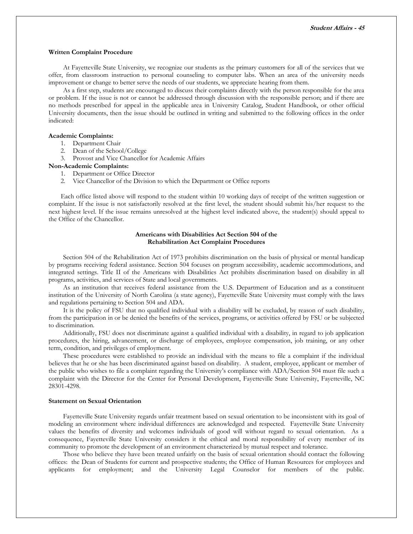## **Written Complaint Procedure**

At Fayetteville State University, we recognize our students as the primary customers for all of the services that we offer, from classroom instruction to personal counseling to computer labs. When an area of the university needs improvement or change to better serve the needs of our students, we appreciate hearing from them.

As a first step, students are encouraged to discuss their complaints directly with the person responsible for the area or problem. If the issue is not or cannot be addressed through discussion with the responsible person; and if there are no methods prescribed for appeal in the applicable area in University Catalog, Student Handbook, or other official University documents, then the issue should be outlined in writing and submitted to the following offices in the order indicated:

## **Academic Complaints:**

- 1. Department Chair
- 2. Dean of the School/College
- 3. Provost and Vice Chancellor for Academic Affairs

## **Non-Academic Complaints:**

- 1. Department or Office Director
- 2. Vice Chancellor of the Division to which the Department or Office reports

Each office listed above will respond to the student within 10 working days of receipt of the written suggestion or complaint. If the issue is not satisfactorily resolved at the first level, the student should submit his/her request to the next highest level. If the issue remains unresolved at the highest level indicated above, the student(s) should appeal to the Office of the Chancellor.

## **Americans with Disabilities Act Section 504 of the Rehabilitation Act Complaint Procedures**

Section 504 of the Rehabilitation Act of 1973 prohibits discrimination on the basis of physical or mental handicap by programs receiving federal assistance. Section 504 focuses on program accessibility, academic accommodations, and integrated settings. Title II of the Americans with Disabilities Act prohibits discrimination based on disability in all programs, activities, and services of State and local governments.

As an institution that receives federal assistance from the U.S. Department of Education and as a constituent institution of the University of North Carolina (a state agency), Fayetteville State University must comply with the laws and regulations pertaining to Section 504 and ADA.

It is the policy of FSU that no qualified individual with a disability will be excluded, by reason of such disability, from the participation in or be denied the benefits of the services, programs, or activities offered by FSU or be subjected to discrimination.

Additionally, FSU does not discriminate against a qualified individual with a disability, in regard to job application procedures, the hiring, advancement, or discharge of employees, employee compensation, job training, or any other term, condition, and privileges of employment.

These procedures were established to provide an individual with the means to file a complaint if the individual believes that he or she has been discriminated against based on disability. A student, employee, applicant or member of the public who wishes to file a complaint regarding the University's compliance with ADA/Section 504 must file such a complaint with the Director for the Center for Personal Development, Fayetteville State University, Fayetteville, NC 28301-4298.

## **Statement on Sexual Orientation**

Fayetteville State University regards unfair treatment based on sexual orientation to be inconsistent with its goal of modeling an environment where individual differences are acknowledged and respected. Fayetteville State University values the benefits of diversity and welcomes individuals of good will without regard to sexual orientation. As a consequence, Fayetteville State University considers it the ethical and moral responsibility of every member of its community to promote the development of an environment characterized by mutual respect and tolerance.

Those who believe they have been treated unfairly on the basis of sexual orientation should contact the following offices: the Dean of Students for current and prospective students; the Office of Human Resources for employees and applicants for employment; and the University Legal Counselor for members of the public.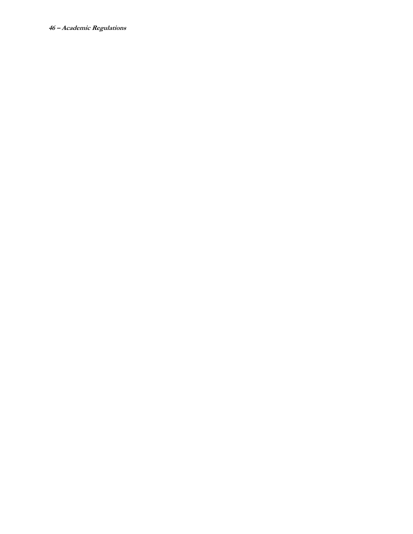# **46 – Academic Regulations**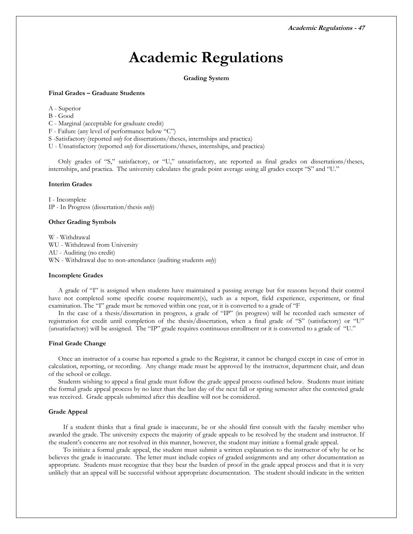**Academic Regulations - 47** 

# **Academic Regulations**

#### **Grading System**

## **Final Grades – Graduate Students**

A - Superior

B - Good

C - Marginal (acceptable for graduate credit)

F - Failure (any level of performance below "C")

S -Satisfactory (reported *only* for dissertations/theses, internships and practica)

U - Unsatisfactory (reported *only* for dissertations/theses, internships, and practica)

Only grades of "S," satisfactory, or "U," unsatisfactory, are reported as final grades on dissertations/theses, internships, and practica. The university calculates the grade point average using all grades except "S" and "U."

#### **Interim Grades**

I - Incomplete IP - In Progress (dissertation/thesis *only*)

## **Other Grading Symbols**

W - Withdrawal WU - Withdrawal from University AU - Auditing (no credit) WN - Withdrawal due to non-attendance (auditing students *only*)

#### **Incomplete Grades**

A grade of "I" is assigned when students have maintained a passing average but for reasons beyond their control have not completed some specific course requirement(s), such as a report, field experience, experiment, or final examination. The "I" grade must be removed within one year, or it is converted to a grade of "F

In the case of a thesis/dissertation in progress, a grade of "IP" (in progress) will be recorded each semester of registration for credit until completion of the thesis/dissertation, when a final grade of "S" (satisfactory) or "U" (unsatisfactory) will be assigned. The "IP" grade requires continuous enrollment or it is converted to a grade of "U."

#### **Final Grade Change**

Once an instructor of a course has reported a grade to the Registrar, it cannot be changed except in case of error in calculation, reporting, or recording. Any change made must be approved by the instructor, department chair, and dean of the school or college.

Students wishing to appeal a final grade must follow the grade appeal process outlined below. Students must initiate the formal grade appeal process by no later than the last day of the next fall or spring semester after the contested grade was received. Grade appeals submitted after this deadline will not be considered.

#### **Grade Appeal**

If a student thinks that a final grade is inaccurate, he or she should first consult with the faculty member who awarded the grade. The university expects the majority of grade appeals to be resolved by the student and instructor. If the student's concerns are not resolved in this manner, however, the student may initiate a formal grade appeal.

To initiate a formal grade appeal, the student must submit a written explanation to the instructor of why he or he believes the grade is inaccurate. The letter must include copies of graded assignments and any other documentation as appropriate. Students must recognize that they bear the burden of proof in the grade appeal process and that it is very unlikely that an appeal will be successful without appropriate documentation. The student should indicate in the written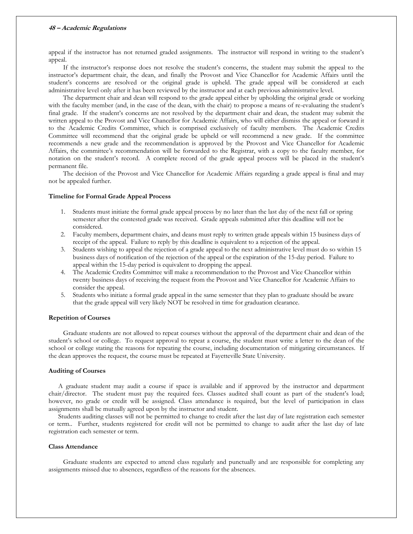#### **48 – Academic Regulations**

appeal if the instructor has not returned graded assignments. The instructor will respond in writing to the student's appeal.

If the instructor's response does not resolve the student's concerns, the student may submit the appeal to the instructor's department chair, the dean, and finally the Provost and Vice Chancellor for Academic Affairs until the student's concerns are resolved or the original grade is upheld. The grade appeal will be considered at each administrative level only after it has been reviewed by the instructor and at each previous administrative level.

The department chair and dean will respond to the grade appeal either by upholding the original grade or working with the faculty member (and, in the case of the dean, with the chair) to propose a means of re-evaluating the student's final grade. If the student's concerns are not resolved by the department chair and dean, the student may submit the written appeal to the Provost and Vice Chancellor for Academic Affairs, who will either dismiss the appeal or forward it to the Academic Credits Committee, which is comprised exclusively of faculty members. The Academic Credits Committee will recommend that the original grade be upheld or will recommend a new grade. If the committee recommends a new grade and the recommendation is approved by the Provost and Vice Chancellor for Academic Affairs, the committee's recommendation will be forwarded to the Registrar, with a copy to the faculty member, for notation on the student's record. A complete record of the grade appeal process will be placed in the student's permanent file.

The decision of the Provost and Vice Chancellor for Academic Affairs regarding a grade appeal is final and may not be appealed further.

## **Timeline for Formal Grade Appeal Process**

- 1. Students must initiate the formal grade appeal process by no later than the last day of the next fall or spring semester after the contested grade was received. Grade appeals submitted after this deadline will not be considered.
- 2. Faculty members, department chairs, and deans must reply to written grade appeals within 15 business days of receipt of the appeal. Failure to reply by this deadline is equivalent to a rejection of the appeal.
- 3. Students wishing to appeal the rejection of a grade appeal to the next administrative level must do so within 15 business days of notification of the rejection of the appeal or the expiration of the 15-day period. Failure to appeal within the 15-day period is equivalent to dropping the appeal.
- 4. The Academic Credits Committee will make a recommendation to the Provost and Vice Chancellor within twenty business days of receiving the request from the Provost and Vice Chancellor for Academic Affairs to consider the appeal.
- 5. Students who initiate a formal grade appeal in the same semester that they plan to graduate should be aware that the grade appeal will very likely NOT be resolved in time for graduation clearance.

#### **Repetition of Courses**

 Graduate students are not allowed to repeat courses without the approval of the department chair and dean of the student's school or college. To request approval to repeat a course, the student must write a letter to the dean of the school or college stating the reasons for repeating the course, including documentation of mitigating circumstances. If the dean approves the request, the course must be repeated at Fayetteville State University.

#### **Auditing of Courses**

A graduate student may audit a course if space is available and if approved by the instructor and department chair/director. The student must pay the required fees. Classes audited shall count as part of the student's load; however, no grade or credit will be assigned. Class attendance is required, but the level of participation in class assignments shall be mutually agreed upon by the instructor and student.

Students auditing classes will not be permitted to change to credit after the last day of late registration each semester or term.. Further, students registered for credit will not be permitted to change to audit after the last day of late registration each semester or term.

#### **Class Attendance**

 Graduate students are expected to attend class regularly and punctually and are responsible for completing any assignments missed due to absences, regardless of the reasons for the absences.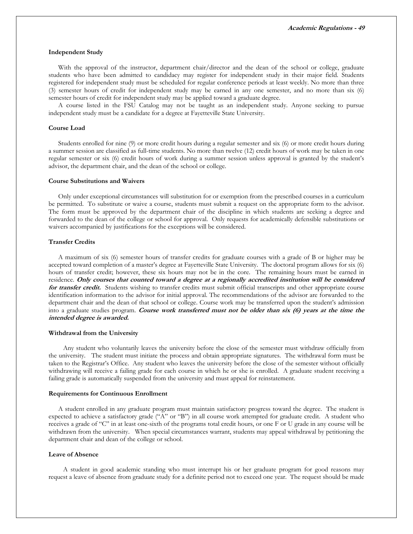## **Independent Study**

With the approval of the instructor, department chair/director and the dean of the school or college, graduate students who have been admitted to candidacy may register for independent study in their major field. Students registered for independent study must be scheduled for regular conference periods at least weekly. No more than three (3) semester hours of credit for independent study may be earned in any one semester, and no more than six (6) semester hours of credit for independent study may be applied toward a graduate degree.

A course listed in the FSU Catalog may not be taught as an independent study. Anyone seeking to pursue independent study must be a candidate for a degree at Fayetteville State University.

#### **Course Load**

Students enrolled for nine (9) or more credit hours during a regular semester and six (6) or more credit hours during a summer session are classified as full-time students. No more than twelve (12) credit hours of work may be taken in one regular semester or six (6) credit hours of work during a summer session unless approval is granted by the student's advisor, the department chair, and the dean of the school or college.

#### **Course Substitutions and Waivers**

Only under exceptional circumstances will substitution for or exemption from the prescribed courses in a curriculum be permitted. To substitute or waive a course, students must submit a request on the appropriate form to the advisor. The form must be approved by the department chair of the discipline in which students are seeking a degree and forwarded to the dean of the college or school for approval. Only requests for academically defensible substitutions or waivers accompanied by justifications for the exceptions will be considered.

#### **Transfer Credits**

A maximum of six (6) semester hours of transfer credits for graduate courses with a grade of B or higher may be accepted toward completion of a master's degree at Fayetteville State University. The doctoral program allows for six (6) hours of transfer credit; however, these six hours may not be in the core. The remaining hours must be earned in residence. **Only courses that counted toward a degree at a regionally accredited institution will be considered for transfer credit.** Students wishing to transfer credits must submit official transcripts and other appropriate course identification information to the advisor for initial approval. The recommendations of the advisor are forwarded to the department chair and the dean of that school or college. Course work may be transferred upon the student's admission into a graduate studies program. **Course work transferred must not be older than six (6) years at the time the intended degree is awarded.** 

#### **Withdrawal from the University**

Any student who voluntarily leaves the university before the close of the semester must withdraw officially from the university. The student must initiate the process and obtain appropriate signatures. The withdrawal form must be taken to the Registrar's Office. Any student who leaves the university before the close of the semester without officially withdrawing will receive a failing grade for each course in which he or she is enrolled. A graduate student receiving a failing grade is automatically suspended from the university and must appeal for reinstatement.

#### **Requirements for Continuous Enrollment**

A student enrolled in any graduate program must maintain satisfactory progress toward the degree. The student is expected to achieve a satisfactory grade ("A" or "B") in all course work attempted for graduate credit. A student who receives a grade of "C" in at least one-sixth of the programs total credit hours, or one F or U grade in any course will be withdrawn from the university. When special circumstances warrant, students may appeal withdrawal by petitioning the department chair and dean of the college or school.

#### **Leave of Absence**

 A student in good academic standing who must interrupt his or her graduate program for good reasons may request a leave of absence from graduate study for a definite period not to exceed one year. The request should be made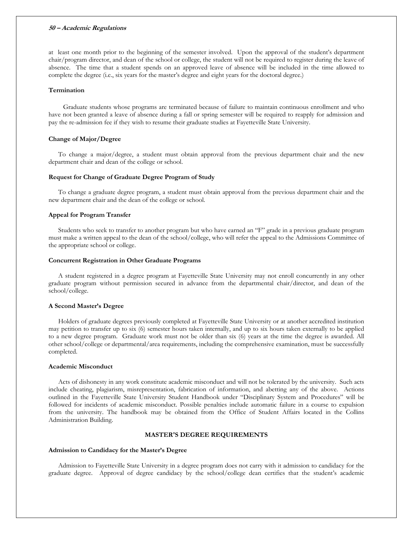#### **50 – Academic Regulations**

at least one month prior to the beginning of the semester involved. Upon the approval of the student's department chair/program director, and dean of the school or college, the student will not be required to register during the leave of absence. The time that a student spends on an approved leave of absence will be included in the time allowed to complete the degree (i.e., six years for the master's degree and eight years for the doctoral degree.)

#### **Termination**

 Graduate students whose programs are terminated because of failure to maintain continuous enrollment and who have not been granted a leave of absence during a fall or spring semester will be required to reapply for admission and pay the re-admission fee if they wish to resume their graduate studies at Fayetteville State University.

#### **Change of Major/Degree**

To change a major/degree, a student must obtain approval from the previous department chair and the new department chair and dean of the college or school.

#### **Request for Change of Graduate Degree Program of Study**

To change a graduate degree program, a student must obtain approval from the previous department chair and the new department chair and the dean of the college or school.

#### **Appeal for Program Transfer**

Students who seek to transfer to another program but who have earned an "F" grade in a previous graduate program must make a written appeal to the dean of the school/college, who will refer the appeal to the Admissions Committee of the appropriate school or college.

#### **Concurrent Registration in Other Graduate Programs**

A student registered in a degree program at Fayetteville State University may not enroll concurrently in any other graduate program without permission secured in advance from the departmental chair/director, and dean of the school/college.

#### **A Second Master's Degree**

Holders of graduate degrees previously completed at Fayetteville State University or at another accredited institution may petition to transfer up to six (6) semester hours taken internally, and up to six hours taken externally to be applied to a new degree program. Graduate work must not be older than six (6) years at the time the degree is awarded. All other school/college or departmental/area requirements, including the comprehensive examination, must be successfully completed.

## **Academic Misconduct**

Acts of dishonesty in any work constitute academic misconduct and will not be tolerated by the university. Such acts include cheating, plagiarism, misrepresentation, fabrication of information, and abetting any of the above. Actions outlined in the Fayetteville State University Student Handbook under "Disciplinary System and Procedures" will be followed for incidents of academic misconduct. Possible penalties include automatic failure in a course to expulsion from the university. The handbook may be obtained from the Office of Student Affairs located in the Collins Administration Building.

#### **MASTER'S DEGREE REQUIREMENTS**

#### **Admission to Candidacy for the Master's Degree**

Admission to Fayetteville State University in a degree program does not carry with it admission to candidacy for the graduate degree. Approval of degree candidacy by the school/college dean certifies that the student's academic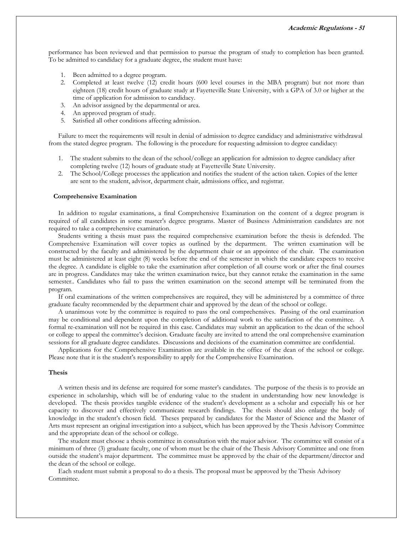performance has been reviewed and that permission to pursue the program of study to completion has been granted. To be admitted to candidacy for a graduate degree, the student must have:

- 1. Been admitted to a degree program.
- 2. Completed at least twelve (12) credit hours (600 level courses in the MBA program) but not more than eighteen (18) credit hours of graduate study at Fayetteville State University, with a GPA of 3.0 or higher at the time of application for admission to candidacy.
- 3. An advisor assigned by the departmental or area.
- 4. An approved program of study.
- 5. Satisfied all other conditions affecting admission.

Failure to meet the requirements will result in denial of admission to degree candidacy and administrative withdrawal from the stated degree program. The following is the procedure for requesting admission to degree candidacy:

- 1. The student submits to the dean of the school/college an application for admission to degree candidacy after completing twelve (12) hours of graduate study at Fayetteville State University.
- 2. The School/College processes the application and notifies the student of the action taken. Copies of the letter are sent to the student, advisor, department chair, admissions office, and registrar.

#### **Comprehensive Examination**

In addition to regular examinations, a final Comprehensive Examination on the content of a degree program is required of all candidates in some master's degree programs. Master of Business Administration candidates are not required to take a comprehensive examination.

Students writing a thesis must pass the required comprehensive examination before the thesis is defended. The Comprehensive Examination will cover topics as outlined by the department. The written examination will be constructed by the faculty and administered by the department chair or an appointee of the chair. The examination must be administered at least eight (8) weeks before the end of the semester in which the candidate expects to receive the degree. A candidate is eligible to take the examination after completion of all course work or after the final courses are in progress. Candidates may take the written examination twice, but they cannot retake the examination in the same semester.. Candidates who fail to pass the written examination on the second attempt will be terminated from the program.

If oral examinations of the written comprehensives are required, they will be administered by a committee of three graduate faculty recommended by the department chair and approved by the dean of the school or college.

A unanimous vote by the committee is required to pass the oral comprehensives. Passing of the oral examination may be conditional and dependent upon the completion of additional work to the satisfaction of the committee. A formal re-examination will not be required in this case. Candidates may submit an application to the dean of the school or college to appeal the committee's decision. Graduate faculty are invited to attend the oral comprehensive examination sessions for all graduate degree candidates. Discussions and decisions of the examination committee are confidential.

Applications for the Comprehensive Examination are available in the office of the dean of the school or college. Please note that it is the student's responsibility to apply for the Comprehensive Examination.

## **Thesis**

A written thesis and its defense are required for some master's candidates. The purpose of the thesis is to provide an experience in scholarship, which will be of enduring value to the student in understanding how new knowledge is developed. The thesis provides tangible evidence of the student's development as a scholar and especially his or her capacity to discover and effectively communicate research findings. The thesis should also enlarge the body of knowledge in the student's chosen field. Theses prepared by candidates for the Master of Science and the Master of Arts must represent an original investigation into a subject, which has been approved by the Thesis Advisory Committee and the appropriate dean of the school or college.

The student must choose a thesis committee in consultation with the major advisor. The committee will consist of a minimum of three (3) graduate faculty, one of whom must be the chair of the Thesis Advisory Committee and one from outside the student's major department. The committee must be approved by the chair of the department/director and the dean of the school or college.

Each student must submit a proposal to do a thesis. The proposal must be approved by the Thesis Advisory Committee.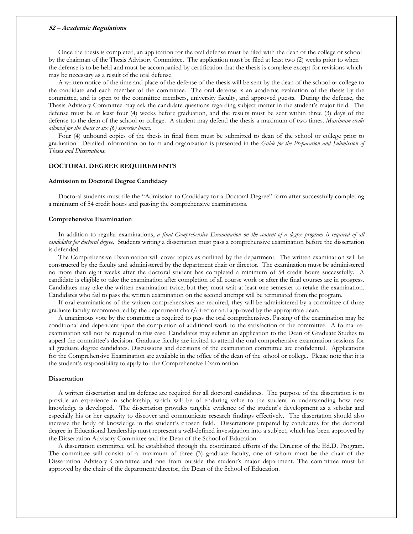#### **52 – Academic Regulations**

Once the thesis is completed, an application for the oral defense must be filed with the dean of the college or school by the chairman of the Thesis Advisory Committee. The application must be filed at least two (2) weeks prior to when the defense is to be held and must be accompanied by certification that the thesis is complete except for revisions which may be necessary as a result of the oral defense.

A written notice of the time and place of the defense of the thesis will be sent by the dean of the school or college to the candidate and each member of the committee. The oral defense is an academic evaluation of the thesis by the committee, and is open to the committee members, university faculty, and approved guests. During the defense, the Thesis Advisory Committee may ask the candidate questions regarding subject matter in the student's major field. The defense must be at least four (4) weeks before graduation, and the results must be sent within three (3) days of the defense to the dean of the school or college. A student may defend the thesis a maximum of two times. *Maximum credit allowed for the thesis is six (6) semester hours.* 

Four (4) unbound copies of the thesis in final form must be submitted to dean of the school or college prior to graduation. Detailed information on form and organization is presented in the *Guide for the Preparation and Submission of Theses and Dissertations*.

## **DOCTORAL DEGREE REQUIREMENTS**

#### **Admission to Doctoral Degree Candidacy**

Doctoral students must file the "Admission to Candidacy for a Doctoral Degree" form after successfully completing a minimum of 54 credit hours and passing the comprehensive examinations.

#### **Comprehensive Examination**

In addition to regular examinations, *a final Comprehensive Examination on the content of a degree program is required of all candidates for doctoral degree*. Students writing a dissertation must pass a comprehensive examination before the dissertation is defended.

The Comprehensive Examination will cover topics as outlined by the department. The written examination will be constructed by the faculty and administered by the department chair or director. The examination must be administered no more than eight weeks after the doctoral student has completed a minimum of 54 credit hours successfully. A candidate is eligible to take the examination after completion of all course work or after the final courses are in progress. Candidates may take the written examination twice, but they must wait at least one semester to retake the examination. Candidates who fail to pass the written examination on the second attempt will be terminated from the program.

If oral examinations of the written comprehensives are required, they will be administered by a committee of three graduate faculty recommended by the department chair/director and approved by the appropriate dean.

A unanimous vote by the committee is required to pass the oral comprehensives. Passing of the examination may be conditional and dependent upon the completion of additional work to the satisfaction of the committee. A formal reexamination will not be required in this case. Candidates may submit an application to the Dean of Graduate Studies to appeal the committee's decision. Graduate faculty are invited to attend the oral comprehensive examination sessions for all graduate degree candidates. Discussions and decisions of the examination committee are confidential. Applications for the Comprehensive Examination are available in the office of the dean of the school or college. Please note that it is the student's responsibility to apply for the Comprehensive Examination.

#### **Dissertation**

A written dissertation and its defense are required for all doctoral candidates. The purpose of the dissertation is to provide an experience in scholarship, which will be of enduring value to the student in understanding how new knowledge is developed. The dissertation provides tangible evidence of the student's development as a scholar and especially his or her capacity to discover and communicate research findings effectively. The dissertation should also increase the body of knowledge in the student's chosen field. Dissertations prepared by candidates for the doctoral degree in Educational Leadership must represent a well-defined investigation into a subject, which has been approved by the Dissertation Advisory Committee and the Dean of the School of Education.

A dissertation committee will be established through the coordinated efforts of the Director of the Ed.D. Program. The committee will consist of a maximum of three (3) graduate faculty, one of whom must be the chair of the Dissertation Advisory Committee and one from outside the student's major department. The committee must be approved by the chair of the department/director, the Dean of the School of Education.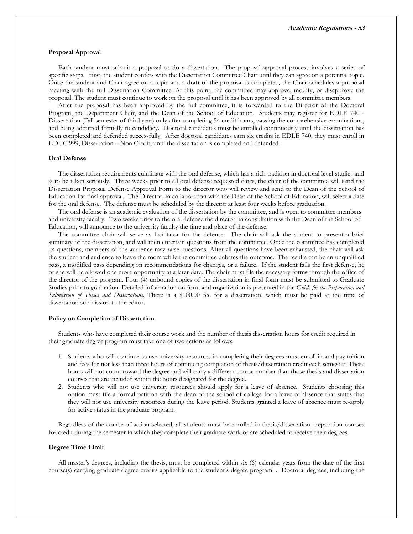#### **Proposal Approval**

Each student must submit a proposal to do a dissertation. The proposal approval process involves a series of specific steps. First, the student confers with the Dissertation Committee Chair until they can agree on a potential topic. Once the student and Chair agree on a topic and a draft of the proposal is completed, the Chair schedules a proposal meeting with the full Dissertation Committee. At this point, the committee may approve, modify, or disapprove the proposal. The student must continue to work on the proposal until it has been approved by all committee members.

After the proposal has been approved by the full committee, it is forwarded to the Director of the Doctoral Program, the Department Chair, and the Dean of the School of Education. Students may register for EDLE 740 - Dissertation (Fall semester of third year) only after completing 54 credit hours, passing the comprehensive examinations, and being admitted formally to candidacy. Doctoral candidates must be enrolled continuously until the dissertation has been completed and defended successfully. After doctoral candidates earn six credits in EDLE 740, they must enroll in EDUC 999, Dissertation – Non Credit, until the dissertation is completed and defended.

#### **Oral Defense**

The dissertation requirements culminate with the oral defense, which has a rich tradition in doctoral level studies and is to be taken seriously. Three weeks prior to all oral defense requested dates, the chair of the committee will send the Dissertation Proposal Defense Approval Form to the director who will review and send to the Dean of the School of Education for final approval. The Director, in collaboration with the Dean of the School of Education, will select a date for the oral defense. The defense must be scheduled by the director at least four weeks before graduation.

The oral defense is an academic evaluation of the dissertation by the committee, and is open to committee members and university faculty. Two weeks prior to the oral defense the director, in consultation with the Dean of the School of Education, will announce to the university faculty the time and place of the defense.

The committee chair will serve as facilitator for the defense. The chair will ask the student to present a brief summary of the dissertation, and will then entertain questions from the committee. Once the committee has completed its questions, members of the audience may raise questions. After all questions have been exhausted, the chair will ask the student and audience to leave the room while the committee debates the outcome. The results can be an unqualified pass, a modified pass depending on recommendations for changes, or a failure. If the student fails the first defense, he or she will be allowed one more opportunity at a later date. The chair must file the necessary forms through the office of the director of the program. Four (4) unbound copies of the dissertation in final form must be submitted to Graduate Studies prior to graduation. Detailed information on form and organization is presented in the *Guide for the Preparation and Submission of Theses and Dissertations*. There is a \$100.00 fee for a dissertation, which must be paid at the time of dissertation submission to the editor.

#### **Policy on Completion of Dissertation**

Students who have completed their course work and the number of thesis dissertation hours for credit required in their graduate degree program must take one of two actions as follows:

- 1. Students who will continue to use university resources in completing their degrees must enroll in and pay tuition and fees for not less than three hours of continuing completion of thesis/dissertation credit each semester. These hours will not count toward the degree and will carry a different course number than those thesis and dissertation courses that are included within the hours designated for the degree.
- 2. Students who will not use university resources should apply for a leave of absence. Students choosing this option must file a formal petition with the dean of the school of college for a leave of absence that states that they will not use university resources during the leave period. Students granted a leave of absence must re-apply for active status in the graduate program.

Regardless of the course of action selected, all students must be enrolled in thesis/dissertation preparation courses for credit during the semester in which they complete their graduate work or are scheduled to receive their degrees.

#### **Degree Time Limit**

All master's degrees, including the thesis, must be completed within six (6) calendar years from the date of the first course(s) carrying graduate degree credits applicable to the student's degree program. . Doctoral degrees, including the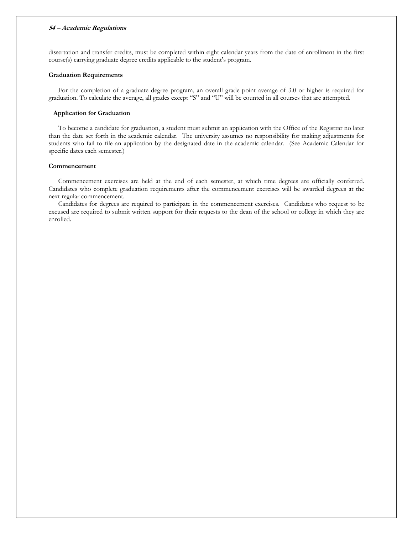#### **54 – Academic Regulations**

dissertation and transfer credits, must be completed within eight calendar years from the date of enrollment in the first course(s) carrying graduate degree credits applicable to the student's program.

#### **Graduation Requirements**

For the completion of a graduate degree program, an overall grade point average of 3.0 or higher is required for graduation. To calculate the average, all grades except "S" and "U" will be counted in all courses that are attempted.

## **Application for Graduation**

To become a candidate for graduation, a student must submit an application with the Office of the Registrar no later than the date set forth in the academic calendar. The university assumes no responsibility for making adjustments for students who fail to file an application by the designated date in the academic calendar. (See Academic Calendar for specific dates each semester.)

#### **Commencement**

Commencement exercises are held at the end of each semester, at which time degrees are officially conferred. Candidates who complete graduation requirements after the commencement exercises will be awarded degrees at the next regular commencement.

Candidates for degrees are required to participate in the commencement exercises. Candidates who request to be excused are required to submit written support for their requests to the dean of the school or college in which they are enrolled.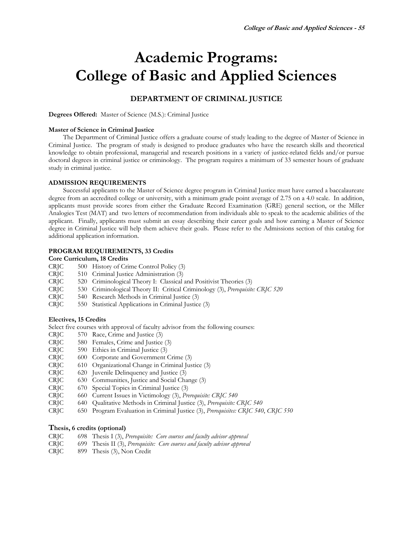# **Academic Programs: College of Basic and Applied Sciences**

# **DEPARTMENT OF CRIMINAL JUSTICE**

**Degrees Offered:** Master of Science (M.S.): Criminal Justice

## **Master of Science in Criminal Justice**

 The Department of Criminal Justice offers a graduate course of study leading to the degree of Master of Science in Criminal Justice. The program of study is designed to produce graduates who have the research skills and theoretical knowledge to obtain professional, managerial and research positions in a variety of justice-related fields and/or pursue doctoral degrees in criminal justice or criminology. The program requires a minimum of 33 semester hours of graduate study in criminal justice.

## **ADMISSION REQUIREMENTS**

 Successful applicants to the Master of Science degree program in Criminal Justice must have earned a baccalaureate degree from an accredited college or university, with a minimum grade point average of 2.75 on a 4.0 scale. In addition, applicants must provide scores from either the Graduate Record Examination (GRE) general section, or the Miller Analogies Test (MAT) and two letters of recommendation from individuals able to speak to the academic abilities of the applicant. Finally, applicants must submit an essay describing their career goals and how earning a Master of Science degree in Criminal Justice will help them achieve their goals. Please refer to the Admissions section of this catalog for additional application information.

## **PROGRAM REQUIREMENTS, 33 Credits**

## **Core Curriculum, 18 Credits**

- CRJC 500 History of Crime Control Policy (3)
- CRJC 510 Criminal Justice Administration (3)
- CRJC 520 Criminological Theory I: Classical and Positivist Theories (3)
- CRJC 530 Criminological Theory II: Critical Criminology (3), *Prerequisite: CRJC 520*
- CRJC 540 Research Methods in Criminal Justice (3)
- CRJC 550 Statistical Applications in Criminal Justice (3)

## **Electives, 15 Credits**

Select five courses with approval of faculty advisor from the following courses:

- CRJC 570 Race, Crime and Justice (3)
- CRJC 580 Females, Crime and Justice (3)
- CRJC 590 Ethics in Criminal Justice (3)
- CRJC 600 Corporate and Government Crime (3)
- CRJC 610 Organizational Change in Criminal Justice (3)
- CRJC 620 Juvenile Delinquency and Justice (3)
- CRJC 630 Communities, Justice and Social Change (3)
- CRJC 670 Special Topics in Criminal Justice (3)
- CRJC 660 Current Issues in Victimology (3), *Prerequisite: CRJC 540*
- CRJC 640 Qualitative Methods in Criminal Justice (3), *Prerequisite: CRJC 540*
- CRJC 650 Program Evaluation in Criminal Justice (3), *Prerequisites: CRJC 540*, *CRJC 550*

## **Thesis, 6 credits (optional)**

- CRJC 698 Thesis I (3), *Prerequisite: Core courses and faculty advisor approval*
- CRJC 699 Thesis II (3), *Prerequisite: Core courses and faculty advisor approval*
- CRJC 899 Thesis (3), Non Credit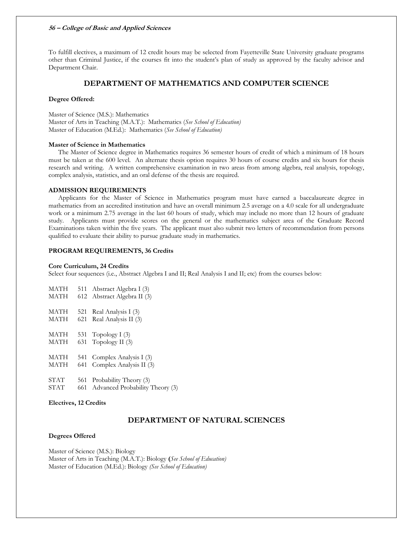## **56 – College of Basic and Applied Sciences**

To fulfill electives, a maximum of 12 credit hours may be selected from Fayetteville State University graduate programs other than Criminal Justice, if the courses fit into the student's plan of study as approved by the faculty advisor and Department Chair.

# **DEPARTMENT OF MATHEMATICS AND COMPUTER SCIENCE**

## **Degree Offered:**

Master of Science (M.S.): Mathematics Master of Arts in Teaching (M.A.T.): Mathematics (*See School of Education)*  Master of Education (M.Ed.): Mathematics (*See School of Education)*

## **Master of Science in Mathematics**

The Master of Science degree in Mathematics requires 36 semester hours of credit of which a minimum of 18 hours must be taken at the 600 level. An alternate thesis option requires 30 hours of course credits and six hours for thesis research and writing. A written comprehensive examination in two areas from among algebra, real analysis, topology, complex analysis, statistics, and an oral defense of the thesis are required.

## **ADMISSION REQUIREMENTS**

Applicants for the Master of Science in Mathematics program must have earned a baccalaureate degree in mathematics from an accredited institution and have an overall minimum 2.5 average on a 4.0 scale for all undergraduate work or a minimum 2.75 average in the last 60 hours of study, which may include no more than 12 hours of graduate study. Applicants must provide scores on the general or the mathematics subject area of the Graduate Record Examinations taken within the five years. The applicant must also submit two letters of recommendation from persons qualified to evaluate their ability to pursue graduate study in mathematics.

## **PROGRAM REQUIREMENTS, 36 Credits**

#### **Core Curriculum, 24 Credits**

Select four sequences (i.e., Abstract Algebra I and II; Real Analysis I and II; etc) from the courses below:

| <b>MATH</b><br><b>MATH</b> |            | 511 Abstract Algebra I (3)<br>612 Abstract Algebra II (3)     |
|----------------------------|------------|---------------------------------------------------------------|
| MATH<br><b>MATH</b>        | 521<br>621 | Real Analysis I (3)<br>Real Analysis II (3)                   |
| <b>MATH</b><br><b>MATH</b> | 631        | 531 Topology I $(3)$<br>Topology II $(3)$                     |
| MATH<br><b>MATH</b>        | 541<br>641 | Complex Analysis I (3)<br>Complex Analysis II (3)             |
| <b>STAT</b><br><b>STAT</b> | 561        | Probability Theory (3)<br>661 Advanced Probability Theory (3) |

**Electives, 12 Credits** 

## **DEPARTMENT OF NATURAL SCIENCES**

#### **Degrees Offered**

Master of Science (M.S.): Biology Master of Arts in Teaching (M.A.T.): Biology **(***See School of Education)*  Master of Education (M.Ed.): Biology *(See School of Education)*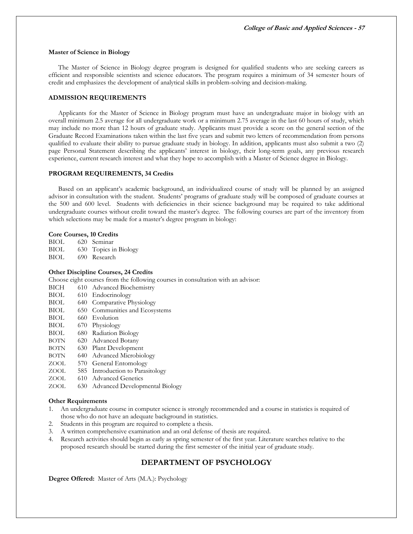## **Master of Science in Biology**

The Master of Science in Biology degree program is designed for qualified students who are seeking careers as efficient and responsible scientists and science educators. The program requires a minimum of 34 semester hours of credit and emphasizes the development of analytical skills in problem-solving and decision-making.

#### **ADMISSION REQUIREMENTS**

Applicants for the Master of Science in Biology program must have an undergraduate major in biology with an overall minimum 2.5 average for all undergraduate work or a minimum 2.75 average in the last 60 hours of study, which may include no more than 12 hours of graduate study. Applicants must provide a score on the general section of the Graduate Record Examinations taken within the last five years and submit two letters of recommendation from persons qualified to evaluate their ability to pursue graduate study in biology. In addition, applicants must also submit a two (2) page Personal Statement describing the applicants' interest in biology, their long-term goals, any previous research experience, current research interest and what they hope to accomplish with a Master of Science degree in Biology.

#### **PROGRAM REQUIREMENTS, 34 Credits**

Based on an applicant's academic background, an individualized course of study will be planned by an assigned advisor in consultation with the student. Students' programs of graduate study will be composed of graduate courses at the 500 and 600 level. Students with deficiencies in their science background may be required to take additional undergraduate courses without credit toward the master's degree. The following courses are part of the inventory from which selections may be made for a master's degree program in biology:

## **Core Courses, 10 Credits**

BIOL 620 Seminar BIOL 630 Topics in Biology BIOL 690 Research

## **Other Discipline Courses, 24 Credits**

Choose eight courses from the following courses in consultation with an advisor:

- BICH 610 Advanced Biochemistry
- BIOL 610 Endocrinology
- BIOL 640 Comparative Physiology
- BIOL 650 Communities and Ecosystems
- BIOL 660 Evolution
- BIOL 670 Physiology
- BIOL 680 Radiation Biology
- BOTN 620 Advanced Botany
- BOTN 630 Plant Development
- BOTN 640 Advanced Microbiology
- ZOOL 570 General Entomology
- ZOOL 585 Introduction to Parasitology
- ZOOL 610 Advanced Genetics
- ZOOL 630 Advanced Developmental Biology

## **Other Requirements**

- 1. An undergraduate course in computer science is strongly recommended and a course in statistics is required of those who do not have an adequate background in statistics.
- 2. Students in this program are required to complete a thesis.
- 3. A written comprehensive examination and an oral defense of thesis are required.
- 4. Research activities should begin as early as spring semester of the first year. Literature searches relative to the proposed research should be started during the first semester of the initial year of graduate study.

# **DEPARTMENT OF PSYCHOLOGY**

**Degree Offered:** Master of Arts (M.A.): Psychology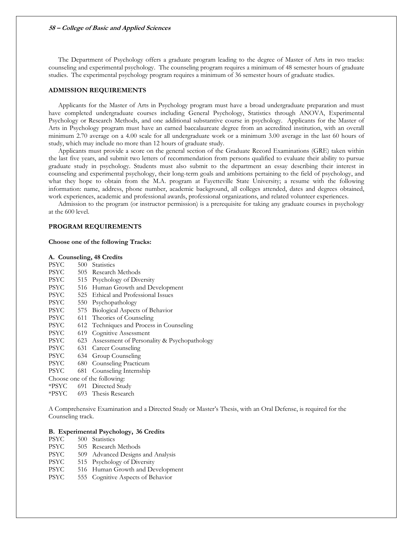The Department of Psychology offers a graduate program leading to the degree of Master of Arts in two tracks: counseling and experimental psychology. The counseling program requires a minimum of 48 semester hours of graduate studies. The experimental psychology program requires a minimum of 36 semester hours of graduate studies.

#### **ADMISSION REQUIREMENTS**

Applicants for the Master of Arts in Psychology program must have a broad undergraduate preparation and must have completed undergraduate courses including General Psychology, Statistics through ANOVA, Experimental Psychology or Research Methods, and one additional substantive course in psychology. Applicants for the Master of Arts in Psychology program must have an earned baccalaureate degree from an accredited institution, with an overall minimum 2.70 average on a 4.00 scale for all undergraduate work or a minimum 3.00 average in the last 60 hours of study, which may include no more than 12 hours of graduate study.

Applicants must provide a score on the general section of the Graduate Record Examinations (GRE) taken within the last five years, and submit two letters of recommendation from persons qualified to evaluate their ability to pursue graduate study in psychology. Students must also submit to the department an essay describing their interest in counseling and experimental psychology, their long-term goals and ambitions pertaining to the field of psychology, and what they hope to obtain from the M.A. program at Fayetteville State University; a resume with the following information: name, address, phone number, academic background, all colleges attended, dates and degrees obtained, work experiences, academic and professional awards, professional organizations, and related volunteer experiences.

Admission to the program (or instructor permission) is a prerequisite for taking any graduate courses in psychology at the 600 level.

#### **PROGRAM REQUIREMENTS**

#### **Choose one of the following Tracks:**

#### **A. Counseling, 48 Credits**

- PSYC 500 Statistics PSYC 505 Research Methods PSYC 515 Psychology of Diversity PSYC 516 Human Growth and Development PSYC 525 Ethical and Professional Issues PSYC 550 Psychopathology PSYC 575 Biological Aspects of Behavior
- PSYC 611 Theories of Counseling
- PSYC 612 Techniques and Process in Counseling
- PSYC 619 Cognitive Assessment
- PSYC 623 Assessment of Personality & Psychopathology
- PSYC 631 Career Counseling
- PSYC 634 Group Counseling
- PSYC 680 Counseling Practicum
- PSYC 681 Counseling Internship
- Choose one of the following:
- \*PSYC 691 Directed Study
- \*PSYC 693 Thesis Research

A Comprehensive Examination and a Directed Study or Master's Thesis, with an Oral Defense, is required for the Counseling track.

#### **B. Experimental Psychology, 36 Credits**

| <b>PSYC</b> | 500 Statistics                    |
|-------------|-----------------------------------|
| <b>PSYC</b> | 505 Research Methods              |
| <b>PSYC</b> | 509 Advanced Designs and Analysis |
| <b>PSYC</b> | 515 Psychology of Diversity       |
| <b>PSYC</b> | 516 Human Growth and Development  |
| <b>PSYC</b> | 555 Cognitive Aspects of Behavior |
|             |                                   |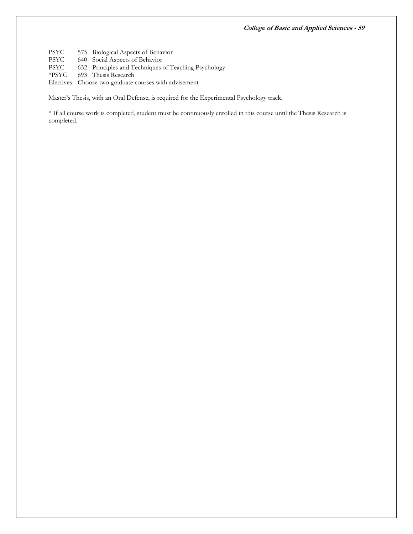PSYC 575 Biological Aspects of Behavior<br>PSYC 640 Social Aspects of Behavior PSYC 640 Social Aspects of Behavior<br>PSYC 652 Principles and Techniques of PSYC 652 Principles and Techniques of Teaching Psychology<br>\*PSYC 693 Thesis Research 693 Thesis Research Electives Choose two graduate courses with advisement

Master's Thesis, with an Oral Defense, is required for the Experimental Psychology track.

\* If all course work is completed, student must be continuously enrolled in this course until the Thesis Research is completed.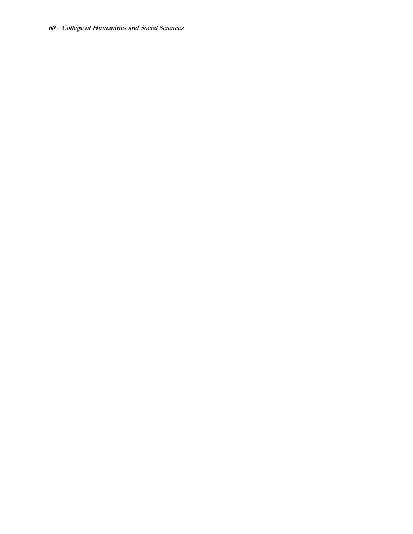**60 – College of Humanities and Social Sciences**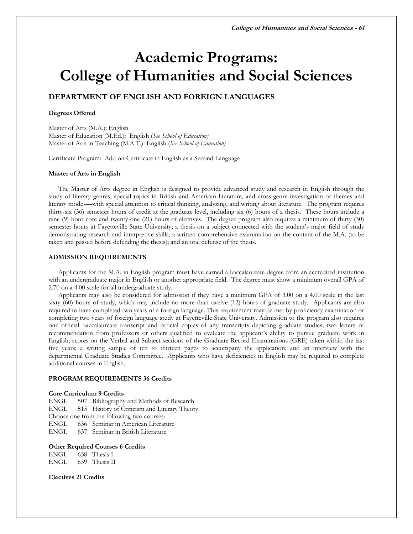# **Academic Programs: College of Humanities and Social Sciences**

# **DEPARTMENT OF ENGLISH AND FOREIGN LANGUAGES**

## **Degrees Offered**

Master of Arts (M.A.): English Master of Education (M.Ed.): English (*See School of Education)*  Master of Arts in Teaching (M.A.T.): English (*See School of Education)* 

Certificate Program: Add on Certificate in English as a Second Language

## **Master of Arts in English**

The Master of Arts degree in English is designed to provide advanced study and research in English through the study of literary genres, special topics in British and American literature, and cross-genre investigation of themes and literary modes—with special attention to critical thinking, analyzing, and writing about literature. The program requires thirty-six (36) semester hours of credit at the graduate level, including six (6) hours of a thesis. These hours include a nine (9) hour core and twenty-one (21) hours of electives. The degree program also requires a minimum of thirty (30) semester hours at Fayetteville State University; a thesis on a subject connected with the student's major field of study demonstrating research and interpretive skills; a written comprehensive examination on the content of the M.A. (to be taken and passed before defending the thesis); and an oral defense of the thesis.

### **ADMISSION REQUIREMENTS**

Applicants for the M.A. in English program must have earned a baccalaureate degree from an accredited institution with an undergraduate major in English or another appropriate field. The degree must show a minimum overall GPA of 2.70 on a 4.00 scale for all undergraduate study.

Applicants may also be considered for admission if they have a minimum GPA of 3.00 on a 4.00 scale in the last sixty (60) hours of study, which may include no more than twelve (12) hours of graduate study. Applicants are also required to have completed two years of a foreign language. This requirement may be met by proficiency examination or completing two years of foreign language study at Fayetteville State University. Admission to the program also requires one official baccalaureate transcript and official copies of any transcripts depicting graduate studies; two letters of recommendation from professors or others qualified to evaluate the applicant's ability to pursue graduate work in English; scores on the Verbal and Subject sections of the Graduate Record Examinations (GRE) taken within the last five years; a writing sample of ten to thirteen pages to accompany the application; and an interview with the departmental Graduate Studies Committee. Applicants who have deficiencies in English may be required to complete additional courses in English.

## **PROGRAM REQUIREMENTS 36 Credits**

#### **Core Curriculum 9 Credits**

ENGL 507 Bibliography and Methods of Research ENGL 515 History of Criticism and Literary Theory Choose one from the following two courses: ENGL 636 Seminar in American Literature ENGL 637 Seminar in British Literature

## **Other Required Courses 6 Credits**

ENGL 638 Thesis I ENGL 639 Thesis II

**Electives 21 Credits**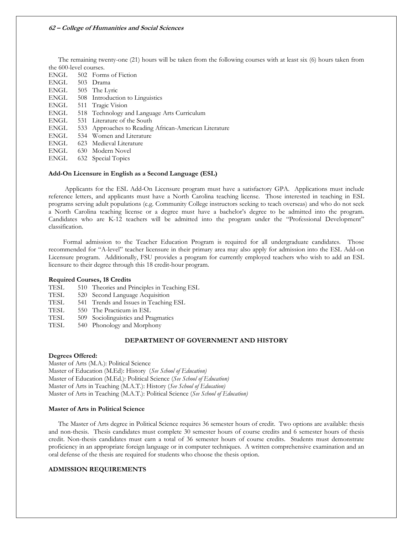The remaining twenty-one (21) hours will be taken from the following courses with at least six (6) hours taken from the 600-level courses.

| ENGL | 502 Forms of Fiction                                  |
|------|-------------------------------------------------------|
| ENGL | 503 Drama                                             |
| ENGL | 505 The Lyric                                         |
| ENGL | 508 Introduction to Linguistics                       |
| ENGL | 511 Tragic Vision                                     |
| ENGL | 518 Technology and Language Arts Curriculum           |
| ENGL | 531 Literature of the South                           |
| ENGL | 533 Approaches to Reading African-American Literature |
| ENGL | 534 Women and Literature                              |
| ENGL | 623 Medieval Literature                               |
| ENGL | 630 Modern Novel                                      |
| ENGL | 632 Special Topics                                    |

#### **Add-On Licensure in English as a Second Language (ESL)**

 Applicants for the ESL Add-On Licensure program must have a satisfactory GPA. Applications must include reference letters, and applicants must have a North Carolina teaching license. Those interested in teaching in ESL programs serving adult populations (e.g. Community College instructors seeking to teach overseas) and who do not seek a North Carolina teaching license or a degree must have a bachelor's degree to be admitted into the program. Candidates who are K-12 teachers will be admitted into the program under the "Professional Development" classification.

 Formal admission to the Teacher Education Program is required for all undergraduate candidates. Those recommended for "A-level" teacher licensure in their primary area may also apply for admission into the ESL Add-on Licensure program. Additionally, FSU provides a program for currently employed teachers who wish to add an ESL licensure to their degree through this 18 credit-hour program.

#### **Required Courses, 18 Credits**

- TESL 510 Theories and Principles in Teaching ESL
- TESL 520 Second Language Acquisition
- TESL 541 Trends and Issues in Teaching ESL
- TESL 550 The Practicum in ESL
- TESL 509 Sociolinguistics and Pragmatics
- TESL 540 Phonology and Morphony

## **DEPARTMENT OF GOVERNMENT AND HISTORY**

#### **Degrees Offered:**

Master of Arts (M.A.): Political Science Master of Education (M.Ed): History (*See School of Education)*  Master of Education (M.Ed.): Political Science (*See School of Education)* Master of Arts in Teaching (M.A.T.): History (*See School of Education)* Master of Arts in Teaching (M.A.T.): Political Science (*See School of Education)*

#### **Master of Arts in Political Science**

The Master of Arts degree in Political Science requires 36 semester hours of credit. Two options are available: thesis and non-thesis. Thesis candidates must complete 30 semester hours of course credits and 6 semester hours of thesis credit. Non-thesis candidates must earn a total of 36 semester hours of course credits. Students must demonstrate proficiency in an appropriate foreign language or in computer techniques. A written comprehensive examination and an oral defense of the thesis are required for students who choose the thesis option.

#### **ADMISSION REQUIREMENTS**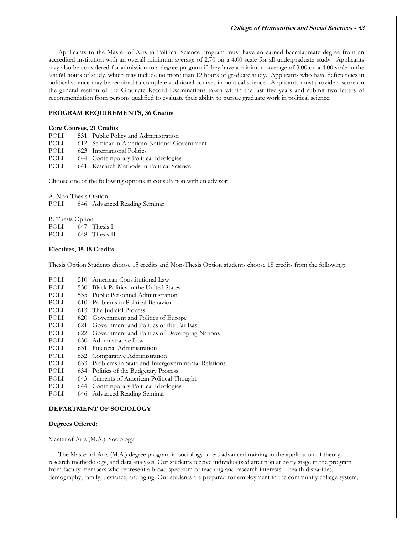Applicants to the Master of Arts in Political Science program must have an earned baccalaureate degree from an accredited institution with an overall minimum average of 2.70 on a 4.00 scale for all undergraduate study. Applicants may also be considered for admission to a degree program if they have a minimum average of 3.00 on a 4.00 scale in the last 60 hours of study, which may include no more than 12 hours of graduate study. Applicants who have deficiencies in political science may be required to complete additional courses in political science. Applicants must provide a score on the general section of the Graduate Record Examinations taken within the last five years and submit two letters of recommendation from persons qualified to evaluate their ability to pursue graduate work in political science.

## **PROGRAM REQUIREMENTS, 36 Credits**

## **Core Courses, 21 Credits**

- POLI 531 Public Policy and Administration
- POLI 612 Seminar in American National Government
- POLI 623 International Politics
- POLI 644 Contemporary Political Ideologies
- POLI 641 Research Methods in Political Science

Choose one of the following options in consultation with an advisor:

A. Non-Thesis Option POLI 646 Advanced Reading Seminar

B. Thesis Option POLI 647 Thesis I POLI 648 Thesis II

## **Electives, 15-18 Credits**

Thesis Option Students choose 15 credits and Non-Thesis Option students choose 18 credits from the following:

- POLI 510 American Constitutional Law
- POLI 530 Black Politics in the United States
- POLI 535 Public Personnel Administration
- POLI 610 Problems in Political Behavior
- POLI 613 The Judicial Process
- POLI 620 Government and Politics of Europe
- POLI 621 Government and Politics of the Far East
- POLI 622 Government and Politics of Developing Nations
- POLI 630 Administrative Law
- POLI 631 Financial Administration
- POLI 632 Comparative Administration
- POLI 633 Problems in State and Intergovernmental Relations
- POLI 634 Politics of the Budgetary Process
- POLI 643 Currents of American Political Thought
- POLI 644 Contemporary Political Ideologies
- POLI 646 Advanced Reading Seminar

## **DEPARTMENT OF SOCIOLOGY**

## **Degrees Offered:**

Master of Arts (M.A.): Sociology

The Master of Arts (M.A.) degree program in sociology offers advanced training in the application of theory, research methodology, and data analyses. Our students receive individualized attention at every stage in the program from faculty members who represent a broad spectrum of teaching and research interests—health disparities, demography, family, deviance, and aging. Our students are prepared for employment in the community college system,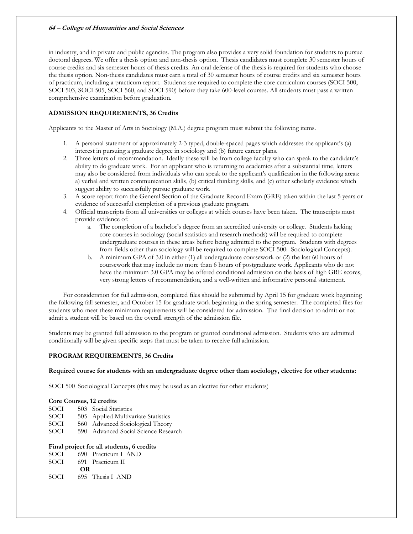## **64 – College of Humanities and Social Sciences**

in industry, and in private and public agencies. The program also provides a very solid foundation for students to pursue doctoral degrees. We offer a thesis option and non-thesis option. Thesis candidates must complete 30 semester hours of course credits and six semester hours of thesis credits. An oral defense of the thesis is required for students who choose the thesis option. Non-thesis candidates must earn a total of 30 semester hours of course credits and six semester hours of practicum, including a practicum report. Students are required to complete the core curriculum courses (SOCI 500, SOCI 503, SOCI 505, SOCI 560, and SOCI 590) before they take 600-level courses. All students must pass a written comprehensive examination before graduation.

# **ADMISSION REQUIREMENTS, 36 Credits**

Applicants to the Master of Arts in Sociology (M.A.) degree program must submit the following items.

- 1. A personal statement of approximately 2-3 typed, double-spaced pages which addresses the applicant's (a) interest in pursuing a graduate degree in sociology and (b) future career plans.
- 2. Three letters of recommendation. Ideally these will be from college faculty who can speak to the candidate's ability to do graduate work. For an applicant who is returning to academics after a substantial time, letters may also be considered from individuals who can speak to the applicant's qualification in the following areas: a) verbal and written communication skills, (b) critical thinking skills, and (c) other scholarly evidence which suggest ability to successfully pursue graduate work.
- 3. A score report from the General Section of the Graduate Record Exam (GRE) taken within the last 5 years or evidence of successful completion of a previous graduate program.
- 4. Official transcripts from all universities or colleges at which courses have been taken. The transcripts must provide evidence of:
	- a. The completion of a bachelor's degree from an accredited university or college. Students lacking core courses in sociology (social statistics and research methods) will be required to complete undergraduate courses in these areas before being admitted to the program. Students with degrees from fields other than sociology will be required to complete SOCI 500: Sociological Concepts).
	- b. A minimum GPA of 3.0 in either (1) all undergraduate coursework or (2) the last 60 hours of coursework that may include no more than 6 hours of postgraduate work. Applicants who do not have the minimum 3.0 GPA may be offered conditional admission on the basis of high GRE scores, very strong letters of recommendation, and a well-written and informative personal statement.

For consideration for full admission, completed files should be submitted by April 15 for graduate work beginning the following fall semester, and October 15 for graduate work beginning in the spring semester. The completed files for students who meet these minimum requirements will be considered for admission. The final decision to admit or not admit a student will be based on the overall strength of the admission file.

Students may be granted full admission to the program or granted conditional admission. Students who are admitted conditionally will be given specific steps that must be taken to receive full admission.

## **PROGRAM REQUIREMENTS**, **36 Credits**

## **Required course for students with an undergraduate degree other than sociology, elective for other students:**

SOCI 500 Sociological Concepts (this may be used as an elective for other students)

## **Core Courses, 12 credits**

SOCI 503 Social Statistics

- SOCI 505 Applied Multivariate Statistics
- SOCI 560 Advanced Sociological Theory
- SOCI 590 Advanced Social Science Research

## **Final project for all students, 6 credits**

- SOCI 690 Practicum I AND SOCI 691 Practicum II  **OR**
- SOCI 695 Thesis I AND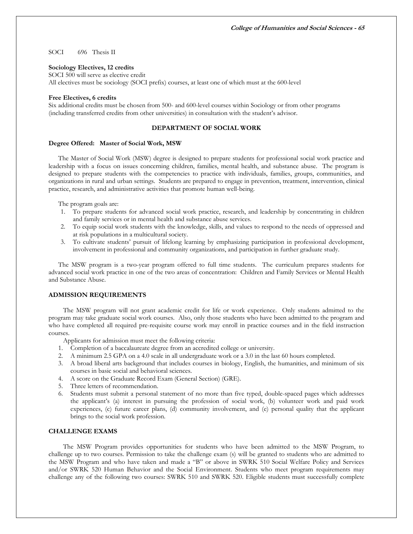SOCI 696 Thesis II

## **Sociology Electives, 12 credits**

SOCI 500 will serve as elective credit All electives must be sociology (SOCI prefix) courses, at least one of which must at the 600-level

## **Free Electives, 6 credits**

Six additional credits must be chosen from 500- and 600-level courses within Sociology or from other programs (including transferred credits from other universities) in consultation with the student's advisor.

## **DEPARTMENT OF SOCIAL WORK**

## **Degree Offered: Master of Social Work, MSW**

The Master of Social Work (MSW) degree is designed to prepare students for professional social work practice and leadership with a focus on issues concerning children, families, mental health, and substance abuse. The program is designed to prepare students with the competencies to practice with individuals, families, groups, communities, and organizations in rural and urban settings. Students are prepared to engage in prevention, treatment, intervention, clinical practice, research, and administrative activities that promote human well-being.

The program goals are:

- 1. To prepare students for advanced social work practice, research, and leadership by concentrating in children and family services or in mental health and substance abuse services.
- 2. To equip social work students with the knowledge, skills, and values to respond to the needs of oppressed and at risk populations in a multicultural society.
- 3. To cultivate students' pursuit of lifelong learning by emphasizing participation in professional development, involvement in professional and community organizations, and participation in further graduate study.

The MSW program is a two-year program offered to full time students. The curriculum prepares students for advanced social work practice in one of the two areas of concentration: Children and Family Services or Mental Health and Substance Abuse.

## **ADMISSION REQUIREMENTS**

The MSW program will not grant academic credit for life or work experience. Only students admitted to the program may take graduate social work courses. Also, only those students who have been admitted to the program and who have completed all required pre-requisite course work may enroll in practice courses and in the field instruction courses.

Applicants for admission must meet the following criteria:

- 1. Completion of a baccalaureate degree from an accredited college or university.
- 2. A minimum 2.5 GPA on a 4.0 scale in all undergraduate work or a 3.0 in the last 60 hours completed.
- 3. A broad liberal arts background that includes courses in biology, English, the humanities, and minimum of six courses in basic social and behavioral sciences.
- 4. A score on the Graduate Record Exam (General Section) (GRE).
- 5. Three letters of recommendation.
- 6. Students must submit a personal statement of no more than five typed, double-spaced pages which addresses the applicant's (a) interest in pursuing the profession of social work, (b) volunteer work and paid work experiences, (c) future career plans, (d) community involvement, and (e) personal quality that the applicant brings to the social work profession.

## **CHALLENGE EXAMS**

The MSW Program provides opportunities for students who have been admitted to the MSW Program, to challenge up to two courses. Permission to take the challenge exam (s) will be granted to students who are admitted to the MSW Program and who have taken and made a "B" or above in SWRK 510 Social Welfare Policy and Services and/or SWRK 520 Human Behavior and the Social Environment. Students who meet program requirements may challenge any of the following two courses: SWRK 510 and SWRK 520. Eligible students must successfully complete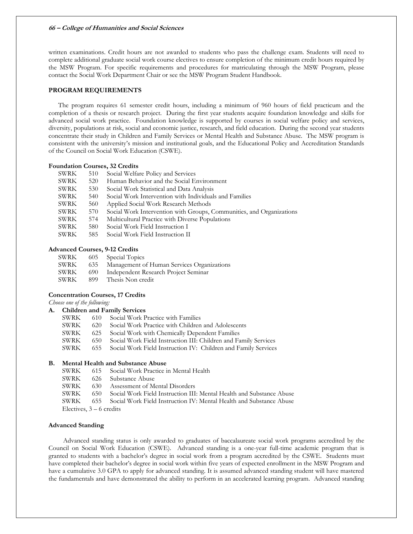#### **66 – College of Humanities and Social Sciences**

written examinations. Credit hours are not awarded to students who pass the challenge exam. Students will need to complete additional graduate social work course electives to ensure completion of the minimum credit hours required by the MSW Program. For specific requirements and procedures for matriculating through the MSW Program, please contact the Social Work Department Chair or see the MSW Program Student Handbook.

## **PROGRAM REQUIREMENTS**

The program requires 61 semester credit hours, including a minimum of 960 hours of field practicum and the completion of a thesis or research project. During the first year students acquire foundation knowledge and skills for advanced social work practice. Foundation knowledge is supported by courses in social welfare policy and services, diversity, populations at risk, social and economic justice, research, and field education. During the second year students concentrate their study in Children and Family Services or Mental Health and Substance Abuse. The MSW program is consistent with the university's mission and institutional goals, and the Educational Policy and Accreditation Standards of the Council on Social Work Education (CSWE).

## **Foundation Courses, 32 Credits**

| SWRK | 510 | Social Welfare Policy and Services |
|------|-----|------------------------------------|
|------|-----|------------------------------------|

- SWRK 520 Human Behavior and the Social Environment
- SWRK 530 Social Work Statistical and Data Analysis
- SWRK 540 Social Work Intervention with Individuals and Families
- SWRK 560 Applied Social Work Research Methods
- SWRK 570 Social Work Intervention with Groups, Communities, and Organizations
- SWRK 574 Multicultural Practice with Diverse Populations
- SWRK 580 Social Work Field Instruction I
- SWRK 585 Social Work Field Instruction II

## **Advanced Courses, 9-12 Credits**

| SWRK | 605 | Special Topics |
|------|-----|----------------|
|------|-----|----------------|

- SWRK 635 Management of Human Services Organizations
- SWRK 690 Independent Research Project Seminar
- SWRK 899 Thesis Non credit

## **Concentration Courses, 17 Credits**

*Choose one of the following:* 

## **A. Children and Family Services**

- SWRK 610 Social Work Practice with Families
- SWRK 620 Social Work Practice with Children and Adolescents
- SWRK 625 Social Work with Chemically Dependent Families
- SWRK 650 Social Work Field Instruction III: Children and Family Services
- SWRK 655 Social Work Field Instruction IV: Children and Family Services

## **B. Mental Health and Substance Abuse**

- SWRK 615 Social Work Practice in Mental Health
- SWRK 626 Substance Abuse
- SWRK 630 Assessment of Mental Disorders
- SWRK 650 Social Work Field Instruction III: Mental Health and Substance Abuse
- SWRK 655 Social Work Field Instruction IV: Mental Health and Substance Abuse
- Electives, 3 6 credits

## **Advanced Standing**

Advanced standing status is only awarded to graduates of baccalaureate social work programs accredited by the Council on Social Work Education (CSWE). Advanced standing is a one-year full-time academic program that is granted to students with a bachelor's degree in social work from a program accredited by the CSWE. Students must have completed their bachelor's degree in social work within five years of expected enrollment in the MSW Program and have a cumulative 3.0 GPA to apply for advanced standing. It is assumed advanced standing student will have mastered the fundamentals and have demonstrated the ability to perform in an accelerated learning program. Advanced standing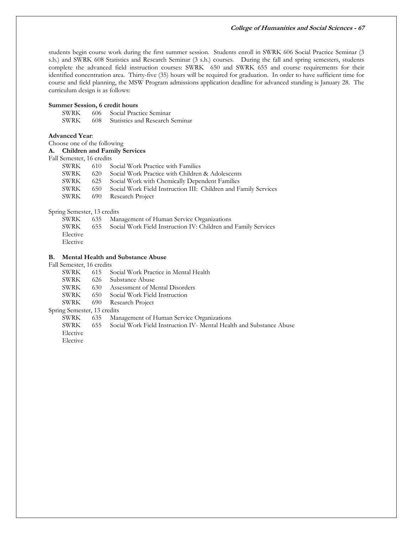students begin course work during the first summer session. Students enroll in SWRK 606 Social Practice Seminar (3 s.h.) and SWRK 608 Statistics and Research Seminar (3 s.h.) courses. During the fall and spring semesters, students complete the advanced field instruction courses: SWRK 650 and SWRK 655 and course requirements for their identified concentration area. Thirty-five (35) hours will be required for graduation. In order to have sufficient time for course and field planning, the MSW Program admissions application deadline for advanced standing is January 28. The curriculum design is as follows:

## **Summer Session, 6 credit hours**

 SWRK 606 Social Practice Seminar SWRK 608 Statistics and Research Seminar

## **Advanced Year**:

Choose one of the following

## **A. Children and Family Services**

Fall Semester, 16 credits

|  | SWRK 610 Social Work Practice with Families                              |
|--|--------------------------------------------------------------------------|
|  | SWRK 620 Social Work Practice with Children & Adolescents                |
|  | SWRK 625 Social Work with Chemically Dependent Families                  |
|  | SWRK 650 Social Work Field Instruction III: Children and Family Services |
|  | SWRK 690 Research Project                                                |

## Spring Semester, 13 credits

|          | SWRK 635 Management of Human Service Organizations                 |
|----------|--------------------------------------------------------------------|
| SWRK     | 655 Social Work Field Instruction IV: Children and Family Services |
| Elective |                                                                    |
| Elective |                                                                    |
|          |                                                                    |

## **B. Mental Health and Substance Abuse**

Fall Semester, 16 credits

SWRK 615 Social Work Practice in Mental Health

SWRK 626 Substance Abuse

- SWRK 630 Assessment of Mental Disorders
- SWRK 650 Social Work Field Instruction
- SWRK 690 Research Project

Spring Semester, 13 credits

- SWRK 635 Management of Human Service Organizations
- SWRK 655 Social Work Field Instruction IV- Mental Health and Substance Abuse
- Elective
- Elective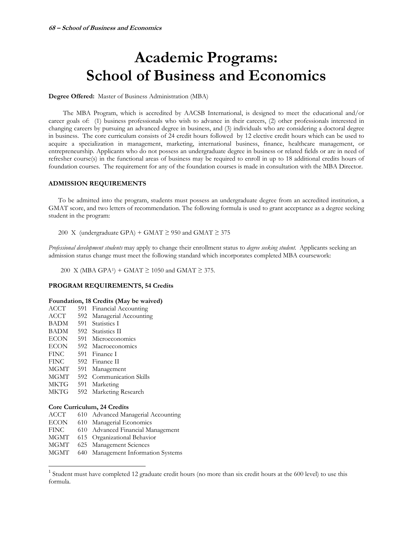# **Academic Programs: School of Business and Economics**

**Degree Offered:** Master of Business Administration (MBA)

 The MBA Program, which is accredited by AACSB International, is designed to meet the educational and/or career goals of: (1) business professionals who wish to advance in their careers, (2) other professionals interested in changing careers by pursuing an advanced degree in business, and (3) individuals who are considering a doctoral degree in business. The core curriculum consists of 24 credit hours followed by 12 elective credit hours which can be used to acquire a specialization in management, marketing, international business, finance, healthcare management, or entrepreneurship. Applicants who do not possess an undergraduate degree in business or related fields or are in need of refresher course(s) in the functional areas of business may be required to enroll in up to 18 additional credits hours of foundation courses. The requirement for any of the foundation courses is made in consultation with the MBA Director.

## **ADMISSION REQUIREMENTS**

To be admitted into the program, students must possess an undergraduate degree from an accredited institution, a GMAT score, and two letters of recommendation. The following formula is used to grant acceptance as a degree seeking student in the program:

200 X (undergraduate GPA) + GMAT  $\geq$  950 and GMAT  $\geq$  375

*Professional development students* may apply to change their enrollment status to *degree seeking student*. Applicants seeking an admission status change must meet the following standard which incorporates completed MBA coursework:

200 X (MBA GPA<sup>1</sup>) + GMAT  $\geq$  1050 and GMAT  $\geq$  375.

## **PROGRAM REQUIREMENTS, 54 Credits**

#### **Foundation, 18 Credits (May be waived)**

| ACCT        | 591 | Financial Accounting     |
|-------------|-----|--------------------------|
| ACCT        | 592 | Managerial Accounting    |
| BADM        | 591 | Statistics I             |
| BADM        |     | 592 Statistics II        |
| <b>ECON</b> | 591 | Microeconomics           |
| ECON        | 592 | Macroeconomics           |
| FINC        | 591 | Finance I                |
| FINC -      |     | 592 Finance II           |
| MGMT        | 591 | Management               |
| MGMT        |     | 592 Communication Skills |
| MKTG        | 591 | Marketing                |
| MKTG        | 592 | Marketing Research       |
|             |     |                          |

#### **Core Curriculum, 24 Credits**

 $\overline{a}$ 

- ACCT 610 Advanced Managerial Accounting
- ECON 610 Managerial Economics
- FINC 610 Advanced Financial Management
- MGMT 615 Organizational Behavior
- MGMT 625 Management Sciences
- MGMT 640 Management Information Systems

<span id="page-67-0"></span><sup>&</sup>lt;sup>1</sup> Student must have completed 12 graduate credit hours (no more than six credit hours at the 600 level) to use this formula.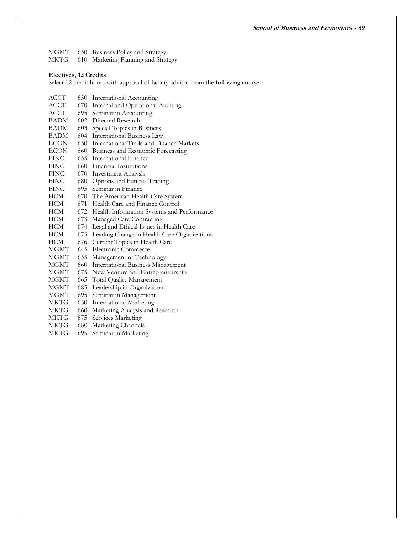MGMT 650 Business Policy and Strategy<br>MKTG 610 Marketing Planning and Strat 610 Marketing Planning and Strategy

# **Electives, 12 Credits**

Select 12 credit hours with approval of faculty advisor from the following courses:

| ACCT        | 650 | International Accounting                    |
|-------------|-----|---------------------------------------------|
| ACCT        | 670 | Internal and Operational Auditing           |
| ACCT        | 695 | Seminar in Accounting                       |
| <b>BADM</b> | 602 | Directed Research                           |
| <b>BADM</b> | 603 | Special Topics in Business                  |
| <b>BADM</b> | 604 | <b>International Business Law</b>           |
| <b>ECON</b> | 650 | International Trade and Finance Markets     |
| <b>ECON</b> | 660 | Business and Economic Forecasting           |
| <b>FINC</b> | 655 | International Finance                       |
| <b>FINC</b> | 660 | Financial Institutions                      |
| <b>FINC</b> | 670 | <b>Investment Analysis</b>                  |
| <b>FINC</b> | 680 | Options and Futures Trading                 |
| <b>FINC</b> | 695 | Seminar in Finance                          |
| <b>HCM</b>  | 670 | The American Health Care System             |
| HCM         | 671 | Health Care and Finance Control             |
| HCM         | 672 | Health Information Systems and Performance  |
| <b>HCM</b>  | 673 | Managed Care Contracting                    |
| HCM         | 674 | Legal and Ethical Issues in Health Care     |
| <b>HCM</b>  | 675 | Leading Change in Health Care Organizations |
| <b>HCM</b>  | 676 | Current Topics in Health Care               |
| MGMT        | 645 | Electronic Commerce                         |
| MGMT        | 655 | Management of Technology                    |
| MGMT        | 660 | <b>International Business Management</b>    |
| MGMT        | 675 | New Venture and Entrepreneurship            |
| MGMT        | 665 | Total Quality Management                    |
| MGMT        | 685 | Leadership in Organization                  |
| MGMT        | 695 | Seminar in Management                       |
| MKTG        | 650 | <b>International Marketing</b>              |
| MKTG        | 660 | Marketing Analysis and Research             |
| MKTG        | 675 | Services Marketing                          |
| MKTG        | 680 | Marketing Channels                          |
| MKTG        | 695 | Seminar in Marketing                        |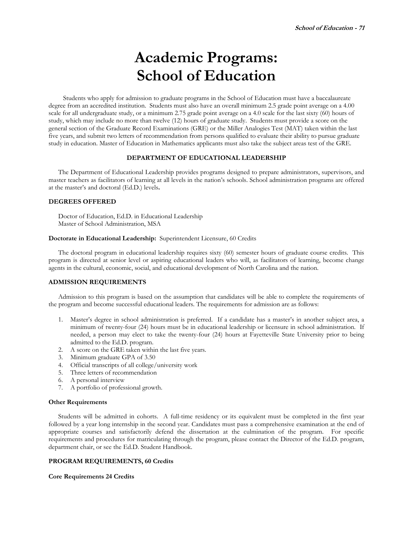# **Academic Programs: School of Education**

Students who apply for admission to graduate programs in the School of Education must have a baccalaureate degree from an accredited institution. Students must also have an overall minimum 2.5 grade point average on a 4.00 scale for all undergraduate study, or a minimum 2.75 grade point average on a 4.0 scale for the last sixty (60) hours of study, which may include no more than twelve (12) hours of graduate study. Students must provide a score on the general section of the Graduate Record Examinations (GRE) or the Miller Analogies Test (MAT) taken within the last five years, and submit two letters of recommendation from persons qualified to evaluate their ability to pursue graduate study in education. Master of Education in Mathematics applicants must also take the subject areas test of the GRE.

## **DEPARTMENT OF EDUCATIONAL LEADERSHIP**

The Department of Educational Leadership provides programs designed to prepare administrators, supervisors, and master teachers as facilitators of learning at all levels in the nation's schools. School administration programs are offered at the master's and doctoral (Ed.D.) levels**.** 

## **DEGREES OFFERED**

Doctor of Education, Ed.D. in Educational Leadership Master of School Administration, MSA

## **Doctorate in Educational Leadership:** Superintendent Licensure, 60 Credits

The doctoral program in educational leadership requires sixty (60) semester hours of graduate course credits. This program is directed at senior level or aspiring educational leaders who will, as facilitators of learning, become change agents in the cultural, economic, social, and educational development of North Carolina and the nation.

## **ADMISSION REQUIREMENTS**

Admission to this program is based on the assumption that candidates will be able to complete the requirements of the program and become successful educational leaders. The requirements for admission are as follows:

- 1. Master's degree in school administration is preferred. If a candidate has a master's in another subject area, a minimum of twenty-four (24) hours must be in educational leadership or licensure in school administration. If needed, a person may elect to take the twenty-four (24) hours at Fayetteville State University prior to being admitted to the Ed.D. program.
- 2. A score on the GRE taken within the last five years.
- 3. Minimum graduate GPA of 3.50
- 4. Official transcripts of all college/university work
- 5. Three letters of recommendation
- 6. A personal interview
- 7. A portfolio of professional growth.

#### **Other Requirements**

Students will be admitted in cohorts. A full-time residency or its equivalent must be completed in the first year followed by a year long internship in the second year. Candidates must pass a comprehensive examination at the end of appropriate courses and satisfactorily defend the dissertation at the culmination of the program. For specific requirements and procedures for matriculating through the program, please contact the Director of the Ed.D. program, department chair, or see the Ed.D. Student Handbook.

## **PROGRAM REQUIREMENTS, 60 Credits**

#### **Core Requirements 24 Credits**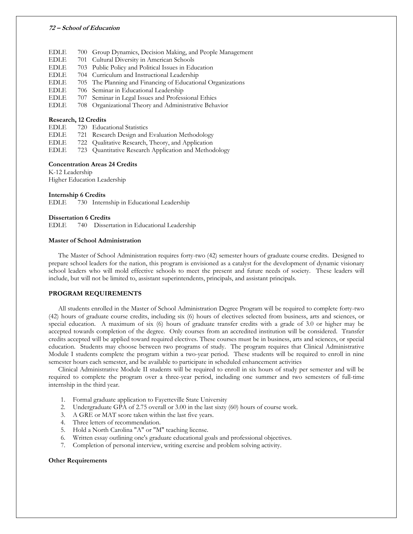#### **72 – School of Education**

- EDLE 700 Group Dynamics, Decision Making, and People Management
- 701 Cultural Diversity in American Schools
- EDLE 703 Public Policy and Political Issues in Education
- EDLE 704 Curriculum and Instructional Leadership
- EDLE 705 The Planning and Financing of Educational Organizations
- EDLE 706 Seminar in Educational Leadership
- EDLE 707 Seminar in Legal Issues and Professional Ethics
- EDLE 708 Organizational Theory and Administrative Behavior

# **Research, 12 Credits**

- EDLE 720 Educational Statistics
- EDLE 721 Research Design and Evaluation Methodology
- EDLE 722 Qualitative Research, Theory, and Application
- EDLE 723 Quantitative Research Application and Methodology

# **Concentration Areas 24 Credits**

K-12 Leadership Higher Education Leadership

# **Internship 6 Credits**

EDLE 730 Internship in Educational Leadership

# **Dissertation 6 Credits**

EDLE 740 Dissertation in Educational Leadership

# **Master of School Administration**

The Master of School Administration requires forty-two (42) semester hours of graduate course credits. Designed to prepare school leaders for the nation, this program is envisioned as a catalyst for the development of dynamic visionary school leaders who will mold effective schools to meet the present and future needs of society. These leaders will include, but will not be limited to, assistant superintendents, principals, and assistant principals.

# **PROGRAM REQUIREMENTS**

All students enrolled in the Master of School Administration Degree Program will be required to complete forty-two (42) hours of graduate course credits, including six (6) hours of electives selected from business, arts and sciences, or special education. A maximum of six (6) hours of graduate transfer credits with a grade of 3.0 or higher may be accepted towards completion of the degree. Only courses from an accredited institution will be considered. Transfer credits accepted will be applied toward required electives. These courses must be in business, arts and sciences, or special education. Students may choose between two programs of study. The program requires that Clinical Administrative Module I students complete the program within a two-year period. These students will be required to enroll in nine semester hours each semester, and be available to participate in scheduled enhancement activities

Clinical Administrative Module II students will be required to enroll in six hours of study per semester and will be required to complete the program over a three-year period, including one summer and two semesters of full-time internship in the third year.

- 1. Formal graduate application to Fayetteville State University
- 2. Undergraduate GPA of 2.75 overall or 3.00 in the last sixty (60) hours of course work.
- 3. A GRE or MAT score taken within the last five years.
- 4. Three letters of recommendation.
- 5. Hold a North Carolina "A" or "M" teaching license.
- 6. Written essay outlining one's graduate educational goals and professional objectives.
- 7. Completion of personal interview, writing exercise and problem solving activity.

# **Other Requirements**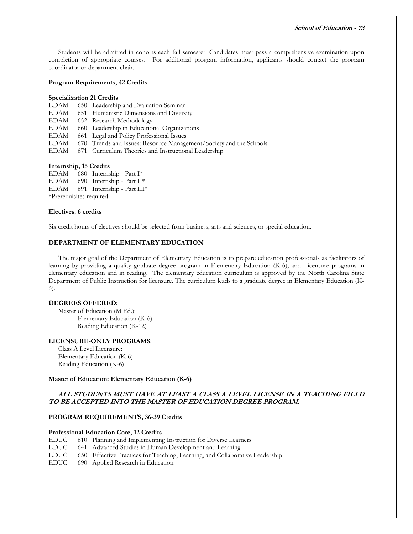Students will be admitted in cohorts each fall semester. Candidates must pass a comprehensive examination upon completion of appropriate courses. For additional program information, applicants should contact the program coordinator or department chair.

#### **Program Requirements, 42 Credits**

#### **Specialization 21 Credits**

- EDAM 650 Leadership and Evaluation Seminar
- EDAM 651 Humanistic Dimensions and Diversity
- EDAM 652 Research Methodology
- EDAM 660 Leadership in Educational Organizations
- EDAM 661 Legal and Policy Professional Issues
- EDAM 670 Trends and Issues: Resource Management/Society and the Schools
- EDAM 671 Curriculum Theories and Instructional Leadership

#### **Internship, 15 Credits**

EDAM 680 Internship - Part I\* EDAM 690 Internship - Part II\* EDAM 691 Internship - Part III\* \*Prerequisites required.

#### **Electives**, **6 credits**

Six credit hours of electives should be selected from business, arts and sciences, or special education.

#### **DEPARTMENT OF ELEMENTARY EDUCATION**

The major goal of the Department of Elementary Education is to prepare education professionals as facilitators of learning by providing a quality graduate degree program in Elementary Education (K-6), and licensure programs in elementary education and in reading. The elementary education curriculum is approved by the North Carolina State Department of Public Instruction for licensure. The curriculum leads to a graduate degree in Elementary Education (K-6).

#### **DEGREES OFFERED:**

Master of Education (M.Ed.): Elementary Education (K-6) Reading Education (K-12)

#### **LICENSURE-ONLY PROGRAMS**:

Class A Level Licensure: Elementary Education (K-6) Reading Education (K-6)

#### **Master of Education: Elementary Education (K-6)**

#### **ALL STUDENTS MUST HAVE AT LEAST A CLASS A LEVEL LICENSE IN A TEACHING FIELD TO BE ACCEPTED INTO THE MASTER OF EDUCATION DEGREE PROGRAM.**

#### **PROGRAM REQUIREMENTS, 36-39 Credits**

#### **Professional Education Core, 12 Credits**

- EDUC 610 Planning and Implementing Instruction for Diverse Learners
- EDUC 641 Advanced Studies in Human Development and Learning
- EDUC 650 Effective Practices for Teaching, Learning, and Collaborative Leadership
- EDUC 690 Applied Research in Education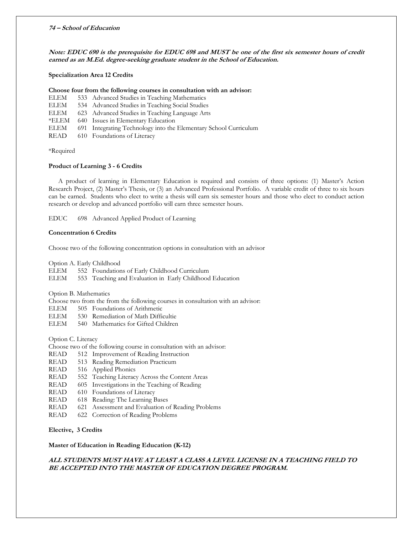#### **74 – School of Education**

**Note: EDUC 690 is the prerequisite for EDUC 698 and MUST be one of the first six semester hours of credit earned as an M.Ed. degree-seeking graduate student in the School of Education.** 

#### **Specialization Area 12 Credits**

#### **Choose four from the following courses in consultation with an advisor:**

- ELEM 533 Advanced Studies in Teaching Mathematics
- ELEM 534 Advanced Studies in Teaching Social Studies
- ELEM 623 Advanced Studies in Teaching Language Arts
- \*ELEM 640 Issues in Elementary Education
- ELEM 691 Integrating Technology into the Elementary School Curriculum
- READ 610 Foundations of Literacy

\*Required

#### **Product of Learning 3 - 6 Credits**

A product of learning in Elementary Education is required and consists of three options: (1) Master's Action Research Project, (2) Master's Thesis, or (3) an Advanced Professional Portfolio. A variable credit of three to six hours can be earned. Students who elect to write a thesis will earn six semester hours and those who elect to conduct action research or develop and advanced portfolio will earn three semester hours.

EDUC 698 Advanced Applied Product of Learning

#### **Concentration 6 Credits**

Choose two of the following concentration options in consultation with an advisor

Option A. Early Childhood

ELEM 552 Foundations of Early Childhood Curriculum

ELEM 553 Teaching and Evaluation in Early Childhood Education

Option B. Mathematics

Choose two from the from the following courses in consultation with an advisor:

- ELEM 505 Foundations of Arithmetic
- ELEM 530 Remediation of Math Difficultie
- ELEM 540 Mathematics for Gifted Children

Option C. Literacy

Choose two of the following course in consultation with an advisor:

- READ 512 Improvement of Reading Instruction
- READ 513 Reading Remediation Practicum
- READ 516 Applied Phonics
- READ 552 Teaching Literacy Across the Content Areas
- READ 605 Investigations in the Teaching of Reading
- READ 610 Foundations of Literacy
- READ 618 Reading: The Learning Bases
- READ 621 Assessment and Evaluation of Reading Problems
- READ 622 Correction of Reading Problems

**Elective, 3 Credits** 

**Master of Education in Reading Education (K-12)** 

#### **ALL STUDENTS MUST HAVE AT LEAST A CLASS A LEVEL LICENSE IN A TEACHING FIELD TO BE ACCEPTED INTO THE MASTER OF EDUCATION DEGREE PROGRAM.**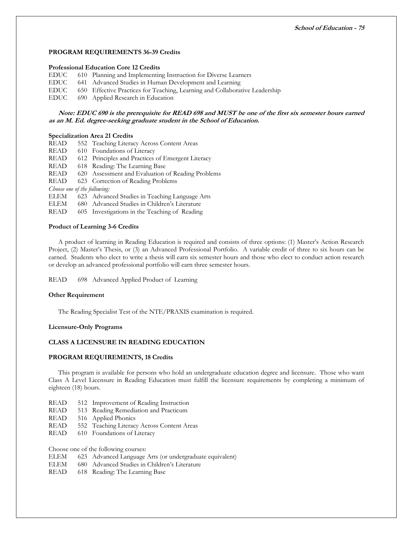#### **PROGRAM REQUIREMENTS 36-39 Credits**

#### **Professional Education Core 12 Credits**

EDUC 610 Planning and Implementing Instruction for Diverse Learners

EDUC 641 Advanced Studies in Human Development and Learning

EDUC 650 Effective Practices for Teaching, Learning and Collaborative Leadership

EDUC 690 Applied Research in Education

#### **Note: EDUC 690 is the prerequisite for READ 698 and MUST be one of the first six semester hours earned as an M. Ed. degree-seeking graduate student in the School of Education.**

#### **Specialization Area 21 Credits**

- READ 552 Teaching Literacy Across Content Areas
- READ 610 Foundations of Literacy
- READ 612 Principles and Practices of Emergent Literacy
- READ 618 Reading: The Learning Base
- READ 620 Assessment and Evaluation of Reading Problems
- READ 623 Correction of Reading Problems

*Choose one of the following:* 

ELEM 623 Advanced Studies in Teaching Language Arts

ELEM 680 Advanced Studies in Children's Literature

READ 605 Investigations in the Teaching of Reading

#### **Product of Learning 3-6 Credits**

A product of learning in Reading Education is required and consists of three options: (1) Master's Action Research Project, (2) Master's Thesis, or (3) an Advanced Professional Portfolio. A variable credit of three to six hours can be earned. Students who elect to write a thesis will earn six semester hours and those who elect to conduct action research or develop an advanced professional portfolio will earn three semester hours.

READ 698 Advanced Applied Product of Learning

#### **Other Requirement**

The Reading Specialist Test of the NTE/PRAXIS examination is required.

#### **Licensure-Only Programs**

#### **CLASS A LICENSURE IN READING EDUCATION**

#### **PROGRAM REQUIREMENTS, 18 Credits**

This program is available for persons who hold an undergraduate education degree and licensure. Those who want Class A Level Licensure in Reading Education must fulfill the licensure requirements by completing a minimum of eighteen (18) hours.

- READ 512 Improvement of Reading Instruction
- READ 513 Reading Remediation and Practicum
- READ 516 Applied Phonics
- READ 552 Teaching Literacy Across Content Areas<br>READ 610 Foundations of Literacy
- 610 Foundations of Literacy

Choose one of the following courses:

- ELEM 623 Advanced Language Arts (or undergraduate equivalent)
- ELEM 680 Advanced Studies in Children's Literature
- READ 618 Reading: The Learning Base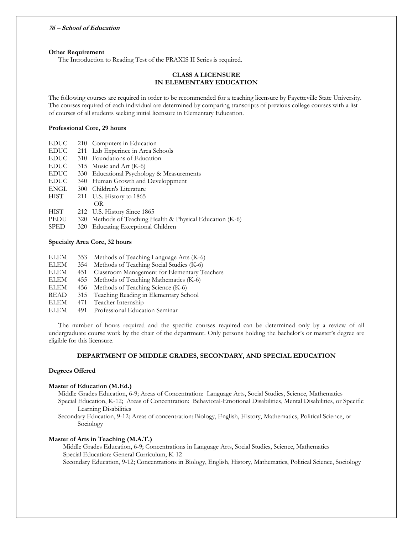#### **76 – School of Education**

#### **Other Requirement**

The Introduction to Reading Test of the PRAXIS II Series is required.

#### **CLASS A LICENSURE IN ELEMENTARY EDUCATION**

The following courses are required in order to be recommended for a teaching licensure by Fayetteville State University. The courses required of each individual are determined by comparing transcripts of previous college courses with a list of courses of all students seeking initial licensure in Elementary Education.

#### **Professional Core, 29 hours**

- EDUC 210 Computers in Education
- EDUC 211 Lab Experince in Area Schools
- EDUC 310 Foundations of Education
- EDUC 315 Music and Art (K-6)
- EDUC 330 Educational Psychology & Measurements
- EDUC 340 Human Growth and Developpment
- ENGL 300 Children's Literature
- HIST 211 U.S. History to 1865 OR
- HIST 212 U.S. History Since 1865
- PEDU 320 Methods of Teaching Health & Physical Education (K-6)
- SPED 320 Educating Exceptional Children

#### **Specialty Area Core, 32 hours**

- ELEM 353 Methods of Teaching Language Arts (K-6)
- ELEM 354 Methods of Teaching Social Studies (K-6)
- ELEM 451 Classroom Management for Elementary Teachers
- ELEM 455 Methods of Teaching Mathematics (K-6)
- ELEM 456 Methods of Teaching Science (K-6)
- READ 315 Teaching Reading in Elementary School
- ELEM 471 Teacher Internship
- ELEM 491 Professional Education Seminar

The number of hours required and the specific courses required can be determined only by a review of all undergraduate course work by the chair of the department. Only persons holding the bachelor's or master's degree are eligible for this licensure.

#### **DEPARTMENT OF MIDDLE GRADES, SECONDARY, AND SPECIAL EDUCATION**

#### **Degrees Offered**

#### **Master of Education (M.Ed.)**

- Middle Grades Education, 6-9; Areas of Concentration: Language Arts, Social Studies, Science, Mathematics Special Education, K-12; Areas of Concentration: Behavioral-Emotional Disabilities, Mental Disabilities, or Specific Learning Disabilities
- Secondary Education, 9-12; Areas of concentration: Biology, English, History, Mathematics, Political Science, or Sociology

#### **Master of Arts in Teaching (M.A.T.)**

Middle Grades Education, 6-9; Concentrations in Language Arts, Social Studies, Science, Mathematics Special Education: General Curriculum, K-12

Secondary Education, 9-12; Concentrations in Biology, English, History, Mathematics, Political Science, Sociology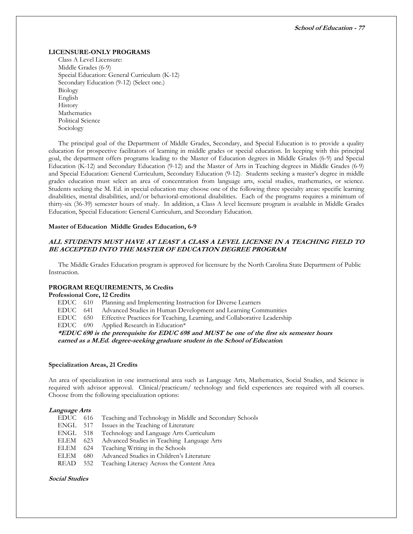**School of Education - 77** 

#### **LICENSURE-ONLY PROGRAMS**

Class A Level Licensure: Middle Grades (6-9) Special Education: General Curriculum (K-12) Secondary Education (9-12) (Select one.) Biology English History Mathematics Political Science Sociology

The principal goal of the Department of Middle Grades, Secondary, and Special Education is to provide a quality education for prospective facilitators of learning in middle grades or special education. In keeping with this principal goal, the department offers programs leading to the Master of Education degrees in Middle Grades (6-9) and Special Education (K-12) and Secondary Education (9-12) and the Master of Arts in Teaching degrees in Middle Grades (6-9) and Special Education: General Curriculum, Secondary Education (9-12). Students seeking a master's degree in middle grades education must select an area of concentration from language arts, social studies, mathematics, or science. Students seeking the M. Ed. in special education may choose one of the following three specialty areas: specific learning disabilities, mental disabilities, and/or behavioral-emotional disabilities. Each of the programs requires a minimum of thirty-six (36-39) semester hours of study. In addition, a Class A level licensure program is available in Middle Grades Education, Special Education: General Curriculum, and Secondary Education.

#### **Master of Education Middle Grades Education, 6-9**

#### **ALL STUDENTS MUST HAVE AT LEAST A CLASS A LEVEL LICENSE IN A TEACHING FIELD TO BE ACCEPTED INTO THE MASTER OF EDUCATION DEGREE PROGRAM**

The Middle Grades Education program is approved for licensure by the North Carolina State Department of Public Instruction.

#### **PROGRAM REQUIREMENTS, 36 Credits**

#### **Professional Core, 12 Credits**

EDUC 610 Planning and Implementing Instruction for Diverse Learners

EDUC 641 Advanced Studies in Human Development and Learning Communities

EDUC 650 Effective Practices for Teaching, Learning, and Collaborative Leadership

EDUC 690 Applied Research in Education\*

**\*EDUC 690 is the prerequisite for EDUC 698 and MUST be one of the first six semester hours earned as a M.Ed. degree-seeking graduate student in the School of Education***.* 

#### **Specialization Areas, 21 Credits**

An area of specialization in one instructional area such as Language Arts, Mathematics, Social Studies, and Science is required with advisor approval. Clinical/practicum/ technology and field experiences are required with all courses. Choose from the following specialization options:

#### **Language Arts**

| EDUC 616 |       | Teaching and Technology in Middle and Secondary Schools |
|----------|-------|---------------------------------------------------------|
|          |       | ENGL 517 Issues in the Teaching of Literature           |
| ENGL 518 |       | Technology and Language Arts Curriculum                 |
|          |       | ELEM 623 Advanced Studies in Teaching Language Arts     |
| ELEM 624 |       | Teaching Writing in the Schools                         |
| ELEM     | 680 - | Advanced Studies in Children's Literature               |
| READ 552 |       | Teaching Literacy Across the Content Area               |

#### **Social Studies**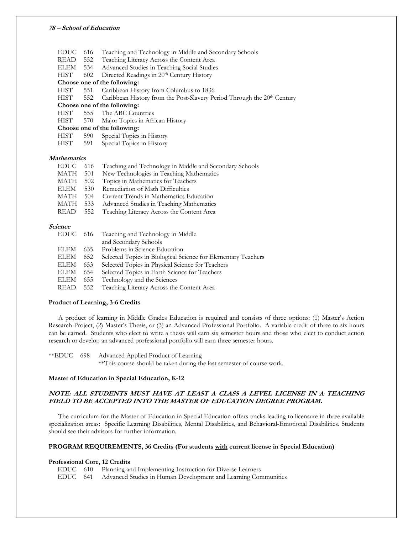- EDUC 616 Teaching and Technology in Middle and Secondary Schools
- READ 552 Teaching Literacy Across the Content Area
- ELEM 534 Advanced Studies in Teaching Social Studies
- HIST 602 Directed Readings in 20th Century History

## **Choose one of the following:**<br> **HIST** 551 Caribbean His

- 551 Caribbean History from Columbus to 1836
- HIST 552 Caribbean History from the Post-Slavery Period Through the 20<sup>th</sup> Century

#### **Choose one of the following:**

- HIST 555 The ABC Countries
- HIST 570 Major Topics in African History
- **Choose one of the following:**
- HIST 590 Special Topics in History
- HIST 591 Special Topics in History

#### **Mathematics**

|          |       | EDUC 616 Teaching and Technology in Middle and Secondary Schools |
|----------|-------|------------------------------------------------------------------|
|          |       | MATH 501 New Technologies in Teaching Mathematics                |
| MATH     | - 502 | Topics in Mathematics for Teachers                               |
| ELEM     |       | 530 Remediation of Math Difficulties                             |
| MATH     | 504   | Current Trends in Mathematics Education                          |
| MATH     | 533   | Advanced Studies in Teaching Mathematics                         |
| READ 552 |       | Teaching Literacy Across the Content Area                        |

#### **Science**

|          | EDUC 616 Teaching and Technology in Middle                    |  |
|----------|---------------------------------------------------------------|--|
|          | and Secondary Schools                                         |  |
|          | ELEM 635 Problems in Science Education                        |  |
| ELEM 652 | Selected Topics in Biological Science for Elementary Teachers |  |
|          | ELEM 653 Selected Topics in Physical Science for Teachers     |  |
|          | ELEM 654 Selected Topics in Earth Science for Teachers        |  |
|          | ELEM 655 Technology and the Sciences                          |  |
|          | READ 552 Teaching Literacy Across the Content Area            |  |
|          |                                                               |  |

#### **Product of Learning, 3-6 Credits**

A product of learning in Middle Grades Education is required and consists of three options: (1) Master's Action Research Project, (2) Master's Thesis, or (3) an Advanced Professional Portfolio. A variable credit of three to six hours can be earned. Students who elect to write a thesis will earn six semester hours and those who elect to conduct action research or develop an advanced professional portfolio will earn three semester hours.

\*\*EDUC 698 Advanced Applied Product of Learning

\*\*This course should be taken during the last semester of course work.

#### **Master of Education in Special Education, K-12**

#### **NOTE: ALL STUDENTS MUST HAVE AT LEAST A CLASS A LEVEL LICENSE IN A TEACHING FIELD TO BE ACCEPTED INTO THE MASTER OF EDUCATION DEGREE PROGRAM.**

The curriculum for the Master of Education in Special Education offers tracks leading to licensure in three available specialization areas: Specific Learning Disabilities, Mental Disabilities, and Behavioral-Emotional Disabilities. Students should see their advisors for further information.

#### **PROGRAM REQUIREMENTS, 36 Credits (For students with current license in Special Education)**

#### **Professional Core, 12 Credits**

- EDUC 610 Planning and Implementing Instruction for Diverse Learners
- EDUC 641 Advanced Studies in Human Development and Learning Communities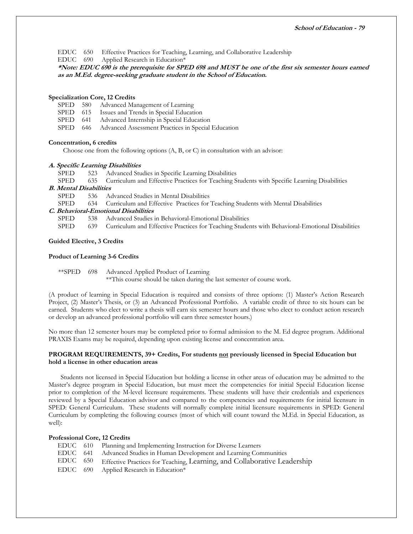EDUC 650 Effective Practices for Teaching, Learning, and Collaborative Leadership<br>EDUC 690 Applied Research in Education\*

Applied Research in Education\*

**\*Note: EDUC 690 is the prerequisite for SPED 698 and MUST be one of the first six semester hours earned as an M.Ed. degree-seeking graduate student in the School of Education.**

#### **Specialization Core, 12 Credits**

SPED 580 Advanced Management of Learning

- SPED 615 Issues and Trends in Special Education
- SPED 641 Advanced Internship in Special Education
- SPED 646 Advanced Assessment Practices in Special Education

#### **Concentration, 6 credits**

Choose one from the following options (A, B, or C) in consultation with an advisor:

#### **A. Specific Learning Disabilities**

SPED 523 Advanced Studies in Specific Learning Disabilities

SPED 635 Curriculum and Effective Practices for Teaching Students with Specific Learning Disabilities

## **B. Mental Disabilities**

SPED 536 Advanced Studies in Mental Disabilities

SPED 634 Curriculum and Effective Practices for Teaching Students with Mental Disabilities

#### **C. Behavioral-Emotional Disabilities**

SPED 538 Advanced Studies in Behavioral-Emotional Disabilities

SPED 639 Curriculum and Effective Practices for Teaching Students with Behavioral-Emotional Disabilities

#### **Guided Elective, 3 Credits**

#### **Product of Learning 3-6 Credits**

\*\*SPED 698 Advanced Applied Product of Learning

\*\*This course should be taken during the last semester of course work.

(A product of learning in Special Education is required and consists of three options: (1) Master's Action Research Project, (2) Master's Thesis, or (3) an Advanced Professional Portfolio. A variable credit of three to six hours can be earned. Students who elect to write a thesis will earn six semester hours and those who elect to conduct action research or develop an advanced professional portfolio will earn three semester hours.)

No more than 12 semester hours may be completed prior to formal admission to the M. Ed degree program. Additional PRAXIS Exams may be required, depending upon existing license and concentration area.

#### **PROGRAM REQUIREMENTS, 39+ Credits, For students not previously licensed in Special Education but hold a license in other education areas**

Students not licensed in Special Education but holding a license in other areas of education may be admitted to the Master's degree program in Special Education, but must meet the competencies for initial Special Education license prior to completion of the M-level licensure requirements. These students will have their credentials and experiences reviewed by a Special Education advisor and compared to the competencies and requirements for initial licensure in SPED: General Curriculum. These students will normally complete initial licensure requirements in SPED: General Curriculum by completing the following courses (most of which will count toward the M.Ed. in Special Education, as well):

#### **Professional Core, 12 Credits**

|          | EDUC 610 Planning and Implementing Instruction for Diverse Learners               |
|----------|-----------------------------------------------------------------------------------|
|          | EDUC 641 Advanced Studies in Human Development and Learning Communities           |
|          | EDUC 650 Effective Practices for Teaching, Learning, and Collaborative Leadership |
| EDUC 690 | Applied Research in Education*                                                    |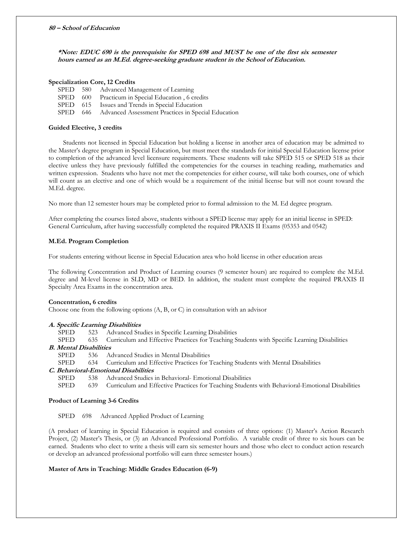**\*Note: EDUC 690 is the prerequisite for SPED 698 and MUST be one of the first six semester hours earned as an M.Ed. degree-seeking graduate student in the School of Education.**

#### **Specialization Core, 12 Credits**

|  | SPED 580 Advanced Management of Learning                    |  |
|--|-------------------------------------------------------------|--|
|  | SPED 600 Practicum in Special Education, 6 credits          |  |
|  | SPED 615 Issues and Trends in Special Education             |  |
|  | SPED 646 Advanced Assessment Practices in Special Education |  |

#### **Guided Elective, 3 credits**

Students not licensed in Special Education but holding a license in another area of education may be admitted to the Master's degree program in Special Education, but must meet the standards for initial Special Education license prior to completion of the advanced level licensure requirements. These students will take SPED 515 or SPED 518 as their elective unless they have previously fulfilled the competencies for the courses in teaching reading, mathematics and written expression. Students who have not met the competencies for either course, will take both courses, one of which will count as an elective and one of which would be a requirement of the initial license but will not count toward the M.Ed. degree.

No more than 12 semester hours may be completed prior to formal admission to the M. Ed degree program.

After completing the courses listed above, students without a SPED license may apply for an initial license in SPED: General Curriculum, after having successfully completed the required PRAXIS II Exams (05353 and 0542)

#### **M.Ed. Program Completion**

For students entering without license in Special Education area who hold license in other education areas

The following Concentration and Product of Learning courses (9 semester hours) are required to complete the M.Ed. degree and M-level license in SLD, MD or BED. In addition, the student must complete the required PRAXIS II Specialty Area Exams in the concentration area.

#### **Concentration, 6 credits**

Choose one from the following options (A, B, or C) in consultation with an advisor

#### **A. Specific Learning Disabilities**

SPED 523 Advanced Studies in Specific Learning Disabilities

SPED 635 Curriculum and Effective Practices for Teaching Students with Specific Learning Disabilities

#### **B. Mental Disabilities**

SPED 536 Advanced Studies in Mental Disabilities

SPED 634 Curriculum and Effective Practices for Teaching Students with Mental Disabilities

#### **C. Behavioral-Emotional Disabilities**

SPED 538 Advanced Studies in Behavioral- Emotional Disabilities

SPED 639 Curriculum and Effective Practices for Teaching Students with Behavioral-Emotional Disabilities

#### **Product of Learning 3-6 Credits**

SPED 698 Advanced Applied Product of Learning

(A product of learning in Special Education is required and consists of three options: (1) Master's Action Research Project, (2) Master's Thesis, or (3) an Advanced Professional Portfolio. A variable credit of three to six hours can be earned. Students who elect to write a thesis will earn six semester hours and those who elect to conduct action research or develop an advanced professional portfolio will earn three semester hours.)

#### **Master of Arts in Teaching: Middle Grades Education (6-9)**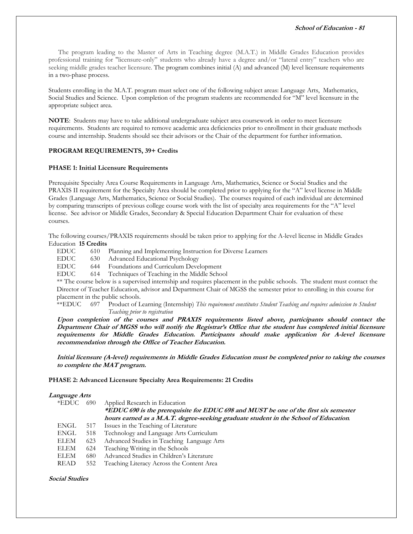The program leading to the Master of Arts in Teaching degree (M.A.T.) in Middle Grades Education provides professional training for "licensure-only" students who already have a degree and/or "lateral entry" teachers who are seeking middle grades teacher licensure. The program combines initial (A) and advanced (M) level licensure requirements in a two-phase process.

Students enrolling in the M.A.T. program must select one of the following subject areas: Language Arts, Mathematics, Social Studies and Science. Upon completion of the program students are recommended for "M" level licensure in the appropriate subject area.

**NOTE**: Students may have to take additional undergraduate subject area coursework in order to meet licensure requirements. Students are required to remove academic area deficiencies prior to enrollment in their graduate methods course and internship. Students should see their advisors or the Chair of the department for further information.

#### **PROGRAM REQUIREMENTS, 39+ Credits**

#### **PHASE 1: Initial Licensure Requirements**

Prerequisite Specialty Area Course Requirements in Language Arts, Mathematics, Science or Social Studies and the PRAXIS II requirement for the Specialty Area should be completed prior to applying for the "A" level license in Middle Grades (Language Arts, Mathematics, Science or Social Studies). The courses required of each individual are determined by comparing transcripts of previous college course work with the list of specialty area requirements for the "A" level license. See advisor or Middle Grades, Secondary & Special Education Department Chair for evaluation of these courses.

The following courses/PRAXIS requirements should be taken prior to applying for the A-level license in Middle Grades Education **15 Credits** 

EDUC 610 Planning and Implementing Instruction for Diverse Learners

EDUC 630 Advanced Educational Psychology

EDUC 644 Foundations and Curriculum Development

EDUC 614 Techniques of Teaching in the Middle School

\*\* The course below is a supervised internship and requires placement in the public schools. The student must contact the Director of Teacher Education, advisor and Department Chair of MGSS the semester prior to enrolling in this course for placement in the public schools.

\*\*EDUC 697 Product of Learning (Internship) *This requirement constitutes Student Teaching and requires admission to Student Teaching prior to registration*

**Upon completion of the courses and PRAXIS requirements listed above, participants should contact the Department Chair of MGSS who will notify the Registrar's Office that the student has completed initial licensure requirements for Middle Grades Education. Participants should make application for A-level licensure recommendation through the Office of Teacher Education.** 

**Initial licensure (A-level) requirements in Middle Grades Education must be completed prior to taking the courses to complete the MAT program.** 

**PHASE 2: Advanced Licensure Specialty Area Requirements: 21 Credits** 

#### **Language Arts**

| *EDUC       | -690 | Applied Research in Education                                                        |
|-------------|------|--------------------------------------------------------------------------------------|
|             |      | *EDUC 690 is the prerequisite for EDUC 698 and MUST be one of the first six semester |
|             |      | hours earned as a M.A.T. degree-seeking graduate student in the School of Education. |
| ENGL        | 517  | Issues in the Teaching of Literature                                                 |
| ENGL        | 518  | Technology and Language Arts Curriculum                                              |
| ELEM        | 623  | Advanced Studies in Teaching Language Arts                                           |
| ELEM        | 624  | Teaching Writing in the Schools                                                      |
| <b>ELEM</b> | 680  | Advanced Studies in Children's Literature                                            |
| READ        | 552  | Teaching Literacy Across the Content Area                                            |

**Social Studies**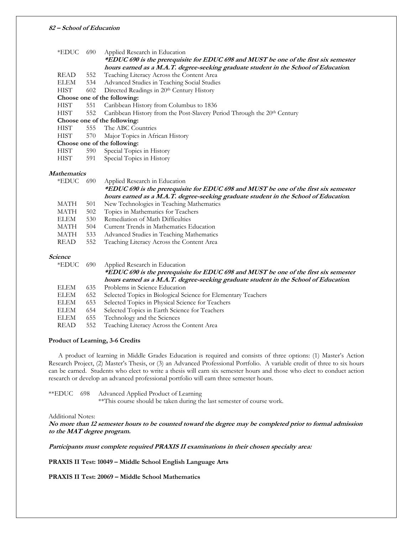#### **82 – School of Education**

|                                                                 | *EDUC              | 690                                                                                  | Applied Research in Education                                                        |  |
|-----------------------------------------------------------------|--------------------|--------------------------------------------------------------------------------------|--------------------------------------------------------------------------------------|--|
|                                                                 |                    |                                                                                      | *EDUC 690 is the prerequisite for EDUC 698 and MUST be one of the first six semester |  |
|                                                                 |                    | hours earned as a M.A.T. degree-seeking graduate student in the School of Education. |                                                                                      |  |
| <b>READ</b><br>552<br>Teaching Literacy Across the Content Area |                    |                                                                                      |                                                                                      |  |
|                                                                 | <b>ELEM</b>        | 534                                                                                  | Advanced Studies in Teaching Social Studies                                          |  |
|                                                                 | <b>HIST</b>        | 602                                                                                  | Directed Readings in 20th Century History                                            |  |
|                                                                 |                    |                                                                                      | Choose one of the following:                                                         |  |
|                                                                 | <b>HIST</b>        | 551                                                                                  | Caribbean History from Columbus to 1836                                              |  |
|                                                                 | <b>HIST</b>        | 552                                                                                  | Caribbean History from the Post-Slavery Period Through the 20th Century              |  |
|                                                                 |                    |                                                                                      | Choose one of the following:                                                         |  |
|                                                                 | <b>HIST</b>        | 555                                                                                  | The ABC Countries                                                                    |  |
|                                                                 | <b>HIST</b>        | 570                                                                                  | Major Topics in African History                                                      |  |
|                                                                 |                    |                                                                                      | Choose one of the following:                                                         |  |
|                                                                 | <b>HIST</b>        | 590                                                                                  | Special Topics in History                                                            |  |
|                                                                 | <b>HIST</b>        | 591                                                                                  | Special Topics in History                                                            |  |
|                                                                 | <b>Mathematics</b> |                                                                                      |                                                                                      |  |
|                                                                 | *EDUC              | 690                                                                                  | Applied Research in Education                                                        |  |
|                                                                 |                    |                                                                                      | *EDUC 690 is the prerequisite for EDUC 698 and MUST be one of the first six semester |  |
|                                                                 |                    |                                                                                      | hours earned as a M.A.T. degree-seeking graduate student in the School of Education. |  |
|                                                                 | <b>MATH</b>        | 501                                                                                  | New Technologies in Teaching Mathematics                                             |  |
|                                                                 | <b>MATH</b>        | 502                                                                                  | Topics in Mathematics for Teachers                                                   |  |
|                                                                 | <b>ELEM</b>        | 530                                                                                  | Remediation of Math Difficulties                                                     |  |
|                                                                 | <b>MATH</b>        | 504                                                                                  | Current Trends in Mathematics Education                                              |  |
|                                                                 | <b>MATH</b>        | 533                                                                                  | Advanced Studies in Teaching Mathematics                                             |  |
|                                                                 | <b>READ</b>        | 552                                                                                  | Teaching Literacy Across the Content Area                                            |  |
|                                                                 | <b>Science</b>     |                                                                                      |                                                                                      |  |
|                                                                 | $*$ EDUC           | 690                                                                                  | Applied Research in Education                                                        |  |
|                                                                 |                    |                                                                                      | *EDUC 690 is the prerequisite for EDUC 698 and MUST be one of the first six semester |  |
|                                                                 |                    |                                                                                      | hours earned as a M.A.T. degree-seeking graduate student in the School of Education. |  |
|                                                                 | <b>ELEM</b>        | 635                                                                                  | Problems in Science Education                                                        |  |
|                                                                 | <b>ELEM</b>        | 652                                                                                  | Selected Topics in Biological Science for Elementary Teachers                        |  |
|                                                                 | <b>ELEM</b>        | 653                                                                                  | Selected Topics in Physical Science for Teachers                                     |  |

- ELEM 654 Selected Topics in Earth Science for Teachers
- ELEM 655 Technology and the Sciences
- READ 552 Teaching Literacy Across the Content Area

## **Product of Learning, 3-6 Credits**

A product of learning in Middle Grades Education is required and consists of three options: (1) Master's Action Research Project, (2) Master's Thesis, or (3) an Advanced Professional Portfolio. A variable credit of three to six hours can be earned. Students who elect to write a thesis will earn six semester hours and those who elect to conduct action research or develop an advanced professional portfolio will earn three semester hours.

\*\*EDUC 698 Advanced Applied Product of Learning

\*\*This course should be taken during the last semester of course work.

## Additional Notes:

**No more than 12 semester hours to be counted toward the degree may be completed prior to formal admission to the MAT degree program.** 

**Participants must complete required PRAXIS II examinations in their chosen specialty area:** 

**PRAXIS II Test: 10049 – Middle School English Language Arts** 

**PRAXIS II Test: 20069 – Middle School Mathematics**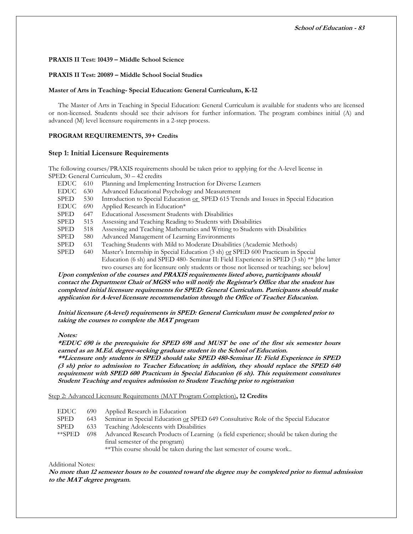#### **PRAXIS II Test: 10439 – Middle School Science**

#### **PRAXIS II Test: 20089 – Middle School Social Studies**

#### **Master of Arts in Teaching- Special Education: General Curriculum, K-12**

The Master of Arts in Teaching in Special Education: General Curriculum is available for students who are licensed or non-licensed. Students should see their advisors for further information. The program combines initial (A) and advanced (M) level licensure requirements in a 2-step process.

#### **PROGRAM REQUIREMENTS, 39+ Credits**

#### **Step 1: Initial Licensure Requirements**

The following courses/PRAXIS requirements should be taken prior to applying for the A-level license in SPED: General Curriculum, 30 – 42 credits

- EDUC 610 Planning and Implementing Instruction for Diverse Learners<br>EDUC 630 Advanced Educational Psychology and Measurement
- Advanced Educational Psychology and Measurement
- SPED 530 Introduction to Special Education  $or$  SPED 615 Trends and Issues in Special Education EDUC 690 Applied Research in Education\*</u>
- 690 Applied Research in Education\*
- SPED 647 Educational Assessment Students with Disabilities
- SPED 515 Assessing and Teaching Reading to Students with Disabilities
- SPED 518 Assessing and Teaching Mathematics and Writing to Students with Disabilities
- SPED 580 Advanced Management of Learning Environments
- SPED 631 Teaching Students with Mild to Moderate Disabilities (Academic Methods)<br>SPED 640 Master's Internship in Special Education (3 sh) or SPED 600 Practicum in S
- SPED 640 Master's Internship in Special Education (3 sh) or SPED 600 Practicum in Special Education (6 sh) and SPED 480- Seminar II: Field Experience in SPED (3 sh) \*\* [the latter two courses are for licensure only students or those not licensed or teaching; see below]

**Upon completion of the courses and PRAXIS requirements listed above, participants should contact the Department Chair of MGSS who will notify the Registrar's Office that the student has completed initial licensure requirements for SPED: General Curriculum. Participants should make application for A-level licensure recommendation through the Office of Teacher Education.** 

**Initial licensure (A-level) requirements in SPED: General Curriculum must be completed prior to taking the courses to complete the MAT program** 

#### **Notes:**

**\*EDUC 690 is the prerequisite for SPED 698 and MUST be one of the first six semester hours earned as an M.Ed. degree-seeking graduate student in the School of Education. \*\*Licensure only students in SPED should take SPED 480-Seminar II: Field Experience in SPED (3 sh) prior to admission to Teacher Education; in addition, they should replace the SPED 640 requirement with SPED 600 Practicum in Special Education (6 sh). This requirement constitutes Student Teaching and requires admission to Student Teaching prior to registration** 

Step 2: Advanced Licensure Requirements (MAT Program Completion)**, 12 Credits** 

- EDUC 690 Applied Research in Education
- SPED 643 Seminar in Special Education or SPED 649 Consultative Role of the Special Educator
- SPED 633 Teaching Adolescents with Disabilities

\*\*SPED 698 Advanced Research Products of Learning (a field experience; should be taken during the final semester of the program)

\*\*This course should be taken during the last semester of course work..

Additional Notes:

**No more than 12 semester hours to be counted toward the degree may be completed prior to formal admission to the MAT degree program.**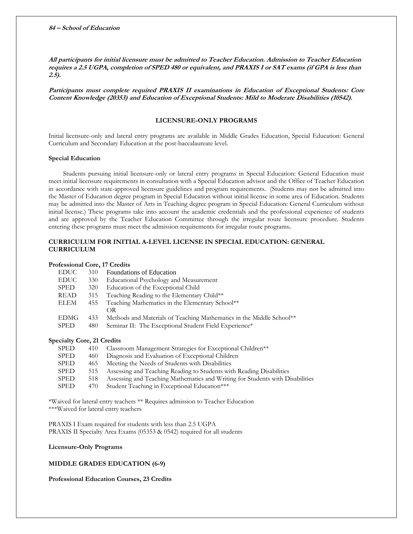**All participants for initial licensure must be admitted to Teacher Education. Admission to Teacher Education requires a 2.5 UGPA, completion of SPED 480 or equivalent, and PRAXIS I or SAT exams (if GPA is less than 2.5).** 

**Participants must complete required PRAXIS II examinations in Education of Exceptional Students: Core Content Knowledge (20353) and Education of Exceptional Students: Mild to Moderate Disabilities (10542).** 

#### **LICENSURE-ONLY PROGRAMS**

Initial licensure-only and lateral entry programs are available in Middle Grades Education, Special Education: General Curriculum and Secondary Education at the post-baccalaureate level.

#### **Special Education**

Students pursuing initial licensure-only or lateral entry programs in Special Education: General Education must meet initial licensure requirements in consultation with a Special Education advisor and the Office of Teacher Education in accordance with state-approved licensure guidelines and program requirements. (Students may not be admitted into the Master of Education degree program in Special Education without initial license in some area of Education. Students may be admitted into the Master of Arts in Teaching degree program in Special Education: General Curriculum without initial license.) These programs take into account the academic credentials and the professional experience of students and are approved by the Teacher Education Committee through the irregular route licensure procedure. Students entering these programs must meet the admission requirements for irregular route programs**.** 

#### **CURRICULUM FOR INITIAL A-LEVEL LICENSE IN SPECIAL EDUCATION: GENERAL CURRICULUM**

#### **Professional Core, 17 Credits**

| <b>EDUC</b> | 310 | <b>Foundations of Education</b>                                      |
|-------------|-----|----------------------------------------------------------------------|
| EDUC        | 330 | Educational Psychology and Measurement                               |
| <b>SPED</b> | 320 | Education of the Exceptional Child                                   |
| READ        | 315 | Teaching Reading to the Elementary Child**                           |
| <b>ELEM</b> | 455 | Teaching Mathematics in the Elementary School**                      |
|             |     | OR.                                                                  |
| EDMG        | 433 | Methods and Materials of Teaching Mathematics in the Middle School** |
| <b>SPED</b> | 480 | Seminar II: The Exceptional Student Field Experience*                |

#### **Specialty Core, 21 Credits**

| <b>SPED</b> | 410  | Classroom Management Strategies for Exceptional Children**                    |
|-------------|------|-------------------------------------------------------------------------------|
| <b>SPED</b> | 460  | Diagnosis and Evaluation of Exceptional Children                              |
| <b>SPED</b> | 465. | Meeting the Needs of Students with Disabilities                               |
| <b>SPED</b> | 515  | Assessing and Teaching Reading to Students with Reading Disabilities          |
| <b>SPED</b> | 518  | Assessing and Teaching Mathematics and Writing for Students with Disabilities |
| <b>SPED</b> | 470  | Student Teaching in Exceptional Education***                                  |
|             |      |                                                                               |

\*Waived for lateral entry teachers \*\* Requires admission to Teacher Education \*\*\*Waived for lateral entry teachers

PRAXIS I Exam required for students with less than 2.5 UGPA PRAXIS II Specialty Area Exams (05353 & 0542) required for all students

**Licensure-Only Programs** 

**MIDDLE GRADES EDUCATION (6-9)** 

**Professional Education Courses, 23 Credits**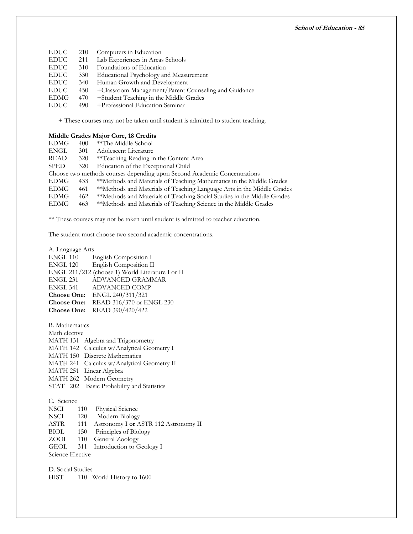| <b>EDUC</b> | 210 | Computers in Education                               |
|-------------|-----|------------------------------------------------------|
| <b>EDUC</b> | 211 | Lab Experiences in Areas Schools                     |
| <b>EDUC</b> | 310 | Foundations of Education                             |
| <b>EDUC</b> | 330 | Educational Psychology and Measurement               |
| <b>EDUC</b> | 340 | Human Growth and Development                         |
| <b>EDUC</b> | 450 | +Classroom Management/Parent Counseling and Guidance |
| <b>EDMG</b> | 470 | +Student Teaching in the Middle Grades               |
| <b>EDUC</b> | 490 | +Professional Education Seminar                      |
|             |     |                                                      |

+ These courses may not be taken until student is admitted to student teaching.

#### **Middle Grades Major Core, 18 Credits**

| <b>EDMG</b> | 400 | **The Middle School                                                      |
|-------------|-----|--------------------------------------------------------------------------|
| ENGL        | 301 | Adolescent Literature                                                    |
| READ        | 320 | **Teaching Reading in the Content Area                                   |
| <b>SPED</b> | 320 | Education of the Exceptional Child                                       |
|             |     | Choose two methods courses depending upon Second Academic Concentrations |
| <b>EDMG</b> | 433 | **Methods and Materials of Teaching Mathematics in the Middle Grades     |
| <b>EDMG</b> | 461 | **Methods and Materials of Teaching Language Arts in the Middle Grades   |
| <b>EDMG</b> | 462 | **Methods and Materials of Teaching Social Studies in the Middle Grades  |
| <b>EDMG</b> | 463 | **Methods and Materials of Teaching Science in the Middle Grades         |
|             |     |                                                                          |

\*\* These courses may not be taken until student is admitted to teacher education.

The student must choose two second academic concentrations.

A. Language Arts

ENGL 110 English Composition I ENGL 120 English Composition II ENGL 211/212 (choose 1) World Literature I or II ENGL 231 ADVANCED GRAMMAR ENGL 341 ADVANCED COMP **Choose One:** ENGL 240/311/321 **Choose One:** READ 316/370 or ENGL 230 **Choose One:** READ 390/420/422

B. Mathematics Math elective MATH 131 Algebra and Trigonometry MATH 142 Calculus w/Analytical Geometry I MATH 150 Discrete Mathematics MATH 241 Calculus w/Analytical Geometry II MATH 251 Linear Algebra MATH 262 Modern Geometry STAT 202 Basic Probability and Statistics

C. Science

NSCI 110 Physical Science NSCI 120 Modern Biology ASTR 111 Astronomy I **or** ASTR 112 Astronomy II BIOL 150 Principles of Biology ZOOL 110 General Zoology GEOL 311 Introduction to Geology I Science Elective

D. Social Studies HIST 110 World History to 1600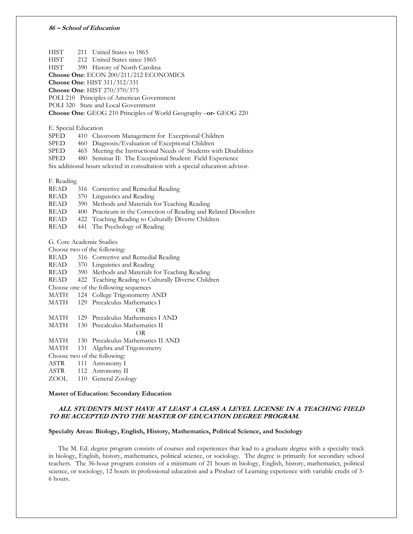- HIST 211 United States to 1865<br>HIST 212 United States since 18
- 212 United States since 1865
- HIST 390 History of North Carolina
- **Choose One**: ECON 200/211/212 ECONOMICS

**Choose One**: HIST 311/312/331

**Choose One**: HIST 270/370/375

POLI 210 Principles of American Government

POLI 320 State and Local Government

**Choose One**: GEOG 210 Principles of World Geography –**or-** GEOG 220

E. Special Education

SPED 410 Classroom Management for Exceptional Children

SPED 460 Diagnosis/Evaluation of Exceptional Children

SPED 465 Meeting the Instructional Needs of Students with Disabilities

SPED 480 Seminar II: The Exceptional Student: Field Experience

Six additional hours selected in consultation with a special education advisor.

F. Reading

- READ 316 Corrective and Remedial Reading
- READ 370 Linguistics and Reading
- READ 390 Methods and Materials for Teaching Reading
- READ 400 Practicum in the Correction of Reading and Related Disorders
- READ 422 Teaching Reading to Culturally Diverse Children
- READ 441 The Psychology of Reading

G. Core Academic Studies

Choose two of the following:

- READ 316 Corrective and Remedial Reading
- READ 370 Linguistics and Reading
- READ 390 Methods and Materials for Teaching Reading
- READ 422 Teaching Reading to Culturally Diverse Children
- Choose one of the following sequences
- MATH 124 College Trigonometry AND
- MATH 129 Precalculus Mathematics I OR
- MATH 129 Precalculus Mathematics I AND
- MATH 130 Precalculus Mathematics II
- OR
- MATH 130 Precalculus Mathematics II AND
- MATH 131 Algebra and Trigonometry
- Choose two of the following:
- ASTR 111 Astronomy I
- ASTR 112 Astronomy II
- ZOOL 110 General Zoology

#### **Master of Education: Secondary Education**

#### **ALL STUDENTS MUST HAVE AT LEAST A CLASS A LEVEL LICENSE IN A TEACHING FIELD TO BE ACCEPTED INTO THE MASTER OF EDUCATION DEGREE PROGRAM.**

#### **Specialty Areas: Biology, English, History, Mathematics, Political Science, and Sociology**

The M. Ed. degree program consists of courses and experiences that lead to a graduate degree with a specialty track in biology, English, history, mathematics, political science, or sociology. The degree is primarily for secondary school teachers. The 36-hour program consists of a minimum of 21 hours in biology, English, history, mathematics, political science, or sociology, 12 hours in professional education and a Product of Learning experience with variable credit of 3- 6 hours.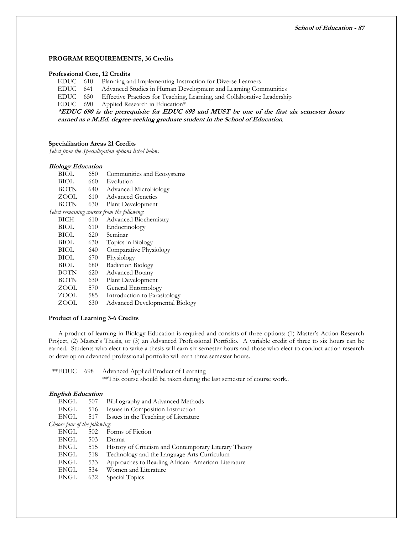#### **PROGRAM REQUIREMENTS, 36 Credits**

#### **Professional Core, 12 Credits**

EDUC 610 Planning and Implementing Instruction for Diverse Learners

EDUC 641 Advanced Studies in Human Development and Learning Communities

EDUC 650 Effective Practices for Teaching, Learning, and Collaborative Leadership

EDUC 690 Applied Research in Education\*

**\*EDUC 690 is the prerequisite for EDUC 698 and MUST be one of the first six semester hours earned as a M.Ed. degree-seeking graduate student in the School of Education***.* 

#### **Specialization Areas 21 Credits**

*Select from the Specialization options listed below.* 

#### **Biology Education**

| <b>BIOL</b> | 650 | Communities and Ecosystems                   |
|-------------|-----|----------------------------------------------|
| BIOL        | 660 | Evolution                                    |
| BOTN        | 640 | Advanced Microbiology                        |
| ZOOL        | 610 | Advanced Genetics                            |
| BOTN        | 630 | Plant Development                            |
|             |     | Select remaining courses from the following: |
| BICH        | 610 | Advanced Biochemistry                        |
| BIOL        | 610 | Endocrinology                                |
| BIOL        | 620 | Seminar                                      |
| BIOL        | 630 | Topics in Biology                            |
| BIOL        | 640 | Comparative Physiology                       |
| <b>BIOL</b> | 670 | Physiology                                   |
| <b>BIOL</b> | 680 | Radiation Biology                            |
| BOTN        | 620 | <b>Advanced Botany</b>                       |
| <b>BOTN</b> | 630 | Plant Development                            |
| ZOOL        | 570 | General Entomology                           |
| ZOOL        | 585 | Introduction to Parasitology                 |
| ZOOL        | 630 | Advanced Developmental Biology               |

#### **Product of Learning 3-6 Credits**

A product of learning in Biology Education is required and consists of three options: (1) Master's Action Research Project, (2) Master's Thesis, or (3) an Advanced Professional Portfolio. A variable credit of three to six hours can be earned. Students who elect to write a thesis will earn six semester hours and those who elect to conduct action research or develop an advanced professional portfolio will earn three semester hours.

\*\*EDUC 698 Advanced Applied Product of Learning

\*\*This course should be taken during the last semester of course work..

#### **English Education**

| ENGL | 507 | Bibliography and Advanced Methods |
|------|-----|-----------------------------------|
| ENGL | 516 | Issues in Composition Instruction |

ENGL 517 Issues in the Teaching of Literature

*Choose four of the following:* 

| Choose four of the following. |     |                                                       |  |
|-------------------------------|-----|-------------------------------------------------------|--|
|                               |     | ENGL 502 Forms of Fiction                             |  |
| $ENGL$ 503                    |     | Drama                                                 |  |
| ENGL                          | 515 | History of Criticism and Contemporary Literary Theory |  |
| ENGL                          |     | 518 Technology and the Language Arts Curriculum       |  |
| ENGL                          | 533 | Approaches to Reading African-American Literature     |  |
| ENGL                          | 534 | Women and Literature                                  |  |
| ENGL                          |     | 632 Special Topics                                    |  |
|                               |     |                                                       |  |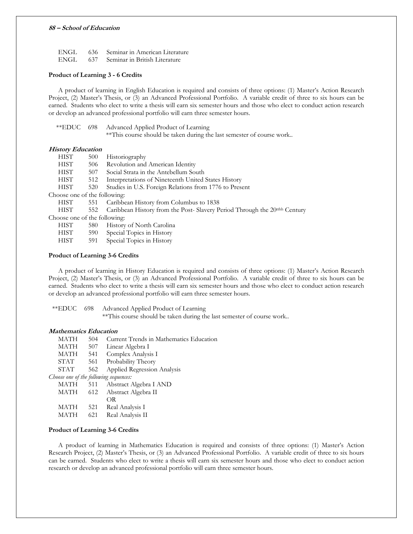#### **88 – School of Education**

 ENGL 636 Seminar in American Literature ENGL 637 Seminar in British Literature

#### **Product of Learning 3 - 6 Credits**

A product of learning in English Education is required and consists of three options: (1) Master's Action Research Project, (2) Master's Thesis, or (3) an Advanced Professional Portfolio. A variable credit of three to six hours can be earned. Students who elect to write a thesis will earn six semester hours and those who elect to conduct action research or develop an advanced professional portfolio will earn three semester hours.

\*\*EDUC 698 Advanced Applied Product of Learning

\*\*This course should be taken during the last semester of course work..

#### **History Education**

- HIST 500 Historiography
- HIST 506 Revolution and American Identity
- HIST 507 Social Strata in the Antebellum South

HIST 512 Interpretations of Nineteenth United States History

HIST 520 Studies in U.S. Foreign Relations from 1776 to Present

Choose one of the following:

HIST 551 Caribbean History from Columbus to 1838

HIST 552 Caribbean History from the Post- Slavery Period Through the 20<sup>tthh</sup> Century

Choose one of the following:

HIST 580 History of North Carolina

HIST 590 Special Topics in History

HIST 591 Special Topics in History

#### **Product of Learning 3-6 Credits**

A product of learning in History Education is required and consists of three options: (1) Master's Action Research Project, (2) Master's Thesis, or (3) an Advanced Professional Portfolio. A variable credit of three to six hours can be earned. Students who elect to write a thesis will earn six semester hours and those who elect to conduct action research or develop an advanced professional portfolio will earn three semester hours.

\*\*EDUC 698 Advanced Applied Product of Learning

\*\*This course should be taken during the last semester of course work..

#### **Mathematics Education**

| <b>MATH</b>                            | 504 | Current Trends in Mathematics Education |  |
|----------------------------------------|-----|-----------------------------------------|--|
| <b>MATH</b>                            | 507 | Linear Algebra I                        |  |
| <b>MATH</b>                            | 541 | Complex Analysis I                      |  |
| <b>STAT</b>                            | 561 | Probability Theory                      |  |
| <b>STAT</b>                            | 562 | Applied Regression Analysis             |  |
| Choose one of the following sequences: |     |                                         |  |
| MATH                                   | 511 | Abstract Algebra I AND                  |  |
| MATH                                   | 612 | Abstract Algebra II                     |  |
|                                        |     | OR                                      |  |
| MATH                                   | 521 | Real Analysis I                         |  |
| MATH                                   | 621 | Real Analysis II                        |  |

#### **Product of Learning 3-6 Credits**

A product of learning in Mathematics Education is required and consists of three options: (1) Master's Action Research Project, (2) Master's Thesis, or (3) an Advanced Professional Portfolio. A variable credit of three to six hours can be earned. Students who elect to write a thesis will earn six semester hours and those who elect to conduct action research or develop an advanced professional portfolio will earn three semester hours.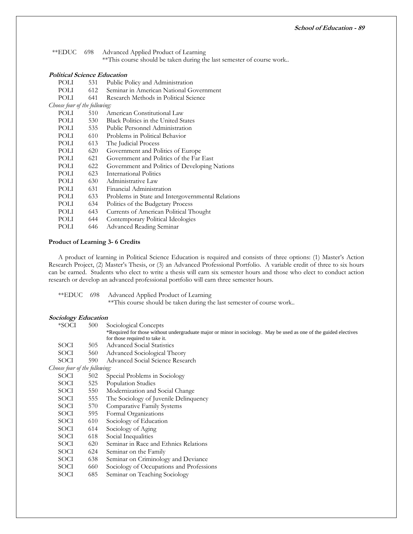|  | **EDUC 698 Advanced Applied Product of Learning                        |
|--|------------------------------------------------------------------------|
|  | **This course should be taken during the last semester of course work. |

#### **Political Science Education**

| <b>Political Science Education</b> |     |                                               |  |
|------------------------------------|-----|-----------------------------------------------|--|
| POLI                               | 531 | Public Policy and Administration              |  |
| POLI                               | 612 | Seminar in American National Government       |  |
| <b>POLI</b>                        | 641 | Research Methods in Political Science         |  |
| Choose four of the following:      |     |                                               |  |
| POLI                               | 510 | American Constitutional Law                   |  |
| <b>POLI</b>                        | 530 | Black Politics in the United States           |  |
| <b>POLI</b>                        | 535 | Public Personnel Administration               |  |
| <b>POLI</b>                        | 610 | Problems in Political Behavior                |  |
| <b>POLI</b>                        | 613 | The Judicial Process                          |  |
| POLI                               | 620 | Government and Politics of Europe             |  |
| POLI                               | 621 | Government and Politics of the Far East       |  |
| POLI                               | 622 | Government and Politics of Developing Nations |  |

- POLI 623 International Politics
- POLI 630 Administrative Law
- POLI 631 Financial Administration
- POLI 633 Problems in State and Intergovernmental Relations
- POLI 634 Politics of the Budgetary Process
- POLI 643 Currents of American Political Thought
- POLI 644 Contemporary Political Ideologies
- POLI 646 Advanced Reading Seminar

#### **Product of Learning 3- 6 Credits**

A product of learning in Political Science Education is required and consists of three options: (1) Master's Action Research Project, (2) Master's Thesis, or (3) an Advanced Professional Portfolio. A variable credit of three to six hours can be earned. Students who elect to write a thesis will earn six semester hours and those who elect to conduct action research or develop an advanced professional portfolio will earn three semester hours.

\*\*EDUC 698 Advanced Applied Product of Learning

\*\*This course should be taken during the last semester of course work..

#### **Sociology Education**

| $\sim$                        |     |                                                                                                                   |
|-------------------------------|-----|-------------------------------------------------------------------------------------------------------------------|
| *SOCI                         | 500 | Sociological Concepts                                                                                             |
|                               |     | *Required for those without undergraduate major or minor in sociology. May be used as one of the guided electives |
|                               |     | for those required to take it.                                                                                    |
| SOCI                          | 505 | <b>Advanced Social Statistics</b>                                                                                 |
| SOCI                          | 560 | Advanced Sociological Theory                                                                                      |
| SOCI                          | 590 | Advanced Social Science Research                                                                                  |
| Choose four of the following: |     |                                                                                                                   |
| SOCI                          | 502 | Special Problems in Sociology                                                                                     |
| SOCI                          | 525 | Population Studies                                                                                                |
| SOCI                          | 550 | Modernization and Social Change                                                                                   |
| SOCI                          | 555 | The Sociology of Juvenile Delinquency                                                                             |
| SOCI                          | 570 | Comparative Family Systems                                                                                        |
| SOCI                          | 595 | Formal Organizations                                                                                              |
| SOCI                          | 610 | Sociology of Education                                                                                            |
| SOCI                          | 614 | Sociology of Aging                                                                                                |
| SOCI                          | 618 | Social Inequalities                                                                                               |
| SOCI                          | 620 | Seminar in Race and Ethnics Relations                                                                             |
| SOCI                          | 624 | Seminar on the Family                                                                                             |
| SOCI                          | 638 | Seminar on Criminology and Deviance                                                                               |
| SOCI                          | 660 | Sociology of Occupations and Professions                                                                          |
| SOCI                          | 685 | Seminar on Teaching Sociology                                                                                     |
|                               |     |                                                                                                                   |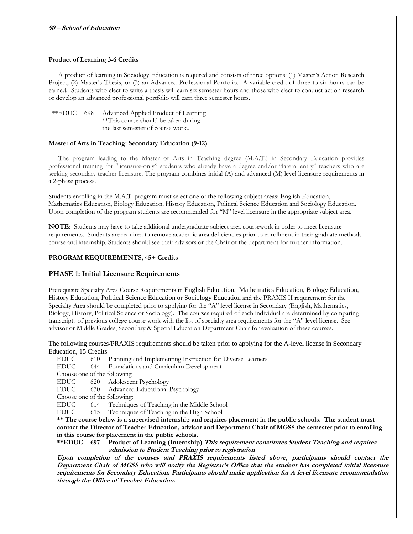#### **90 – School of Education**

#### **Product of Learning 3-6 Credits**

A product of learning in Sociology Education is required and consists of three options: (1) Master's Action Research Project, (2) Master's Thesis, or (3) an Advanced Professional Portfolio. A variable credit of three to six hours can be earned. Students who elect to write a thesis will earn six semester hours and those who elect to conduct action research or develop an advanced professional portfolio will earn three semester hours.

|  | **EDUC 698 Advanced Applied Product of Learning |
|--|-------------------------------------------------|
|  | **This course should be taken during            |
|  | the last semester of course work                |

#### **Master of Arts in Teaching: Secondary Education (9-12)**

The program leading to the Master of Arts in Teaching degree (M.A.T.) in Secondary Education provides professional training for "licensure-only" students who already have a degree and/or "lateral entry" teachers who are seeking secondary teacher licensure. The program combines initial (A) and advanced (M) level licensure requirements in a 2-phase process.

Students enrolling in the M.A.T. program must select one of the following subject areas: English Education, Mathematics Education, Biology Education, History Education, Political Science Education and Sociology Education. Upon completion of the program students are recommended for "M" level licensure in the appropriate subject area.

**NOTE**: Students may have to take additional undergraduate subject area coursework in order to meet licensure requirements. Students are required to remove academic area deficiencies prior to enrollment in their graduate methods course and internship. Students should see their advisors or the Chair of the department for further information.

#### **PROGRAM REQUIREMENTS, 45+ Credits**

#### **PHASE 1: Initial Licensure Requirements**

Prerequisite Specialty Area Course Requirements in English Education, Mathematics Education, Biology Education, History Education, Political Science Education or Sociology Education and the PRAXIS II requirement for the Specialty Area should be completed prior to applying for the "A" level license in Secondary (English, Mathematics, Biology, History, Political Science or Sociology). The courses required of each individual are determined by comparing transcripts of previous college course work with the list of specialty area requirements for the "A" level license. See advisor or Middle Grades, Secondary & Special Education Department Chair for evaluation of these courses.

#### The following courses/PRAXIS requirements should be taken prior to applying for the A-level license in Secondary Education, 15 Credits

EDUC 610 Planning and Implementing Instruction for Diverse Learners<br>EDUC 644 Foundations and Curriculum Development

644 Foundations and Curriculum Development

Choose one of the following

EDUC 620 Adolescent Psychology

EDUC 630 Advanced Educational Psychology

Choose one of the following:

EDUC 614 Techniques of Teaching in the Middle School

EDUC 615 Techniques of Teaching in the High School

**\*\* The course below is a supervised internship and requires placement in the public schools. The student must contact the Director of Teacher Education, advisor and Department Chair of MGSS the semester prior to enrolling in this course for placement in the public schools.** 

**\*\*EDUC 697 Product of Learning (Internship) This requirement constitutes Student Teaching and requires admission to Student Teaching prior to registration**

**Upon completion of the courses and PRAXIS requirements listed above, participants should contact the Department Chair of MGSS who will notify the Registrar's Office that the student has completed initial licensure requirements for Secondary Education. Participants should make application for A-level licensure recommendation through the Office of Teacher Education.**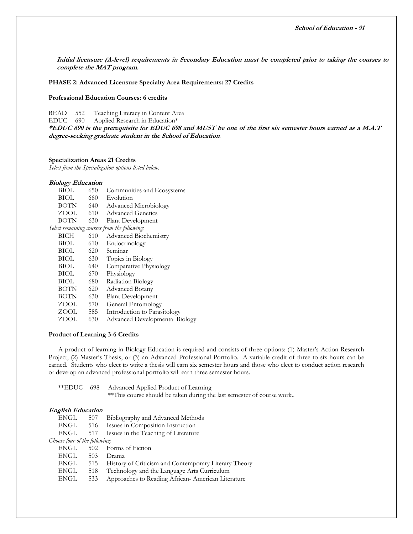**Initial licensure (A-level) requirements in Secondary Education must be completed prior to taking the courses to complete the MAT program.** 

**PHASE 2: Advanced Licensure Specialty Area Requirements: 27 Credits** 

**Professional Education Courses: 6 credits** 

READ 552 Teaching Literacy in Content Area

EDUC 690 Applied Research in Education\*

**\*EDUC 690 is the prerequisite for EDUC 698 and MUST be one of the first six semester hours earned as a M.A.T degree-seeking graduate student in the School of Education***.* 

#### **Specialization Areas 21 Credits**

*Select from the Specialization options listed below.* 

#### **Biology Education**

- BIOL 650 Communities and Ecosystems
- BIOL 660 Evolution
- BOTN 640 Advanced Microbiology
- ZOOL 610 Advanced Genetics
- BOTN 630 Plant Development

*Select remaining courses from the following:*

- BICH 610 Advanced Biochemistry
- BIOL 610 Endocrinology
- BIOL 620 Seminar
- BIOL 630 Topics in Biology
- BIOL 640 Comparative Physiology
- BIOL 670 Physiology
- BIOL 680 Radiation Biology
- BOTN 620 Advanced Botany
- BOTN 630 Plant Development
- ZOOL 570 General Entomology
- ZOOL 585 Introduction to Parasitology
- ZOOL 630 Advanced Developmental Biology

#### **Product of Learning 3-6 Credits**

A product of learning in Biology Education is required and consists of three options: (1) Master's Action Research Project, (2) Master's Thesis, or (3) an Advanced Professional Portfolio. A variable credit of three to six hours can be earned. Students who elect to write a thesis will earn six semester hours and those who elect to conduct action research or develop an advanced professional portfolio will earn three semester hours.

\*\*EDUC 698 Advanced Applied Product of Learning

\*\*This course should be taken during the last semester of course work..

#### **English Education**

- ENGL 507 Bibliography and Advanced Methods
- ENGL 516 Issues in Composition Instruction
- ENGL 517 Issues in the Teaching of Literature

*Choose four of the following:* 

|                | ENGL 502 Forms of Fiction                                 |
|----------------|-----------------------------------------------------------|
| ENGL 503 Drama |                                                           |
| ENGL           | 515 History of Criticism and Contemporary Literary Theory |
| ENGL           | 518 Technology and the Language Arts Curriculum           |
| ENGL           | 533 Approaches to Reading African-American Literature     |
|                |                                                           |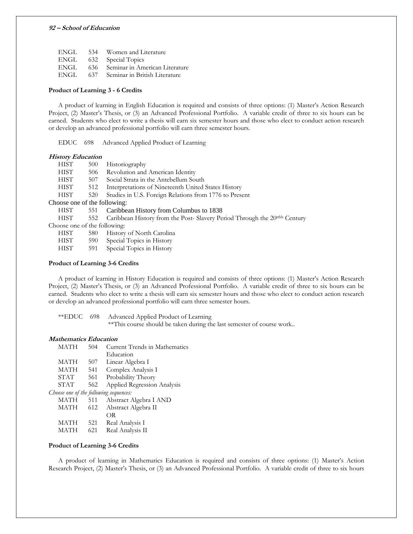| ENGL - | 534 Women and Literature                |
|--------|-----------------------------------------|
|        | ENGL 632 Special Topics                 |
|        | ENGL 636 Seminar in American Literature |
| ENGL – | 637 Seminar in British Literature       |

#### **Product of Learning 3 - 6 Credits**

A product of learning in English Education is required and consists of three options: (1) Master's Action Research Project, (2) Master's Thesis, or (3) an Advanced Professional Portfolio. A variable credit of three to six hours can be earned. Students who elect to write a thesis will earn six semester hours and those who elect to conduct action research or develop an advanced professional portfolio will earn three semester hours.

EDUC 698 Advanced Applied Product of Learning

#### **History Education**

| <b>HIST</b>                  | 500 | Historiography                                         |
|------------------------------|-----|--------------------------------------------------------|
| <b>HIST</b>                  | 506 | Revolution and American Identity                       |
| <b>HIST</b>                  | 507 | Social Strata in the Antebellum South                  |
| <b>HIST</b>                  | 512 | Interpretations of Nineteenth United States History    |
| <b>HIST</b>                  | 520 | Studies in U.S. Foreign Relations from 1776 to Present |
| Choose one of the following: |     |                                                        |

HIST 551 Caribbean History from Columbus to 1838

- HIST 552 Caribbean History from the Post-Slavery Period Through the 20<sup>tthh</sup> Century
- Choose one of the following:
	- HIST 580 History of North Carolina
	- HIST 590 Special Topics in History<br>HIST 591 Special Topics in History
	- 591 Special Topics in History

#### **Product of Learning 3-6 Credits**

A product of learning in History Education is required and consists of three options: (1) Master's Action Research Project, (2) Master's Thesis, or (3) an Advanced Professional Portfolio. A variable credit of three to six hours can be earned. Students who elect to write a thesis will earn six semester hours and those who elect to conduct action research or develop an advanced professional portfolio will earn three semester hours.

\*\*EDUC 698 Advanced Applied Product of Learning

\*\*This course should be taken during the last semester of course work..

#### **Mathematics Education**

| <b>MATH</b>                            | 504 | Current Trends in Mathematics |
|----------------------------------------|-----|-------------------------------|
|                                        |     | Education                     |
| <b>MATH</b>                            | 507 | Linear Algebra I              |
| <b>MATH</b>                            | 541 | Complex Analysis I            |
| <b>STAT</b>                            | 561 | Probability Theory            |
| <b>STAT</b>                            | 562 | Applied Regression Analysis   |
| Choose one of the following sequences: |     |                               |
| MATH                                   | 511 | Abstract Algebra I AND        |
| <b>MATH</b>                            | 612 | Abstract Algebra II           |
|                                        |     | OR                            |
| MATH                                   | 521 | Real Analysis I               |
| MATH                                   | 621 | Real Analysis II              |

#### **Product of Learning 3-6 Credits**

A product of learning in Mathematics Education is required and consists of three options: (1) Master's Action Research Project, (2) Master's Thesis, or (3) an Advanced Professional Portfolio. A variable credit of three to six hours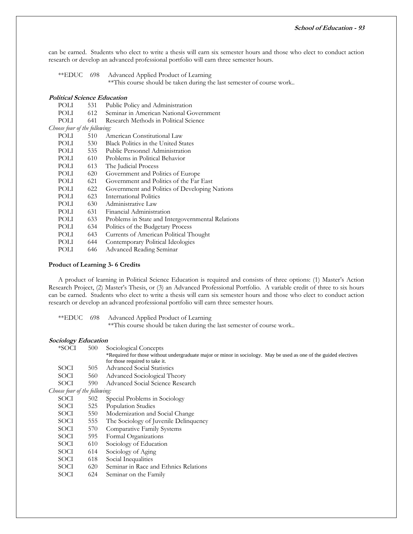can be earned. Students who elect to write a thesis will earn six semester hours and those who elect to conduct action research or develop an advanced professional portfolio will earn three semester hours.

\*\*EDUC 698 Advanced Applied Product of Learning

\*\*This course should be taken during the last semester of course work..

#### **Political Science Education**

| <i><b>Political Science Education</b></i> |     |                                                   |  |  |
|-------------------------------------------|-----|---------------------------------------------------|--|--|
| POLI                                      | 531 | Public Policy and Administration                  |  |  |
| POLI                                      | 612 | Seminar in American National Government           |  |  |
| POLI                                      | 641 | Research Methods in Political Science             |  |  |
| Choose four of the following:             |     |                                                   |  |  |
| POLI                                      | 510 | American Constitutional Law                       |  |  |
| POLI                                      | 530 | Black Politics in the United States               |  |  |
| POLI                                      | 535 | Public Personnel Administration                   |  |  |
| POLI                                      | 610 | Problems in Political Behavior                    |  |  |
| POLI                                      | 613 | The Judicial Process                              |  |  |
| POLI                                      | 620 | Government and Politics of Europe                 |  |  |
| POLI                                      | 621 | Government and Politics of the Far East           |  |  |
| POLI                                      | 622 | Government and Politics of Developing Nations     |  |  |
| POLI                                      | 623 | <b>International Politics</b>                     |  |  |
| POLI                                      | 630 | Administrative Law                                |  |  |
| POLI                                      | 631 | Financial Administration                          |  |  |
| POLI                                      | 633 | Problems in State and Intergovernmental Relations |  |  |
| POLI                                      | 634 | Politics of the Budgetary Process                 |  |  |
| POLI                                      | 643 | Currents of American Political Thought            |  |  |
| POLI                                      | 644 | Contemporary Political Ideologies                 |  |  |
| POLI                                      | 646 | Advanced Reading Seminar                          |  |  |
|                                           |     |                                                   |  |  |

#### **Product of Learning 3- 6 Credits**

A product of learning in Political Science Education is required and consists of three options: (1) Master's Action Research Project, (2) Master's Thesis, or (3) an Advanced Professional Portfolio. A variable credit of three to six hours can be earned. Students who elect to write a thesis will earn six semester hours and those who elect to conduct action research or develop an advanced professional portfolio will earn three semester hours.

\*\*EDUC 698 Advanced Applied Product of Learning \*\*This course should be taken during the last semester of course work..

#### **Sociology Education**

| $*SOCI$                       | 500 | Sociological Concepts                                                                                             |
|-------------------------------|-----|-------------------------------------------------------------------------------------------------------------------|
|                               |     | *Required for those without undergraduate major or minor in sociology. May be used as one of the guided electives |
|                               |     | for those required to take it.                                                                                    |
| SOCI                          | 505 | <b>Advanced Social Statistics</b>                                                                                 |
| SOCI                          | 560 | Advanced Sociological Theory                                                                                      |
| SOCI                          | 590 | Advanced Social Science Research                                                                                  |
| Choose four of the following: |     |                                                                                                                   |
| SOCI                          | 502 | Special Problems in Sociology                                                                                     |
| SOCI                          | 525 | Population Studies                                                                                                |
| SOCI                          | 550 | Modernization and Social Change                                                                                   |
| SOCI                          | 555 | The Sociology of Juvenile Delinquency                                                                             |
| SOCI                          | 570 | Comparative Family Systems                                                                                        |
| SOCI                          | 595 | Formal Organizations                                                                                              |
| SOCI                          | 610 | Sociology of Education                                                                                            |
| SOCI                          | 614 | Sociology of Aging                                                                                                |
| SOCI                          | 618 | Social Inequalities                                                                                               |
| SOCI                          | 620 | Seminar in Race and Ethnics Relations                                                                             |
| SOCI                          | 624 | Seminar on the Family                                                                                             |
|                               |     |                                                                                                                   |
|                               |     |                                                                                                                   |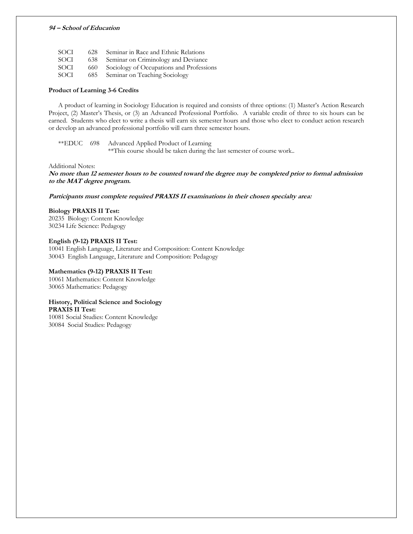#### **94 – School of Education**

| 628. | Seminar in Race and Ethnic Relations         |
|------|----------------------------------------------|
| 638  | Seminar on Criminology and Deviance          |
|      | 660 Sociology of Occupations and Professions |
| 685  | Seminar on Teaching Sociology                |
|      |                                              |

#### **Product of Learning 3-6 Credits**

A product of learning in Sociology Education is required and consists of three options: (1) Master's Action Research Project, (2) Master's Thesis, or (3) an Advanced Professional Portfolio. A variable credit of three to six hours can be earned. Students who elect to write a thesis will earn six semester hours and those who elect to conduct action research or develop an advanced professional portfolio will earn three semester hours.

\*\*EDUC 698 Advanced Applied Product of Learning \*\*This course should be taken during the last semester of course work..

#### Additional Notes:

**No more than 12 semester hours to be counted toward the degree may be completed prior to formal admission to the MAT degree program.** 

**Participants must complete required PRAXIS II examinations in their chosen specialty area:** 

#### **Biology PRAXIS II Test:**

20235 Biology: Content Knowledge 30234 Life Science: Pedagogy

**English (9-12) PRAXIS II Test:**  10041 English Language, Literature and Composition: Content Knowledge 30043 English Language, Literature and Composition: Pedagogy

**Mathematics (9-12) PRAXIS II Test:**  10061 Mathematics: Content Knowledge 30065 Mathematics: Pedagogy

## **History, Political Science and Sociology**

**PRAXIS II Test:**  10081 Social Studies: Content Knowledge 30084 Social Studies: Pedagogy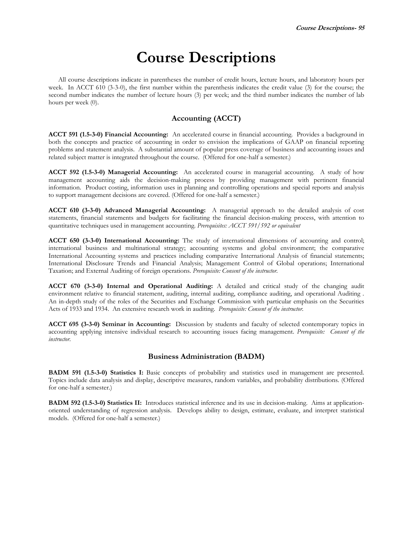# **Course Descriptions**

All course descriptions indicate in parentheses the number of credit hours, lecture hours, and laboratory hours per week. In ACCT 610 (3-3-0), the first number within the parenthesis indicates the credit value (3) for the course; the second number indicates the number of lecture hours (3) per week; and the third number indicates the number of lab hours per week (0).

## **Accounting (ACCT)**

**ACCT 591 (1.5-3-0) Financial Accounting:** An accelerated course in financial accounting. Provides a background in both the concepts and practice of accounting in order to envision the implications of GAAP on financial reporting problems and statement analysis. A substantial amount of popular press coverage of business and accounting issues and related subject matter is integrated throughout the course. (Offered for one-half a semester.)

**ACCT 592 (1.5-3-0) Managerial Accounting:** An accelerated course in managerial accounting. A study of how management accounting aids the decision-making process by providing management with pertinent financial information. Product costing, information uses in planning and controlling operations and special reports and analysis to support management decisions are covered. (Offered for one-half a semester.)

**ACCT 610 (3-3-0) Advanced Managerial Accounting:** A managerial approach to the detailed analysis of cost statements, financial statements and budgets for facilitating the financial decision-making process, with attention to quantitative techniques used in management accounting. *Prerequisites: ACCT 591/592 or equivalent*

**ACCT 650 (3-3-0) International Accounting:** The study of international dimensions of accounting and control; international business and multinational strategy; accounting systems and global environment; the comparative International Accounting systems and practices including comparative International Analysis of financial statements; International Disclosure Trends and Financial Analysis; Management Control of Global operations; International Taxation; and External Auditing of foreign operations. *Prerequisite: Consent of the instructor.*

**ACCT 670 (3-3-0) Internal and Operational Auditing:** A detailed and critical study of the changing audit environment relative to financial statement, auditing, internal auditing, compliance auditing, and operational Auditing . An in-depth study of the roles of the Securities and Exchange Commission with particular emphasis on the Securities Acts of 1933 and 1934. An extensive research work in auditing. *Prerequisite: Consent of the instructor.*

**ACCT 695 (3-3-0) Seminar in Accounting:** Discussion by students and faculty of selected contemporary topics in accounting applying intensive individual research to accounting issues facing management. *Prerequisite: Consent of the instructor.*

## **Business Administration (BADM)**

**BADM 591 (1.5-3-0) Statistics I:** Basic concepts of probability and statistics used in management are presented. Topics include data analysis and display, descriptive measures, random variables, and probability distributions. (Offered for one-half a semester.)

**BADM 592 (1.5-3-0) Statistics II:** Introduces statistical inference and its use in decision-making. Aims at applicationoriented understanding of regression analysis. Develops ability to design, estimate, evaluate, and interpret statistical models. (Offered for one-half a semester.)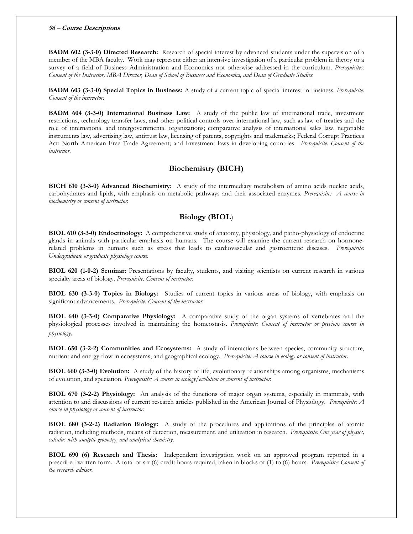#### **96 – Course Descriptions**

**BADM 602 (3-3-0) Directed Research:** Research of special interest by advanced students under the supervision of a member of the MBA faculty. Work may represent either an intensive investigation of a particular problem in theory or a survey of a field of Business Administration and Economics not otherwise addressed in the curriculum. *Prerequisites: Consent of the Instructor, MBA Director, Dean of School of Business and Economics, and Dean of Graduate Studies.*

**BADM 603 (3-3-0) Special Topics in Business:** A study of a current topic of special interest in business. *Prerequisite: Consent of the instructor.*

**BADM 604 (3-3-0) International Business Law:** A study of the public law of international trade, investment restrictions, technology transfer laws, and other political controls over international law, such as law of treaties and the role of international and intergovernmental organizations; comparative analysis of international sales law, negotiable instruments law, advertising law, antitrust law, licensing of patents, copyrights and trademarks; Federal Corrupt Practices Act; North American Free Trade Agreement; and Investment laws in developing countries. *Prerequisite: Consent of the instructor.*

## **Biochemistry (BICH)**

**BICH 610 (3-3-0) Advanced Biochemistry:** A study of the intermediary metabolism of amino acids nucleic acids, carbohydrates and lipids, with emphasis on metabolic pathways and their associated enzymes. *Prerequisite: A course in biochemistry or consent of instructor.*

## **Biology (BIOL**)

**BIOL 610 (3-3-0) Endocrinology:** A comprehensive study of anatomy, physiology, and patho-physiology of endocrine glands in animals with particular emphasis on humans. The course will examine the current research on hormonerelated problems in humans such as stress that leads to cardiovascular and gastroenteric diseases. *Prerequisite: Undergraduate or graduate physiology course.*

**BIOL 620 (1-0-2) Seminar:** Presentations by faculty, students, and visiting scientists on current research in various specialty areas of biology. *Prerequisite: Consent of instructor.*

**BIOL 630 (3-3-0) Topics in Biology:** Studies of current topics in various areas of biology, with emphasis on significant advancements. *Prerequisite: Consent of the instructor.*

**BIOL 640 (3-3-0) Comparative Physiology:** A comparative study of the organ systems of vertebrates and the physiological processes involved in maintaining the homeostasis. *Prerequisite: Consent of instructor or previous course in physiology.*

**BIOL 650 (3-2-2) Communities and Ecosystems:** A study of interactions between species, community structure, nutrient and energy flow in ecosystems, and geographical ecology. *Prerequisite: A course in ecology or consent of instructor.*

**BIOL 660 (3-3-0) Evolution:** A study of the history of life, evolutionary relationships among organisms, mechanisms of evolution, and speciation. *Prerequisite: A course in ecology/evolution or consent of instructor.*

**BIOL 670 (3-2-2) Physiology:** An analysis of the functions of major organ systems, especially in mammals, with attention to and discussions of current research articles published in the American Journal of Physiology. *Prerequisite: A course in physiology or consent of instructor.*

**BIOL 680 (3-2-2) Radiation Biology:** A study of the procedures and applications of the principles of atomic radiation, including methods, means of detection, measurement, and utilization in research. *Prerequisite: One year of physics, calculus with analytic geometry, and analytical chemistry.*

**BIOL 690 (6) Research and Thesis:** Independent investigation work on an approved program reported in a prescribed written form. A total of six (6) credit hours required, taken in blocks of (1) to (6) hours. *Prerequisite: Consent of the research advisor.*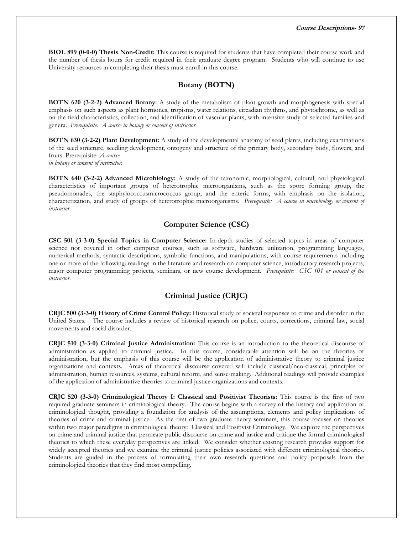**BIOL 899 (0-0-0) Thesis Non-Credit:** This course is required for students that have completed their course work and the number of thesis hours for credit required in their graduate degree program. Students who will continue to use University resources in completing their thesis must enroll in this course.

## **Botany (BOTN)**

**BOTN 620 (3-2-2) Advanced Botany:** A study of the metabolism of plant growth and morphogenesis with special emphasis on such aspects as plant hormones, tropisms, water relations, circadian rhythms, and phytochrome, as well as on the field characteristics, collection, and identification of vascular plants, with intensive study of selected families and genera. *Prerequisite: A course in botany or consent of instructor.*

**BOTN 630 (3-2-2) Plant Development:** A study of the developmental anatomy of seed plants, including examinations of the seed structure, seedling development, ontogeny and structure of the primary body, secondary body, flowers, and fruits. Prerequisite: *A course*

*in botany or consent of instructor.* 

**BOTN 640 (3-2-2) Advanced Microbiology:** A study of the taxonomic, morphological, cultural, and physiological characteristics of important groups of heterotrophic microorganisms, such as the spore forming group, the pseudomonades, the staphylococcusmicrococcus group, and the enteric forms, with emphasis on the isolation, characterization, and study of groups of heterotrophic microorganisms. *Prerequisite: A course in microbiology or consent of instructor.*

## **Computer Science (CSC)**

**CSC 501 (3-3-0) Special Topics in Computer Science:** In-depth studies of selected topics in areas of computer science not covered in other computer courses, such as software, hardware utilization, programming languages, numerical methods, syntactic descriptions, symbolic functions, and manipulations, with course requirements including one or more of the following: readings in the literature and research on computer science, introductory research projects, major computer programming projects, seminars, or new course development. *Prerequisite: CSC 101 or consent of the instructor.*

## **Criminal Justice (CRJC)**

**CRJC 500 (3-3-0) History of Crime Control Policy:** Historical study of societal responses to crime and disorder in the United States. The course includes a review of historical research on police, courts, corrections, criminal law, social movements and social disorder.

**CRJC 510 (3-3-0) Criminal Justice Administration:** This course is an introduction to the theoretical discourse of administration as applied to criminal justice. In this course, considerable attention will be on the theories of administration, but the emphasis of this course will be the application of administrative theory to criminal justice organizations and contexts. Areas of theoretical discourse covered will include classical/neo-classical, principles of administration, human resources, systems, cultural reform, and sense-making. Additional readings will provide examples of the application of administrative theories to criminal justice organizations and contexts.

**CRJC 520 (3-3-0) Criminological Theory I: Classical and Positivist Theorists:** This course is the first of two required graduate seminars in criminological theory. The course begins with a survey of the history and application of criminological thought, providing a foundation for analysis of the assumptions, elements and policy implications of theories of crime and criminal justice. As the first of two graduate theory seminars, this course focuses on theories within two major paradigms in criminological theory: Classical and Positivist Criminology. We explore the perspectives on crime and criminal justice that permeate public discourse on crime and justice and critique the formal criminological theories to which these everyday perspectives are linked. We consider whether existing research provides support for widely accepted theories and we examine the criminal justice policies associated with different criminological theories. Students are guided in the process of formulating their own research questions and policy proposals from the criminological theories that they find most compelling.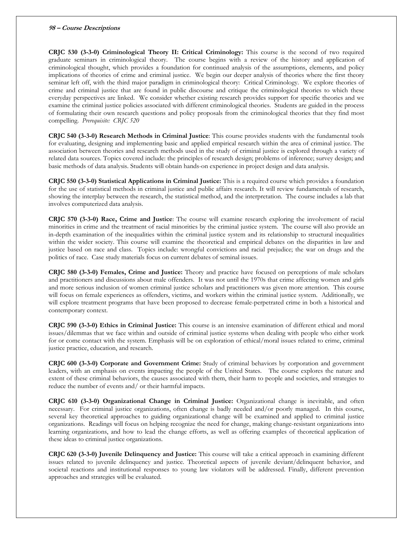#### **98 – Course Descriptions**

**CRJC 530 (3-3-0) Criminological Theory II: Critical Criminology:** This course is the second of two required graduate seminars in criminological theory. The course begins with a review of the history and application of criminological thought, which provides a foundation for continued analysis of the assumptions, elements, and policy implications of theories of crime and criminal justice. We begin our deeper analysis of theories where the first theory seminar left off, with the third major paradigm in criminological theory: Critical Criminology. We explore theories of crime and criminal justice that are found in public discourse and critique the criminological theories to which these everyday perspectives are linked. We consider whether existing research provides support for specific theories and we examine the criminal justice policies associated with different criminological theories. Students are guided in the process of formulating their own research questions and policy proposals from the criminological theories that they find most compelling. *Prerequisite: CRJC 520*

**CRJC 540 (3-3-0) Research Methods in Criminal Justice**: This course provides students with the fundamental tools for evaluating, designing and implementing basic and applied empirical research within the area of criminal justice. The association between theories and research methods used in the study of criminal justice is explored through a variety of related data sources. Topics covered include: the principles of research design; problems of inference; survey design; and basic methods of data analysis. Students will obtain hands-on experience in project design and data analysis.

**CRJC 550 (3-3-0) Statistical Applications in Criminal Justice:** This is a required course which provides a foundation for the use of statistical methods in criminal justice and public affairs research. It will review fundamentals of research, showing the interplay between the research, the statistical method, and the interpretation. The course includes a lab that involves computerized data analysis.

**CRJC 570 (3-3-0) Race, Crime and Justice**: The course will examine research exploring the involvement of racial minorities in crime and the treatment of racial minorities by the criminal justice system. The course will also provide an in-depth examination of the inequalities within the criminal justice system and its relationship to structural inequalities within the wider society. This course will examine the theoretical and empirical debates on the disparities in law and justice based on race and class. Topics include: wrongful convictions and racial prejudice; the war on drugs and the politics of race. Case study materials focus on current debates of seminal issues.

**CRJC 580 (3-3-0) Females, Crime and Justice:** Theory and practice have focused on perceptions of male scholars and practitioners and discussions about male offenders. It was not until the 1970s that crime affecting women and girls and more serious inclusion of women criminal justice scholars and practitioners was given more attention. This course will focus on female experiences as offenders, victims, and workers within the criminal justice system. Additionally, we will explore treatment programs that have been proposed to decrease female-perpetrated crime in both a historical and contemporary context.

**CRJC 590 (3-3-0) Ethics in Criminal Justice:** This course is an intensive examination of different ethical and moral issues/dilemmas that we face within and outside of criminal justice systems when dealing with people who either work for or come contact with the system. Emphasis will be on exploration of ethical/moral issues related to crime, criminal justice practice, education, and research.

**CRJC 600 (3-3-0) Corporate and Government Crime:** Study of criminal behaviors by corporation and government leaders, with an emphasis on events impacting the people of the United States. The course explores the nature and extent of these criminal behaviors, the causes associated with them, their harm to people and societies, and strategies to reduce the number of events and/ or their harmful impacts.

**CRJC 610 (3-3-0) Organizational Change in Criminal Justice:** Organizational change is inevitable, and often necessary. For criminal justice organizations, often change is badly needed and/or poorly managed. In this course, several key theoretical approaches to guiding organizational change will be examined and applied to criminal justice organizations. Readings will focus on helping recognize the need for change, making change-resistant organizations into learning organizations, and how to lead the change efforts, as well as offering examples of theoretical application of these ideas to criminal justice organizations.

**CRJC 620 (3-3-0) Juvenile Delinquency and Justice:** This course will take a critical approach in examining different issues related to juvenile delinquency and justice. Theoretical aspects of juvenile deviant/delinquent behavior, and societal reactions and institutional responses to young law violators will be addressed. Finally, different prevention approaches and strategies will be evaluated.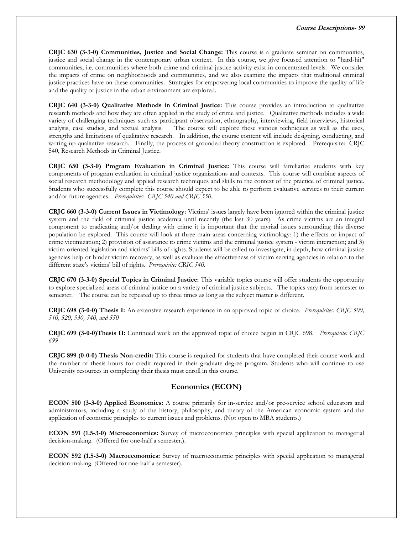**CRJC 630 (3-3-0) Communities, Justice and Social Change:** This course is a graduate seminar on communities, justice and social change in the contemporary urban context. In this course, we give focused attention to "hard-hit" communities, i.e. communities where both crime and criminal justice activity exist in concentrated levels. We consider the impacts of crime on neighborhoods and communities, and we also examine the impacts that traditional criminal justice practices have on these communities. Strategies for empowering local communities to improve the quality of life and the quality of justice in the urban environment are explored.

**CRJC 640 (3-3-0) Qualitative Methods in Criminal Justice:** This course provides an introduction to qualitative research methods and how they are often applied in the study of crime and justice. Qualitative methods includes a wide variety of challenging techniques such as participant observation, ethnography, interviewing, field interviews, historical analysis, case studies, and textual analysis. The course will explore these various techniques as well as the uses, strengths and limitations of qualitative research. In addition, the course content will include designing, conducting, and writing up qualitative research. Finally, the process of grounded theory construction is explored. Prerequisite: CRJC 540, Research Methods in Criminal Justice.

**CRJC 650 (3-3-0) Program Evaluation in Criminal Justice:** This course will familiarize students with key components of program evaluation in criminal justice organizations and contexts. This course will combine aspects of social research methodology and applied research techniques and skills to the context of the practice of criminal justice. Students who successfully complete this course should expect to be able to perform evaluative services to their current and/or future agencies. *Prerequisites: CRJC 540 and CRJC 550.*

**CRJC 660 (3-3-0) Current Issues in Victimology:** Victims' issues largely have been ignored within the criminal justice system and the field of criminal justice academia until recently (the last 30 years). As crime victims are an integral component to eradicating and/or dealing with crime it is important that the myriad issues surrounding this diverse population be explored. This course will look at three main areas concerning victimology: 1) the effects or impact of crime victimization; 2) provision of assistance to crime victims and the criminal justice system - victim interaction; and 3) victim-oriented legislation and victims' bills of rights. Students will be called to investigate, in depth, how criminal justice agencies help or hinder victim recovery, as well as evaluate the effectiveness of victim serving agencies in relation to the different state's victims' bill of rights. *Prerequisite: CRJC 540.*

**CRJC 670 (3-3-0) Special Topics in Criminal Justice:** This variable topics course will offer students the opportunity to explore specialized areas of criminal justice on a variety of criminal justice subjects. The topics vary from semester to semester. The course can be repeated up to three times as long as the subject matter is different.

**CRJC 698 (3-0-0) Thesis I:** An extensive research experience in an approved topic of choice. *Prerequisites: CRJC 500, 510, 520, 530, 540, and 550*

**CRJC 699 (3-0-0)Thesis II:** Continued work on the approved topic of choice begun in CRJC 698. *Prerequisite: CRJC 699*

**CRJC 899 (0-0-0) Thesis Non-credit:** This course is required for students that have completed their course work and the number of thesis hours for credit required in their graduate degree program. Students who will continue to use University resources in completing their thesis must enroll in this course.

## **Economics (ECON)**

**ECON 500 (3-3-0) Applied Economics:** A course primarily for in-service and/or pre-service school educators and administrators, including a study of the history, philosophy, and theory of the American economic system and the application of economic principles to current issues and problems. (Not open to MBA students.)

**ECON 591 (1.5-3-0) Microeconomics:** Survey of microeconomics principles with special application to managerial decision-making. (Offered for one-half a semester.).

**ECON 592 (1.5-3-0) Macroeconomics:** Survey of macroeconomic principles with special application to managerial decision-making. (Offered for one-half a semester).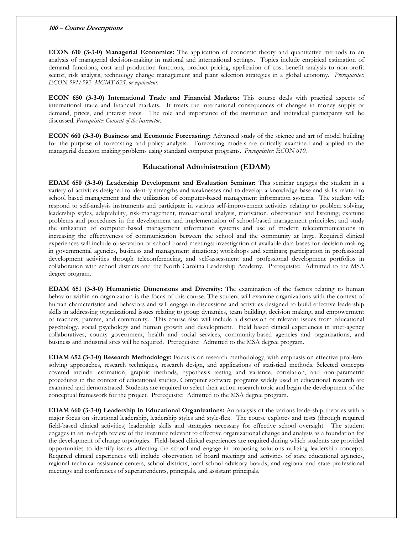#### **100 – Course Descriptions**

**ECON 610 (3-3-0) Managerial Economics:** The application of economic theory and quantitative methods to an analysis of managerial decision-making in national and international settings. Topics include empirical estimation of demand functions, cost and production functions, product pricing, application of cost-benefit analysis to non-profit sector, risk analysis, technology change management and plant selection strategies in a global economy. *Prerequisites: ECON 591/592, MGMT 625, or equivalent.*

**ECON 650 (3-3-0) International Trade and Financial Markets:** This course deals with practical aspects of international trade and financial markets. It treats the international consequences of changes in money supply or demand, prices, and interest rates. The role and importance of the institution and individual participants will be discussed. *Prerequisite: Consent of the instructor.*

**ECON 660 (3-3-0) Business and Economic Forecasting:** Advanced study of the science and art of model building for the purpose of forecasting and policy analysis. Forecasting models are critically examined and applied to the managerial decision making problems using standard computer programs. *Prerequisites: ECON 610.*

## **Educational Administration (EDAM)**

**EDAM 650 (3-3-0) Leadership Development and Evaluation Seminar:** This seminar engages the student in a variety of activities designed to identify strengths and weaknesses and to develop a knowledge base and skills related to school based management and the utilization of computer-based management information systems. The student will: respond to self-analysis instruments and participate in various self-improvement activities relating to problem solving, leadership styles, adaptability, risk-management, transactional analysis, motivation, observation and listening; examine problems and procedures in the development and implementation of school-based management principles; and study the utilization of computer-based management information systems and use of modern telecommunications in increasing the effectiveness of communication between the school and the community at large. Required clinical experiences will include observation of school board meetings; investigation of available data bases for decision making in governmental agencies, business and management situations; workshops and seminars; participation in professional development activities through teleconferencing, and self-assessment and professional development portfolios in collaboration with school districts and the North Carolina Leadership Academy. Prerequisite: Admitted to the MSA degree program.

**EDAM 651 (3-3-0) Humanistic Dimensions and Diversity:** The examination of the factors relating to human behavior within an organization is the focus of this course. The student will examine organizations with the context of human characteristics and behaviors and will engage in discussions and activities designed to build effective leadership skills in addressing organizational issues relating to group dynamics, team building, decision making, and empowerment of teachers, parents, and community. This course also will include a discussion of relevant issues from educational psychology, social psychology and human growth and development. Field based clinical experiences in inter-agency collaboratives, county government, health and social services, community-based agencies and organizations, and business and industrial sites will be required. Prerequisite: Admitted to the MSA degree program.

**EDAM 652 (3-3-0) Research Methodology:** Focus is on research methodology, with emphasis on effective problemsolving approaches, research techniques, research design, and applications of statistical methods. Selected concepts covered include: estimation, graphic methods, hypothesis testing and variance, correlation, and non-parametric procedures in the context of educational studies. Computer software programs widely used in educational research are examined and demonstrated. Students are required to select their action research topic and begin the development of the conceptual framework for the project. Prerequisite: Admitted to the MSA degree program.

**EDAM 660 (3-3-0) Leadership in Educational Organizations:** An analysis of the various leadership theories with a major focus on situational leadership, leadership styles and style-flex. The course explores and tests (through required field-based clinical activities) leadership skills and strategies necessary for effective school oversight. The student engages in an in-depth review of the literature relevant to effective organizational change and analysis as a foundation for the development of change topologies. Field-based clinical experiences are required during which students are provided opportunities to identify issues affecting the school and engage in proposing solutions utilizing leadership concepts. Required clinical experiences will include observation of board meetings and activities of state educational agencies, regional technical assistance centers, school districts, local school advisory boards, and regional and state professional meetings and conferences of superintendents, principals, and assistant principals.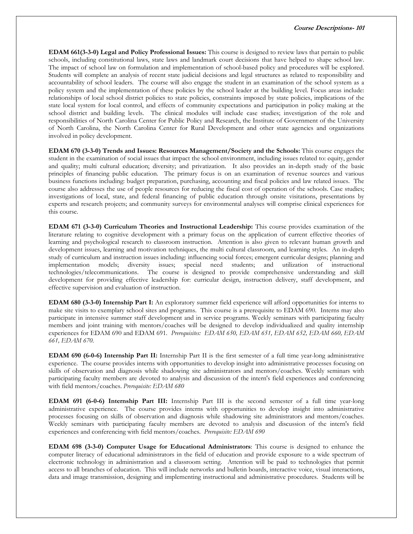**EDAM 661(3-3-0) Legal and Policy Professional Issues:** This course is designed to review laws that pertain to public schools, including constitutional laws, state laws and landmark court decisions that have helped to shape school law. The impact of school law on formulation and implementation of school-based policy and procedures will be explored. Students will complete an analysis of recent state judicial decisions and legal structures as related to responsibility and accountability of school leaders. The course will also engage the student in an examination of the school system as a policy system and the implementation of these policies by the school leader at the building level. Focus areas include: relationships of local school district policies to state policies, constraints imposed by state policies, implications of the state local system for local control, and effects of community expectations and participation in policy making at the school district and building levels.The clinical modules will include case studies; investigation of the role and responsibilities of North Carolina Center for Public Policy and Research, the Institute of Government of the University of North Carolina, the North Carolina Center for Rural Development and other state agencies and organizations involved in policy development.

**EDAM 670 (3-3-0) Trends and Issues: Resources Management/Society and the Schools:** This course engages the student in the examination of social issues that impact the school environment, including issues related to: equity, gender and quality; multi cultural education; diversity; and privatization. It also provides an in-depth study of the basic principles of financing public education. The primary focus is on an examination of revenue sources and various business functions including: budget preparation, purchasing, accounting and fiscal policies and law related issues. The course also addresses the use of people resources for reducing the fiscal cost of operation of the schools. Case studies; investigations of local, state, and federal financing of public education through onsite visitations, presentations by experts and research projects; and community surveys for environmental analyses will comprise clinical experiences for this course.

**EDAM 671 (3-3-0) Curriculum Theories and Instructional Leadership:** This course provides examination of the literature relating to cognitive development with a primary focus on the application of current effective theories of learning and psychological research to classroom instruction. Attention is also given to relevant human growth and development issues, learning and motivation techniques, the multi cultural classroom, and learning styles. An in-depth study of curriculum and instruction issues including: influencing social forces; emergent curricular designs; planning and implementation models; diversity issues; special need students; and utilization of instructional technologies/telecommunications. The course is designed to provide comprehensive understanding and skill development for providing effective leadership for: curricular design, instruction delivery, staff development, and effective supervision and evaluation of instruction.

**EDAM 680 (3-3-0) Internship Part I:** An exploratory summer field experience will afford opportunities for interns to make site visits to exemplary school sites and programs. This course is a prerequisite to EDAM 690. Interns may also participate in intensive summer staff development and in service programs. Weekly seminars with participating faculty members and joint training with mentors/coaches will be designed to develop individualized and quality internship experiences for EDAM 690 and EDAM 691. *Prerequisites: EDAM 650, EDAM 651, EDAM 652, EDAM 660, EDAM 661, EDAM 670.*

**EDAM 690 (6-0-6) Internship Part II:** Internship Part II is the first semester of a full time year-long administrative experience. The course provides interns with opportunities to develop insight into administrative processes focusing on skills of observation and diagnosis while shadowing site administrators and mentors/coaches. Weekly seminars with participating faculty members are devoted to analysis and discussion of the intern's field experiences and conferencing with field mentors/coaches. *Prerequisite: EDAM 680*

**EDAM 691 (6-0-6) Internship Part III:** Internship Part III is the second semester of a full time year-long administrative experience. The course provides interns with opportunities to develop insight into administrative processes focusing on skills of observation and diagnosis while shadowing site administrators and mentors/coaches. Weekly seminars with participating faculty members are devoted to analysis and discussion of the intern's field experiences and conferencing with field mentors/coaches. *Prerequisite: EDAM 690*

**EDAM 698 (3-3-0) Computer Usage for Educational Administrators**: This course is designed to enhance the computer literacy of educational administrators in the field of education and provide exposure to a wide spectrum of electronic technology in administration and a classroom setting. Attention will be paid to technologies that permit access to all branches of education. This will include networks and bulletin boards, interactive voice, visual interactions, data and image transmission, designing and implementing instructional and administrative procedures. Students will be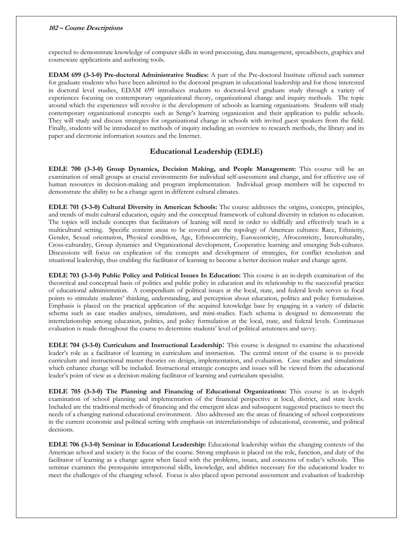#### **102 – Course Descriptions**

expected to demonstrate knowledge of computer skills in word processing, data management, spreadsheets, graphics and courseware applications and authoring tools.

**EDAM 699 (3-3-0) Pre-doctoral Administrative Studies:** A part of the Pre-doctoral Institute offered each summer for graduate students who have been admitted to the doctoral program in educational leadership and for those interested in doctoral level studies, EDAM 699 introduces students to doctoral-level graduate study through a variety of experiences focusing on contemporary organizational theory, organizational change and inquiry methods. The topic around which the experiences will revolve is the development of schools as learning organizations. Students will study contemporary organizational concepts such as Senge's learning organization and their application to public schools. They will study and discuss strategies for organizational change in schools with invited guest speakers from the field. Finally, students will be introduced to methods of inquiry including an overview to research methods, the library and its paper and electronic information sources and the Internet.

## **Educational Leadership (EDLE)**

**EDLE 700 (3-3-0) Group Dynamics, Decision Making, and People Management:** This course will be an examination of small groups as crucial environments for individual self-assessment and change, and for effective use of human resources in decision-making and program implementation. Individual group members will be expected to demonstrate the ability to be a change agent in different cultural climates.

**EDLE 701 (3-3-0) Cultural Diversity in American Schools:** The course addresses the origins, concepts, principles, and trends of multi cultural education, equity and the conceptual framework of cultural diversity in relation to education. The topics will include concepts that facilitators of leaning will need in order to skillfully and effectively teach in a multicultural setting. Specific content areas to be covered are the topology of American cultures: Race, Ethnicity, Gender, Sexual orientation, Physical condition, Age, Ethnocentricity, Eurocentricity, Afrocentricity, Interculturality, Cross-culturality, Group dynamics and Organizational development, Cooperative learning and emerging Sub-cultures. Discussions will focus on explication of the concepts and development of strategies, for conflict resolution and situational leadership, thus enabling the facilitator of learning to become a better decision maker and change agent.

**EDLE 703 (3-3-0) Public Policy and Political Issues In Education:** This course is an in-depth examination of the theoretical and conceptual basis of politics and public policy in education and its relationship to the successful practice of educational administration. A compendium of political issues at the local, state, and federal levels serves as focal points to stimulate students' thinking, understanding, and perception about education, politics and policy formulation. Emphasis is placed on the practical application of the acquired knowledge base by engaging in a variety of didactic schema such as case studies analyses, simulations, and mini-studies. Each schema is designed to demonstrate the interrelationship among education, politics, and policy formulation at the local, state, and federal levels. Continuous evaluation is made throughout the course to determine students' level of political astuteness and savvy.

**EDLE 704 (3-3-0) Curriculum and Instructional Leadership**: This course is designed to examine the educational leader's role as a facilitator of learning in curriculum and instruction. The central intent of the course is to provide curriculum and instructional master theories on design, implementation, and evaluation. Case studies and simulations which enhance change will be included. Instructional strategic concepts and issues will be viewed from the educational leader's point of view as a decision-making facilitator of learning and curriculum specialist.

**EDLE 705 (3-3-0) The Planning and Financing of Educational Organizations:** This course is an in-depth examination of school planning and implementation of the financial perspective at local, district, and state levels. Included are the traditional methods of financing and the emergent ideas and subsequent suggested practices to meet the needs of a changing national educational environment. Also addressed are the areas of financing of school corporations in the current economic and political setting with emphasis on interrelationships of educational, economic, and political decisions.

**EDLE 706 (3-3-0) Seminar in Educational Leadership:** Educational leadership within the changing contexts of the American school and society is the focus of the course. Strong emphasis is placed on the role, function, and duty of the facilitator of learning as a change agent when faced with the problems, issues, and concerns of today's schools. This seminar examines the prerequisite interpersonal skills, knowledge, and abilities necessary for the educational leader to meet the challenges of the changing school. Focus is also placed upon personal assessment and evaluation of leadership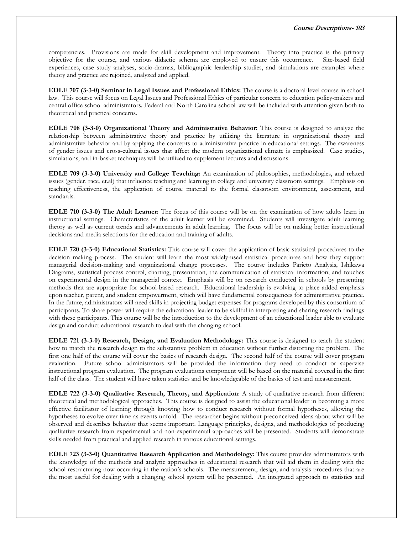competencies. Provisions are made for skill development and improvement. Theory into practice is the primary objective for the course, and various didactic schema are employed to ensure this occurrence. Site-based field experiences, case study analyses, socio-dramas, bibliographic leadership studies, and simulations are examples where theory and practice are rejoined, analyzed and applied.

**EDLE 707 (3-3-0) Seminar in Legal Issues and Professional Ethics:** The course is a doctoral-level course in school law. This course will focus on Legal Issues and Professional Ethics of particular concern to education policy-makers and central office school administrators. Federal and North Carolina school law will be included with attention given both to theoretical and practical concerns.

**EDLE 708 (3-3-0) Organizational Theory and Administrative Behavior:** This course is designed to analyze the relationship between administrative theory and practice by utilizing the literature in organizational theory and administrative behavior and by applying the concepts to administrative practice in educational settings. The awareness of gender issues and cross-cultural issues that affect the modern organizational climate is emphasized. Case studies, simulations, and in-basket techniques will be utilized to supplement lectures and discussions.

**EDLE 709 (3-3-0) University and College Teaching:** An examination of philosophies, methodologies, and related issues (gender, race, et.al) that influence teaching and learning in college and university classroom settings. Emphasis on teaching effectiveness, the application of course material to the formal classroom environment, assessment, and standards.

**EDLE 710 (3-3-0) The Adult Learner:** The focus of this course will be on the examination of how adults learn in instructional settings. Characteristics of the adult learner will be examined. Students will investigate adult learning theory as well as current trends and advancements in adult learning. The focus will be on making better instructional decisions and media selections for the education and training of adults.

**EDLE 720 (3-3-0) Educational Statistics:** This course will cover the application of basic statistical procedures to the decision making process. The student will learn the most widely-used statistical procedures and how they support managerial decision-making and organizational change processes. The course includes Parieto Analysis, Ishikawa Diagrams, statistical process control, charting, presentation, the communication of statistical information; and touches on experimental design in the managerial context. Emphasis will be on research conducted in schools by presenting methods that are appropriate for school-based research. Educational leadership is evolving to place added emphasis upon teacher, parent, and student empowerment, which will have fundamental consequences for administrative practice. In the future, administrators will need skills in projecting budget expenses for programs developed by this consortium of participants. To share power will require the educational leader to be skillful in interpreting and sharing research findings with these participants. This course will be the introduction to the development of an educational leader able to evaluate design and conduct educational research to deal with the changing school.

**EDLE 721 (3-3-0) Research, Design, and Evaluation Methodology:** This course is designed to teach the student how to match the research design to the substantive problem in education without further distorting the problem. The first one half of the course will cover the basics of research design. The second half of the course will cover program evaluation. Future school administrators will be provided the information they need to conduct or supervise instructional program evaluation. The program evaluations component will be based on the material covered in the first half of the class. The student will have taken statistics and be knowledgeable of the basics of test and measurement.

**EDLE 722 (3-3-0) Qualitative Research, Theory, and Application**: A study of qualitative research from different theoretical and methodological approaches. This course is designed to assist the educational leader in becoming a more effective facilitator of learning through knowing how to conduct research without formal hypotheses, allowing the hypotheses to evolve over time as events unfold. The researcher begins without preconceived ideas about what will be observed and describes behavior that seems important. Language principles, designs, and methodologies of producing qualitative research from experimental and non-experimental approaches will be presented. Students will demonstrate skills needed from practical and applied research in various educational settings.

**EDLE 723 (3-3-0) Quantitative Research Application and Methodology:** This course provides administrators with the knowledge of the methods and analytic approaches in educational research that will aid them in dealing with the school restructuring now occurring in the nation's schools. The measurement, design, and analysis procedures that are the most useful for dealing with a changing school system will be presented. An integrated approach to statistics and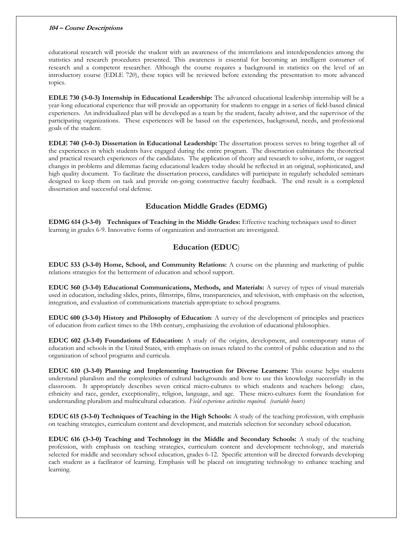#### **104 – Course Descriptions**

educational research will provide the student with an awareness of the interrelations and interdependencies among the statistics and research procedures presented. This awareness is essential for becoming an intelligent consumer of research and a competent researcher. Although the course requires a background in statistics on the level of an introductory course (EDLE 720), these topics will be reviewed before extending the presentation to more advanced topics.

**EDLE 730 (3-0-3) Internship in Educational Leadership:** The advanced educational leadership internship will be a year-long educational experience that will provide an opportunity for students to engage in a series of field-based clinical experiences. An individualized plan will be developed as a team by the student, faculty advisor, and the supervisor of the participating organizations. These experiences will be based on the experiences, background, needs, and professional goals of the student.

**EDLE 740 (3-0-3) Dissertation in Educational Leadership:** The dissertation process serves to bring together all of the experiences in which students have engaged during the entire program. The dissertation culminates the theoretical and practical research experiences of the candidates. The application of theory and research to solve, inform, or suggest changes in problems and dilemmas facing educational leaders today should be reflected in an original, sophisticated, and high quality document. To facilitate the dissertation process, candidates will participate in regularly scheduled seminars designed to keep them on task and provide on-going constructive faculty feedback. The end result is a completed dissertation and successful oral defense.

## **Education Middle Grades (EDMG)**

**EDMG 614 (3-3-0) Techniques of Teaching in the Middle Grades:** Effective teaching techniques used to direct learning in grades 6-9. Innovative forms of organization and instruction are investigated.

## **Education (EDUC**)

**EDUC 533 (3-3-0) Home, School, and Community Relations:** A course on the planning and marketing of public relations strategies for the betterment of education and school support.

**EDUC 560 (3-3-0) Educational Communications, Methods, and Materials:** A survey of types of visual materials used in education, including slides, prints, filmstrips, films, transparencies, and television, with emphasis on the selection, integration, and evaluation of communications materials appropriate to school programs.

**EDUC 600 (3-3-0) History and Philosophy of Education**: A survey of the development of principles and practices of education from earliest times to the 18th century, emphasizing the evolution of educational philosophies.

**EDUC 602 (3-3-0) Foundations of Education:** A study of the origins, development, and contemporary status of education and schools in the United States, with emphasis on issues related to the control of public education and to the organization of school programs and curricula.

**EDUC 610 (3-3-0) Planning and Implementing Instruction for Diverse Learners:** This course helps students understand pluralism and the complexities of cultural backgrounds and how to use this knowledge successfully in the classroom. It appropriately describes seven critical micro-cultures to which students and teachers belong: class, ethnicity and race, gender, exceptionality, religion, language, and age. These micro-cultures form the foundation for understanding pluralism and multicultural education. *Field experience activities required. (variable hours)*

**EDUC 615 (3-3-0) Techniques of Teaching in the High Schools:** A study of the teaching profession, with emphasis on teaching strategies, curriculum content and development, and materials selection for secondary school education.

**EDUC 616 (3-3-0) Teaching and Technology in the Middle and Secondary Schools:** A study of the teaching profession, with emphasis on teaching strategies, curriculum content and development technology, and materials selected for middle and secondary school education, grades 6-12. Specific attention will be directed forwards developing each student as a facilitator of learning. Emphasis will be placed on integrating technology to enhance teaching and learning.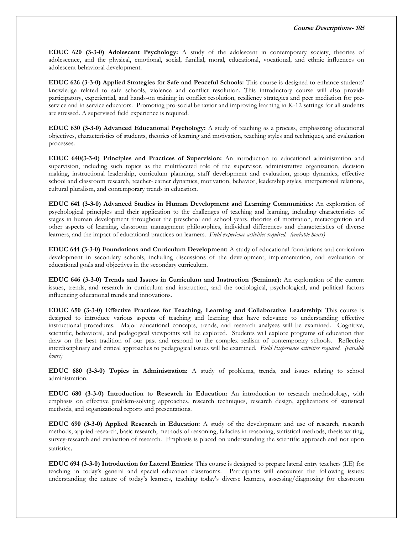**EDUC 620 (3-3-0) Adolescent Psychology:** A study of the adolescent in contemporary society, theories of adolescence, and the physical, emotional, social, familial, moral, educational, vocational, and ethnic influences on adolescent behavioral development.

**EDUC 626 (3-3-0) Applied Strategies for Safe and Peaceful Schools:** This course is designed to enhance students' knowledge related to safe schools, violence and conflict resolution. This introductory course will also provide participatory, experiential, and hands-on training in conflict resolution, resiliency strategies and peer mediation for preservice and in service educators. Promoting pro-social behavior and improving learning in K-12 settings for all students are stressed. A supervised field experience is required.

**EDUC 630 (3-3-0) Advanced Educational Psychology:** A study of teaching as a process, emphasizing educational objectives, characteristics of students, theories of learning and motivation, teaching styles and techniques, and evaluation processes.

**EDUC 640(3-3-0) Principles and Practices of Supervision:** An introduction to educational administration and supervision, including such topics as the multifaceted role of the supervisor, administrative organization, decision making, instructional leadership, curriculum planning, staff development and evaluation, group dynamics, effective school and classroom research, teacher-learner dynamics, motivation, behavior, leadership styles, interpersonal relations, cultural pluralism, and contemporary trends in education.

**EDUC 641 (3-3-0) Advanced Studies in Human Development and Learning Communities**: An exploration of psychological principles and their application to the challenges of teaching and learning, including characteristics of stages in human development throughout the preschool and school years, theories of motivation, metacognition and other aspects of learning, classroom management philosophies, individual differences and characteristics of diverse learners, and the impact of educational practices on learners. *Field experience activities required. (variable hours)*

**EDUC 644 (3-3-0) Foundations and Curriculum Development:** A study of educational foundations and curriculum development in secondary schools, including discussions of the development, implementation, and evaluation of educational goals and objectives in the secondary curriculum.

**EDUC 646 (3-3-0) Trends and Issues in Curriculum and Instruction (Seminar):** An exploration of the current issues, trends, and research in curriculum and instruction, and the sociological, psychological, and political factors influencing educational trends and innovations.

**EDUC 650 (3-3-0) Effective Practices for Teaching, Learning and Collaborative Leadership**: This course is designed to introduce various aspects of teaching and learning that have relevance to understanding effective instructional procedures. Major educational concepts, trends, and research analyses will be examined. Cognitive, scientific, behavioral, and pedagogical viewpoints will be explored. Students will explore programs of education that draw on the best tradition of our past and respond to the complex realism of contemporary schools. Reflective interdisciplinary and critical approaches to pedagogical issues will be examined. *Field Experience activities required. (variable hours)*

**EDUC 680 (3-3-0) Topics in Administration:** A study of problems, trends, and issues relating to school administration.

**EDUC 680 (3-3-0) Introduction to Research in Education:** An introduction to research methodology, with emphasis on effective problem-solving approaches, research techniques, research design, applications of statistical methods, and organizational reports and presentations.

**EDUC 690 (3-3-0) Applied Research in Education:** A study of the development and use of research, research methods, applied research, basic research, methods of reasoning, fallacies in reasoning, statistical methods, thesis writing, survey-research and evaluation of research. Emphasis is placed on understanding the scientific approach and not upon statistics.

**EDUC 694 (3-3-0) Introduction for Lateral Entries:** This course is designed to prepare lateral entry teachers (LE) for teaching in today's general and special education classrooms. Participants will encounter the following issues: understanding the nature of today's learners, teaching today's diverse learners, assessing/diagnosing for classroom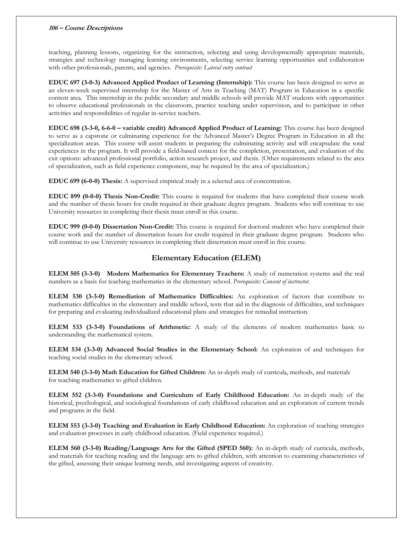#### **106 – Course Descriptions**

teaching, planning lessons, organizing for the instruction, selecting and using developmentally appropriate materials, strategies and technology managing learning environments, selecting service learning opportunities and collaboration with other professionals, parents, and agencies. *Prerequisite: Lateral entry contract*

**EDUC 697 (3-0-3) Advanced Applied Product of Learning (Internship):** This course has been designed to serve as an eleven-week supervised internship for the Master of Arts in Teaching (MAT) Program in Education in a specific content area. This internship in the public secondary and middle schools will provide MAT students with opportunities to observe educational professionals in the classroom, practice teaching under supervision, and to participate in other activities and responsibilities of regular in-service teachers.

**EDUC 698 (3-3-0, 6-6-0 – variable credit) Advanced Applied Product of Learning:** This course has been designed to serve as a capstone or culminating experience for the Advanced Master's Degree Program in Education in all the specialization areas. This course will assist students in preparing the culminating activity and will encapsulate the total experiences in the program. It will provide a field-based context for the completion, presentation, and evaluation of the exit options: advanced professional portfolio, action research project, and thesis. (Other requirements related to the area of specialization, such as field experience component, may be required by the area of specialization.)

**EDUC 699 (6-0-0) Thesis:** A supervised empirical study in a selected area of concentration.

**EDUC 899 (0-0-0) Thesis Non-Credit:** This course is required for students that have completed their course work and the number of thesis hours for credit required in their graduate degree program. Students who will continue to use University resources in completing their thesis must enroll in this course.

**EDUC 999 (0-0-0) Dissertation Non-Credit:** This course is required for doctoral students who have completed their course work and the number of dissertation hours for credit required in their graduate degree program. Students who will continue to use University resources in completing their dissertation must enroll in this course.

## **Elementary Education (ELEM)**

**ELEM 505 (3-3-0) Modern Mathematics for Elementary Teachers:** A study of numeration systems and the real numbers as a basis for teaching mathematics in the elementary school. *Prerequisite: Consent of instructor.*

**ELEM 530 (3-3-0) Remediation of Mathematics Difficulties:** An exploration of factors that contribute to mathematics difficulties in the elementary and middle school, tests that aid in the diagnosis of difficulties, and techniques for preparing and evaluating individualized educational plans and strategies for remedial instruction.

**ELEM 533 (3-3-0) Foundations of Arithmetic:** A study of the elements of modern mathematics basic to understanding the mathematical system.

**ELEM 534 (3-3-0) Advanced Social Studies in the Elementary School:** An exploration of and techniques for teaching social studies in the elementary school.

**ELEM 540 (3-3-0) Math Education for Gifted Children:** An in-depth study of curricula, methods, and materials for teaching mathematics to gifted children.

**ELEM 552 (3-3-0) Foundations and Curriculum of Early Childhood Education:** An in-depth study of the historical, psychological, and sociological foundations of early childhood education and an exploration of current trends and programs in the field.

**ELEM 553 (3-3-0) Teaching and Evaluation in Early Childhood Education:** An exploration of teaching strategies and evaluation processes in early childhood education. (Field experience required.)

**ELEM 560 (3-3-0) Reading/Language Arts for the Gifted (SPED 560):** An in-depth study of curricula, methods, and materials for teaching reading and the language arts to gifted children, with attention to examining characteristics of the gifted, assessing their unique learning needs, and investigating aspects of creativity.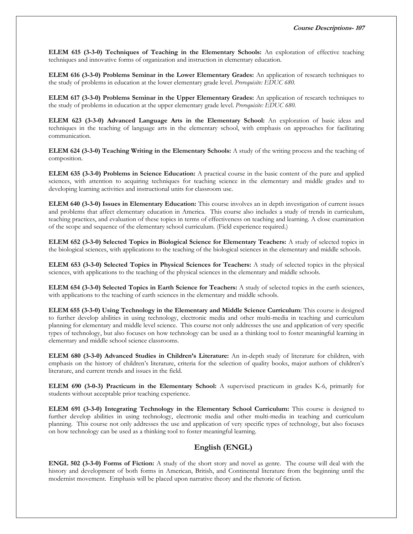**ELEM 615 (3-3-0) Techniques of Teaching in the Elementary Schools:** An exploration of effective teaching techniques and innovative forms of organization and instruction in elementary education.

**ELEM 616 (3-3-0) Problems Seminar in the Lower Elementary Grades:** An application of research techniques to the study of problems in education at the lower elementary grade level. *Prerequisite: EDUC 680.*

**ELEM 617 (3-3-0) Problems Seminar in the Upper Elementary Grades:** An application of research techniques to the study of problems in education at the upper elementary grade level. *Prerequisite: EDUC 680.*

**ELEM 623 (3-3-0) Advanced Language Arts in the Elementary School:** An exploration of basic ideas and techniques in the teaching of language arts in the elementary school, with emphasis on approaches for facilitating communication.

**ELEM 624 (3-3-0) Teaching Writing in the Elementary Schools:** A study of the writing process and the teaching of composition.

**ELEM 635 (3-3-0) Problems in Science Education:** A practical course in the basic content of the pure and applied sciences, with attention to acquiring techniques for teaching science in the elementary and middle grades and to developing learning activities and instructional units for classroom use.

**ELEM 640 (3-3-0) Issues in Elementary Education:** This course involves an in depth investigation of current issues and problems that affect elementary education in America. This course also includes a study of trends in curriculum, teaching practices, and evaluation of these topics in terms of effectiveness on teaching and learning. A close examination of the scope and sequence of the elementary school curriculum. (Field experience required.)

**ELEM 652 (3-3-0) Selected Topics in Biological Science for Elementary Teachers:** A study of selected topics in the biological sciences, with applications to the teaching of the biological sciences in the elementary and middle schools.

**ELEM 653 (3-3-0) Selected Topics in Physical Sciences for Teachers:** A study of selected topics in the physical sciences, with applications to the teaching of the physical sciences in the elementary and middle schools.

**ELEM 654 (3-3-0) Selected Topics in Earth Science for Teachers:** A study of selected topics in the earth sciences, with applications to the teaching of earth sciences in the elementary and middle schools.

**ELEM 655 (3-3-0) Using Technology in the Elementary and Middle Science Curriculum**: This course is designed to further develop abilities in using technology, electronic media and other multi-media in teaching and curriculum planning for elementary and middle level science. This course not only addresses the use and application of very specific types of technology, but also focuses on how technology can be used as a thinking tool to foster meaningful learning in elementary and middle school science classrooms.

**ELEM 680 (3-3-0) Advanced Studies in Children's Literature:** An in-depth study of literature for children, with emphasis on the history of children's literature, criteria for the selection of quality books, major authors of children's literature, and current trends and issues in the field.

**ELEM 690 (3-0-3) Practicum in the Elementary School:** A supervised practicum in grades K-6, primarily for students without acceptable prior teaching experience.

**ELEM 691 (3-3-0) Integrating Technology in the Elementary School Curriculum:** This course is designed to further develop abilities in using technology, electronic media and other multi-media in teaching and curriculum planning. This course not only addresses the use and application of very specific types of technology, but also focuses on how technology can be used as a thinking tool to foster meaningful learning.

## **English (ENGL)**

**ENGL 502 (3-3-0) Forms of Fiction:** A study of the short story and novel as genre. The course will deal with the history and development of both forms in American, British, and Continental literature from the beginning until the modernist movement. Emphasis will be placed upon narrative theory and the rhetoric of fiction.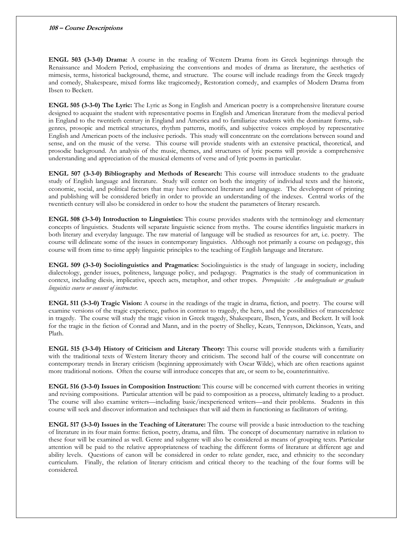**ENGL 503 (3-3-0) Drama:** A course in the reading of Western Drama from its Greek beginnings through the Renaissance and Modern Period, emphasizing the conventions and modes of drama as literature, the aesthetics of mimesis, terms, historical background, theme, and structure. The course will include readings from the Greek tragedy and comedy, Shakespeare, mixed forms like tragicomedy, Restoration comedy, and examples of Modern Drama from Ibsen to Beckett.

**ENGL 505 (3-3-0) The Lyric:** The Lyric as Song in English and American poetry is a comprehensive literature course designed to acquaint the student with representative poems in English and American literature from the medieval period in England to the twentieth century in England and America and to familiarize students with the dominant forms, subgenres, prosopic and metrical structures, rhythm patterns, motifs, and subjective voices employed by representative English and American poets of the inclusive periods. This study will concentrate on the correlations between sound and sense, and on the music of the verse. This course will provide students with an extensive practical, theoretical, and prosodic background. An analysis of the music, themes, and structures of lyric poems will provide a comprehensive understanding and appreciation of the musical elements of verse and of lyric poems in particular.

**ENGL 507 (3-3-0) Bibliography and Methods of Research:** This course will introduce students to the graduate study of English language and literature. Study will center on both the integrity of individual texts and the historic, economic, social, and political factors that may have influenced literature and language. The development of printing and publishing will be considered briefly in order to provide an understanding of the indexes. Central works of the twentieth century will also be considered in order to how the student the parameters of literary research.

**ENGL 508 (3-3-0) Introduction to Linguistics:** This course provides students with the terminology and elementary concepts of linguistics. Students will separate linguistic science from myths. The course identifies linguistic markers in both literary and everyday language. The raw material of language will be studied as resources for art, i.e. poetry. The course will delineate some of the issues in contemporary linguistics. Although not primarily a course on pedagogy, this course will from time to time apply linguistic principles to the teaching of English language and literature.

**ENGL 509 (3-3-0) Sociolinguistics and Pragmatics:** Sociolinguistics is the study of language in society, including dialectology, gender issues, politeness, language policy, and pedagogy. Pragmatics is the study of communication in context, including diesis, implicative, speech acts, metaphor, and other tropes. *Prerequisite: An undergraduate or graduate linguistics course or consent of instructor.*

**ENGL 511 (3-3-0) Tragic Vision:** A course in the readings of the tragic in drama, fiction, and poetry. The course will examine versions of the tragic experience, pathos in contrast to tragedy, the hero, and the possibilities of transcendence in tragedy. The course will study the tragic vision in Greek tragedy, Shakespeare, Ibsen, Yeats, and Beckett. It will look for the tragic in the fiction of Conrad and Mann, and in the poetry of Shelley, Keats, Tennyson, Dickinson, Yeats, and Plath.

**ENGL 515 (3-3-0) History of Criticism and Literary Theory:** This course will provide students with a familiarity with the traditional texts of Western literary theory and criticism. The second half of the course will concentrate on contemporary trends in literary criticism (beginning approximately with Oscar Wilde), which are often reactions against more traditional notions. Often the course will introduce concepts that are, or seem to be, counterintuitive.

**ENGL 516 (3-3-0) Issues in Composition Instruction:** This course will be concerned with current theories in writing and revising compositions. Particular attention will be paid to composition as a process, ultimately leading to a product. The course will also examine writers—including basic/inexperienced writers—and their problems. Students in this course will seek and discover information and techniques that will aid them in functioning as facilitators of writing.

**ENGL 517 (3-3-0) Issues in the Teaching of Literature:** The course will provide a basic introduction to the teaching of literature in its four main forms: fiction, poetry, drama, and film. The concept of documentary narrative in relation to these four will be examined as well. Genre and subgenre will also be considered as means of grouping texts. Particular attention will be paid to the relative appropriateness of teaching the different forms of literature at different age and ability levels. Questions of canon will be considered in order to relate gender, race, and ethnicity to the secondary curriculum. Finally, the relation of literary criticism and critical theory to the teaching of the four forms will be considered.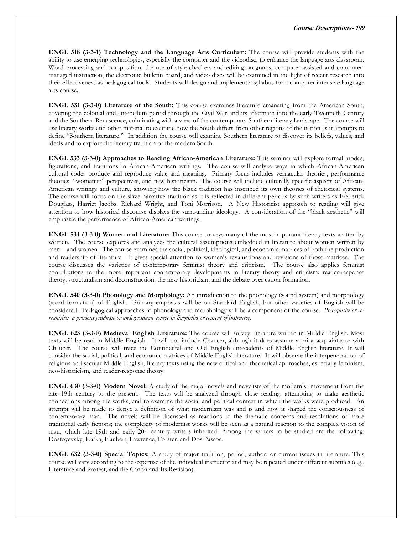**ENGL 518 (3-3-1) Technology and the Language Arts Curriculum:** The course will provide students with the ability to use emerging technologies, especially the computer and the videodisc, to enhance the language arts classroom. Word processing and composition; the use of style checkers and editing programs, computer-assisted and computermanaged instruction, the electronic bulletin board, and video discs will be examined in the light of recent research into their effectiveness as pedagogical tools. Students will design and implement a syllabus for a computer intensive language arts course.

**ENGL 531 (3-3-0) Literature of the South:** This course examines literature emanating from the American South, covering the colonial and antebellum period through the Civil War and its aftermath into the early Twentieth Century and the Southern Renascence, culminating with a view of the contemporary Southern literary landscape. The course will use literary works and other material to examine how the South differs from other regions of the nation as it attempts to define "Southern literature." In addition the course will examine Southern literature to discover its beliefs, values, and ideals and to explore the literary tradition of the modern South.

**ENGL 533 (3-3-0) Approaches to Reading African-American Literature:** This seminar will explore formal modes, figurations, and traditions in African-American writings. The course will analyze ways in which African-American cultural codes produce and reproduce value and meaning. Primary focus includes vernacular theories, performance theories, "womanist" perspectives, and new historicism. The course will include culturally specific aspects of African-American writings and culture, showing how the black tradition has inscribed its own theories of rhetorical systems. The course will focus on the slave narrative tradition as it is reflected in different periods by such writers as Frederick Douglass, Harriet Jacobs, Richard Wright, and Toni Morrison. A New Historicist approach to reading will give attention to how historical discourse displays the surrounding ideology. A consideration of the "black aesthetic" will emphasize the performance of African-American writings.

**ENGL 534 (3-3-0) Women and Literature:** This course surveys many of the most important literary texts written by women. The course explores and analyzes the cultural assumptions embedded in literature about women written by men—and women. The course examines the social, political, ideological, and economic matrices of both the production and readership of literature. It gives special attention to women's revaluations and revisions of those matrices. The course discusses the varieties of contemporary feminist theory and criticism. The course also applies feminist contributions to the more important contemporary developments in literary theory and criticism: reader-response theory, structuralism and deconstruction, the new historicism, and the debate over canon formation.

**ENGL 540 (3-3-0) Phonology and Morphology:** An introduction to the phonology (sound system) and morphology (word formation) of English. Primary emphasis will be on Standard English, but other varieties of English will be considered. Pedagogical approaches to phonology and morphology will be a component of the course. *Prerequisite or corequisite: a previous graduate or undergraduate course in linguistics or consent of instructor.*

**ENGL 623 (3-3-0) Medieval English Literature:** The course will survey literature written in Middle English. Most texts will be read in Middle English. It will not include Chaucer, although it does assume a prior acquaintance with Chaucer. The course will trace the Continental and Old English antecedents of Middle English literature. It will consider the social, political, and economic matrices of Middle English literature. It will observe the interpenetration of religious and secular Middle English, literary texts using the new critical and theoretical approaches, especially feminism, neo-historicism, and reader-response theory.

**ENGL 630 (3-3-0) Modern Novel:** A study of the major novels and novelists of the modernist movement from the late 19th century to the present. The texts will be analyzed through close reading, attempting to make aesthetic connections among the works, and to examine the social and political context in which the works were produced. An attempt will be made to derive a definition of what modernism was and is and how it shaped the consciousness of contemporary man. The novels will be discussed as reactions to the thematic concerns and resolutions of more traditional early fictions; the complexity of modernist works will be seen as a natural reaction to the complex vision of man, which late 19th and early 20<sup>th</sup> century writers inherited. Among the writers to be studied are the following: Dostoyevsky, Kafka, Flaubert, Lawrence, Forster, and Dos Passos.

**ENGL 632 (3-3-0) Special Topics:** A study of major tradition, period, author, or current issues in literature. This course will vary according to the expertise of the individual instructor and may be repeated under different subtitles (e.g., Literature and Protest, and the Canon and Its Revision).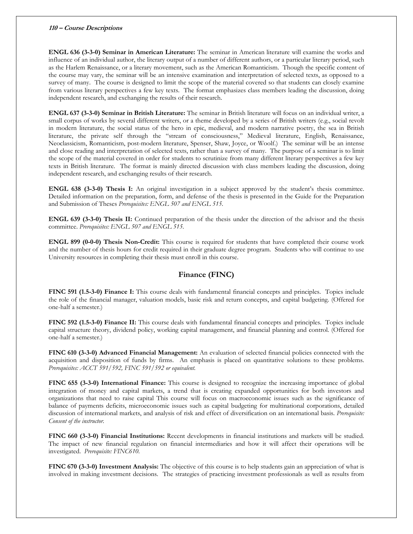**ENGL 636 (3-3-0) Seminar in American Literature:** The seminar in American literature will examine the works and influence of an individual author, the literary output of a number of different authors, or a particular literary period, such as the Harlem Renaissance, or a literary movement, such as the American Romanticism. Though the specific content of the course may vary, the seminar will be an intensive examination and interpretation of selected texts, as opposed to a survey of many. The course is designed to limit the scope of the material covered so that students can closely examine from various literary perspectives a few key texts. The format emphasizes class members leading the discussion, doing independent research, and exchanging the results of their research.

**ENGL 637 (3-3-0) Seminar in British Literature:** The seminar in British literature will focus on an individual writer, a small corpus of works by several different writers, or a theme developed by a series of British writers (e.g., social revolt in modern literature, the social status of the hero in epic, medieval, and modern narrative poetry, the sea in British literature, the private self through the "stream of consciousness," Medieval literature, English, Renaissance, Neoclassicism, Romanticism, post-modern literature, Spenser, Shaw, Joyce, or Woolf.) The seminar will be an intense and close reading and interpretation of selected texts, rather than a survey of many. The purpose of a seminar is to limit the scope of the material covered in order for students to scrutinize from many different literary perspectives a few key texts in British literature. The format is mainly directed discussion with class members leading the discussion, doing independent research, and exchanging results of their research.

**ENGL 638 (3-3-0) Thesis I:** An original investigation in a subject approved by the student's thesis committee. Detailed information on the preparation, form, and defense of the thesis is presented in the Guide for the Preparation and Submission of Theses *Prerequisites: ENGL 507 and ENGL 515.*

**ENGL 639 (3-3-0) Thesis II:** Continued preparation of the thesis under the direction of the advisor and the thesis committee. *Prerequisites: ENGL 507 and ENGL 515.*

**ENGL 899 (0-0-0) Thesis Non-Credit:** This course is required for students that have completed their course work and the number of thesis hours for credit required in their graduate degree program. Students who will continue to use University resources in completing their thesis must enroll in this course.

# **Finance (FINC)**

**FINC 591 (1.5-3-0) Finance I:** This course deals with fundamental financial concepts and principles. Topics include the role of the financial manager, valuation models, basic risk and return concepts, and capital budgeting. (Offered for one-half a semester.)

**FINC 592 (1.5-3-0) Finance II:** This course deals with fundamental financial concepts and principles. Topics include capital structure theory, dividend policy, working capital management, and financial planning and control. (Offered for one-half a semester.)

**FINC 610 (3-3-0) Advanced Financial Management:** An evaluation of selected financial policies connected with the acquisition and disposition of funds by firms. An emphasis is placed on quantitative solutions to these problems. *Prerequisites: ACCT 591/592, FINC 591/592 or equivalent.*

**FINC 655 (3-3-0) International Finance:** This course is designed to recognize the increasing importance of global integration of money and capital markets, a trend that is creating expanded opportunities for both investors and organizations that need to raise capital This course will focus on macroeconomic issues such as the significance of balance of payments deficits, microeconomic issues such as capital budgeting for multinational corporations, detailed discussion of international markets, and analysis of risk and effect of diversification on an international basis. *Prerequisite: Consent of the instructor.*

**FINC 660 (3-3-0) Financial Institutions:** Recent developments in financial institutions and markets will be studied. The impact of new financial regulation on financial intermediaries and how it will affect their operations will be investigated. *Prerequisite: FINC610.*

**FINC 670 (3-3-0) Investment Analysis:** The objective of this course is to help students gain an appreciation of what is involved in making investment decisions. The strategies of practicing investment professionals as well as results from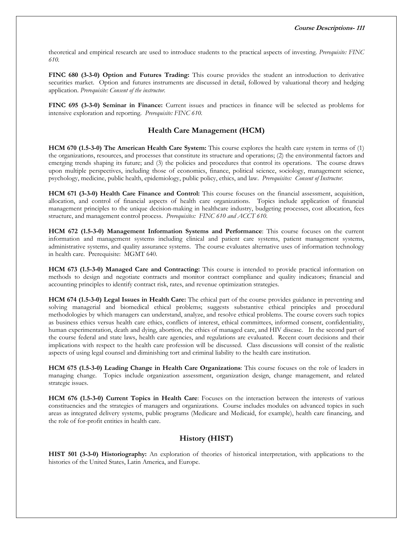theoretical and empirical research are used to introduce students to the practical aspects of investing. *Prerequisite: FINC 610.*

**FINC 680 (3-3-0) Option and Futures Trading:** This course provides the student an introduction to derivative securities market. Option and futures instruments are discussed in detail, followed by valuational theory and hedging application. *Prerequisite: Consent of the instructor.*

**FINC 695 (3-3-0) Seminar in Finance:** Current issues and practices in finance will be selected as problems for intensive exploration and reporting. *Prerequisite: FINC 610.*

# **Health Care Management (HCM)**

**HCM 670 (1.5-3-0) The American Health Care System:** This course explores the health care system in terms of (1) the organizations, resources, and processes that constitute its structure and operations; (2) the environmental factors and emerging trends shaping its future; and (3) the policies and procedures that control its operations. The course draws upon multiple perspectives, including those of economics, finance, political science, sociology, management science, psychology, medicine, public health, epidemiology, public policy, ethics, and law. *Prerequisites: Consent of Instructor.*

**HCM 671 (3-3-0) Health Care Finance and Control:** This course focuses on the financial assessment, acquisition, allocation, and control of financial aspects of health care organizations. Topics include application of financial management principles to the unique decision-making in healthcare industry, budgeting processes, cost allocation, fees structure, and management control process. *Prerequisites: FINC 610 and ACCT 610.*

**HCM 672 (1.5-3-0) Management Information Systems and Performance**: This course focuses on the current information and management systems including clinical and patient care systems, patient management systems, administrative systems, and quality assurance systems. The course evaluates alternative uses of information technology in health care. Prerequisite: MGMT 640.

**HCM 673 (1.5-3-0) Managed Care and Contracting:** This course is intended to provide practical information on methods to design and negotiate contracts and monitor contract compliance and quality indicators; financial and accounting principles to identify contract risk, rates, and revenue optimization strategies.

**HCM 674 (1.5-3-0) Legal Issues in Health Care:** The ethical part of the course provides guidance in preventing and solving managerial and biomedical ethical problems; suggests substantive ethical principles and procedural methodologies by which managers can understand, analyze, and resolve ethical problems. The course covers such topics as business ethics versus health care ethics, conflicts of interest, ethical committees, informed consent, confidentiality, human experimentation, death and dying, abortion, the ethics of managed care, and HIV disease. In the second part of the course federal and state laws, health care agencies, and regulations are evaluated. Recent court decisions and their implications with respect to the health care profession will be discussed. Class discussions will consist of the realistic aspects of using legal counsel and diminishing tort and criminal liability to the health care institution.

**HCM 675 (1.5-3-0) Leading Change in Health Care Organizations**: This course focuses on the role of leaders in managing change. Topics include organization assessment, organization design, change management, and related strategic issues.

**HCM 676 (1.5-3-0) Current Topics in Health Care**: Focuses on the interaction between the interests of various constituencies and the strategies of managers and organizations. Course includes modules on advanced topics in such areas as integrated delivery systems, public programs (Medicare and Medicaid, for example), health care financing, and the role of for-profit entities in health care.

# **History (HIST)**

**HIST 501 (3-3-0) Historiography:** An exploration of theories of historical interpretation, with applications to the histories of the United States, Latin America, and Europe.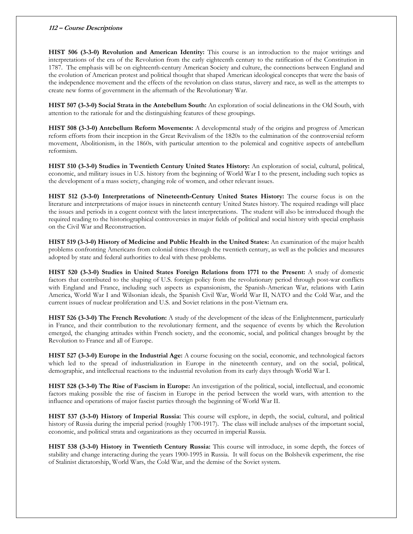**HIST 506 (3-3-0) Revolution and American Identity:** This course is an introduction to the major writings and interpretations of the era of the Revolution from the early eighteenth century to the ratification of the Constitution in 1787. The emphasis will be on eighteenth-century American Society and culture, the connections between England and the evolution of American protest and political thought that shaped American ideological concepts that were the basis of the independence movement and the effects of the revolution on class status, slavery and race, as well as the attempts to create new forms of government in the aftermath of the Revolutionary War.

**HIST 507 (3-3-0) Social Strata in the Antebellum South:** An exploration of social delineations in the Old South, with attention to the rationale for and the distinguishing features of these groupings.

**HIST 508 (3-3-0) Antebellum Reform Movements:** A developmental study of the origins and progress of American reform efforts from their inception in the Great Revivalism of the 1820s to the culmination of the controversial reform movement, Abolitionism, in the 1860s, with particular attention to the polemical and cognitive aspects of antebellum reformism.

**HIST 510 (3-3-0) Studies in Twentieth Century United States History:** An exploration of social, cultural, political, economic, and military issues in U.S. history from the beginning of World War I to the present, including such topics as the development of a mass society, changing role of women, and other relevant issues.

**HIST 512 (3-3-0) Interpretations of Nineteenth-Century United States History:** The course focus is on the literature and interpretations of major issues in nineteenth century United States history. The required readings will place the issues and periods in a cogent context with the latest interpretations. The student will also be introduced though the required reading to the historiographical controversies in major fields of political and social history with special emphasis on the Civil War and Reconstruction.

**HIST 519 (3-3-0) History of Medicine and Public Health in the United States:** An examination of the major health problems confronting Americans from colonial times through the twentieth century, as well as the policies and measures adopted by state and federal authorities to deal with these problems.

**HIST 520 (3-3-0) Studies in United States Foreign Relations from 1771 to the Present:** A study of domestic factors that contributed to the shaping of U.S. foreign policy from the revolutionary period through post-war conflicts with England and France, including such aspects as expansionism, the Spanish-American War, relations with Latin America, World War I and Wilsonian ideals, the Spanish Civil War, World War II, NATO and the Cold War, and the current issues of nuclear proliferation and U.S. and Soviet relations in the post-Vietnam era.

**HIST 526 (3-3-0) The French Revolution:** A study of the development of the ideas of the Enlightenment, particularly in France, and their contribution to the revolutionary ferment, and the sequence of events by which the Revolution emerged, the changing attitudes within French society, and the economic, social, and political changes brought by the Revolution to France and all of Europe.

**HIST 527 (3-3-0) Europe in the Industrial Age:** A course focusing on the social, economic, and technological factors which led to the spread of industrialization in Europe in the nineteenth century, and on the social, political, demographic, and intellectual reactions to the industrial revolution from its early days through World War I.

**HIST 528 (3-3-0) The Rise of Fascism in Europe:** An investigation of the political, social, intellectual, and economic factors making possible the rise of fascism in Europe in the period between the world wars, with attention to the influence and operations of major fascist parties through the beginning of World War II.

**HIST 537 (3-3-0) History of Imperial Russia:** This course will explore, in depth, the social, cultural, and political history of Russia during the imperial period (roughly 1700-1917). The class will include analyses of the important social, economic, and political strata and organizations as they occurred in imperial Russia.

**HIST 538 (3-3-0) History in Twentieth Century Russia:** This course will introduce, in some depth, the forces of stability and change interacting during the years 1900-1995 in Russia. It will focus on the Bolshevik experiment, the rise of Stalinist dictatorship, World Wars, the Cold War, and the demise of the Soviet system.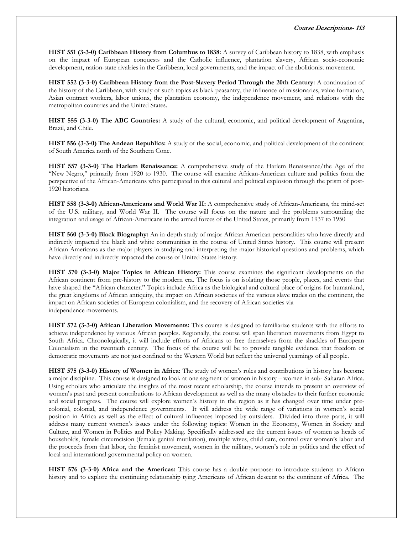**HIST 551 (3-3-0) Caribbean History from Columbus to 1838:** A survey of Caribbean history to 1838, with emphasis on the impact of European conquests and the Catholic influence, plantation slavery, African socio-economic development, nation-state rivalries in the Caribbean, local governments, and the impact of the abolitionist movement.

**HIST 552 (3-3-0) Caribbean History from the Post-Slavery Period Through the 20th Century:** A continuation of the history of the Caribbean, with study of such topics as black peasantry, the influence of missionaries, value formation, Asian contract workers, labor unions, the plantation economy, the independence movement, and relations with the metropolitan countries and the United States.

**HIST 555 (3-3-0) The ABC Countries:** A study of the cultural, economic, and political development of Argentina, Brazil, and Chile.

**HIST 556 (3-3-0) The Andean Republics:** A study of the social, economic, and political development of the continent of South America north of the Southern Cone.

**HIST 557 (3-3-0) The Harlem Renaissance:** A comprehensive study of the Harlem Renaissance/the Age of the "New Negro," primarily from 1920 to 1930. The course will examine African-American culture and politics from the perspective of the African-Americans who participated in this cultural and political explosion through the prism of post-1920 historians.

**HIST 558 (3-3-0) African-Americans and World War II:** A comprehensive study of African-Americans, the mind-set of the U.S. military, and World War II. The course will focus on the nature and the problems surrounding the integration and usage of African-Americans in the armed forces of the United States, primarily from 1937 to 1950

**HIST 560 (3-3-0) Black Biography:** An in-depth study of major African American personalities who have directly and indirectly impacted the black and white communities in the course of United States history. This course will present African Americans as the major players in studying and interpreting the major historical questions and problems, which have directly and indirectly impacted the course of United States history.

**HIST 570 (3-3-0) Major Topics in African History:** This course examines the significant developments on the African continent from pre-history to the modern era. The focus is on isolating those people, places, and events that have shaped the "African character." Topics include Africa as the biological and cultural place of origins for humankind, the great kingdoms of African antiquity, the impact on African societies of the various slave trades on the continent, the impact on African societies of European colonialism, and the recovery of African societies via independence movements.

**HIST 572 (3-3-0) African Liberation Movements:** This course is designed to familiarize students with the efforts to achieve independence by various African peoples. Regionally, the course will span liberation movements from Egypt to South Africa. Chronologically, it will include efforts of Africans to free themselves from the shackles of European Colonialism in the twentieth century. The focus of the course will be to provide tangible evidence that freedom or democratic movements are not just confined to the Western World but reflect the universal yearnings of all people.

**HIST 575 (3-3-0) History of Women in Africa:** The study of women's roles and contributions in history has become a major discipline. This course is designed to look at one segment of women in history – women in sub- Saharan Africa. Using scholars who articulate the insights of the most recent scholarship, the course intends to present an overview of women's past and present contributions to African development as well as the many obstacles to their further economic and social progress. The course will explore women's history in the region as it has changed over time under precolonial, colonial, and independence governments. It will address the wide range of variations in women's social position in Africa as well as the effect of cultural influences imposed by outsiders. Divided into three parts, it will address many current women's issues under the following topics: Women in the Economy, Women in Society and Culture, and Women in Politics and Policy Making. Specifically addressed are the current issues of women as heads of households, female circumcision (female genital mutilation), multiple wives, child care, control over women's labor and the proceeds from that labor, the feminist movement, women in the military, women's role in politics and the effect of local and international governmental policy on women.

**HIST 576 (3-3-0) Africa and the Americas:** This course has a double purpose: to introduce students to African history and to explore the continuing relationship tying Americans of African descent to the continent of Africa. The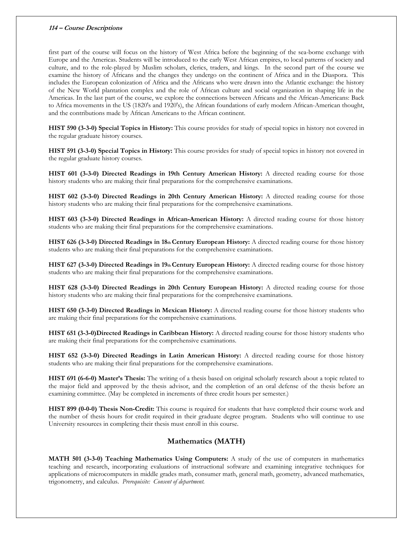first part of the course will focus on the history of West Africa before the beginning of the sea-borne exchange with Europe and the Americas. Students will be introduced to the early West African empires, to local patterns of society and culture, and to the role-played by Muslim scholars, clerics, traders, and kings. In the second part of the course we examine the history of Africans and the changes they undergo on the continent of Africa and in the Diaspora. This includes the European colonization of Africa and the Africans who were drawn into the Atlantic exchange: the history of the New World plantation complex and the role of African culture and social organization in shaping life in the Americas. In the last part of the course, we explore the connections between Africans and the African-Americans: Back to Africa movements in the US (1820's and 1920's), the African foundations of early modern African-American thought, and the contributions made by African Americans to the African continent.

**HIST 590 (3-3-0) Special Topics in History:** This course provides for study of special topics in history not covered in the regular graduate history courses.

**HIST 591 (3-3-0) Special Topics in History:** This course provides for study of special topics in history not covered in the regular graduate history courses.

**HIST 601 (3-3-0) Directed Readings in 19th Century American History:** A directed reading course for those history students who are making their final preparations for the comprehensive examinations.

**HIST 602 (3-3-0) Directed Readings in 20th Century American History:** A directed reading course for those history students who are making their final preparations for the comprehensive examinations.

**HIST 603 (3-3-0) Directed Readings in African-American History:** A directed reading course for those history students who are making their final preparations for the comprehensive examinations.

**HIST 626 (3-3-0) Directed Readings in 18th Century European History:** A directed reading course for those history students who are making their final preparations for the comprehensive examinations.

**HIST 627 (3-3-0) Directed Readings in 19th Century European History:** A directed reading course for those history students who are making their final preparations for the comprehensive examinations.

**HIST 628 (3-3-0) Directed Readings in 20th Century European History:** A directed reading course for those history students who are making their final preparations for the comprehensive examinations.

**HIST 650 (3-3-0) Directed Readings in Mexican History:** A directed reading course for those history students who are making their final preparations for the comprehensive examinations.

**HIST 651 (3-3-0)Directed Readings in Caribbean History:** A directed reading course for those history students who are making their final preparations for the comprehensive examinations.

**HIST 652 (3-3-0) Directed Readings in Latin American History:** A directed reading course for those history students who are making their final preparations for the comprehensive examinations.

**HIST 691 (6-6-0) Master's Thesis:** The writing of a thesis based on original scholarly research about a topic related to the major field and approved by the thesis advisor, and the completion of an oral defense of the thesis before an examining committee. (May be completed in increments of three credit hours per semester.)

**HIST 899 (0-0-0) Thesis Non-Credit:** This course is required for students that have completed their course work and the number of thesis hours for credit required in their graduate degree program. Students who will continue to use University resources in completing their thesis must enroll in this course.

# **Mathematics (MATH)**

**MATH 501 (3-3-0) Teaching Mathematics Using Computers:** A study of the use of computers in mathematics teaching and research, incorporating evaluations of instructional software and examining integrative techniques for applications of microcomputers in middle grades math, consumer math, general math, geometry, advanced mathematics, trigonometry, and calculus. *Prerequisite: Consent of department.*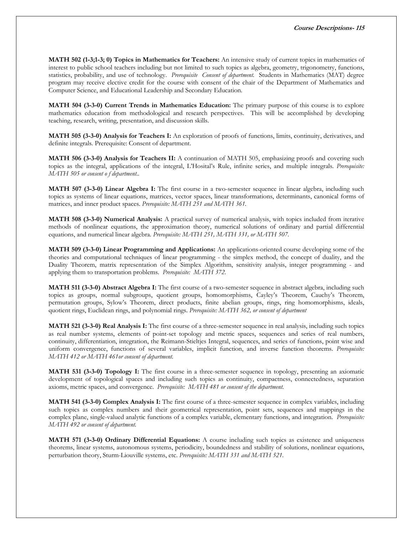**MATH 502 (1-3;1-3; 0) Topics in Mathematics for Teachers:** An intensive study of current topics in mathematics of interest to public school teachers including but not limited to such topics as algebra, geometry, trigonometry, functions, statistics, probability, and use of technology. *Prerequisite Consent of department.* Students in Mathematics (MAT) degree program may receive elective credit for the course with consent of the chair of the Department of Mathematics and Computer Science, and Educational Leadership and Secondary Education.

**MATH 504 (3-3-0) Current Trends in Mathematics Education:** The primary purpose of this course is to explore mathematics education from methodological and research perspectives. This will be accomplished by developing teaching, research, writing, presentation, and discussion skills.

**MATH 505 (3-3-0) Analysis for Teachers I:** An exploration of proofs of functions, limits, continuity, derivatives, and definite integrals. Prerequisite: Consent of department.

**MATH 506 (3-3-0) Analysis for Teachers II:** A continuation of MATH 505, emphasizing proofs and covering such topics as the integral, applications of the integral, L'Hosital's Rule, infinite series, and multiple integrals. *Prerequisite: MATH 505 or consent o f department..*

**MATH 507 (3-3-0) Linear Algebra I:** The first course in a two-semester sequence in linear algebra, including such topics as systems of linear equations, matrices, vector spaces, linear transformations, determinants, canonical forms of matrices, and inner product spaces. *Prerequisite: MATH 251 and MATH 361.* 

**MATH 508 (3-3-0) Numerical Analysis:** A practical survey of numerical analysis, with topics included from iterative methods of nonlinear equations, the approximation theory, numerical solutions of ordinary and partial differential equations, and numerical linear algebra. *Prerequisite: MATH 251, MATH 331, or MATH 507.* 

**MATH 509 (3-3-0) Linear Programming and Applications:** An applications-oriented course developing some of the theories and computational techniques of linear programming - the simplex method, the concept of duality, and the Duality Theorem, matrix representation of the Simplex Algorithm, sensitivity analysis, integer programming - and applying them to transportation problems. *Prerequisite: MATH 372.* 

**MATH 511 (3-3-0) Abstract Algebra I:** The first course of a two-semester sequence in abstract algebra, including such topics as groups, normal subgroups, quotient groups, homomorphisms, Cayley's Theorem, Cauchy's Theorem, permutation groups, Sylow's Theorem, direct products, finite abelian groups, rings, ring homomorphisms, ideals, quotient rings, Euclidean rings, and polynomial rings. *Prerequisite: MATH 362, or consent of department* 

**MATH 521 (3-3-0) Real Analysis I:** The first course of a three-semester sequence in real analysis, including such topics as real number systems, elements of point-set topology and metric spaces, sequences and series of real numbers, continuity, differentiation, integration, the Reimann-Stieltjes Integral, sequences, and series of functions, point wise and uniform convergence, functions of several variables, implicit function, and inverse function theorems. *Prerequisite: MATH 412 or MATH 461or consent of department.*

**MATH 531 (3-3-0) Topology I:** The first course in a three-semester sequence in topology, presenting an axiomatic development of topological spaces and including such topics as continuity, compactness, connectedness, separation axioms, metric spaces, and convergence. *Prerequisite: MATH 481 or consent of the department.*

**MATH 541 (3-3-0) Complex Analysis I:** The first course of a three-semester sequence in complex variables, including such topics as complex numbers and their geometrical representation, point sets, sequences and mappings in the complex plane, single-valued analytic functions of a complex variable, elementary functions, and integration. *Prerequisite: MATH 492 or consent of department.* 

**MATH 571 (3-3-0) Ordinary Differential Equations:** A course including such topics as existence and uniqueness theorems, linear systems, autonomous systems, periodicity, boundedness and stability of solutions, nonlinear equations, perturbation theory, Sturm-Liouville systems, etc. *Prerequisite: MATH 331 and MATH 521.*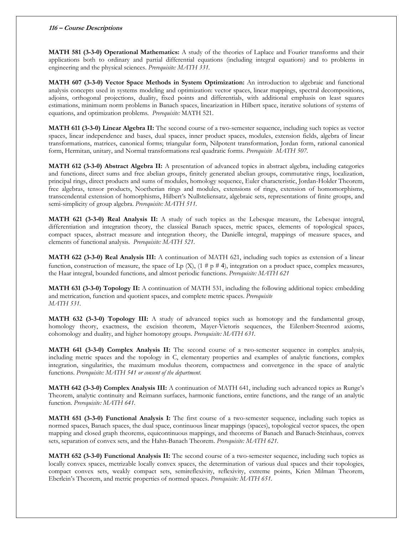**MATH 581 (3-3-0) Operational Mathematics:** A study of the theories of Laplace and Fourier transforms and their applications both to ordinary and partial differential equations (including integral equations) and to problems in engineering and the physical sciences. *Prerequisite: MATH 331.* 

**MATH 607 (3-3-0) Vector Space Methods in System Optimization:** An introduction to algebraic and functional analysis concepts used in systems modeling and optimization: vector spaces, linear mappings, spectral decompositions, adjoins, orthogonal projections, duality, fixed points and differentials, with additional emphasis on least squares estimations, minimum norm problems in Banach spaces, linearization in Hilbert space, iterative solutions of systems of equations, and optimization problems*. Prerequisite:* MATH 521.

**MATH 611 (3-3-0) Linear Algebra II:** The second course of a two-semester sequence, including such topics as vector spaces, linear independence and bases, dual spaces, inner product spaces, modules, extension fields, algebra of linear transformations, matrices, canonical forms; triangular form, Nilpotent transformation, Jordan form, rational canonical form, Hermitan, unitary, and Normal transformations real quadratic forms. *Prerequisite MATH 507.* 

**MATH 612 (3-3-0) Abstract Algebra II:** A presentation of advanced topics in abstract algebra, including categories and functions, direct sums and free abelian groups, finitely generated abelian groups, commutative rings, localization, principal rings, direct products and sums of modules, homology sequence, Euler characteristic, Jordan-Holder Theorem, free algebras, tensor products, Noetherian rings and modules, extensions of rings, extension of homomorphisms, transcendental extension of homorphisms, Hilbert's Nullsteliensatz, algebraic sets, representations of finite groups, and semi-simplicity of group algebra. *Prerequisite: MATH 511.* 

**MATH 621 (3-3-0) Real Analysis II:** A study of such topics as the Lebesque measure, the Lebesque integral, differentiation and integration theory, the classical Banach spaces, metric spaces, elements of topological spaces, compact spaces, abstract measure and integration theory, the Danielle integral, mappings of measure spaces, and elements of functional analysis. *Prerequisite: MATH 521*.

**MATH 622 (3-3-0) Real Analysis III:** A continuation of MATH 621, including such topics as extension of a linear function, construction of measure, the space of Lp  $(X)$ ,  $(1 \# p \# 4)$ , integration on a product space, complex measures, the Haar integral, bounded functions, and almost periodic functions. *Prerequisite: MATH 621* 

**MATH 631 (3-3-0) Topology II:** A continuation of MATH 531, including the following additional topics: embedding and metrication, function and quotient spaces, and complete metric spaces. *Prerequisite MATH 531.* 

**MATH 632 (3-3-0) Topology III:** A study of advanced topics such as homotopy and the fundamental group, homology theory, exactness, the excision theorem, Mayer-Vietoris sequences, the Eilenbert-Steenrod axioms, cohomology and duality, and higher homotopy groups. *Prerequisite: MATH 631.*

**MATH 641 (3-3-0) Complex Analysis II:** The second course of a two-semester sequence in complex analysis, including metric spaces and the topology in C, elementary properties and examples of analytic functions, complex integration, singularities, the maximum modulus theorem, compactness and convergence in the space of analytic functions. *Prerequisite: MATH 541 or consent of the department.*

**MATH 642 (3-3-0) Complex Analysis III:** A continuation of MATH 641, including such advanced topics as Runge's Theorem, analytic continuity and Reimann surfaces, harmonic functions, entire functions, and the range of an analytic function. *Prerequisite: MATH 641.*

**MATH 651 (3-3-0) Functional Analysis I:** The first course of a two-semester sequence, including such topics as normed spaces, Banach spaces, the dual space, continuous linear mappings (spaces), topological vector spaces, the open mapping and closed graph theorems, equicontinuous mappings, and theorems of Banach and Banach-Steinhaus, convex sets, separation of convex sets, and the Hahn-Banach Theorem. *Prerequisite: MATH 621.*

**MATH 652 (3-3-0) Functional Analysis II:** The second course of a two-semester sequence, including such topics as locally convex spaces, metrizable locally convex spaces, the determination of various dual spaces and their topologies, compact convex sets, weakly compact sets, semireflexivity, reflexivity, extreme points, Krien Milman Theorem, Eberlein's Theorem, and metric properties of normed spaces. *Prerequisite: MATH 651.*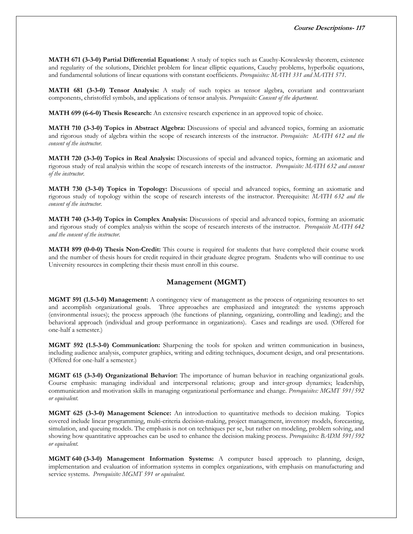**MATH 671 (3-3-0) Partial Differential Equations:** A study of topics such as Cauchy-Kowalewsky theorem, existence and regularity of the solutions, Dirichlet problem for linear elliptic equations, Cauchy problems, hyperbolic equations, and fundamental solutions of linear equations with constant coefficients. *Prerequisites: MATH 331 and MATH 571.* 

**MATH 681 (3-3-0) Tensor Analysis:** A study of such topics as tensor algebra, covariant and contravariant components, christoffel symbols, and applications of tensor analysis. *Prerequisite: Consent of the department.* 

**MATH 699 (6-6-0) Thesis Research:** An extensive research experience in an approved topic of choice.

**MATH 710 (3-3-0) Topics in Abstract Algebra:** Discussions of special and advanced topics, forming an axiomatic and rigorous study of algebra within the scope of research interests of the instructor. *Prerequisite: MATH 612 and the consent of the instructor.*

**MATH 720 (3-3-0) Topics in Real Analysis:** Discussions of special and advanced topics, forming an axiomatic and rigorous study of real analysis within the scope of research interests of the instructor. *Prerequisite: MATH 632 and consent of the instructor.*

**MATH 730 (3-3-0) Topics in Topology:** Discussions of special and advanced topics, forming an axiomatic and rigorous study of topology within the scope of research interests of the instructor. Prerequisite: *MATH 632 and the consent of the instructor.*

**MATH 740 (3-3-0) Topics in Complex Analysis:** Discussions of special and advanced topics, forming an axiomatic and rigorous study of complex analysis within the scope of research interests of the instructor. *Prerequisite MATH 642 and the consent of the instructor.* 

**MATH 899 (0-0-0) Thesis Non-Credit:** This course is required for students that have completed their course work and the number of thesis hours for credit required in their graduate degree program. Students who will continue to use University resources in completing their thesis must enroll in this course.

# **Management (MGMT)**

**MGMT 591 (1.5-3-0) Management:** A contingency view of management as the process of organizing resources to set and accomplish organizational goals. Three approaches are emphasized and integrated: the systems approach (environmental issues); the process approach (the functions of planning, organizing, controlling and leading); and the behavioral approach (individual and group performance in organizations). Cases and readings are used. (Offered for one-half a semester.)

**MGMT 592 (1.5-3-0) Communication:** Sharpening the tools for spoken and written communication in business, including audience analysis, computer graphics, writing and editing techniques, document design, and oral presentations. (Offered for one-half a semester.)

**MGMT 615 (3-3-0) Organizational Behavior:** The importance of human behavior in reaching organizational goals. Course emphasis: managing individual and interpersonal relations; group and inter-group dynamics; leadership, communication and motivation skills in managing organizational performance and change. *Prerequisites: MGMT 591/592 or equivalent.* 

**MGMT 625 (3-3-0) Management Science:** An introduction to quantitative methods to decision making. Topics covered include linear programming, multi-criteria decision-making, project management, inventory models, forecasting, simulation, and queuing models. The emphasis is not on techniques per se, but rather on modeling, problem solving, and showing how quantitative approaches can be used to enhance the decision making process. *Prerequisites: BADM 591/592 or equivalent.* 

**MGMT 640 (3-3-0) Management Information Systems:** A computer based approach to planning, design, implementation and evaluation of information systems in complex organizations, with emphasis on manufacturing and service systems. *Prerequisite: MGMT 591 or equivalent.*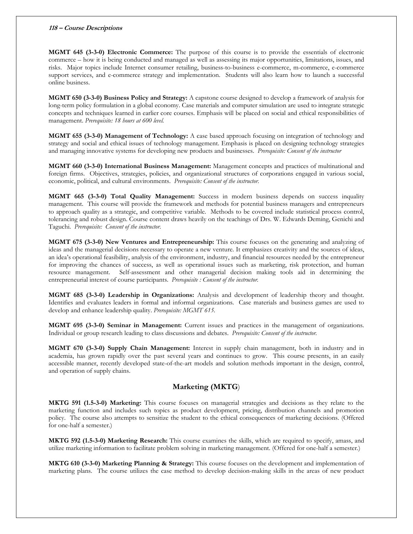**MGMT 645 (3-3-0) Electronic Commerce:** The purpose of this course is to provide the essentials of electronic commerce – how it is being conducted and managed as well as assessing its major opportunities, limitations, issues, and risks. Major topics include Internet consumer retailing, business-to-business e-commerce, m-commerce, e-commerce support services, and e-commerce strategy and implementation. Students will also learn how to launch a successful online business.

**MGMT 650 (3-3-0) Business Policy and Strategy:** A capstone course designed to develop a framework of analysis for long-term policy formulation in a global economy. Case materials and computer simulation are used to integrate strategic concepts and techniques learned in earlier core courses. Emphasis will be placed on social and ethical responsibilities of management. *Prerequisite: 18 hours at 600 level.* 

**MGMT 655 (3-3-0) Management of Technology:** A case based approach focusing on integration of technology and strategy and social and ethical issues of technology management. Emphasis is placed on designing technology strategies and managing innovative systems for developing new products and businesses. *Prerequisite: Consent of the instructor* 

**MGMT 660 (3-3-0) International Business Management:** Management concepts and practices of multinational and foreign firms. Objectives, strategies, policies, and organizational structures of corporations engaged in various social, economic, political, and cultural environments. *Prerequisite: Consent of the instructor.* 

**MGMT 665 (3-3-0) Total Quality Management:** Success in modern business depends on success inquality management. This course will provide the framework and methods for potential business managers and entrepreneurs to approach quality as a strategic, and competitive variable. Methods to be covered include statistical process control, tolerancing and robust design. Course content draws heavily on the teachings of Drs. W. Edwards Deming, Genichi and Taguchi. *Prerequisite: Consent of the instructor.* 

**MGMT 675 (3-3-0) New Ventures and Entrepreneurship:** This course focuses on the generating and analyzing of ideas and the managerial decisions necessary to operate a new venture. It emphasizes creativity and the sources of ideas, an idea's operational feasibility, analysis of the environment, industry, and financial resources needed by the entrepreneur for improving the chances of success, as well as operational issues such as marketing, risk protection, and human resource management. Self-assessment and other managerial decision making tools aid in determining the entrepreneurial interest of course participants. *Prerequisite : Consent of the instructor.* 

**MGMT 685 (3-3-0) Leadership in Organizations:** Analysis and development of leadership theory and thought. Identifies and evaluates leaders in formal and informal organizations. Case materials and business games are used to develop and enhance leadership quality. *Prerequisite: MGMT 615.* 

**MGMT 695 (3-3-0) Seminar in Management:** Current issues and practices in the management of organizations. Individual or group research leading to class discussions and debates. *Prerequisite: Consent of the instructor.* 

**MGMT 670 (3-3-0) Supply Chain Management:** Interest in supply chain management, both in industry and in academia, has grown rapidly over the past several years and continues to grow. This course presents, in an easily accessible manner, recently developed state-of-the-art models and solution methods important in the design, control, and operation of supply chains.

# **Marketing (MKTG**)

**MKTG 591 (1.5-3-0) Marketing:** This course focuses on managerial strategies and decisions as they relate to the marketing function and includes such topics as product development, pricing, distribution channels and promotion policy. The course also attempts to sensitize the student to the ethical consequences of marketing decisions. (Offered for one-half a semester.)

**MKTG 592 (1.5-3-0) Marketing Research:** This course examines the skills, which are required to specify, amass, and utilize marketing information to facilitate problem solving in marketing management. (Offered for one-half a semester.)

**MKTG 610 (3-3-0) Marketing Planning & Strategy:** This course focuses on the development and implementation of marketing plans. The course utilizes the case method to develop decision-making skills in the areas of new product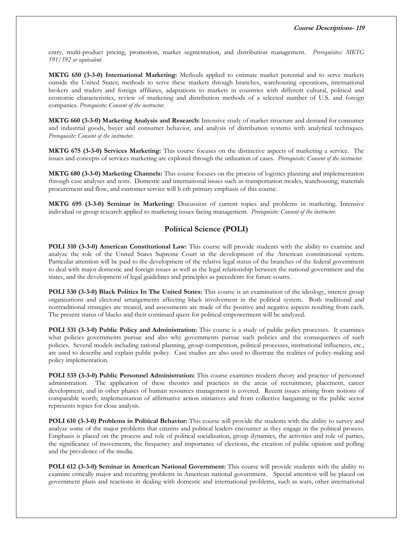entry, multi-product pricing, promotion, market segmentation, and distribution management. *Prerequisites: MKTG 591/592 or equivalent.* 

**MKTG 650 (3-3-0) International Marketing:** Methods applied to estimate market potential and to serve markets outside the United States; methods to serve these markets through branches, warehousing operations, international brokers and traders and foreign affiliates, adaptations to markets in countries with different cultural, political and economic characteristics, review of marketing and distribution methods of a selected number of U.S. and foreign companies. *Prerequisite: Consent of the instructor.* 

**MKTG 660 (3-3-0) Marketing Analysis and Research:** Intensive study of market structure and demand for consumer and industrial goods, buyer and consumer behavior, and analysis of distribution systems with analytical techniques. *Prerequisite: Consent of the instructor.* 

**MKTG 675 (3-3-0) Services Marketing:** This course focuses on the distinctive aspects of marketing a service. The issues and concepts of services marketing are explored through the utilization of cases. *Prerequisite: Consent of the instructor.* 

**MKTG 680 (3-3-0) Marketing Channels:** This course focuses on the process of logistics planning and implementation through case analyses and tests. Domestic and international issues such as transportation modes, warehousing, materials procurement and flow, and customer service will b eth primary emphasis of this course.

**MKTG 695 (3-3-0) Seminar in Marketing:** Discussion of current topics and problems in marketing. Intensive individual or group research applied to marketing issues facing management. *Prerequisite: Consent of the instructor.*

# **Political Science (POLI)**

**POLI 510 (3-3-0) American Constitutional Law:** This course will provide students with the ability to examine and analyze the role of the United States Supreme Court in the development of the American constitutional system. Particular attention will be paid to the development of the relative legal status of the branches of the federal government to deal with major domestic and foreign issues as well as the legal relationship between the national government and the states, and the development of legal guidelines and principles as precedents for future courts.

**POLI 530 (3-3-0) Black Politics In The United States:** This course is an examination of the ideology, interest group organizations and electoral arrangements affecting black involvement in the political system. Both traditional and nontraditional strategies are treated, and assessments are made of the positive and negative aspects resulting from each. The present status of blacks and their continued quest for political empowerment will be analyzed.

**POLI 531 (3-3-0) Public Policy and Administration:** This course is a study of public policy processes. It examines what policies governments pursue and also why governments pursue such policies and the consequences of such policies. Several models including rational planning, group competition, political processes, institutional influences, etc., are used to describe and explain public policy. Case studies are also used to illustrate the realities of policy-making and policy implementation.

**POLI 535 (3-3-0) Public Personnel Administration:** This course examines modern theory and practice of personnel administration. The application of these theories and practices in the areas of recruitment, placement, career development, and in other phases of human resources management is covered. Recent issues arising from notions of comparable worth; implementation of affirmative action initiatives and from collective bargaining in the public sector represents topics for close analysis.

**POLI 610 (3-3-0) Problems in Political Behavior:** This course will provide the students with the ability to survey and analyze some of the major problems that citizens and political leaders encounter as they engage in the political process. Emphasis is placed on the process and role of political socialization, group dynamics, the activities and role of parties, the significance of movements, the frequency and importance of elections, the creation of public opinion and polling and the prevalence of the media.

**POLI 612 (3-3-0) Seminar in American National Government:** This course will provide students with the ability to examine critically major and recurring problems in American national government. Special attention will be placed on government plans and reactions in dealing with domestic and international problems, such as wars, other international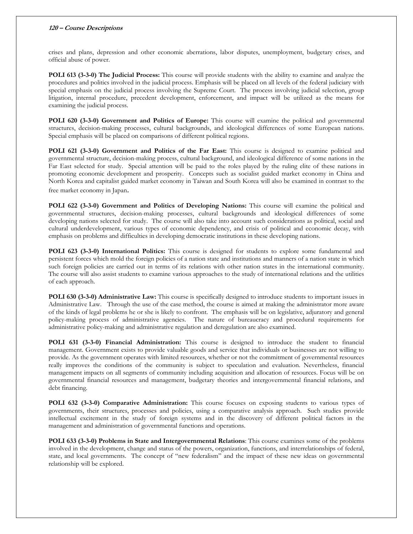crises and plans, depression and other economic aberrations, labor disputes, unemployment, budgetary crises, and official abuse of power.

**POLI 613 (3-3-0) The Judicial Process:** This course will provide students with the ability to examine and analyze the procedures and politics involved in the judicial process. Emphasis will be placed on all levels of the federal judiciary with special emphasis on the judicial process involving the Supreme Court. The process involving judicial selection, group litigation, internal procedure, precedent development, enforcement, and impact will be utilized as the means for examining the judicial process.

**POLI 620 (3-3-0) Government and Politics of Europe:** This course will examine the political and governmental structures, decision-making processes, cultural backgrounds, and ideological differences of some European nations. Special emphasis will be placed on comparisons of different political regions.

**POLI 621 (3-3-0) Government and Politics of the Far East:** This course is designed to examine political and governmental structure, decision-making process, cultural background, and ideological difference of some nations in the Far East selected for study. Special attention will be paid to the roles played by the ruling elite of these nations in promoting economic development and prosperity. Concepts such as socialist guided market economy in China and North Korea and capitalist guided market economy in Taiwan and South Korea will also be examined in contrast to the free market economy in Japan.

**POLI 622 (3-3-0) Government and Politics of Developing Nations:** This course will examine the political and governmental structures, decision-making processes, cultural backgrounds and ideological differences of some developing nations selected for study. The course will also take into account such considerations as political, social and cultural underdevelopment, various types of economic dependency, and crisis of political and economic decay, with emphasis on problems and difficulties in developing democratic institutions in these developing nations.

**POLI 623 (3-3-0) International Politics:** This course is designed for students to explore some fundamental and persistent forces which mold the foreign policies of a nation state and institutions and manners of a nation state in which such foreign policies are carried out in terms of its relations with other nation states in the international community. The course will also assist students to examine various approaches to the study of international relations and the utilities of each approach.

**POLI 630 (3-3-0) Administrative Law:** This course is specifically designed to introduce students to important issues in Administrative Law. Through the use of the case method, the course is aimed at making the administrator more aware of the kinds of legal problems he or she is likely to confront. The emphasis will be on legislative, adjuratory and general policy-making process of administrative agencies. The nature of bureaucracy and procedural requirements for administrative policy-making and administrative regulation and deregulation are also examined.

**POLI 631 (3-3-0) Financial Administration:** This course is designed to introduce the student to financial management. Government exists to provide valuable goods and service that individuals or businesses are not willing to provide. As the government operates with limited resources, whether or not the commitment of governmental resources really improves the conditions of the community is subject to speculation and evaluation. Nevertheless, financial management impacts on all segments of community including acquisition and allocation of resources. Focus will be on governmental financial resources and management, budgetary theories and intergovernmental financial relations, and debt financing.

**POLI 632 (3-3-0) Comparative Administration:** This course focuses on exposing students to various types of governments, their structures, processes and policies, using a comparative analysis approach. Such studies provide intellectual excitement in the study of foreign systems and in the discovery of different political factors in the management and administration of governmental functions and operations.

**POLI 633 (3-3-0) Problems in State and Intergovernmental Relations**: This course examines some of the problems involved in the development, change and status of the powers, organization, functions, and interrelationships of federal, state, and local governments. The concept of "new federalism" and the impact of these new ideas on governmental relationship will be explored.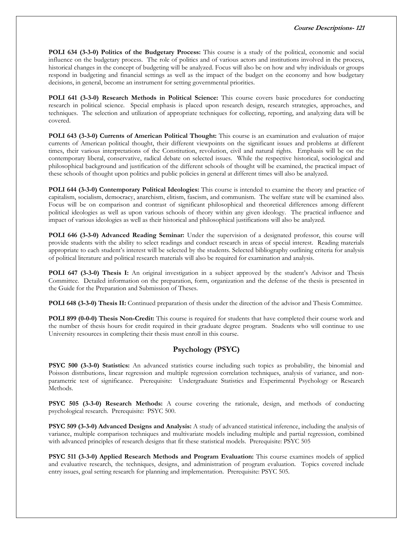**POLI 634 (3-3-0) Politics of the Budgetary Process:** This course is a study of the political, economic and social influence on the budgetary process. The role of politics and of various actors and institutions involved in the process, historical changes in the concept of budgeting will be analyzed. Focus will also be on how and why individuals or groups respond in budgeting and financial settings as well as the impact of the budget on the economy and how budgetary decisions, in general, become an instrument for setting governmental priorities.

**POLI 641 (3-3-0) Research Methods in Political Science:** This course covers basic procedures for conducting research in political science. Special emphasis is placed upon research design, research strategies, approaches, and techniques. The selection and utilization of appropriate techniques for collecting, reporting, and analyzing data will be covered.

**POLI 643 (3-3-0) Currents of American Political Thought:** This course is an examination and evaluation of major currents of American political thought, their different viewpoints on the significant issues and problems at different times, their various interpretations of the Constitution, revolution, civil and natural rights. Emphasis will be on the contemporary liberal, conservative, radical debate on selected issues. While the respective historical, sociological and philosophical background and justification of the different schools of thought will be examined, the practical impact of these schools of thought upon politics and public policies in general at different times will also be analyzed.

**POLI 644 (3-3-0) Contemporary Political Ideologies:** This course is intended to examine the theory and practice of capitalism, socialism, democracy, anarchism, elitism, fascism, and communism. The welfare state will be examined also. Focus will be on comparison and contrast of significant philosophical and theoretical differences among different political ideologies as well as upon various schools of theory within any given ideology. The practical influence and impact of various ideologies as well as their historical and philosophical justifications will also be analyzed.

**POLI 646 (3-3-0) Advanced Reading Seminar:** Under the supervision of a designated professor, this course will provide students with the ability to select readings and conduct research in areas of special interest. Reading materials appropriate to each student's interest will be selected by the students. Selected bibliography outlining criteria for analysis of political literature and political research materials will also be required for examination and analysis.

**POLI 647 (3-3-0) Thesis I:** An original investigation in a subject approved by the student's Advisor and Thesis Committee. Detailed information on the preparation, form, organization and the defense of the thesis is presented in the Guide for the Preparation and Submission of Theses.

**POLI 648 (3-3-0) Thesis II:** Continued preparation of thesis under the direction of the advisor and Thesis Committee.

**POLI 899 (0-0-0) Thesis Non-Credit:** This course is required for students that have completed their course work and the number of thesis hours for credit required in their graduate degree program. Students who will continue to use University resources in completing their thesis must enroll in this course.

# **Psychology (PSYC)**

**PSYC 500 (3-3-0) Statistics:** An advanced statistics course including such topics as probability, the binomial and Poisson distributions, linear regression and multiple regression correlation techniques, analysis of variance, and nonparametric test of significance. Prerequisite: Undergraduate Statistics and Experimental Psychology or Research Methods.

**PSYC 505 (3-3-0) Research Methods:** A course covering the rationale, design, and methods of conducting psychological research. Prerequisite: PSYC 500.

**PSYC 509 (3-3-0) Advanced Designs and Analysis:** A study of advanced statistical inference, including the analysis of variance, multiple comparison techniques and multivariate models including multiple and partial regression, combined with advanced principles of research designs that fit these statistical models. Prerequisite: PSYC 505

**PSYC 511 (3-3-0) Applied Research Methods and Program Evaluation:** This course examines models of applied and evaluative research, the techniques, designs, and administration of program evaluation. Topics covered include entry issues, goal setting research for planning and implementation. Prerequisite: PSYC 505.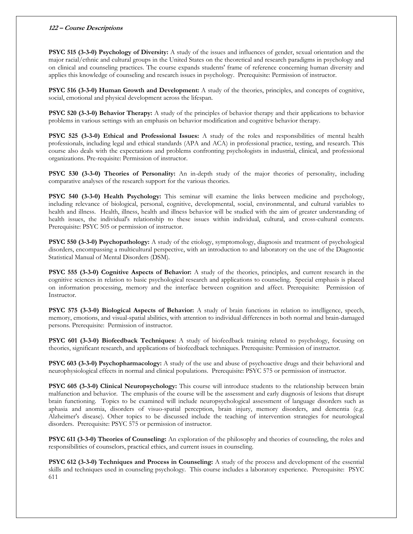**PSYC 515 (3-3-0) Psychology of Diversity:** A study of the issues and influences of gender, sexual orientation and the major racial/ethnic and cultural groups in the United States on the theoretical and research paradigms in psychology and on clinical and counseling practices. The course expands students' frame of reference concerning human diversity and applies this knowledge of counseling and research issues in psychology. Prerequisite: Permission of instructor.

**PSYC 516 (3-3-0) Human Growth and Development:** A study of the theories, principles, and concepts of cognitive, social, emotional and physical development across the lifespan.

**PSYC 520 (3-3-0) Behavior Therapy:** A study of the principles of behavior therapy and their applications to behavior problems in various settings with an emphasis on behavior modification and cognitive behavior therapy.

**PSYC 525 (3-3-0) Ethical and Professional Issues:** A study of the roles and responsibilities of mental health professionals, including legal and ethical standards (APA and ACA) in professional practice, testing, and research. This course also deals with the expectations and problems confronting psychologists in industrial, clinical, and professional organizations. Pre-requisite: Permission of instructor.

**PSYC 530 (3-3-0) Theories of Personality:** An in-depth study of the major theories of personality, including comparative analyses of the research support for the various theories.

**PSYC 540 (3-3-0) Health Psychology:** This seminar will examine the links between medicine and psychology, including relevance of biological, personal, cognitive, developmental, social, environmental, and cultural variables to health and illness. Health, illness, health and illness behavior will be studied with the aim of greater understanding of health issues, the individual's relationship to these issues within individual, cultural, and cross-cultural contexts. Prerequisite: PSYC 505 or permission of instructor.

**PSYC 550 (3-3-0) Psychopathology:** A study of the etiology, symptomology, diagnosis and treatment of psychological disorders, encompassing a multicultural perspective, with an introduction to and laboratory on the use of the Diagnostic Statistical Manual of Mental Disorders (DSM).

**PSYC 555 (3-3-0) Cognitive Aspects of Behavior:** A study of the theories, principles, and current research in the cognitive sciences in relation to basic psychological research and applications to counseling. Special emphasis is placed on information processing, memory and the interface between cognition and affect. Prerequisite: Permission of Instructor.

**PSYC 575 (3-3-0) Biological Aspects of Behavior:** A study of brain functions in relation to intelligence, speech, memory, emotions, and visual-spatial abilities, with attention to individual differences in both normal and brain-damaged persons. Prerequisite: Permission of instructor.

**PSYC 601 (3-3-0) Biofeedback Techniques:** A study of biofeedback training related to psychology, focusing on theories, significant research, and applications of biofeedback techniques. Prerequisite: Permission of instructor.

**PSYC 603 (3-3-0) Psychopharmacology:** A study of the use and abuse of psychoactive drugs and their behavioral and neurophysiological effects in normal and clinical populations. Prerequisite: PSYC 575 or permission of instructor.

**PSYC 605 (3-3-0) Clinical Neuropsychology:** This course will introduce students to the relationship between brain malfunction and behavior. The emphasis of the course will be the assessment and early diagnosis of lesions that disrupt brain functioning. Topics to be examined will include neuropsychological assessment of language disorders such as aphasia and anomia, disorders of visuo-spatial perception, brain injury, memory disorders, and dementia (e.g. Alzheimer's disease). Other topics to be discussed include the teaching of intervention strategies for neurological disorders. Prerequisite: PSYC 575 or permission of instructor.

**PSYC 611 (3-3-0) Theories of Counseling:** An exploration of the philosophy and theories of counseling, the roles and responsibilities of counselors, practical ethics, and current issues in counseling.

**PSYC 612 (3-3-0) Techniques and Process in Counseling:** A study of the process and development of the essential skills and techniques used in counseling psychology. This course includes a laboratory experience. Prerequisite: PSYC 611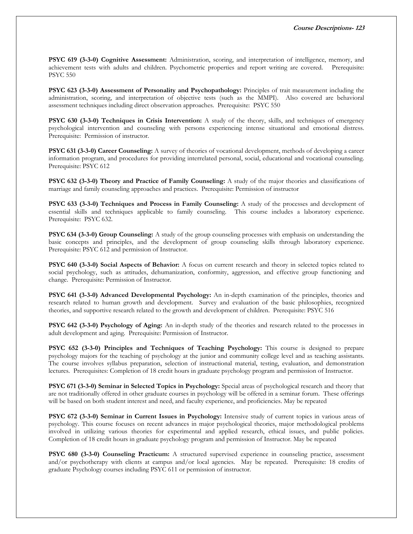**PSYC 619 (3-3-0) Cognitive Assessment:** Administration, scoring, and interpretation of intelligence, memory, and achievement tests with adults and children. Psychometric properties and report writing are covered. Prerequisite: PSYC 550

**PSYC 623 (3-3-0) Assessment of Personality and Psychopathology:** Principles of trait measurement including the administration, scoring, and interpretation of objective tests (such as the MMPI). Also covered are behavioral assessment techniques including direct observation approaches. Prerequisite: PSYC 550

**PSYC 630 (3-3-0) Techniques in Crisis Intervention:** A study of the theory, skills, and techniques of emergency psychological intervention and counseling with persons experiencing intense situational and emotional distress. Prerequisite: Permission of instructor.

**PSYC 631 (3-3-0) Career Counseling:** A survey of theories of vocational development, methods of developing a career information program, and procedures for providing interrelated personal, social, educational and vocational counseling. Prerequisite: PSYC 612

**PSYC 632 (3-3-0) Theory and Practice of Family Counseling:** A study of the major theories and classifications of marriage and family counseling approaches and practices. Prerequisite: Permission of instructor

**PSYC 633 (3-3-0) Techniques and Process in Family Counseling:** A study of the processes and development of essential skills and techniques applicable to family counseling. This course includes a laboratory experience. Prerequisite: PSYC 632.

**PSYC 634 (3-3-0) Group Counseling:** A study of the group counseling processes with emphasis on understanding the basic concepts and principles, and the development of group counseling skills through laboratory experience. Prerequisite: PSYC 612 and permission of Instructor.

**PSYC 640 (3-3-0) Social Aspects of Behavior:** A focus on current research and theory in selected topics related to social psychology, such as attitudes, dehumanization, conformity, aggression, and effective group functioning and change. Prerequisite: Permission of Instructor.

**PSYC 641 (3-3-0) Advanced Developmental Psychology:** An in-depth examination of the principles, theories and research related to human growth and development. Survey and evaluation of the basic philosophies, recognized theories, and supportive research related to the growth and development of children. Prerequisite: PSYC 516

**PSYC 642 (3-3-0) Psychology of Aging:** An in-depth study of the theories and research related to the processes in adult development and aging. Prerequisite: Permission of Instructor.

**PSYC 652 (3-3-0) Principles and Techniques of Teaching Psychology:** This course is designed to prepare psychology majors for the teaching of psychology at the junior and community college level and as teaching assistants. The course involves syllabus preparation, selection of instructional material, testing, evaluation, and demonstration lectures. Prerequisites: Completion of 18 credit hours in graduate psychology program and permission of Instructor.

**PSYC 671 (3-3-0) Seminar in Selected Topics in Psychology:** Special areas of psychological research and theory that are not traditionally offered in other graduate courses in psychology will be offered in a seminar forum. These offerings will be based on both student interest and need, and faculty experience, and proficiencies. May be repeated

**PSYC 672 (3-3-0) Seminar in Current Issues in Psychology:** Intensive study of current topics in various areas of psychology. This course focuses on recent advances in major psychological theories, major methodological problems involved in utilizing various theories for experimental and applied research, ethical issues, and public policies. Completion of 18 credit hours in graduate psychology program and permission of Instructor. May be repeated

**PSYC 680 (3-3-0) Counseling Practicum:** A structured supervised experience in counseling practice, assessment and/or psychotherapy with clients at campus and/or local agencies. May be repeated. Prerequisite: 18 credits of graduate Psychology courses including PSYC 611 or permission of instructor.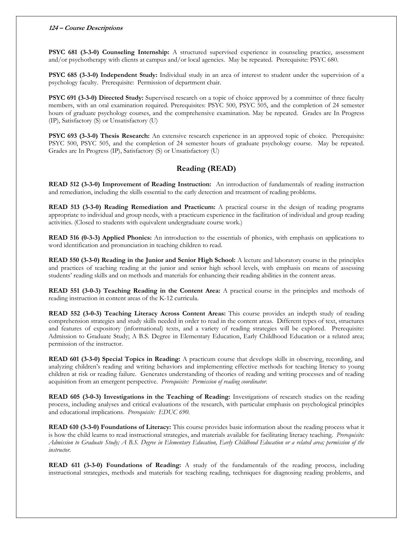**PSYC 681 (3-3-0) Counseling Internship:** A structured supervised experience in counseling practice, assessment and/or psychotherapy with clients at campus and/or local agencies. May be repeated. Prerequisite: PSYC 680.

**PSYC 685 (3-3-0) Independent Study:** Individual study in an area of interest to student under the supervision of a psychology faculty. Prerequisite: Permission of department chair.

**PSYC 691 (3-3-0) Directed Study:** Supervised research on a topic of choice approved by a committee of three faculty members, with an oral examination required. Prerequisites: PSYC 500, PSYC 505, and the completion of 24 semester hours of graduate psychology courses, and the comprehensive examination. May be repeated. Grades are In Progress (IP), Satisfactory (S) or Unsatisfactory (U)

**PSYC 693 (3-3-0) Thesis Research:** An extensive research experience in an approved topic of choice. Prerequisite: PSYC 500, PSYC 505, and the completion of 24 semester hours of graduate psychology course. May be repeated. Grades are In Progress (IP), Satisfactory (S) or Unsatisfactory (U)

# **Reading (READ)**

**READ 512 (3-3-0) Improvement of Reading Instruction:** An introduction of fundamentals of reading instruction and remediation, including the skills essential to the early detection and treatment of reading problems.

**READ 513 (3-3-0) Reading Remediation and Practicum:** A practical course in the design of reading programs appropriate to individual and group needs, with a practicum experience in the facilitation of individual and group reading activities. (Closed to students with equivalent undergraduate course work.)

**READ 516 (0-3-3) Applied Phonics:** An introduction to the essentials of phonics, with emphasis on applications to word identification and pronunciation in teaching children to read.

**READ 550 (3-3-0) Reading in the Junior and Senior High School:** A lecture and laboratory course in the principles and practices of teaching reading at the junior and senior high school levels, with emphasis on means of assessing students' reading skills and on methods and materials for enhancing their reading abilities in the content areas.

**READ 551 (3-0-3) Teaching Reading in the Content Area:** A practical course in the principles and methods of reading instruction in content areas of the K-12 curricula.

**READ 552 (3-0-3) Teaching Literacy Across Content Areas:** This course provides an indepth study of reading comprehension strategies and study skills needed in order to read in the content areas. Different types of text, structures and features of expository (informational) texts, and a variety of reading strategies will be explored. Prerequisite: Admission to Graduate Study; A B.S. Degree in Elementary Education, Early Childhood Education or a related area; permission of the instructor.

**READ 601 (3-3-0) Special Topics in Reading:** A practicum course that develops skills in observing, recording, and analyzing children's reading and writing behaviors and implementing effective methods for teaching literacy to young children at risk or reading failure. Generates understanding of theories of reading and writing processes and of reading acquisition from an emergent perspective. *Prerequisite: Permission of reading coordinator.*

**READ 605 (3-0-3) Investigations in the Teaching of Reading:** Investigations of research studies on the reading process, including analyses and critical evaluations of the research, with particular emphasis on psychological principles and educational implications. *Prerequisite: EDUC 690.*

**READ 610 (3-3-0) Foundations of Literacy:** This course provides basic information about the reading process what it is how the child learns to read instructional strategies, and materials available for facilitating literacy teaching. *Prerequisite: Admission to Graduate Study; A B.S. Degree in Elementary Education, Early Childhood Education or a related area; permission of the instructor.*

**READ 611 (3-3-0) Foundations of Reading:** A study of the fundamentals of the reading process, including instructional strategies, methods and materials for teaching reading, techniques for diagnosing reading problems, and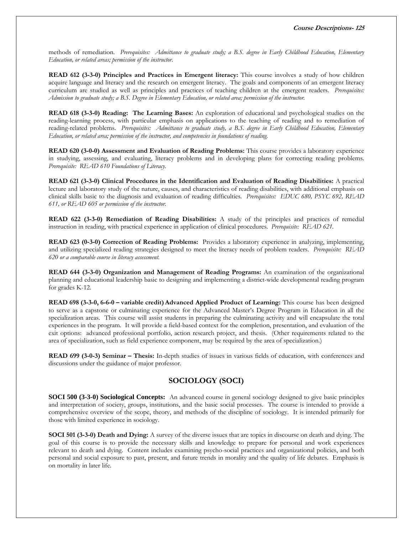methods of remediation. *Prerequisites: Admittance to graduate study; a B.S. degree in Early Childhood Education, Elementary Education, or related areas; permission of the instructor.* 

**READ 612 (3-3-0) Principles and Practices in Emergent literacy:** This course involves a study of how children acquire language and literacy and the research on emergent literacy. The goals and components of an emergent literacy curriculum are studied as well as principles and practices of teaching children at the emergent readers. *Prerequisites: Admission to graduate study; a B.S. Degree in Elementary Education, or related area; permission of the instructor.*

**READ 618 (3-3-0) Reading: The Learning Bases:** An exploration of educational and psychological studies on the reading-learning process, with particular emphasis on applications to the teaching of reading and to remediation of reading-related problems. *Prerequisites: Admittance to graduate study, a B.S. degree in Early Childhood Education, Elementary Education, or related area; permission of the instructor, and competencies in foundations of reading.*

**READ 620 (3-0-0) Assessment and Evaluation of Reading Problems:** This course provides a laboratory experience in studying, assessing, and evaluating, literacy problems and in developing plans for correcting reading problems. *Prerequisite: READ 610 Foundations of Literacy.*

**READ 621 (3-3-0) Clinical Procedures in the Identification and Evaluation of Reading Disabilities:** A practical lecture and laboratory study of the nature, causes, and characteristics of reading disabilities, with additional emphasis on clinical skills basic to the diagnosis and evaluation of reading difficulties. *Prerequisites: EDUC 680, PSYC 692, READ 611, or READ 605 or permission of the instructor.*

**READ 622 (3-3-0) Remediation of Reading Disabilities:** A study of the principles and practices of remedial instruction in reading, with practical experience in application of clinical procedures. *Prerequisite: READ 621.*

**READ 623 (0-3-0) Correction of Reading Problems:** Provides a laboratory experience in analyzing, implementing, and utilizing specialized reading strategies designed to meet the literacy needs of problem readers. *Prerequisite: READ 620 or a comparable course in literacy assessment.* 

**READ 644 (3-3-0) Organization and Management of Reading Programs:** An examination of the organizational planning and educational leadership basic to designing and implementing a district-wide developmental reading program for grades K-12.

**READ 698 (3-3-0, 6-6-0 – variable credit) Advanced Applied Product of Learning:** This course has been designed to serve as a capstone or culminating experience for the Advanced Master's Degree Program in Education in all the specialization areas. This course will assist students in preparing the culminating activity and will encapsulate the total experiences in the program. It will provide a field-based context for the completion, presentation, and evaluation of the exit options: advanced professional portfolio, action research project, and thesis. (Other requirements related to the area of specialization, such as field experience component, may be required by the area of specialization.)

**READ 699 (3-0-3) Seminar – Thesis:** In-depth studies of issues in various fields of education, with conferences and discussions under the guidance of major professor.

# **SOCIOLOGY (SOCI)**

**SOCI 500 (3-3-0) Sociological Concepts:** An advanced course in general sociology designed to give basic principles and interpretation of society, groups, institutions, and the basic social processes. The course is intended to provide a comprehensive overview of the scope, theory, and methods of the discipline of sociology. It is intended primarily for those with limited experience in sociology.

**SOCI 501 (3-3-0) Death and Dying:** A survey of the diverse issues that are topics in discourse on death and dying. The goal of this course is to provide the necessary skills and knowledge to prepare for personal and work experiences relevant to death and dying. Content includes examining psycho-social practices and organizational policies, and both personal and social exposure to past, present, and future trends in morality and the quality of life debates. Emphasis is on mortality in later life.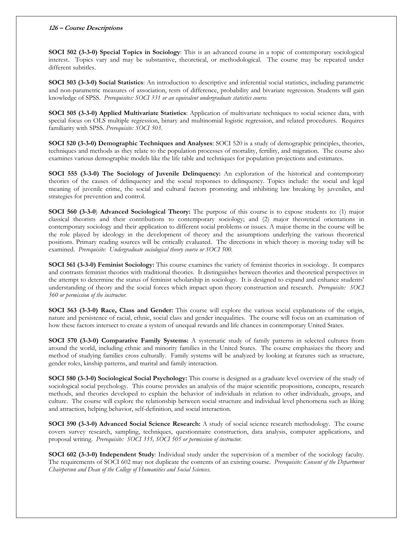**SOCI 502 (3-3-0) Special Topics in Sociology**: This is an advanced course in a topic of contemporary sociological interest. Topics vary and may be substantive, theoretical, or methodological. The course may be repeated under different subtitles.

**SOCI 503 (3-3-0) Social Statistics**: An introduction to descriptive and inferential social statistics, including parametric and non-parametric measures of association, tests of difference, probability and bivariate regression. Students will gain knowledge of SPSS. *Prerequisites: SOCI 331 or an equivalent undergraduate statistics course.*

**SOCI 505 (3-3-0) Applied Multivariate Statistics**: Application of multivariate techniques to social science data, with special focus on OLS multiple regression, binary and multinomial logistic regression, and related procedures. Requires familiarity with SPSS. *Prerequisite: SOCI 503.*

**SOCI 520 (3-3-0) Demographic Techniques and Analyses**: SOCI 520 is a study of demographic principles, theories, techniques and methods as they relate to the population processes of mortality, fertility, and migration. The course also examines various demographic models like the life table and techniques for population projections and estimates.

**SOCI 555 (3-3-0) The Sociology of Juvenile Delinquency:** An exploration of the historical and contemporary theories of the causes of delinquency and the social responses to delinquency. Topics include: the social and legal meaning of juvenile crime, the social and cultural factors promoting and inhibiting law breaking by juveniles, and strategies for prevention and control.

**SOCI 560 (3-3-0**) **Advanced Sociological Theory:** The purpose of this course is to expose students to: (1) major classical theorists and their contributions to contemporary sociology; and (2) major theoretical orientations in contemporary sociology and their application to different social problems or issues. A major theme in the course will be the role played by ideology in the development of theory and the assumptions underlying the various theoretical positions. Primary reading sources will be critically evaluated. The directions in which theory is moving today will be examined. *Prerequisite: Undergraduate sociological theory course or SOCI 500.* 

**SOCI 561 (3-3-0) Feminist Sociology:** This course examines the variety of feminist theories in sociology. It compares and contrasts feminist theories with traditional theories. It distinguishes between theories and theoretical perspectives in the attempt to determine the status of feminist scholarship in sociology. It is designed to expand and enhance students' understanding of theory and the social forces which impact upon theory construction and research. *Prerequisite: SOCI 560 or permission of the instructor.* 

**SOCI 563 (3-3-0) Race, Class and Gender:** This course will explore the various social explanations of the origin, nature and persistence of racial, ethnic, social class and gender inequalities. The course will focus on an examination of how these factors intersect to create a system of unequal rewards and life chances in contemporary United States.

**SOCI 570 (3-3-0) Comparative Family Systems:** A systematic study of family patterns in selected cultures from around the world, including ethnic and minority families in the United States. The course emphasizes the theory and method of studying families cross culturally. Family systems will be analyzed by looking at features such as structure, gender roles, kinship patterns, and marital and family interaction.

**SOCI 580 (3-3-0) Sociological Social Psychology:** This course is designed as a graduate level overview of the study of sociological social psychology. This course provides an analysis of the major scientific propositions, concepts, research methods, and theories developed to explain the behavior of individuals in relation to other individuals, groups, and culture. The course will explore the relationship between social structure and individual level phenomena such as liking and attraction, helping behavior, self-definition, and social interaction.

**SOCI 590 (3-3-0) Advanced Social Science Research:** A study of social science research methodology. The course covers survey research, sampling, techniques, questionnaire construction, data analysis, computer applications, and proposal writing. *Prerequisite: SOCI 335, SOCI 505 or permission of instructor.* 

**SOCI 602 (3-3-0) Independent Study**: Individual study under the supervision of a member of the sociology faculty. The requirements of SOCI 602 may not duplicate the contents of an existing course. *Prerequisite: Consent of the Department Chairperson and Dean of the College of Humanities and Social Sciences.*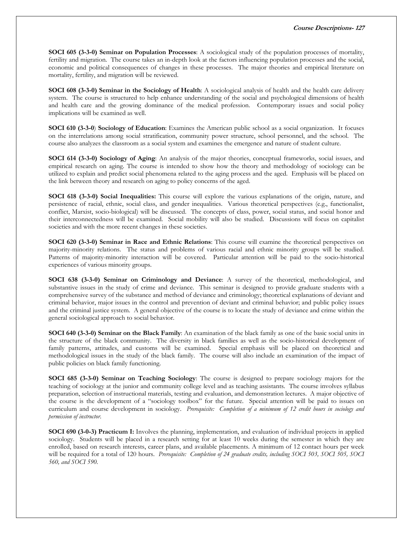**SOCI 605 (3-3-0) Seminar on Population Processes**: A sociological study of the population processes of mortality, fertility and migration. The course takes an in-depth look at the factors influencing population processes and the social, economic and political consequences of changes in these processes. The major theories and empirical literature on mortality, fertility, and migration will be reviewed.

**SOCI 608 (3-3-0) Seminar in the Sociology of Health**: A sociological analysis of health and the health care delivery system. The course is structured to help enhance understanding of the social and psychological dimensions of health and health care and the growing dominance of the medical profession. Contemporary issues and social policy implications will be examined as well.

**SOCI 610 (3-3-0**) **Sociology of Education**: Examines the American public school as a social organization. It focuses on the interrelations among social stratification, community power structure, school personnel, and the school. The course also analyzes the classroom as a social system and examines the emergence and nature of student culture.

**SOCI 614 (3-3-0) Sociology of Aging**: An analysis of the major theories, conceptual frameworks, social issues, and empirical research on aging. The course is intended to show how the theory and methodology of sociology can be utilized to explain and predict social phenomena related to the aging process and the aged. Emphasis will be placed on the link between theory and research on aging to policy concerns of the aged.

**SOCI 618 (3-3-0) Social Inequalities:** This course will explore the various explanations of the origin, nature, and persistence of racial, ethnic, social class, and gender inequalities. Various theoretical perspectives (e.g., functionalist, conflict, Marxist, socio-biological) will be discussed. The concepts of class, power, social status, and social honor and their interconnectedness will be examined. Social mobility will also be studied. Discussions will focus on capitalist societies and with the more recent changes in these societies.

**SOCI 620 (3-3-0) Seminar in Race and Ethnic Relations**: This course will examine the theoretical perspectives on majority-minority relations. The status and problems of various racial and ethnic minority groups will be studied. Patterns of majority-minority interaction will be covered. Particular attention will be paid to the socio-historical experiences of various minority groups.

**SOCI 638 (3-3-0) Seminar on Criminology and Deviance**: A survey of the theoretical, methodological, and substantive issues in the study of crime and deviance. This seminar is designed to provide graduate students with a comprehensive survey of the substance and method of deviance and criminology; theoretical explanations of deviant and criminal behavior, major issues in the control and prevention of deviant and criminal behavior; and public policy issues and the criminal justice system. A general objective of the course is to locate the study of deviance and crime within the general sociological approach to social behavior.

**SOCI 640 (3-3-0)** Seminar on the Black Family: An examination of the black family as one of the basic social units in the structure of the black community. The diversity in black families as well as the socio-historical development of family patterns, attitudes, and customs will be examined. Special emphasis will be placed on theoretical and methodological issues in the study of the black family. The course will also include an examination of the impact of public policies on black family functioning.

**SOCI 685 (3-3-0) Seminar on Teaching Sociology**: The course is designed to prepare sociology majors for the teaching of sociology at the junior and community college level and as teaching assistants. The course involves syllabus preparation, selection of instructional materials, testing and evaluation, and demonstration lectures. A major objective of the course is the development of a "sociology toolbox" for the future. Special attention will be paid to issues on curriculum and course development in sociology. *Prerequisite: Completion of a minimum of 12 credit hours in sociology and permission of instructor*.

**SOCI 690 (3-0-3) Practicum I:** Involves the planning, implementation, and evaluation of individual projects in applied sociology. Students will be placed in a research setting for at least 10 weeks during the semester in which they are enrolled, based on research interests, career plans, and available placements. A minimum of 12 contact hours per week will be required for a total of 120 hours. *Prerequisite: Completion of 24 graduate credits, including SOCI 503, SOCI 505, SOCI 560, and SOCI 590.*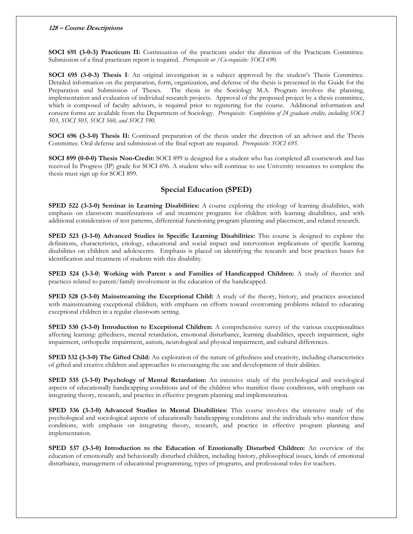**SOCI 691 (3-0-3) Practicum II:** Continuation of the practicum under the direction of the Practicum Committee. Submission of a final practicum report is required. *Prerequisite or /Co-requisite: SOCI 690.*

**SOCI 695 (3-0-3) Thesis I**: An original investigation in a subject approved by the student's Thesis Committee. Detailed information on the preparation, form, organization, and defense of the thesis is presented in the Guide for the Preparation and Submission of Theses. The thesis in the Sociology M.A. Program involves the planning, The thesis in the Sociology M.A. Program involves the planning, implementation and evaluation of individual research projects. Approval of the proposed project by a thesis committee, which is composed of faculty advisors, is required prior to registering for the course. Additional information and consent forms are available from the Department of Sociology. *Prerequisite: Completion of 24 graduate credits, including SOCI 503, SOCI 505, SOCI 560, and SOCI 590*.

**SOCI 696 (3-3-0) Thesis II:** Continued preparation of the thesis under the direction of an advisor and the Thesis Committee. Oral defense and submission of the final report are required. *Prerequisite: SOCI 695.* 

**SOCI 899 (0-0-0) Thesis Non-Credit:** SOCI 899 is designed for a student who has completed all coursework and has received In Progress (IP) grade for SOCI 696. A student who will continue to use University resources to complete the thesis must sign up for SOCI 899.

# **Special Education (SPED)**

**SPED 522 (3-3-0) Seminar in Learning Disabilities:** A course exploring the etiology of learning disabilities, with emphasis on classroom manifestations of and treatment programs for children with learning disabilities, and with additional consideration of test patterns, differential functioning program planning and placement, and related research.

**SPED 523 (3-3-0) Advanced Studies in Specific Learning Disabilities:** This course is designed to explore the definitions, characteristics, etiology, educational and social impact and intervention implications of specific learning disabilities on children and adolescents. Emphasis is placed on identifying the research and best practices bases for identification and treatment of students with this disability.

**SPED 524 (3-3-0**) **Working with Parent s and Families of Handicapped Children:** A study of theories and practices related to parent/family involvement in the education of the handicapped.

**SPED 528 (3-3-0) Mainstreaming the Exceptional Child:** A study of the theory, history, and practices associated with mainstreaming exceptional children, with emphasis on efforts toward overcoming problems related to educating exceptional children in a regular classroom setting.

**SPED 530 (3-3-0) Introduction to Exceptional Children:** A comprehensive survey of the various exceptionalities affecting learning: giftedness, mental retardation, emotional disturbance, learning disabilities, speech impairment, sight impairment, orthopedic impairment, autism, neurological and physical impairment, and cultural differences.

**SPED 532 (3-3-0) The Gifted Child:** An exploration of the nature of giftedness and creativity, including characteristics of gifted and creative children and approaches to encouraging the use and development of their abilities.

**SPED 535 (3-3-0) Psychology of Mental Retardation:** An intensive study of the psychological and sociological aspects of educationally handicapping conditions and of the children who manifest those conditions, with emphasis on integrating theory, research, and practice in effective program planning and implementation.

**SPED 536 (3-3-0) Advanced Studies in Mental Disabilities:** This course involves the intensive study of the psychological and sociological aspects of educationally handicapping conditions and the individuals who manifest these conditions, with emphasis on integrating theory, research, and practice in effective program planning and implementation.

**SPED 537 (3-3-0) Introduction to the Education of Emotionally Disturbed Children:** An overview of the education of emotionally and behaviorally disturbed children, including history, philosophical issues, kinds of emotional disturbance, management of educational programming, types of programs, and professional roles for teachers.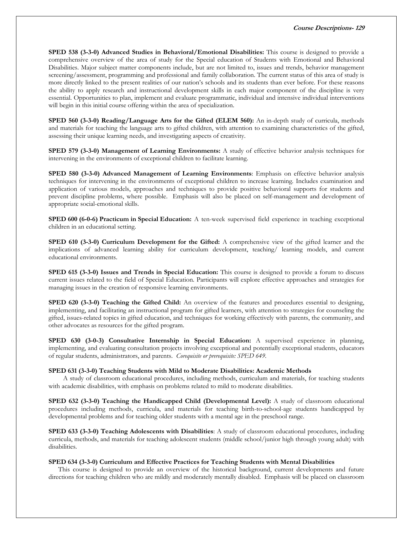**SPED 538 (3-3-0) Advanced Studies in Behavioral/Emotional Disabilities:** This course is designed to provide a comprehensive overview of the area of study for the Special education of Students with Emotional and Behavioral Disabilities. Major subject matter components include, but are not limited to, issues and trends, behavior management screening/assessment, programming and professional and family collaboration. The current status of this area of study is more directly linked to the present realities of our nation's schools and its students than ever before. For these reasons the ability to apply research and instructional development skills in each major component of the discipline is very essential. Opportunities to plan, implement and evaluate programmatic, individual and intensive individual interventions will begin in this initial course offering within the area of specialization.

**SPED 560 (3-3-0) Reading/Language Arts for the Gifted (ELEM 560):** An in-depth study of curricula, methods and materials for teaching the language arts to gifted children, with attention to examining characteristics of the gifted, assessing their unique learning needs, and investigating aspects of creativity.

**SPED 579 (3-3-0) Management of Learning Environments:** A study of effective behavior analysis techniques for intervening in the environments of exceptional children to facilitate learning.

**SPED 580 (3-3-0) Advanced Management of Learning Environments**: Emphasis on effective behavior analysis techniques for intervening in the environments of exceptional children to increase learning. Includes examination and application of various models, approaches and techniques to provide positive behavioral supports for students and prevent discipline problems, where possible. Emphasis will also be placed on self-management and development of appropriate social-emotional skills.

**SPED 600 (6-0-6) Practicum in Special Education:** A ten-week supervised field experience in teaching exceptional children in an educational setting.

**SPED 610 (3-3-0) Curriculum Development for the Gifted:** A comprehensive view of the gifted learner and the implications of advanced learning ability for curriculum development, teaching/ learning models, and current educational environments.

**SPED 615 (3-3-0) Issues and Trends in Special Education:** This course is designed to provide a forum to discuss current issues related to the field of Special Education. Participants will explore effective approaches and strategies for managing issues in the creation of responsive learning environments.

**SPED 620 (3-3-0) Teaching the Gifted Child:** An overview of the features and procedures essential to designing, implementing, and facilitating an instructional program for gifted learners, with attention to strategies for counseling the gifted, issues-related topics in gifted education, and techniques for working effectively with parents, the community, and other advocates as resources for the gifted program.

**SPED 630 (3-0-3) Consultative Internship in Special Education:** A supervised experience in planning, implementing, and evaluating consultation projects involving exceptional and potentially exceptional students, educators of regular students, administrators, and parents. *Corequisite or prerequisite: SPED 649.*

# **SPED 631 (3-3-0) Teaching Students with Mild to Moderate Disabilities: Academic Methods**

A study of classroom educational procedures, including methods, curriculum and materials, for teaching students with academic disabilities, with emphasis on problems related to mild to moderate disabilities.

**SPED 632 (3-3-0) Teaching the Handicapped Child (Developmental Level):** A study of classroom educational procedures including methods, curricula, and materials for teaching birth-to-school-age students handicapped by developmental problems and for teaching older students with a mental age in the preschool range.

**SPED 633 (3-3-0) Teaching Adolescents with Disabilities**: A study of classroom educational procedures, including curricula, methods, and materials for teaching adolescent students (middle school/junior high through young adult) with disabilities.

# **SPED 634 (3-3-0) Curriculum and Effective Practices for Teaching Students with Mental Disabilities**

This course is designed to provide an overview of the historical background, current developments and future directions for teaching children who are mildly and moderately mentally disabled. Emphasis will be placed on classroom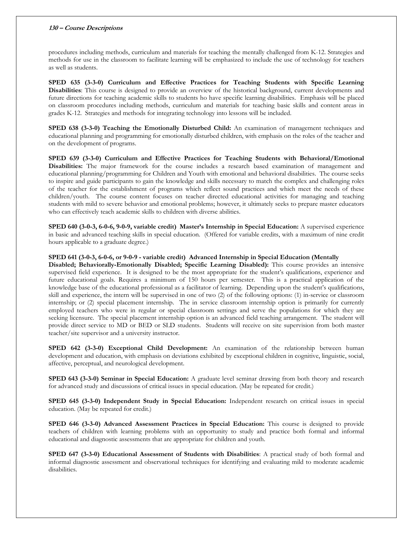procedures including methods, curriculum and materials for teaching the mentally challenged from K-12. Strategies and methods for use in the classroom to facilitate learning will be emphasized to include the use of technology for teachers as well as students.

**SPED 635 (3-3-0) Curriculum and Effective Practices for Teaching Students with Specific Learning Disabilities**: This course is designed to provide an overview of the historical background, current developments and future directions for teaching academic skills to students ho have specific learning disabilities. Emphasis will be placed on classroom procedures including methods, curriculum and materials for teaching basic skills and content areas in grades K-12. Strategies and methods for integrating technology into lessons will be included.

**SPED 638 (3-3-0) Teaching the Emotionally Disturbed Child:** An examination of management techniques and educational planning and programming for emotionally disturbed children, with emphasis on the roles of the teacher and on the development of programs.

**SPED 639 (3-3-0) Curriculum and Effective Practices for Teaching Students with Behavioral/Emotional Disabilities:** The major framework for the course includes a research based examination of management and educational planning/programming for Children and Youth with emotional and behavioral disabilities. The course seeks to inspire and guide participants to gain the knowledge and skills necessary to match the complex and challenging roles of the teacher for the establishment of programs which reflect sound practices and which meet the needs of these children/youth. The course content focuses on teacher directed educational activities for managing and teaching students with mild to severe behavior and emotional problems; however, it ultimately seeks to prepare master educators who can effectively teach academic skills to children with diverse abilities.

**SPED 640 (3-0-3, 6-0-6, 9-0-9, variable credit) Master's Internship in Special Education:** A supervised experience in basic and advanced teaching skills in special education. (Offered for variable credits, with a maximum of nine credit hours applicable to a graduate degree.)

# **SPED 641 (3-0-3, 6-0-6, or 9-0-9 - variable credit) Advanced Internship in Special Education (Mentally**

**Disabled; Behaviorally-Emotionally Disabled; Specific Learning Disabled):** This course provides an intensive supervised field experience. It is designed to be the most appropriate for the student's qualifications, experience and future educational goals. Requires a minimum of 150 hours per semester. This is a practical application of the knowledge base of the educational professional as a facilitator of learning. Depending upon the student's qualifications, skill and experience, the intern will be supervised in one of two (2) of the following options: (1) in-service or classroom internship; or (2) special placement internship. The in service classroom internship option is primarily for currently employed teachers who were in regular or special classroom settings and serve the populations for which they are seeking licensure. The special placement internship option is an advanced field teaching arrangement. The student will provide direct service to MD or BED or SLD students. Students will receive on site supervision from both master teacher/site supervisor and a university instructor.

**SPED 642 (3-3-0) Exceptional Child Development:** An examination of the relationship between human development and education, with emphasis on deviations exhibited by exceptional children in cognitive, linguistic, social, affective, perceptual, and neurological development.

**SPED 643 (3-3-0) Seminar in Special Education:** A graduate level seminar drawing from both theory and research for advanced study and discussions of critical issues in special education. (May be repeated for credit.)

**SPED 645 (3-3-0) Independent Study in Special Education:** Independent research on critical issues in special education. (May be repeated for credit.)

**SPED 646 (3-3-0) Advanced Assessment Practices in Special Education:** This course is designed to provide teachers of children with learning problems with an opportunity to study and practice both formal and informal educational and diagnostic assessments that are appropriate for children and youth.

**SPED 647 (3-3-0) Educational Assessment of Students with Disabilities**: A practical study of both formal and informal diagnostic assessment and observational techniques for identifying and evaluating mild to moderate academic disabilities.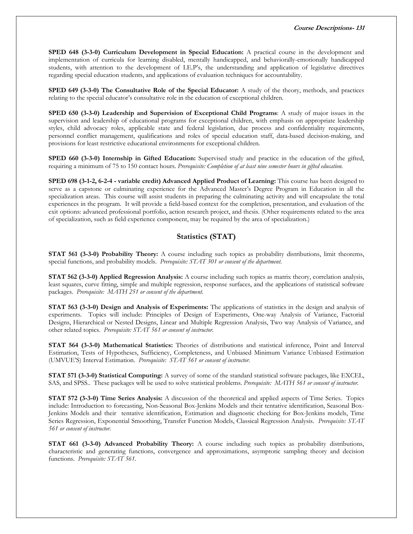**SPED 648 (3-3-0) Curriculum Development in Special Education:** A practical course in the development and implementation of curricula for learning disabled, mentally handicapped, and behaviorally-emotionally handicapped students, with attention to the development of I.E.P's, the understanding and application of legislative directives regarding special education students, and applications of evaluation techniques for accountability.

**SPED 649 (3-3-0) The Consultative Role of the Special Educator:** A study of the theory, methods, and practices relating to the special educator's consultative role in the education of exceptional children.

**SPED 650 (3-3-0) Leadership and Supervision of Exceptional Child Programs**: A study of major issues in the supervision and leadership of educational programs for exceptional children, with emphasis on appropriate leadership styles, child advocacy roles, applicable state and federal legislation, due process and confidentiality requirements, personnel conflict management, qualifications and roles of special education staff, data-based decision-making, and provisions for least restrictive educational environments for exceptional children.

**SPED 660 (3-3-0) Internship in Gifted Education:** Supervised study and practice in the education of the gifted, requiring a minimum of 75 to 150 contact hours. *Prerequisite: Completion of at least nine semester hours in gifted education.*

**SPED 698 (3-1-2, 6-2-4 - variable credit) Advanced Applied Product of Learning:** This course has been designed to serve as a capstone or culminating experience for the Advanced Master's Degree Program in Education in all the specialization areas. This course will assist students in preparing the culminating activity and will encapsulate the total experiences in the program. It will provide a field-based context for the completion, presentation, and evaluation of the exit options: advanced professional portfolio, action research project, and thesis. (Other requirements related to the area of specialization, such as field experience component, may be required by the area of specialization.)

# **Statistics (STAT)**

**STAT 561 (3-3-0) Probability Theory:** A course including such topics as probability distributions, limit theorems, special functions, and probability models. *Prerequisite: STAT 301 or consent of the department.* 

**STAT 562 (3-3-0) Applied Regression Analysis:** A course including such topics as matrix theory, correlation analysis, least squares, curve fitting, simple and multiple regression, response surfaces, and the applications of statistical software packages. *Prerequisite: MATH 251 or consent of the department.* 

**STAT 563 (3-3-0) Design and Analysis of Experiments:** The applications of statistics in the design and analysis of experiments. Topics will include: Principles of Design of Experiments, One-way Analysis of Variance, Factorial Designs, Hierarchical or Nested Designs, Linear and Multiple Regression Analysis, Two way Analysis of Variance, and other related topics. *Prerequisite: STAT 561 or consent of instructor.*

**STAT 564 (3-3-0) Mathematical Statistics:** Theories of distributions and statistical inference, Point and Interval Estimation, Tests of Hypotheses, Sufficiency, Completeness, and Unbiased Minimum Variance Unbiased Estimation (UMVUE'S) Interval Estimation. *Prerequisite: STAT 561 or consent of instructor.*

**STAT 571 (3-3-0) Statistical Computing:** A survey of some of the standard statistical software packages, like EXCEL, SAS, and SPSS.. These packages will be used to solve statistical problems. *Prerequisite: MATH 561 or consent of instructor.* 

**STAT 572 (3-3-0) Time Series Analysis:** A discussion of the theoretical and applied aspects of Time Series. Topics include: Introduction to forecasting, Non-Seasonal Box-Jenkins Models and their tentative identification, Seasonal Box-Jenkins Models and their tentative identification, Estimation and diagnostic checking for Box-Jenkins models, Time Series Regression, Exponential Smoothing, Transfer Function Models, Classical Regression Analysis. *Prerequisite: STAT 561 or consent of instructor.* 

**STAT 661 (3-3-0) Advanced Probability Theory:** A course including such topics as probability distributions, characteristic and generating functions, convergence and approximations, asymptotic sampling theory and decision functions. *Prerequisite: STAT 561.*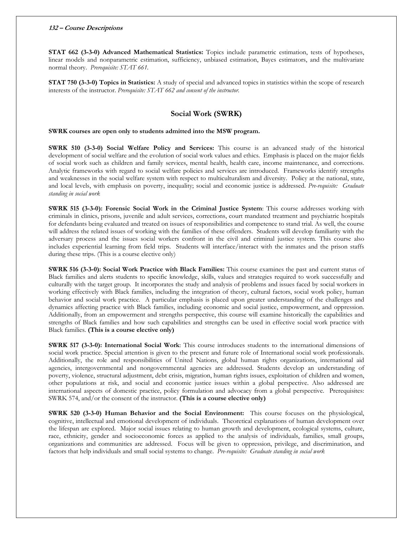**STAT 662 (3-3-0) Advanced Mathematical Statistics:** Topics include parametric estimation, tests of hypotheses, linear models and nonparametric estimation, sufficiency, unbiased estimation, Bayes estimators, and the multivariate normal theory. *Prerequisite: STAT 661.* 

**STAT 750 (3-3-0) Topics in Statistics:** A study of special and advanced topics in statistics within the scope of research interests of the instructor. *Prerequisite: STAT 662 and consent of the instructor.*

# **Social Work (SWRK)**

# **SWRK courses are open only to students admitted into the MSW program.**

**SWRK 510 (3-3-0) Social Welfare Policy and Services:** This course is an advanced study of the historical development of social welfare and the evolution of social work values and ethics. Emphasis is placed on the major fields of social work such as children and family services, mental health, health care, income maintenance, and corrections. Analytic frameworks with regard to social welfare policies and services are introduced. Frameworks identify strengths and weaknesses in the social welfare system with respect to multiculturalism and diversity. Policy at the national, state, and local levels, with emphasis on poverty, inequality; social and economic justice is addressed. *Pre-requisite: Graduate standing in social work*

**SWRK 515 (3-3-0): Forensic Social Work in the Criminal Justice System**: This course addresses working with criminals in clinics, prisons, juvenile and adult services, corrections, court mandated treatment and psychiatric hospitals for defendants being evaluated and treated on issues of responsibilities and competence to stand trial. As well, the course will address the related issues of working with the families of these offenders. Students will develop familiarity with the adversary process and the issues social workers confront in the civil and criminal justice system. This course also includes experiential learning from field trips. Students will interface/interact with the inmates and the prison staffs during these trips. (This is a course elective only)

**SWRK 516 (3-3-0): Social Work Practice with Black Families:** This course examines the past and current status of Black families and alerts students to specific knowledge, skills, values and strategies required to work successfully and culturally with the target group. It incorporates the study and analysis of problems and issues faced by social workers in working effectively with Black families, including the integration of theory, cultural factors, social work policy, human behavior and social work practice. A particular emphasis is placed upon greater understanding of the challenges and dynamics affecting practice with Black families, including economic and social justice, empowerment, and oppression. Additionally, from an empowerment and strengths perspective, this course will examine historically the capabilities and strengths of Black families and how such capabilities and strengths can be used in effective social work practice with Black families. **(This is a course elective only)** 

**SWRK 517 (3-3-0): International Social Work**: This course introduces students to the international dimensions of social work practice. Special attention is given to the present and future role of International social work professionals. Additionally, the role and responsibilities of United Nations, global human rights organizations, international aid agencies, intergovernmental and nongovernmental agencies are addressed. Students develop an understanding of poverty, violence, structural adjustment, debt crisis, migration, human rights issues, exploitation of children and women, other populations at risk, and social and economic justice issues within a global perspective. Also addressed are international aspects of domestic practice, policy formulation and advocacy from a global perspective. Prerequisites: SWRK 574, and/or the consent of the instructor. **(This is a course elective only)**

**SWRK 520 (3-3-0) Human Behavior and the Social Environment:** This course focuses on the physiological, cognitive, intellectual and emotional development of individuals. Theoretical explanations of human development over the lifespan are explored. Major social issues relating to human growth and development, ecological systems, culture, race, ethnicity, gender and socioeconomic forces as applied to the analysis of individuals, families, small groups, organizations and communities are addressed. Focus will be given to oppression, privilege, and discrimination, and factors that help individuals and small social systems to change. *Pre-requisite: Graduate standing in social work*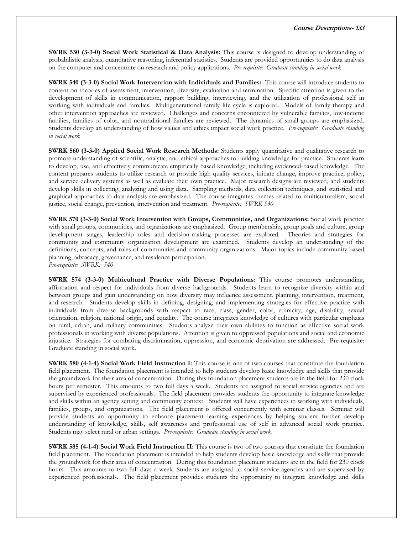**SWRK 530 (3-3-0) Social Work Statistical & Data Analysis:** This course is designed to develop understanding of probabilistic analysis, quantitative reasoning, inferential statistics. Students are provided opportunities to do data analysis on the computer and concentrate on research and policy applications. *Pre-requisite: Graduate standing in social work*

**SWRK 540 (3-3-0) Social Work Intervention with Individuals and Families:** This course will introduce students to content on theories of assessment, intervention, diversity, evaluation and termination. Specific attention is given to the development of skills in communication, rapport building, interviewing, and the utilization of professional self in working with individuals and families. Multigenerational family life cycle is explored. Models of family therapy and other intervention approaches are reviewed. Challenges and concerns encountered by vulnerable families, low-income families, families of color, and nontraditional families are reviewed. The dynamics of small groups are emphasized. Students develop an understanding of how values and ethics impact social work practice. *Pre-requisite: Graduate standing in social work*

**SWRK 560 (3-3-0) Applied Social Work Research Methods:** Students apply quantitative and qualitative research to promote understanding of scientific, analytic, and ethical approaches to building knowledge for practice. Students learn to develop, use, and effectively communicate empirically based knowledge, including evidenced-based knowledge. The content prepares students to utilize research to provide high quality services, initiate change, improve practice, policy, and service delivery systems as well as evaluate their own practice. Major research designs are reviewed, and students develop skills in collecting, analyzing and using data. Sampling methods, data collection techniques, and statistical and graphical approaches to data analysis are emphasized. The course integrates themes related to multiculturalism, social justice, social change, prevention, intervention and treatment. *Pre-requisite: SWRK 530*

**SWRK 570 (3-3-0) Social Work Intervention with Groups, Communities, and Organizations:** Social work practice with small groups, communities, and organizations are emphasized. Group membership, group goals and culture, group development stages, leadership roles and decision-making processes are explored. Theories and strategies for community and community organization development are examined. Students develop an understanding of the definitions, concepts, and roles of communities and community organizations. Major topics include community based planning, advocacy, governance, and residence participation. *Pre-requisite: SWRK: 540* 

**SWRK 574 (3-3-0) Multicultural Practice with Diverse Populations**: This course promotes understanding, affirmation and respect for individuals from diverse backgrounds. Students learn to recognize diversity within and between groups and gain understanding on how diversity may influence assessment, planning, intervention, treatment, and research. Students develop skills in defining, designing, and implementing strategies for effective practice with individuals from diverse backgrounds with respect to race, class, gender, color, ethnicity, age, disability, sexual orientation, religion, national origin, and equality. The course integrates knowledge of cultures with particular emphasis on rural, urban, and military communities. Students analyze their own abilities to function as effective social work professionals in working with diverse populations. Attention is given to oppressed populations and social and economic injustice. Strategies for combating discrimination, oppression, and economic deprivation are addressed. Pre-requisite: Graduate standing in social work.

**SWRK 580 (4-1-4) Social Work Field Instruction I:** This course is one of two courses that constitute the foundation field placement. The foundation placement is intended to help students develop basic knowledge and skills that provide the groundwork for their area of concentration. During this foundation placement students are in the field for 230 clock hours per semester. This amounts to two full days a week. Students are assigned to social service agencies and are supervised by experienced professionals. The field placement provides students the opportunity to integrate knowledge and skills within an agency setting and community context. Students will have experiences in working with individuals, families, groups, and organizations. The field placement is offered concurrently with seminar classes. Seminar will provide students an opportunity to enhance placement learning experiences by helping student further develop understanding of knowledge, skills, self awareness and professional use of self in advanced social work practice. Students may select rural or urban settings. *Pre-requisite: Graduate standing in social work.*

**SWRK 585 (4-1-4) Social Work Field Instruction II:** This course is two of two courses that constitute the foundation field placement. The foundation placement is intended to help students develop basic knowledge and skills that provide the groundwork for their area of concentration. During this foundation placement students are in the field for 230 clock hours. This amounts to two full days a week. Students are assigned to social service agencies and are supervised by experienced professionals. The field placement provides students the opportunity to integrate knowledge and skills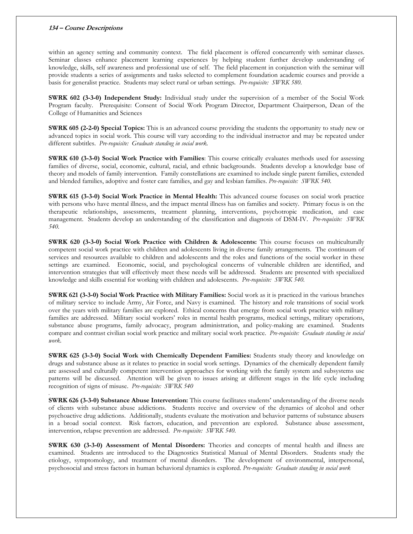*.*

within an agency setting and community context. The field placement is offered concurrently with seminar classes. Seminar classes enhance placement learning experiences by helping student further develop understanding of knowledge, skills, self awareness and professional use of self. The field placement in conjunction with the seminar will provide students a series of assignments and tasks selected to complement foundation academic courses and provide a basis for generalist practice. Students may select rural or urban settings*. Pre-requisite: SWRK 580.*

**SWRK 602 (3-3-0) Independent Study:** Individual study under the supervision of a member of the Social Work Program faculty. Prerequisite: Consent of Social Work Program Director, Department Chairperson, Dean of the College of Humanities and Sciences

**SWRK 605 (2-2-0) Special Topics:** This is an advanced course providing the students the opportunity to study new or advanced topics in social work. This course will vary according to the individual instructor and may be repeated under different subtitles. *Pre-requisite: Graduate standing in social work.*

**SWRK 610 (3-3-0) Social Work Practice with Families**: This course critically evaluates methods used for assessing families of diverse, social, economic, cultural, racial, and ethnic backgrounds. Students develop a knowledge base of theory and models of family intervention. Family constellations are examined to include single parent families, extended and blended families, adoptive and foster care families, and gay and lesbian families. *Pre-requisite: SWRK 540.*

**SWRK 615 (3-3-0) Social Work Practice in Mental Health:** This advanced course focuses on social work practice with persons who have mental illness, and the impact mental illness has on families and society. Primary focus is on the therapeutic relationships, assessments, treatment planning, interventions, psychotropic medication, and case management. Students develop an understanding of the classification and diagnosis of DSM-IV. *Pre-requisite: SWRK 540.*

**SWRK 620 (3-3-0) Social Work Practice with Children & Adolescents:** This course focuses on multiculturally competent social work practice with children and adolescents living in diverse family arrangements. The continuum of services and resources available to children and adolescents and the roles and functions of the social worker in these settings are examined. Economic, social, and psychological concerns of vulnerable children are identified, and intervention strategies that will effectively meet these needs will be addressed. Students are presented with specialized knowledge and skills essential for working with children and adolescents. *Pre-requisite: SWRK 540.*

**SWRK 621 (3-3-0) Social Work Practice with Military Families:** Social work as it is practiced in the various branches of military service to include Army, Air Force, and Navy is examined. The history and role transitions of social work over the years with military families are explored. Ethical concerns that emerge from social work practice with military families are addressed. Military social workers' roles in mental health programs, medical settings, military operations, substance abuse programs, family advocacy, program administration, and policy-making are examined. Students compare and contrast civilian social work practice and military social work practice. *Pre-requisite: Graduate standing in social work.*

**SWRK 625 (3-3-0) Social Work with Chemically Dependent Families:** Students study theory and knowledge on drugs and substance abuse as it relates to practice in social work settings. Dynamics of the chemically dependent family are assessed and culturally competent intervention approaches for working with the family system and subsystems use patterns will be discussed. Attention will be given to issues arising at different stages in the life cycle including recognition of signs of misuse. *Pre-requisite: SWRK 540*

**SWRK 626 (3-3-0) Substance Abuse Intervention:** This course facilitates students' understanding of the diverse needs of clients with substance abuse addictions. Students receive and overview of the dynamics of alcohol and other psychoactive drug addictions. Additionally, students evaluate the motivation and behavior patterns of substance abusers in a broad social context. Risk factors, education, and prevention are explored. Substance abuse assessment, intervention, relapse prevention are addressed. *Pre-requisite: SWRK 540.*

**SWRK 630 (3-3-0) Assessment of Mental Disorders:** Theories and concepts of mental health and illness are examined. Students are introduced to the Diagnostics Statistical Manual of Mental Disorders. Students study the etiology, symptomology, and treatment of mental disorders. The development of environmental, interpersonal, psychosocial and stress factors in human behavioral dynamics is explored. *Pre-requisite: Graduate standing in social work*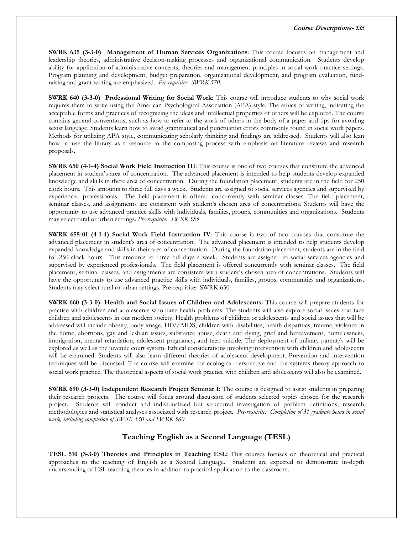**SWRK 635 (3-3-0) Management of Human Services Organizations**: This course focuses on management and leadership theories, administrative decision-making processes and organizational communication. Students develop ability for application of administrative concepts, theories and management principles in social work practice settings. Program planning and development, budget preparation, organizational development, and program evaluation, fundraising and grant writing are emphasized. *Pre-requisite: SWRK 570.*

**SWRK 640 (3-3-0) Professional Writing for Social Work:** This course will introduce students to why social work requires them to write using the American Psychological Association (APA) style. The ethics of writing, indicating the acceptable forms and practices of recognizing the ideas and intellectual properties of others will be explored. The course contains general conventions, such as how to refer to the work of others in the body of a paper and tips for avoiding sexist language. Students learn how to avoid grammatical and punctuation errors commonly found in social work papers. Methods for utilizing APA style, communicating scholarly thinking and findings are addressed. Students will also lean how to use the library as a resource in the composing process with emphasis on literature reviews and research proposals.

**SWRK 650 (4-1-4) Social Work Field Instruction III**: This course is one of two courses that constitute the advanced placement in student's area of concentration. The advanced placement is intended to help students develop expanded knowledge and skills in there area of concentration. During the foundation placement, students are in the field for 250 clock hours. This amounts to three full days a week. Students are assigned to social services agencies and supervised by experienced professionals. The field placement is offered concurrently with seminar classes. The field placement, seminar classes, and assignments are consistent with student's chosen area of concentrations. Students will have the opportunity to use advanced practice skills with individuals, families, groups, communities and organizations. Students may select rural or urban settings. *Pre-requisite: SWRK 585*

**SWRK 655-01 (4-1-4) Social Work Field Instruction IV:** This course is two of two courses that constitute the advanced placement in student's area of concentration. The advanced placement is intended to help students develop expanded knowledge and skills in their area of concentration. During the foundation placement, students are in the field for 250 clock hours. This amounts to three full days a week. Students are assigned to social services agencies and supervised by experienced professionals. The field placement is offered concurrently with seminar classes. The field placement, seminar classes, and assignments are consistent with student's chosen area of concentrations. Students will have the opportunity to use advanced practice skills with individuals, families, groups, communities and organizations. Students may select rural or urban settings. Pre-requisite: SWRK 650

**SWRK 660 (3-3-0): Health and Social Issues of Children and Adolescents:** This course will prepare students for practice with children and adolescents who have health problems. The students will also explore social issues that face children and adolescents in our modern society. Health problems of children or adolescents and social issues that will be addressed will include obesity, body image, HIV/AIDS, children with disabilities, health disparities, trauma, violence in the home, abortions, gay and lesbian issues, substance abuse, death and dying, grief and bereavement, homelessness, immigration, mental retardation, adolescent pregnancy, and teen suicide. The deployment of military parent/s will be explored as well as the juvenile court system. Ethical considerations involving intervention with children and adolescents will be examined. Students will also learn different theories of adolescent development. Prevention and intervention techniques will be discussed. The course will examine the ecological perspective and the systems theory approach to social work practice. The theoretical aspects of social work practice with children and adolescents will also be examined.

**SWRK 690 (3-3-0) Independent Research Project Seminar I:** The course is designed to assist students in preparing their research projects. The course will focus around discussion of students selected topics chosen for the research project. Students will conduct and individualized but structured investigation of problem definitions, research methodologies and statistical analyses associated with research project. *Pre-requisite: Completion of 31 graduate hours in social work, including completion of SWRK 530 and SWRK 560.*

# **Teaching English as a Second Language (TESL)**

**TESL 510 (3-3-0) Theories and Principles in Teaching ESL:** This courses focuses on theoretical and practical approaches to the teaching of English as a Second Language. Students are expected to demonstrate in-depth understanding of ESL teaching theories in addition to practical application to the classroom.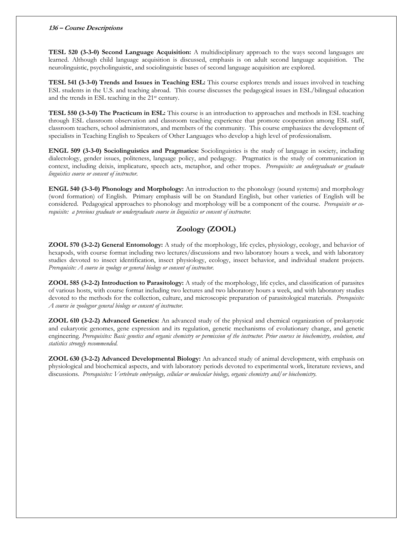**TESL 520 (3-3-0) Second Language Acquisition:** A multidisciplinary approach to the ways second languages are learned. Although child language acquisition is discussed, emphasis is on adult second language acquisition. The neurolinguistic, psycholinguistic, and sociolinguistic bases of second language acquisition are explored.

**TESL 541 (3-3-0) Trends and Issues in Teaching ESL:** This course explores trends and issues involved in teaching ESL students in the U.S. and teaching abroad. This course discusses the pedagogical issues in ESL/bilingual education and the trends in ESL teaching in the 21st century.

**TESL 550 (3-3-0) The Practicum in ESL:** This course is an introduction to approaches and methods in ESL teaching through ESL classroom observation and classroom teaching experience that promote cooperation among ESL staff, classroom teachers, school administrators, and members of the community. This course emphasizes the development of specialists in Teaching English to Speakers of Other Languages who develop a high level of professionalism.

**ENGL 509 (3-3-0) Sociolinguistics and Pragmatics:** Sociolinguistics is the study of language in society, including dialectology, gender issues, politeness, language policy, and pedagogy. Pragmatics is the study of communication in context, including deixis, implicature, speech acts, metaphor, and other tropes. *Prerequisite: an undergraduate or graduate linguistics course or consent of instructor.*

**ENGL 540 (3-3-0) Phonology and Morphology:** An introduction to the phonology (sound systems) and morphology (word formation) of English. Primary emphasis will be on Standard English, but other varieties of English will be considered. Pedagogical approaches to phonology and morphology will be a component of the course. *Prerequisite or corequisite: a previous graduate or undergraduate course in linguistics or consent of instructor.* 

# **Zoology (ZOOL)**

**ZOOL 570 (3-2-2) General Entomology:** A study of the morphology, life cycles, physiology, ecology, and behavior of hexapods, with course format including two lectures/discussions and two laboratory hours a week, and with laboratory studies devoted to insect identification, insect physiology, ecology, insect behavior, and individual student projects. *Prerequisite: A course in zoology or general biology or consent of instructor.*

**ZOOL 585 (3-2-2) Introduction to Parasitology:** A study of the morphology, life cycles, and classification of parasites of various hosts, with course format including two lectures and two laboratory hours a week, and with laboratory studies devoted to the methods for the collection, culture, and microscopic preparation of parasitological materials. *Prerequisite: A course in zoologyor general biology or consent of instructor.* 

**ZOOL 610 (3-2-2) Advanced Genetics:** An advanced study of the physical and chemical organization of prokaryotic and eukaryotic genomes, gene expression and its regulation, genetic mechanisms of evolutionary change, and genetic engineering. *Prerequisites: Basic genetics and organic chemistry or permission of the instructor. Prior courses in biochemistry, evolution, and statistics strongly recommended.*

**ZOOL 630 (3-2-2) Advanced Developmental Biology:** An advanced study of animal development, with emphasis on physiological and biochemical aspects, and with laboratory periods devoted to experimental work, literature reviews, and discussions. *Prerequisites: Vertebrate embryology, cellular or molecular biology, organic chemistry and/or biochemistry.*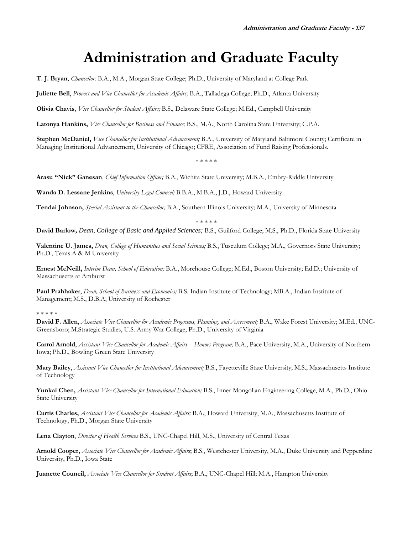# **Administration and Graduate Faculty**

**T. J. Bryan**, *Chancellor:* B.A., M.A., Morgan State College; Ph.D., University of Maryland at College Park

**Juliette Bell**, *Provost and Vice Chancellor for Academic Affairs;* B.A., Talladega College; Ph.D., Atlanta University

**Olivia Chavis**, *Vice Chancellor for Student Affairs;* B.S., Delaware State College; M.Ed., Campbell University

**Latonya Hankins,** *Vice Chancellor for Business and Finance;* B.S., M.A., North Carolina State University; C.P.A.

**Stephen McDaniel,** *Vice Chancellor for Institutional Advancement;* B.A., University of Maryland Baltimore County; Certificate in Managing Institutional Advancement, University of Chicago; CFRE, Association of Fund Raising Professionals.

\* \* \* \* \*

**Arasu "Nick" Ganesan**, *Chief Information Officer;* B.A., Wichita State University; M.B.A., Embry-Riddle University

**Wanda D. Lessane Jenkins**, *University Legal Counsel;* B.B.A., M.B.A., J.D., Howard University

**Tendai Johnson,** *Special Assistant to the Chancellor;* B.A., Southern Illinois University; M.A., University of Minnesota

\* \* \* \* \*

**David Barlow,** *Dean*, *College of Basic and Applied Sciences;* B.S., Guilford College; M.S., Ph.D., Florida State University

**Valentine U. James,** *Dean, College of Humanities and Social Sciences;* B.S., Tusculum College; M.A., Governors State University; Ph.D., Texas A & M University

**Ernest McNeill,** *Interim Dean, School of Education;* B.A., Morehouse College; M.Ed., Boston University; Ed.D.; University of Massachusetts at Amhurst

**Paul Prabhaker**, *Dean, School of Business and Economics;* B.S. Indian Institute of Technology; MB.A., Indian Institute of Management; M.S., D.B.A, University of Rochester

\* \* \* \* \*

**David F. Allen**, *Associate Vice Chancellor for Academic Programs, Planning, and Assessment;* B.A., Wake Forest University; M.Ed., UNC-Greensboro; M.Strategic Studies, U.S. Army War College; Ph.D., University of Virginia

**Carrol Arnold**, *Assistant Vice Chancellor for Academic Affairs – Honors Program;* B.A., Pace University; M.A., University of Northern Iowa; Ph.D., Bowling Green State University

**Mary Bailey**, *Assistant Vice Chancellor for Institutional Advancement;* B.S., Fayetteville State University; M.S., Massachusetts Institute of Technology

**Yunkai Chen,** *Assistant Vice Chancellor for International Education;* B.S., Inner Mongolian Engineering College, M.A., Ph.D., Ohio State University

**Curtis Charles,** *Assistant Vice Chancellor for Academic Affairs;* B.A., Howard University, M.A., Massachusetts Institute of Technology, Ph.D., Morgan State University

**Lena Clayton**, *Director of Health Services* B.S., UNC-Chapel Hill, M.S., University of Central Texas

**Arnold Cooper,** *Associate Vice Chancellor for Academic Affairs*; B.S., Westchester University, M.A., Duke University and Pepperdine University, Ph.D., Iowa State

**Juanette Council,** *Associate Vice Chancellor for Student Affairs*; B.A., UNC-Chapel Hill; M.A., Hampton University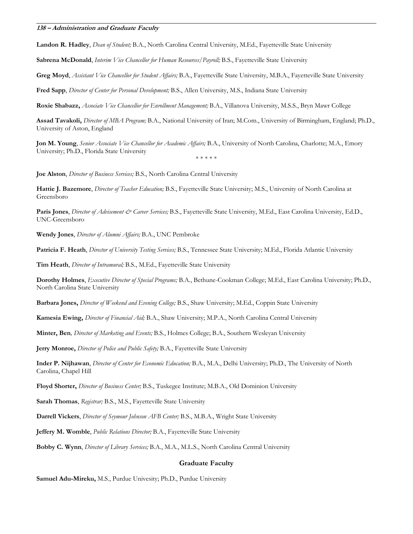## **138 – Administration and Graduate Faculty**

**Landon R. Hadley**, *Dean of Student;* B.A., North Carolina Central University, M.Ed., Fayetteville State University

**Sabrena McDonald**, *Interim Vice Chancellor for Human Resources/Payroll;* B.S., Fayetteville State University

**Greg Moyd**, *Assistant Vice Chancellor for Student Affairs;* B.A., Fayetteville State University, M.B.A., Fayetteville State University

**Fred Sapp**, *Director of Center for Personal Development;* B.S., Allen University, M.S., Indiana State University

**Roxie Shabazz,** *Associate Vice Chancellor for Enrollment Management;* B.A., Villanova University, M.S.S., Bryn Mawr College

**Assad Tavakoli,** *Director of MBA Program;* B.A., National University of Iran; M.Com., University of Birmingham, England; Ph.D., University of Aston, England

**Jon M. Young**, *Senior Associate Vice Chancellor for Academic Affairs;* B.A., University of North Carolina, Charlotte; M.A., Emory University; Ph.D., Florida State University \* \* \* \* \*

**Joe Alston**, *Director of Business Services;* B.S., North Carolina Central University

**Hattie J. Bazemore**, *Director of Teacher Education;* B.S., Fayetteville State University; M.S., University of North Carolina at Greensboro

Paris Jones, *Director of Advisement & Career Services;* B.S., Fayetteville State University, M.Ed., East Carolina University, Ed.D., UNC-Greensboro

**Wendy Jones**, *Director of Alumni Affairs;* B.A., UNC Pembroke

**Patricia F. Heath**, *Director of University Testing Services;* B.S., Tennessee State University; M.Ed., Florida Atlantic University

**Tim Heath**, *Director of Intramural;* B.S., M.Ed., Fayetteville State University

**Dorothy Holmes**, *Executive Director of Special Programs;* B.A., Bethune-Cookman College; M.Ed., East Carolina University; Ph.D., North Carolina State University

**Barbara Jones,** *Director of Weekend and Evening College;* B.S., Shaw University; M.Ed., Coppin State University

**Kamesia Ewing,** *Director of Financial Aid;* B.A., Shaw University; M.P.A., North Carolina Central University

**Minter, Ben***, Director of Marketing and Events;* B.S., Holmes College; B.A., Southern Wesleyan University

**Jerry Monroe,** *Director of Police and Public Safety;* B.A., Fayetteville State University

**Inder P. Nijhawan**, *Director of Center for Economic Education;* B.A., M.A., Delhi University; Ph.D., The University of North Carolina, Chapel Hill

**Floyd Shorter,** *Director of Business Center;* B.S., Tuskegee Institute; M.B.A., Old Dominion University

**Sarah Thomas**, *Registrar;* B.S., M.S., Fayetteville State University

**Darrell Vickers**, *Director of Seymour Johnson AFB Center;* B.S., M.B.A., Wright State University

**Jeffery M. Womble**, *Public Relations Director;* B.A., Fayetteville State University

**Bobby C. Wynn**, *Director of Library Services;* B.A., M.A., M.L.S., North Carolina Central University

#### **Graduate Faculty**

**Samuel Adu-Mireku,** M.S., Purdue Univesity; Ph.D., Purdue University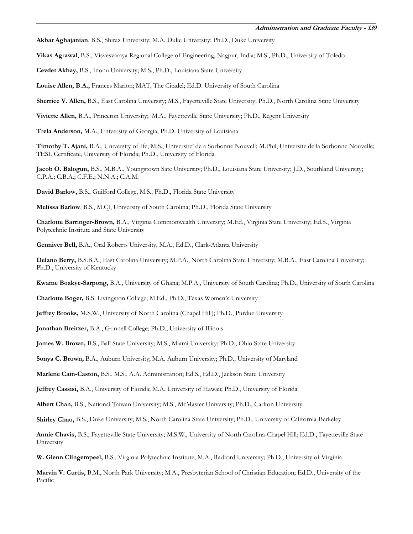**Akbar Aghajanian**, B.S., Shiraz University; M.A. Duke University; Ph.D., Duke University

**Vikas Agrawal**, B.S., Visvesvaraya Regional College of Engineering, Nagpur, India; M.S., Ph.D., University of Toledo

**Cevdet Akbay,** B.S., Inonu University; M.S., Ph.D., Louisiana State University

**Louise Allen, B.A.,** Frances Marion; MAT, The Citadel; Ed.D. University of South Carolina

**Sherrice V. Allen,** B.S., East Carolina University; M.S., Fayetteville State University; Ph.D., North Carolina State University

**Viviette Allen,** B.A., Princeton University; M.A., Fayetteville State University; Ph.D., Regent University

**Trela Anderson,** M.A., University of Georgia; Ph.D. University of Louisiana

**Timothy T. Ajani,** B.A., University of Ife; M.S., Universite' de a Sorbonne Nouvell; M.Phil, Universite de la Sorbonne Nouvelle; TESL Certificate, University of Florida; Ph.D., University of Florida

**Jacob O. Balogun,** B.S., M.B.A., Youngstown Sate University; Ph.D., Louisiana State University; J.D., Southland University; C.P.A.; C.B.A.; C.F.E.; N.N.A.; C.A.M.

**David Barlow,** B.S., Guilford College, M.S., Ph.D., Florida State University

**Melissa Barlow**, B.S., M.CJ, University of South Carolina; Ph.D., Florida State University

**Charlotte Barringer-Brown,** B.A., Virginia Commonwealth University; M.Ed., Virginia State University; Ed.S., Virginia Polytechnic Institute and State University

**Genniver Bell,** B.A., Oral Roberts University, M.A., Ed.D., Clark-Atlanta University

**Delano Berry,** B.S.B.A., East Carolina University; M.P.A., North Carolina State University; M.B.A., East Carolina University; Ph.D., University of Kentucky

**Kwame Boakye-Sarpong,** B.A., University of Ghana; M.P.A., University of South Carolina; Ph.D., University of South Carolina

**Charlotte Boger,** B.S. Livingston College; M.Ed., Ph.D., Texas Women's University

**Jeffrey Brooks,** M.S.W., University of North Carolina (Chapel Hill); Ph.D., Purdue University

**Jonathan Breitzer,** B.A., Grinnell College; Ph.D., University of Illinois

**James W. Brown,** B.S., Ball State University; M.S., Miami University; Ph.D., Ohio State University

**Sonya C. Brown,** B.A., Auburn University; M.A. Auburn University; Ph.D., University of Maryland

**Marlene Cain-Caston,** B.S., M.S., A.A. Administration; Ed.S., Ed.D., Jackson State University

**Jeffrey Cassisi,** B.A., University of Florida; M.A. University of Hawaii; Ph.D., University of Florida

**Albert Chan,** B.S., National Taiwan University; M.S., McMaster University; Ph.D., Carlton University

**Shirley Chao,** B.S., Duke University; M.S., North Carolina State University; Ph.D., University of California-Berkeley

**Annie Chavis,** B.S., Fayetteville State University; M.S.W., University of North Carolina-Chapel Hill; Ed.D., Fayetteville State University

**W. Glenn Clingempeel,** B.S., Virginia Polytechnic Institute; M.A., Radford University; Ph.D., University of Virginia

**Marvin V. Curtis,** B.M., North Park University; M.A., Presbyterian School of Christian Education; Ed.D., University of the Pacific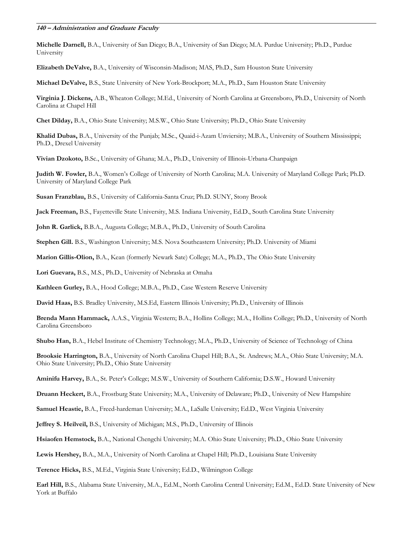# **140 – Administration and Graduate Faculty**

**Michelle Darnell,** B.A., University of San Diego; B.A., University of San Diego; M.A. Purdue University; Ph.D., Purdue University

**Elizabeth DeValve,** B.A., University of Wisconsin-Madison; MAS, Ph.D., Sam Houston State University

**Michael DeValve,** B.S., State University of New York-Brockport; M.A., Ph.D., Sam Houston State University

**Virginia J. Dickens,** A.B., Wheaton College; M.Ed., University of North Carolina at Greensboro, Ph.D., University of North Carolina at Chapel Hill

**Chet Dilday,** B.A., Ohio State University; M.S.W., Ohio State University; Ph.D., Ohio State University

**Khalid Dubas,** B.A., University of the Punjab; M.Sc., Quaid-i-Azam Unviersity; M.B.A., University of Southern Mississippi; Ph.D., Drexel University

**Vivian Dzokoto,** B.Sc., University of Ghana; M.A., Ph.D., University of Illinois-Urbana-Chanpaign

**Judith W. Fowler,** B.A., Women's College of University of North Carolina; M.A. University of Maryland College Park; Ph.D. University of Maryland College Park

**Susan Franzblau,** B.S., University of California-Santa Cruz; Ph.D. SUNY, Stony Brook

**Jack Freeman,** B.S., Fayetteville State University, M.S. Indiana University, Ed.D., South Carolina State University

**John R. Garlick,** B.B.A., Augusta College; M.B.A., Ph.D., University of South Carolina

**Stephen Gill.** B.S., Washington University; M.S. Nova Southeastern University; Ph.D. University of Miami

**Marion Gillis-Olion,** B.A., Kean (formerly Newark Sate) College; M.A., Ph.D., The Ohio State University

**Lori Guevara,** B.S., M.S., Ph.D., University of Nebraska at Omaha

**Kathleen Gurley,** B.A., Hood College; M.B.A., Ph.D., Case Western Reserve University

**David Haas,** B.S. Bradley University, M.S.Ed, Eastern Illinois University; Ph.D., University of Illinois

**Brenda Mann Hammack,** A.A.S., Virginia Western; B.A., Hollins College; M.A., Hollins College; Ph.D., University of North Carolina Greensboro

**Shubo Han,** B.A., Hebel Institute of Chemistry Technology; M.A., Ph.D., University of Science of Technology of China

**Brooksie Harrington,** B.A., University of North Carolina Chapel Hill; B.A., St. Andrews; M.A., Ohio State University; M.A. Ohio State University; Ph.D., Ohio State University

**Aminifu Harvey,** B.A., St. Peter's College; M.S.W., University of Southern California; D.S.W., Howard University

**Druann Heckert,** B.A., Frostburg State University; M.A., University of Delaware; Ph.D., University of New Hampshire

**Samuel Heastie,** B.A., Freed-hardeman University; M.A., LaSalle University; Ed.D., West Virginia University

**Jeffrey S. Heilveil,** B.S., University of Michigan; M.S., Ph.D., University of Illinois

**Hsiaofen Hemstock,** B.A., National Chengchi University; M.A. Ohio State University; Ph.D., Ohio State University

**Lewis Hershey,** B.A., M.A., University of North Carolina at Chapel Hill; Ph.D., Louisiana State University

**Terence Hicks,** B.S., M.Ed., Virginia State University; Ed.D., Wilmington College

**Earl Hill,** B.S., Alabama State University, M.A., Ed.M., North Carolina Central University; Ed.M., Ed.D. State University of New York at Buffalo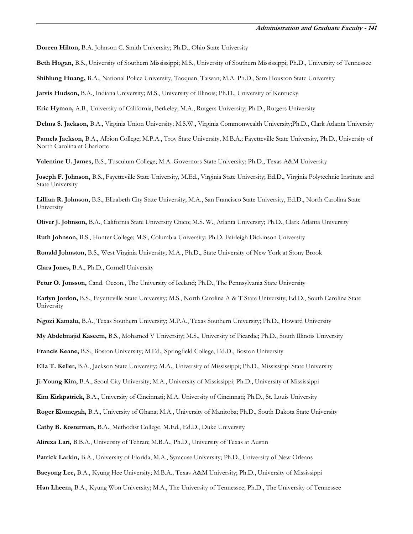**Doreen Hilton,** B.A. Johnson C. Smith University; Ph.D., Ohio State University

**Beth Hogan,** B.S., University of Southern Mississippi; M.S., University of Southern Mississippi; Ph.D., University of Tennessee

**Shihlung Huang,** B.A., National Police University, Taoquan, Taiwan; M.A. Ph.D., Sam Houston State University

**Jarvis Hudson,** B.A., Indiana University; M.S., University of Illinois; Ph.D., University of Kentucky

**Eric Hyman,** A.B., University of California, Berkeley; M.A., Rutgers University; Ph.D., Rutgers University

**Delma S. Jackson,** B.A., Virginia Union University; M.S.W., Virginia Commonwealth University;Ph.D., Clark Atlanta University

**Pamela Jackson,** B.A., Albion College; M.P.A., Troy State University, M.B.A.; Fayetteville State University, Ph.D., University of North Carolina at Charlotte

**Valentine U. James,** B.S., Tusculum College; M.A. Governors State University; Ph.D., Texas A&M University

**Joseph F. Johnson,** B.S., Fayetteville State University, M.Ed., Virginia State University; Ed.D., Virginia Polytechnic Institute and State University

**Lillian R. Johnson,** B.S., Elizabeth City State University; M.A., San Francisco State University, Ed.D., North Carolina State University

**Oliver J. Johnson,** B.A., California State University Chico; M.S. W., Atlanta University; Ph.D., Clark Atlanta University

**Ruth Johnson,** B.S., Hunter College; M.S., Columbia University; Ph.D. Fairleigh Dickinson University

**Ronald Johnston,** B.S., West Virginia University; M.A., Ph.D., State University of New York at Stony Brook

**Clara Jones,** B.A., Ph.D., Cornell University

Petur O. Jonsson, Cand. Oecon., The University of Iceland; Ph.D., The Pennsylvania State University

**Earlyn Jordon,** B.S., Fayetteville State University; M.S., North Carolina A & T State University; Ed.D., South Carolina State **University** 

**Ngozi Kamalu,** B.A., Texas Southern University; M.P.A., Texas Southern University; Ph.D., Howard University

**My Abdelmajid Kaseem,** B.S., Mohamed V University; M.S., University of Picardie; Ph.D., South Illinois University

**Francis Keane,** B.S., Boston University; M.Ed., Springfield College, Ed.D., Boston University

**Ella T. Keller,** B.A., Jackson State University; M.A., University of Mississippi; Ph.D., Mississippi State University

**Ji-Young Kim,** B.A., Seoul City University; M.A., University of Mississippi; Ph.D., University of Mississippi

**Kim Kirkpatrick,** B.A., University of Cincinnati; M.A. University of Cincinnati; Ph.D., St. Louis University

**Roger Klomegah,** B.A., University of Ghana; M.A., University of Manitoba; Ph.D., South Dakota State University

**Cathy B. Kosterman,** B.A., Methodist College, M.Ed., Ed.D., Duke University

**Alireza Lari,** B.B.A., University of Tehran; M.B.A., Ph.D., University of Texas at Austin

**Patrick Larkin,** B.A., University of Florida; M.A., Syracuse University; Ph.D., University of New Orleans

**Baeyong Lee,** B.A., Kyung Hee University; M.B.A., Texas A&M University; Ph.D., University of Mississippi

**Han Lheem,** B.A., Kyung Won University; M.A., The University of Tennessee; Ph.D., The University of Tennessee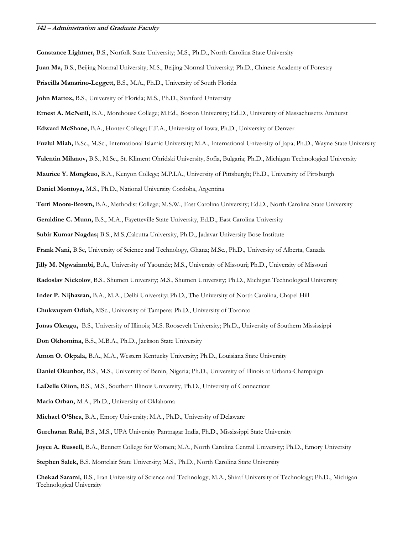# **142 – Administration and Graduate Faculty**

**Constance Lightner,** B.S., Norfolk State University; M.S., Ph.D., North Carolina State University

- **Juan Ma,** B.S., Beijing Normal University; M.S., Beijing Normal University; Ph.D., Chinese Academy of Forestry
- **Priscilla Manarino-Leggett,** B.S., M.A., Ph.D., University of South Florida
- **John Mattox,** B.S., University of Florida; M.S., Ph.D., Stanford University
- **Ernest A. McNeill,** B.A., Morehouse College; M.Ed., Boston University; Ed.D., University of Massachusetts Amhurst
- **Edward McShane,** B.A., Hunter College; F.F.A., University of Iowa; Ph.D., University of Denver
- **Fuzlul Miah,** B.Sc., M.Sc., International Islamic University; M.A., International University of Japa; Ph.D., Wayne State University
- **Valentin Milanov,** B.S., M.Sc., St. Kliment Ohridski University, Sofia, Bulgaria; Ph.D., Michigan Technological University
- **Maurice Y. Mongkuo,** B.A., Kenyon College; M.P.I.A., University of Pittsburgh; Ph.D., University of Pittsburgh
- **Daniel Montoya,** M.S., Ph.D., National University Cordoba, Argentina
- **Terri Moore-Brown,** B.A., Methodist College; M.S.W., East Carolina University; Ed.D., North Carolina State University
- **Geraldine C. Munn,** B.S., M.A., Fayetteville State University, Ed.D., East Carolina University
- **Subir Kumar Nagdas;** B.S., M.S.,Calcutta University, Ph.D., Jadavar University Bose Institute
- **Frank Nani,** B.Sc, University of Science and Technology, Ghana; M.Sc., Ph.D., University of Alberta, Canada
- **Jilly M. Ngwainmbi,** B.A., University of Yaounde; M.S., University of Missouri; Ph.D., University of Missouri
- **Radoslav Nickolov**, B.S., Shumen University; M.S., Shumen University; Ph.D., Michigan Technological University
- **Inder P. Nijhawan,** B.A., M.A., Delhi University; Ph.D., The University of North Carolina, Chapel Hill
- **Chukwuyem Odiah,** MSc., University of Tampere; Ph.D., University of Toronto
- **Jonas Okeagu,** B.S., University of Illinois; M.S. Roosevelt University; Ph.D., University of Southern Mississippi
- **Don Okhomina,** B.S., M.B.A., Ph.D., Jackson State University
- **Amon O. Okpala,** B.A., M.A., Western Kentucky University; Ph.D., Louisiana State University
- **Daniel Okunbor,** B.S., M.S., University of Benin, Nigeria; Ph.D., University of Illinois at Urbana-Champaign
- **LaDelle Olion,** B.S., M.S., Southern Illinois University, Ph.D., University of Connecticut
- **Maria Orban,** M.A., Ph.D., University of Oklahoma
- **Michael O'Shea**, B.A., Emory University; M.A., Ph.D., University of Delaware
- **Gurcharan Rahi,** B.S., M.S., UPA University Pantnagar India, Ph.D., Mississippi State University
- **Joyce A. Russell,** B.A., Bennett College for Women; M.A., North Carolina Central University; Ph.D., Emory University
- **Stephen Salek,** B.S. Montclair State University; M.S., Ph.D., North Carolina State University

**Chekad Sarami,** B.S., Iran University of Science and Technology; M.A., Shiraf University of Technology; Ph.D., Michigan Technological University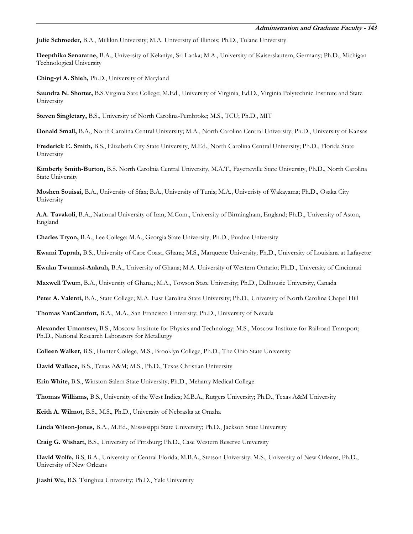**Julie Schroeder,** B.A., Millikin University; M.A. University of Illinois; Ph.D., Tulane University

**Deepthika Senaratne,** B.A., University of Kelaniya, Sri Lanka; M.A., University of Kaiserslautern, Germany; Ph.D., Michigan Technological University

**Ching-yi A. Shieh,** Ph.D., University of Maryland

**Saundra N. Shorter,** B.S.Virginia Sate College; M.Ed., University of Virginia, Ed.D., Virginia Polytechnic Institute and State University

**Steven Singletary,** B.S., University of North Carolina-Pembroke; M.S., TCU; Ph.D., MIT

**Donald Small,** B.A., North Carolina Central University; M.A., North Carolina Central University; Ph.D., University of Kansas

**Frederick E. Smith,** B.S., Elizabeth City State University, M.Ed., North Carolina Central University; Ph.D., Florida State University

**Kimberly Smith-Burton,** B.S. North Carolnia Central University, M.A.T., Fayetteville State University, Ph.D., North Carolina State University

**Moshen Souissi,** B.A., University of Sfax; B.A., University of Tunis; M.A., Univeristy of Wakayama; Ph.D., Osaka City University

**A.A. Tavakoli**, B.A., National University of Iran; M.Com., University of Birmingham, England; Ph.D., University of Aston, England

**Charles Tryon,** B.A., Lee College; M.A., Georgia State University; Ph.D., Purdue University

**Kwami Tuprah,** B.S., University of Cape Coast, Ghana; M.S., Marquette University; Ph.D., University of Louisiana at Lafayette

**Kwaku Twumasi-Ankrah,** B.A., University of Ghana; M.A. University of Western Ontario; Ph.D., University of Cincinnati

**Maxwell Twu**m, B.A., University of Ghana,; M.A., Towson State University; Ph.D., Dalhousie University, Canada

**Peter A. Valenti,** B.A., State College; M.A. East Carolina State University; Ph.D., University of North Carolina Chapel Hill

**Thomas VanCantfort,** B.A., M.A., San Francisco University; Ph.D., University of Nevada

**Alexander Umantsev,** B.S., Moscow Institute for Physics and Technology; M.S., Moscow Institute for Railroad Transport; Ph.D., National Research Laboratory for Metallurgy

**Colleen Walker,** B.S., Hunter College, M.S., Brooklyn College, Ph.D., The Ohio State University

**David Wallace,** B.S., Texas A&M; M.S., Ph.D., Texas Christian University

**Erin White,** B.S., Winston-Salem State University; Ph.D., Meharry Medical College

**Thomas Williams,** B.S., University of the West Indies; M.B.A., Rutgers University; Ph.D., Texas A&M University

**Keith A. Wilmot,** B.S., M.S., Ph.D., University of Nebraska at Omaha

**Linda Wilson-Jones,** B.A., M.Ed., Mississippi State University; Ph.D., Jackson State University

**Craig G. Wishart,** B.S., University of Pittsburg; Ph.D., Case Western Reserve University

**David Wolfe,** B.S, B.A., University of Central Florida; M.B.A., Stetson University; M.S., University of New Orleans, Ph.D., University of New Orleans

**Jiashi Wu,** B.S. Tsinghua University; Ph.D., Yale University